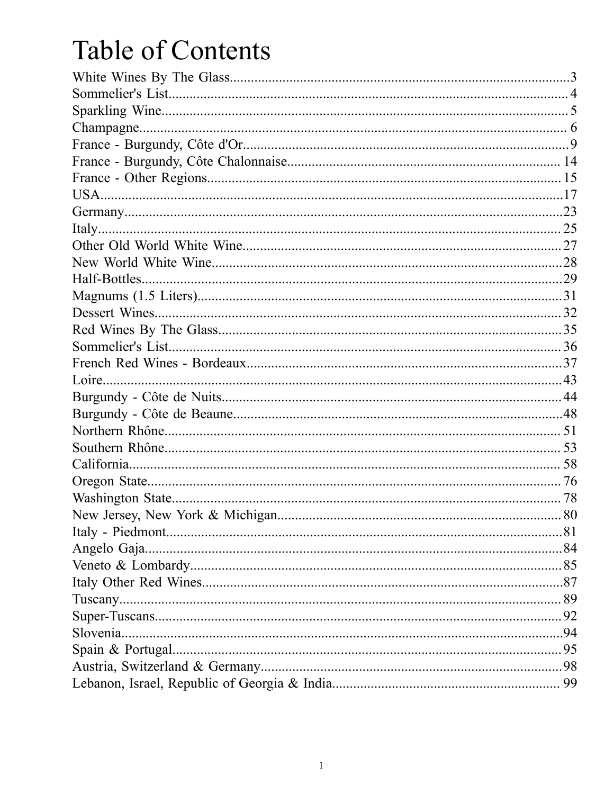# Table of Contents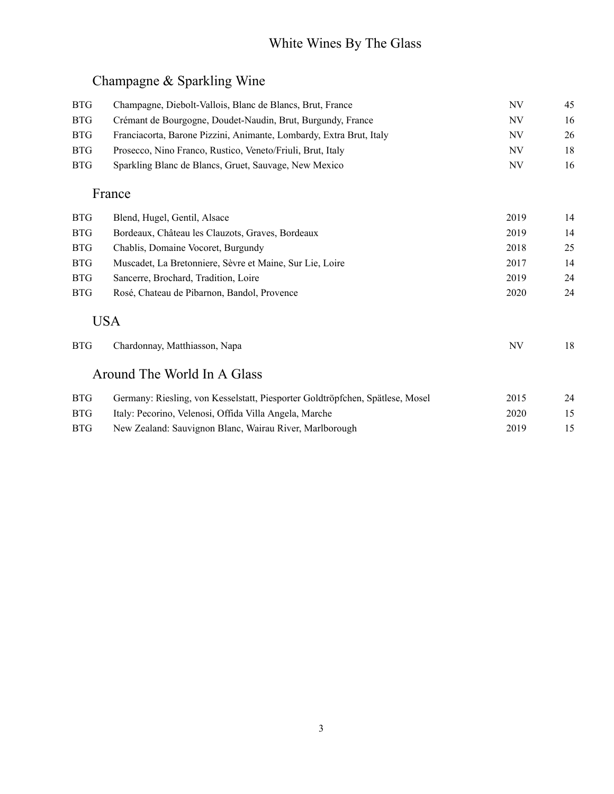# White Wines By The Glass

## Champagne & Sparkling Wine

| <b>BTG</b> | Champagne, Diebolt-Vallois, Blanc de Blancs, Brut, France                     | NV        | 45 |
|------------|-------------------------------------------------------------------------------|-----------|----|
| <b>BTG</b> | Crémant de Bourgogne, Doudet-Naudin, Brut, Burgundy, France                   | NV        | 16 |
| <b>BTG</b> | Franciacorta, Barone Pizzini, Animante, Lombardy, Extra Brut, Italy           | NV        | 26 |
| <b>BTG</b> | Prosecco, Nino Franco, Rustico, Veneto/Friuli, Brut, Italy                    | <b>NV</b> | 18 |
| <b>BTG</b> | Sparkling Blanc de Blancs, Gruet, Sauvage, New Mexico                         | NV        | 16 |
|            | France                                                                        |           |    |
| <b>BTG</b> | Blend, Hugel, Gentil, Alsace                                                  | 2019      | 14 |
| <b>BTG</b> | Bordeaux, Château les Clauzots, Graves, Bordeaux                              | 2019      | 14 |
| <b>BTG</b> | Chablis, Domaine Vocoret, Burgundy                                            | 2018      | 25 |
| <b>BTG</b> | Muscadet, La Bretonniere, Sèvre et Maine, Sur Lie, Loire                      | 2017      | 14 |
| <b>BTG</b> | Sancerre, Brochard, Tradition, Loire                                          | 2019      | 24 |
| <b>BTG</b> | Rosé, Chateau de Pibarnon, Bandol, Provence                                   | 2020      | 24 |
|            | <b>USA</b>                                                                    |           |    |
| <b>BTG</b> | Chardonnay, Matthiasson, Napa                                                 | NV        | 18 |
|            | Around The World In A Glass                                                   |           |    |
| <b>BTG</b> | Germany: Riesling, von Kesselstatt, Piesporter Goldtröpfchen, Spätlese, Mosel | 2015      | 24 |
| <b>BTG</b> | Italy: Pecorino, Velenosi, Offida Villa Angela, Marche                        | 2020      | 15 |
| <b>BTG</b> | New Zealand: Sauvignon Blanc, Wairau River, Marlborough                       | 2019      | 15 |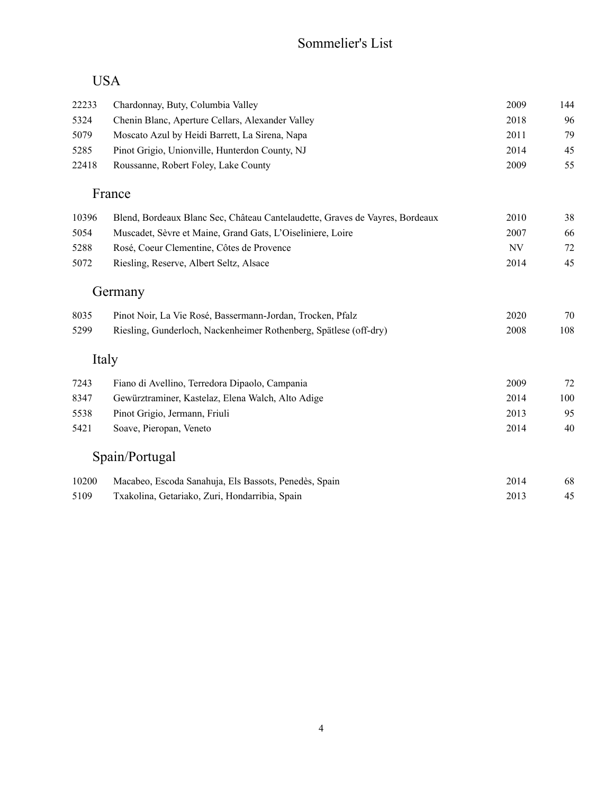#### Sommelier's List

#### USA

| 22233 | Chardonnay, Buty, Columbia Valley                                            | 2009 | 144 |
|-------|------------------------------------------------------------------------------|------|-----|
| 5324  | Chenin Blanc, Aperture Cellars, Alexander Valley                             | 2018 | 96  |
| 5079  | Moscato Azul by Heidi Barrett, La Sirena, Napa                               | 2011 | 79  |
| 5285  | Pinot Grigio, Unionville, Hunterdon County, NJ                               | 2014 | 45  |
| 22418 | Roussanne, Robert Foley, Lake County                                         | 2009 | 55  |
|       | France                                                                       |      |     |
| 10396 | Blend, Bordeaux Blanc Sec, Château Cantelaudette, Graves de Vayres, Bordeaux | 2010 | 38  |
| 5054  | Muscadet, Sèvre et Maine, Grand Gats, L'Oiseliniere, Loire                   | 2007 | 66  |
| 5288  | Rosé, Coeur Clementine, Côtes de Provence                                    | NV   | 72  |
| 5072  | Riesling, Reserve, Albert Seltz, Alsace                                      | 2014 | 45  |
|       | Germany                                                                      |      |     |
| 8035  | Pinot Noir, La Vie Rosé, Bassermann-Jordan, Trocken, Pfalz                   | 2020 | 70  |
| 5299  | Riesling, Gunderloch, Nackenheimer Rothenberg, Spätlese (off-dry)            | 2008 | 108 |
|       | Italy                                                                        |      |     |
| 7243  | Fiano di Avellino, Terredora Dipaolo, Campania                               | 2009 | 72  |
| 8347  | Gewürztraminer, Kastelaz, Elena Walch, Alto Adige                            | 2014 | 100 |
| 5538  | Pinot Grigio, Jermann, Friuli                                                | 2013 | 95  |
| 5421  | Soave, Pieropan, Veneto                                                      | 2014 | 40  |
|       | Spain/Portugal                                                               |      |     |
| 10200 | Macabeo, Escoda Sanahuja, Els Bassots, Penedès, Spain                        | 2014 | 68  |
| 5109  | Txakolina, Getariako, Zuri, Hondarribia, Spain                               | 2013 | 45  |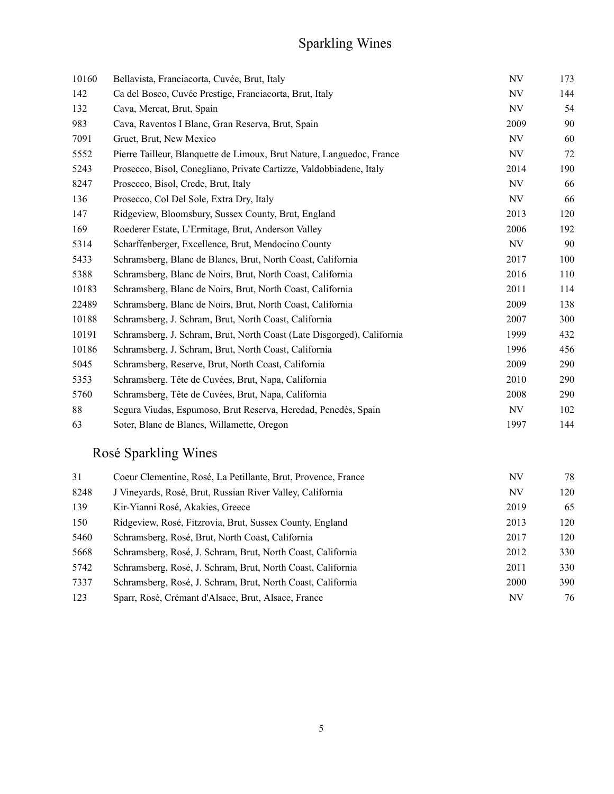# Sparkling Wines

| 10160 | Bellavista, Franciacorta, Cuvée, Brut, Italy                           | NV   | 173 |
|-------|------------------------------------------------------------------------|------|-----|
| 142   | Ca del Bosco, Cuvée Prestige, Franciacorta, Brut, Italy                | NV   | 144 |
| 132   | Cava, Mercat, Brut, Spain                                              | NV   | 54  |
| 983   | Cava, Raventos I Blanc, Gran Reserva, Brut, Spain                      | 2009 | 90  |
| 7091  | Gruet, Brut, New Mexico                                                | NV   | 60  |
| 5552  | Pierre Tailleur, Blanquette de Limoux, Brut Nature, Languedoc, France  | NV   | 72  |
| 5243  | Prosecco, Bisol, Conegliano, Private Cartizze, Valdobbiadene, Italy    | 2014 | 190 |
| 8247  | Prosecco, Bisol, Crede, Brut, Italy                                    | NV   | 66  |
| 136   | Prosecco, Col Del Sole, Extra Dry, Italy                               | NV   | 66  |
| 147   | Ridgeview, Bloomsbury, Sussex County, Brut, England                    | 2013 | 120 |
| 169   | Roederer Estate, L'Ermitage, Brut, Anderson Valley                     | 2006 | 192 |
| 5314  | Scharffenberger, Excellence, Brut, Mendocino County                    | NV   | 90  |
| 5433  | Schramsberg, Blanc de Blancs, Brut, North Coast, California            | 2017 | 100 |
| 5388  | Schramsberg, Blanc de Noirs, Brut, North Coast, California             | 2016 | 110 |
| 10183 | Schramsberg, Blanc de Noirs, Brut, North Coast, California             | 2011 | 114 |
| 22489 | Schramsberg, Blanc de Noirs, Brut, North Coast, California             | 2009 | 138 |
| 10188 | Schramsberg, J. Schram, Brut, North Coast, California                  | 2007 | 300 |
| 10191 | Schramsberg, J. Schram, Brut, North Coast (Late Disgorged), California | 1999 | 432 |
| 10186 | Schramsberg, J. Schram, Brut, North Coast, California                  | 1996 | 456 |
| 5045  | Schramsberg, Reserve, Brut, North Coast, California                    | 2009 | 290 |
| 5353  | Schramsberg, Tête de Cuvées, Brut, Napa, California                    | 2010 | 290 |
| 5760  | Schramsberg, Tête de Cuvées, Brut, Napa, California                    | 2008 | 290 |
| 88    | Segura Viudas, Espumoso, Brut Reserva, Heredad, Penedès, Spain         | NV   | 102 |
| 63    | Soter, Blanc de Blancs, Willamette, Oregon                             | 1997 | 144 |

# Rosé Sparkling Wines

| 31   | Coeur Clementine, Rosé, La Petillante, Brut, Provence, France | NV   | 78  |
|------|---------------------------------------------------------------|------|-----|
| 8248 | J Vineyards, Rosé, Brut, Russian River Valley, California     | NV   | 120 |
| 139  | Kir-Yianni Rosé, Akakies, Greece                              | 2019 | 65  |
| 150  | Ridgeview, Rosé, Fitzrovia, Brut, Sussex County, England      | 2013 | 120 |
| 5460 | Schramsberg, Rosé, Brut, North Coast, California              | 2017 | 120 |
| 5668 | Schramsberg, Rosé, J. Schram, Brut, North Coast, California   | 2012 | 330 |
| 5742 | Schramsberg, Rosé, J. Schram, Brut, North Coast, California   | 2011 | 330 |
| 7337 | Schramsberg, Rosé, J. Schram, Brut, North Coast, California   | 2000 | 390 |
| 123  | Sparr, Rosé, Crémant d'Alsace, Brut, Alsace, France           | NV   | 76  |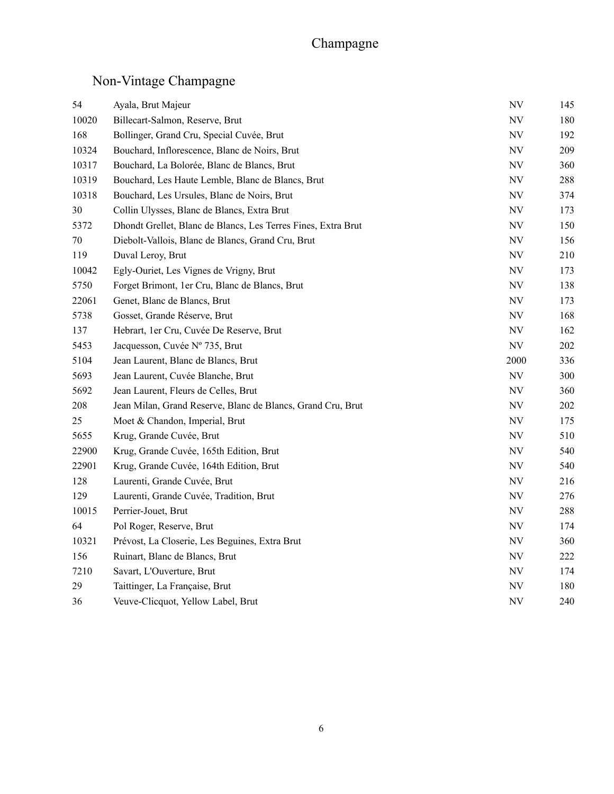## Champagne

# Non-Vintage Champagne

| 54    | Ayala, Brut Majeur                                            | <b>NV</b>                | 145     |
|-------|---------------------------------------------------------------|--------------------------|---------|
| 10020 | Billecart-Salmon, Reserve, Brut                               | <b>NV</b>                | 180     |
| 168   | Bollinger, Grand Cru, Special Cuvée, Brut                     | NV                       | 192     |
| 10324 | Bouchard, Inflorescence, Blanc de Noirs, Brut                 | NV                       | 209     |
| 10317 | Bouchard, La Bolorée, Blanc de Blancs, Brut                   | NV                       | 360     |
| 10319 | Bouchard, Les Haute Lemble, Blanc de Blancs, Brut             | $\ensuremath{\text{NV}}$ | 288     |
| 10318 | Bouchard, Les Ursules, Blanc de Noirs, Brut                   | $\ensuremath{\text{NV}}$ | 374     |
| 30    | Collin Ulysses, Blanc de Blancs, Extra Brut                   | <b>NV</b>                | 173     |
| 5372  | Dhondt Grellet, Blanc de Blancs, Les Terres Fines, Extra Brut | NV                       | 150     |
| 70    | Diebolt-Vallois, Blanc de Blancs, Grand Cru, Brut             | $\ensuremath{\text{NV}}$ | 156     |
| 119   | Duval Leroy, Brut                                             | <b>NV</b>                | 210     |
| 10042 | Egly-Ouriet, Les Vignes de Vrigny, Brut                       | <b>NV</b>                | 173     |
| 5750  | Forget Brimont, 1er Cru, Blanc de Blancs, Brut                | NV                       | 138     |
| 22061 | Genet, Blanc de Blancs, Brut                                  | <b>NV</b>                | 173     |
| 5738  | Gosset, Grande Réserve, Brut                                  | <b>NV</b>                | 168     |
| 137   | Hebrart, 1er Cru, Cuvée De Reserve, Brut                      | NV                       | 162     |
| 5453  | Jacquesson, Cuvée Nº 735, Brut                                | <b>NV</b>                | 202     |
| 5104  | Jean Laurent, Blanc de Blancs, Brut                           | 2000                     | 336     |
| 5693  | Jean Laurent, Cuvée Blanche, Brut                             | <b>NV</b>                | 300     |
| 5692  | Jean Laurent, Fleurs de Celles, Brut                          | $\ensuremath{\text{NV}}$ | 360     |
| 208   | Jean Milan, Grand Reserve, Blanc de Blancs, Grand Cru, Brut   | <b>NV</b>                | $202\,$ |
| 25    | Moet & Chandon, Imperial, Brut                                | <b>NV</b>                | 175     |
| 5655  | Krug, Grande Cuvée, Brut                                      | NV                       | 510     |
| 22900 | Krug, Grande Cuvée, 165th Edition, Brut                       | $\ensuremath{\text{NV}}$ | 540     |
| 22901 | Krug, Grande Cuvée, 164th Edition, Brut                       | <b>NV</b>                | 540     |
| 128   | Laurenti, Grande Cuvée, Brut                                  | NV                       | 216     |
| 129   | Laurenti, Grande Cuvée, Tradition, Brut                       | <b>NV</b>                | 276     |
| 10015 | Perrier-Jouet, Brut                                           | <b>NV</b>                | 288     |
| 64    | Pol Roger, Reserve, Brut                                      | <b>NV</b>                | 174     |
| 10321 | Prévost, La Closerie, Les Beguines, Extra Brut                | $\ensuremath{\text{NV}}$ | 360     |
| 156   | Ruinart, Blanc de Blancs, Brut                                | $\ensuremath{\text{NV}}$ | 222     |
| 7210  | Savart, L'Ouverture, Brut                                     | <b>NV</b>                | 174     |
| 29    | Taittinger, La Française, Brut                                | NV                       | 180     |
| 36    | Veuve-Clicquot, Yellow Label, Brut                            | <b>NV</b>                | 240     |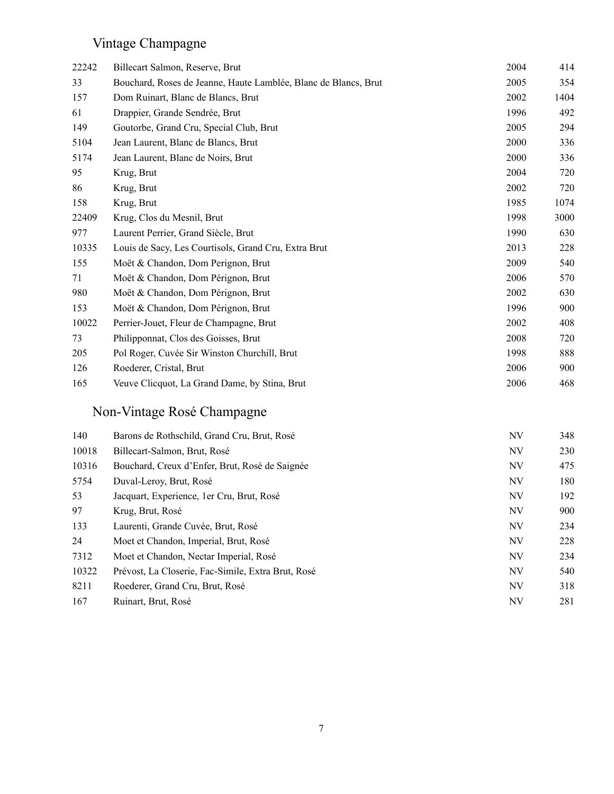# Vintage Champagne

| 22242 | Billecart Salmon, Reserve, Brut                                 | 2004 | 414  |
|-------|-----------------------------------------------------------------|------|------|
| 33    | Bouchard, Roses de Jeanne, Haute Lamblée, Blanc de Blancs, Brut | 2005 | 354  |
| 157   | Dom Ruinart, Blanc de Blancs, Brut                              | 2002 | 1404 |
| 61    | Drappier, Grande Sendrée, Brut                                  | 1996 | 492  |
| 149   | Goutorbe, Grand Cru, Special Club, Brut                         | 2005 | 294  |
| 5104  | Jean Laurent, Blanc de Blancs, Brut                             | 2000 | 336  |
| 5174  | Jean Laurent, Blanc de Noirs, Brut                              | 2000 | 336  |
| 95    | Krug, Brut                                                      | 2004 | 720  |
| 86    | Krug, Brut                                                      | 2002 | 720  |
| 158   | Krug, Brut                                                      | 1985 | 1074 |
| 22409 | Krug, Clos du Mesnil, Brut                                      | 1998 | 3000 |
| 977   | Laurent Perrier, Grand Siècle, Brut                             | 1990 | 630  |
| 10335 | Louis de Sacy, Les Courtisols, Grand Cru, Extra Brut            | 2013 | 228  |
| 155   | Moët & Chandon, Dom Perignon, Brut                              | 2009 | 540  |
| 71    | Moët & Chandon, Dom Pérignon, Brut                              | 2006 | 570  |
| 980   | Moët & Chandon, Dom Pérignon, Brut                              | 2002 | 630  |
| 153   | Moët & Chandon, Dom Pérignon, Brut                              | 1996 | 900  |
| 10022 | Perrier-Jouet, Fleur de Champagne, Brut                         | 2002 | 408  |
| 73    | Philipponnat, Clos des Goisses, Brut                            | 2008 | 720  |
| 205   | Pol Roger, Cuvée Sir Winston Churchill, Brut                    | 1998 | 888  |
| 126   | Roederer, Cristal, Brut                                         | 2006 | 900  |
| 165   | Veuve Clicquot, La Grand Dame, by Stina, Brut                   | 2006 | 468  |

# Non-Vintage Rosé Champagne

| 140   | Barons de Rothschild, Grand Cru, Brut, Rosé        | NV | 348 |
|-------|----------------------------------------------------|----|-----|
| 10018 | Billecart-Salmon, Brut, Rosé                       | NV | 230 |
| 10316 | Bouchard, Creux d'Enfer, Brut, Rosé de Saignée     | NV | 475 |
| 5754  | Duval-Leroy, Brut, Rosé                            | NV | 180 |
| 53    | Jacquart, Experience, 1er Cru, Brut, Rosé          | NV | 192 |
| 97    | Krug, Brut, Rosé                                   | NV | 900 |
| 133   | Laurenti, Grande Cuvée, Brut, Rosé                 | NV | 234 |
| 24    | Moet et Chandon, Imperial, Brut, Rosé              | NV | 228 |
| 7312  | Moet et Chandon, Nectar Imperial, Rosé             | NV | 234 |
| 10322 | Prévost, La Closerie, Fac-Simile, Extra Brut, Rosé | NV | 540 |
| 8211  | Roederer, Grand Cru, Brut, Rosé                    | NV | 318 |
| 167   | Ruinart, Brut, Rosé                                | NV | 281 |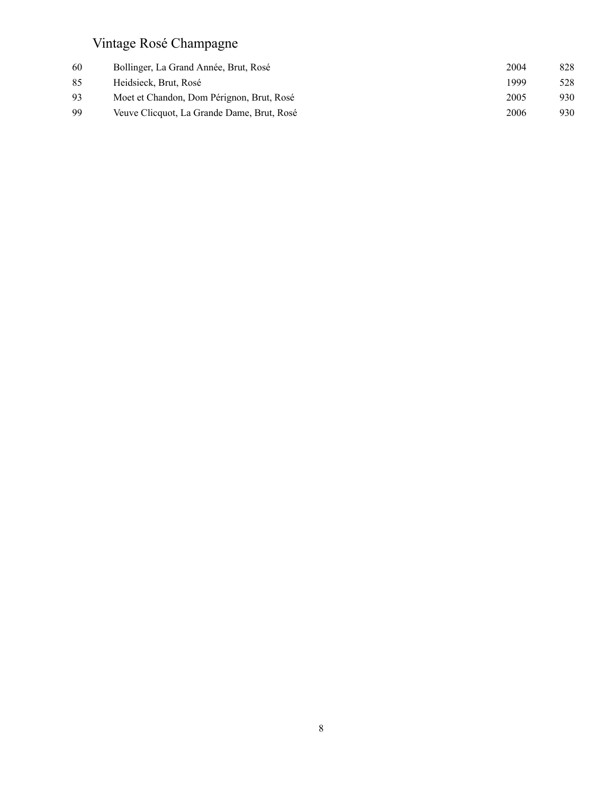## Vintage Rosé Champagne

| 60 | Bollinger, La Grand Année, Brut, Rosé      | 2004 | 828 |
|----|--------------------------------------------|------|-----|
| 85 | Heidsieck, Brut, Rosé                      | 1999 | 528 |
| 93 | Moet et Chandon, Dom Pérignon, Brut, Rosé  | 2005 | 930 |
| 99 | Veuve Clicquot, La Grande Dame, Brut, Rosé | 2006 | 930 |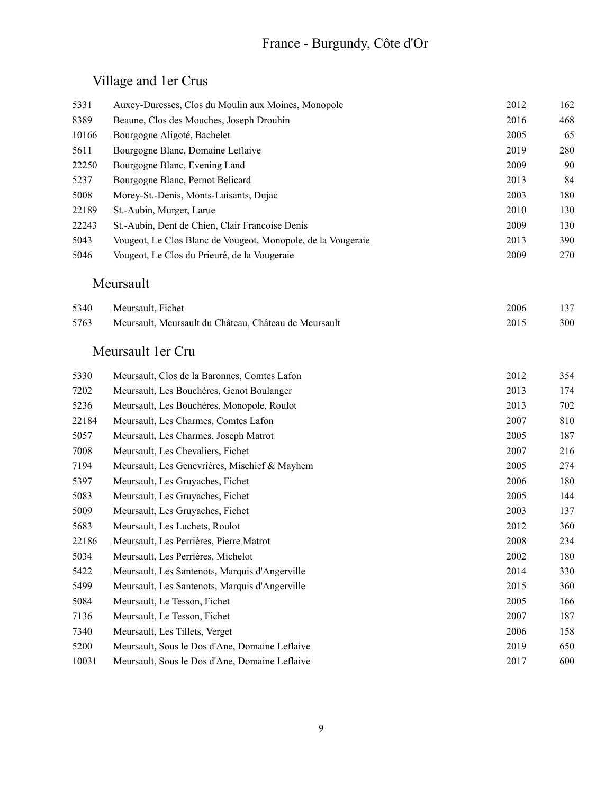# France - Burgundy, Côte d'Or

## Village and 1er Crus

| 5331  | Auxey-Duresses, Clos du Moulin aux Moines, Monopole          | 2012 | 162 |
|-------|--------------------------------------------------------------|------|-----|
| 8389  | Beaune, Clos des Mouches, Joseph Drouhin                     | 2016 | 468 |
| 10166 | Bourgogne Aligoté, Bachelet                                  | 2005 | 65  |
| 5611  | Bourgogne Blanc, Domaine Leflaive                            | 2019 | 280 |
| 22250 | Bourgogne Blanc, Evening Land                                | 2009 | 90  |
| 5237  | Bourgogne Blanc, Pernot Belicard                             | 2013 | 84  |
| 5008  | Morey-St.-Denis, Monts-Luisants, Dujac                       | 2003 | 180 |
| 22189 | St.-Aubin, Murger, Larue                                     | 2010 | 130 |
| 22243 | St.-Aubin, Dent de Chien, Clair Francoise Denis              | 2009 | 130 |
| 5043  | Vougeot, Le Clos Blanc de Vougeot, Monopole, de la Vougeraie | 2013 | 390 |
| 5046  | Vougeot, Le Clos du Prieuré, de la Vougeraie                 | 2009 | 270 |
|       | Meursault                                                    |      |     |
| 5340  | Meursault, Fichet                                            | 2006 | 137 |
| 5763  | Meursault, Meursault du Château, Château de Meursault        | 2015 | 300 |
|       | Meursault 1 er Cru                                           |      |     |
| 5330  | Meursault, Clos de la Baronnes, Comtes Lafon                 | 2012 | 354 |
| 7202  | Meursault, Les Bouchères, Genot Boulanger                    | 2013 | 174 |
| 5236  | Meursault, Les Bouchères, Monopole, Roulot                   | 2013 | 702 |
| 22184 | Meursault, Les Charmes, Comtes Lafon                         | 2007 | 810 |
| 5057  | Meursault, Les Charmes, Joseph Matrot                        | 2005 | 187 |
| 7008  | Meursault, Les Chevaliers, Fichet                            | 2007 | 216 |
| 7194  | Meursault, Les Genevrières, Mischief & Mayhem                | 2005 | 274 |
| 5397  | Meursault, Les Gruyaches, Fichet                             | 2006 | 180 |
| 5083  | Meursault, Les Gruyaches, Fichet                             | 2005 | 144 |
| 5009  | Meursault, Les Gruyaches, Fichet                             | 2003 | 137 |
| 5683  | Meursault, Les Luchets, Roulot                               | 2012 | 360 |
| 22186 | Meursault, Les Perrières, Pierre Matrot                      | 2008 | 234 |
| 5034  | Meursault, Les Perrières, Michelot                           | 2002 | 180 |
| 5422  | Meursault, Les Santenots, Marquis d'Angerville               | 2014 | 330 |
| 5499  | Meursault, Les Santenots, Marquis d'Angerville               | 2015 | 360 |
| 5084  | Meursault, Le Tesson, Fichet                                 | 2005 | 166 |
| 7136  | Meursault, Le Tesson, Fichet                                 | 2007 | 187 |
| 7340  | Meursault, Les Tillets, Verget                               | 2006 | 158 |
| 5200  | Meursault, Sous le Dos d'Ane, Domaine Leflaive               | 2019 | 650 |
| 10031 | Meursault, Sous le Dos d'Ane, Domaine Leflaive               | 2017 | 600 |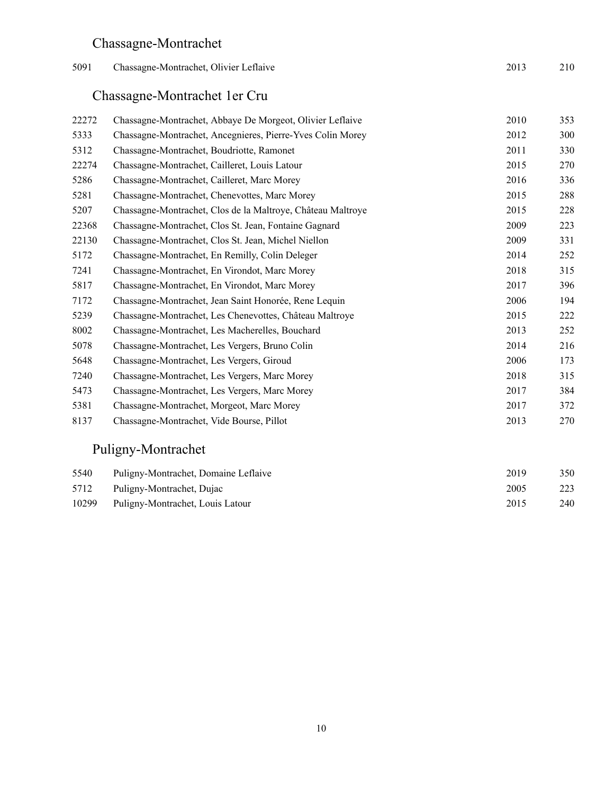## Chassagne-Montrachet

| 5091 | Chassagne-Montrachet, Olivier Leflaive | 2013 | 210 |
|------|----------------------------------------|------|-----|
|      |                                        |      |     |

# Chassagne-Montrachet 1er Cru

| 22272 | Chassagne-Montrachet, Abbaye De Morgeot, Olivier Leflaive   | 2010 | 353 |
|-------|-------------------------------------------------------------|------|-----|
| 5333  | Chassagne-Montrachet, Ancegnieres, Pierre-Yves Colin Morey  | 2012 | 300 |
| 5312  | Chassagne-Montrachet, Boudriotte, Ramonet                   | 2011 | 330 |
| 22274 | Chassagne-Montrachet, Cailleret, Louis Latour               | 2015 | 270 |
| 5286  | Chassagne-Montrachet, Cailleret, Marc Morey                 | 2016 | 336 |
| 5281  | Chassagne-Montrachet, Chenevottes, Marc Morey               | 2015 | 288 |
| 5207  | Chassagne-Montrachet, Clos de la Maltroye, Château Maltroye | 2015 | 228 |
| 22368 | Chassagne-Montrachet, Clos St. Jean, Fontaine Gagnard       | 2009 | 223 |
| 22130 | Chassagne-Montrachet, Clos St. Jean, Michel Niellon         | 2009 | 331 |
| 5172  | Chassagne-Montrachet, En Remilly, Colin Deleger             | 2014 | 252 |
| 7241  | Chassagne-Montrachet, En Virondot, Marc Morey               | 2018 | 315 |
| 5817  | Chassagne-Montrachet, En Virondot, Marc Morey               | 2017 | 396 |
| 7172  | Chassagne-Montrachet, Jean Saint Honorée, Rene Lequin       | 2006 | 194 |
| 5239  | Chassagne-Montrachet, Les Chenevottes, Château Maltroye     | 2015 | 222 |
| 8002  | Chassagne-Montrachet, Les Macherelles, Bouchard             | 2013 | 252 |
| 5078  | Chassagne-Montrachet, Les Vergers, Bruno Colin              | 2014 | 216 |
| 5648  | Chassagne-Montrachet, Les Vergers, Giroud                   | 2006 | 173 |
| 7240  | Chassagne-Montrachet, Les Vergers, Marc Morey               | 2018 | 315 |
| 5473  | Chassagne-Montrachet, Les Vergers, Marc Morey               | 2017 | 384 |
| 5381  | Chassagne-Montrachet, Morgeot, Marc Morey                   | 2017 | 372 |
| 8137  | Chassagne-Montrachet, Vide Bourse, Pillot                   | 2013 | 270 |

#### Puligny-Montrachet

| 5540 | Puligny-Montrachet, Domaine Leflaive   | 2019 | 350 |
|------|----------------------------------------|------|-----|
|      | 5712 Puligny-Montrachet, Dujac         | 2005 | 223 |
|      | 10299 Puligny-Montrachet, Louis Latour | 2015 | 240 |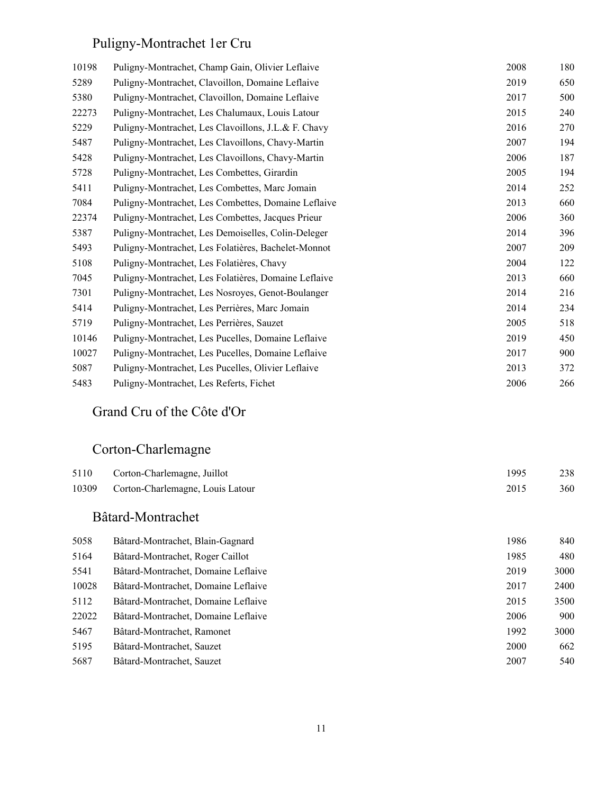# Puligny-Montrachet 1er Cru

| 10198 | Puligny-Montrachet, Champ Gain, Olivier Leflaive     | 2008 | 180 |
|-------|------------------------------------------------------|------|-----|
| 5289  | Puligny-Montrachet, Clavoillon, Domaine Leflaive     | 2019 | 650 |
| 5380  | Puligny-Montrachet, Clavoillon, Domaine Leflaive     | 2017 | 500 |
| 22273 | Puligny-Montrachet, Les Chalumaux, Louis Latour      | 2015 | 240 |
| 5229  | Puligny-Montrachet, Les Clavoillons, J.L.& F. Chavy  | 2016 | 270 |
| 5487  | Puligny-Montrachet, Les Clavoillons, Chavy-Martin    | 2007 | 194 |
| 5428  | Puligny-Montrachet, Les Clavoillons, Chavy-Martin    | 2006 | 187 |
| 5728  | Puligny-Montrachet, Les Combettes, Girardin          | 2005 | 194 |
| 5411  | Puligny-Montrachet, Les Combettes, Marc Jomain       | 2014 | 252 |
| 7084  | Puligny-Montrachet, Les Combettes, Domaine Leflaive  | 2013 | 660 |
| 22374 | Puligny-Montrachet, Les Combettes, Jacques Prieur    | 2006 | 360 |
| 5387  | Puligny-Montrachet, Les Demoiselles, Colin-Deleger   | 2014 | 396 |
| 5493  | Puligny-Montrachet, Les Folatières, Bachelet-Monnot  | 2007 | 209 |
| 5108  | Puligny-Montrachet, Les Folatières, Chavy            | 2004 | 122 |
| 7045  | Puligny-Montrachet, Les Folatières, Domaine Leflaive | 2013 | 660 |
| 7301  | Puligny-Montrachet, Les Nosroyes, Genot-Boulanger    | 2014 | 216 |
| 5414  | Puligny-Montrachet, Les Perrières, Marc Jomain       | 2014 | 234 |
| 5719  | Puligny-Montrachet, Les Perrières, Sauzet            | 2005 | 518 |
| 10146 | Puligny-Montrachet, Les Pucelles, Domaine Leflaive   | 2019 | 450 |
| 10027 | Puligny-Montrachet, Les Pucelles, Domaine Leflaive   | 2017 | 900 |
| 5087  | Puligny-Montrachet, Les Pucelles, Olivier Leflaive   | 2013 | 372 |
| 5483  | Puligny-Montrachet, Les Referts, Fichet              | 2006 | 266 |
|       |                                                      |      |     |

#### Grand Cru of the Côte d'Or

#### Corton-Charlemagne

| 5110 | Corton-Charlemagne, Juillot            | 1995 | 238 |
|------|----------------------------------------|------|-----|
|      | 10309 Corton-Charlemagne, Louis Latour | 2015 | 360 |

#### Bâtard-Montrachet

| Bâtard-Montrachet, Blain-Gagnard    | 1986 | 840  |
|-------------------------------------|------|------|
| Bâtard-Montrachet, Roger Caillot    | 1985 | 480  |
| Bâtard-Montrachet, Domaine Leflaive | 2019 | 3000 |
| Bâtard-Montrachet, Domaine Leflaive | 2017 | 2400 |
| Bâtard-Montrachet, Domaine Leflaive | 2015 | 3500 |
| Bâtard-Montrachet, Domaine Leflaive | 2006 | 900  |
| Bâtard-Montrachet, Ramonet          | 1992 | 3000 |
| Bâtard-Montrachet, Sauzet           | 2000 | 662  |
| Bâtard-Montrachet, Sauzet           | 2007 | 540  |
|                                     |      |      |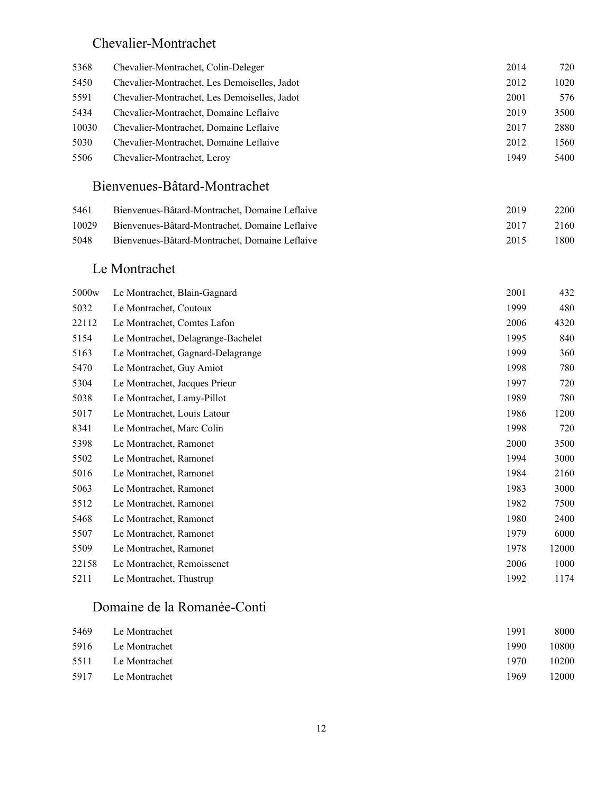#### Chevalier-Montrachet

| 5368  | Chevalier-Montrachet, Colin-Deleger          | 2014 | 720  |
|-------|----------------------------------------------|------|------|
| 5450  | Chevalier-Montrachet, Les Demoiselles, Jadot | 2012 | 1020 |
| 5591  | Chevalier-Montrachet, Les Demoiselles, Jadot | 2001 | 576  |
| 5434  | Chevalier-Montrachet, Domaine Leflaive       | 2019 | 3500 |
| 10030 | Chevalier-Montrachet, Domaine Leflaive       | 2017 | 2880 |
| 5030  | Chevalier-Montrachet, Domaine Leflaive       | 2012 | 1560 |
| 5506  | Chevalier-Montrachet, Leroy                  | 1949 | 5400 |

#### Bienvenues-Bâtard-Montrachet

| 5461  | Bienvenues-Bâtard-Montrachet, Domaine Leflaive | 2019 | 2200  |
|-------|------------------------------------------------|------|-------|
| 10029 | Bienvenues-Bâtard-Montrachet, Domaine Leflaive | 2017 | 2160  |
| 5048  | Bienvenues-Bâtard-Montrachet, Domaine Leflaive | 2015 | 1800- |

#### Le Montrachet

| 5000 <sub>w</sub> | Le Montrachet, Blain-Gagnard       | 2001 | 432   |
|-------------------|------------------------------------|------|-------|
| 5032              | Le Montrachet, Coutoux             | 1999 | 480   |
| 22112             | Le Montrachet, Comtes Lafon        | 2006 | 4320  |
| 5154              | Le Montrachet, Delagrange-Bachelet | 1995 | 840   |
| 5163              | Le Montrachet, Gagnard-Delagrange  | 1999 | 360   |
| 5470              | Le Montrachet, Guy Amiot           | 1998 | 780   |
| 5304              | Le Montrachet, Jacques Prieur      | 1997 | 720   |
| 5038              | Le Montrachet, Lamy-Pillot         | 1989 | 780   |
| 5017              | Le Montrachet, Louis Latour        | 1986 | 1200  |
| 8341              | Le Montrachet, Marc Colin          | 1998 | 720   |
| 5398              | Le Montrachet, Ramonet             | 2000 | 3500  |
| 5502              | Le Montrachet, Ramonet             | 1994 | 3000  |
| 5016              | Le Montrachet, Ramonet             | 1984 | 2160  |
| 5063              | Le Montrachet, Ramonet             | 1983 | 3000  |
| 5512              | Le Montrachet, Ramonet             | 1982 | 7500  |
| 5468              | Le Montrachet, Ramonet             | 1980 | 2400  |
| 5507              | Le Montrachet, Ramonet             | 1979 | 6000  |
| 5509              | Le Montrachet, Ramonet             | 1978 | 12000 |
| 22158             | Le Montrachet, Remoissenet         | 2006 | 1000  |
| 5211              | Le Montrachet, Thustrup            | 1992 | 1174  |

#### Domaine de la Romanée-Conti

| 5469 | Le Montrachet      | 1991  | 8000  |
|------|--------------------|-------|-------|
|      | 5916 Le Montrachet | 1990. | 10800 |
|      | 5511 Le Montrachet | 1970  | 10200 |
| 5917 | Le Montrachet      | 1969  | 12000 |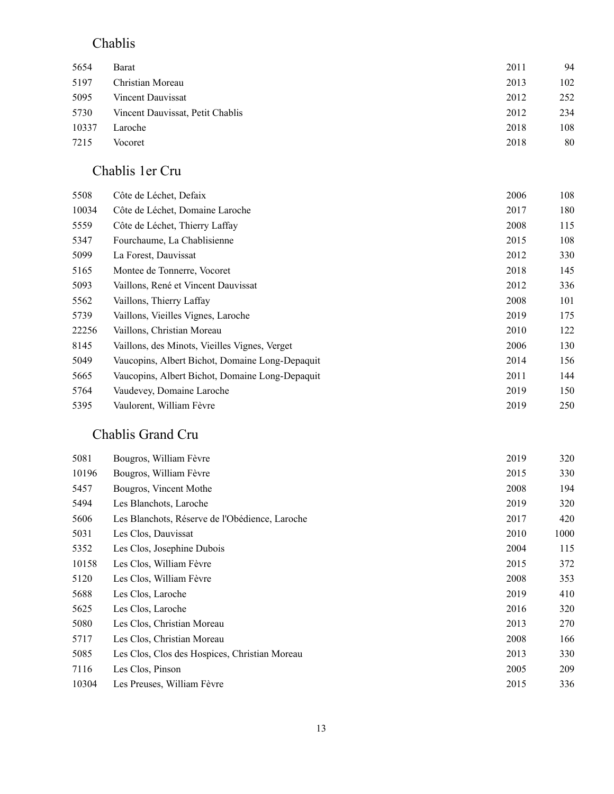#### Chablis

| 5654  | Barat                            | 2011 | 94  |
|-------|----------------------------------|------|-----|
| 5197  | Christian Moreau                 | 2013 | 102 |
| 5095  | Vincent Dauvissat                | 2012 | 252 |
| 5730  | Vincent Dauvissat, Petit Chablis | 2012 | 234 |
| 10337 | Laroche                          | 2018 | 108 |
| 7215  | Vocoret                          | 2018 | 80  |
|       |                                  |      |     |

#### Chablis 1er Cru

| 5508  | Côte de Léchet, Defaix                          | 2006 | 108 |
|-------|-------------------------------------------------|------|-----|
| 10034 | Côte de Léchet, Domaine Laroche                 | 2017 | 180 |
| 5559  | Côte de Léchet, Thierry Laffay                  | 2008 | 115 |
| 5347  | Fourchaume, La Chablisienne                     | 2015 | 108 |
| 5099  | La Forest, Dauvissat                            | 2012 | 330 |
| 5165  | Montee de Tonnerre, Vocoret                     | 2018 | 145 |
| 5093  | Vaillons, René et Vincent Dauvissat             | 2012 | 336 |
| 5562  | Vaillons, Thierry Laffay                        | 2008 | 101 |
| 5739  | Vaillons, Vieilles Vignes, Laroche              | 2019 | 175 |
| 22256 | Vaillons, Christian Moreau                      | 2010 | 122 |
| 8145  | Vaillons, des Minots, Vieilles Vignes, Verget   | 2006 | 130 |
| 5049  | Vaucopins, Albert Bichot, Domaine Long-Depaquit | 2014 | 156 |
| 5665  | Vaucopins, Albert Bichot, Domaine Long-Depaquit | 2011 | 144 |
| 5764  | Vaudevey, Domaine Laroche                       | 2019 | 150 |
| 5395  | Vaulorent, William Fèvre                        | 2019 | 250 |

#### Chablis Grand Cru

| 5081  | Bougros, William Fèvre                         | 2019 | 320  |
|-------|------------------------------------------------|------|------|
| 10196 | Bougros, William Fèvre                         | 2015 | 330  |
| 5457  | Bougros, Vincent Mothe                         | 2008 | 194  |
| 5494  | Les Blanchots, Laroche                         | 2019 | 320  |
| 5606  | Les Blanchots, Réserve de l'Obédience, Laroche | 2017 | 420  |
| 5031  | Les Clos, Dauvissat                            | 2010 | 1000 |
| 5352  | Les Clos, Josephine Dubois                     | 2004 | 115  |
| 10158 | Les Clos, William Fèvre                        | 2015 | 372  |
| 5120  | Les Clos, William Fèvre                        | 2008 | 353  |
| 5688  | Les Clos, Laroche                              | 2019 | 410  |
| 5625  | Les Clos, Laroche                              | 2016 | 320  |
| 5080  | Les Clos, Christian Moreau                     | 2013 | 270  |
| 5717  | Les Clos, Christian Moreau                     | 2008 | 166  |
| 5085  | Les Clos, Clos des Hospices, Christian Moreau  | 2013 | 330  |
| 7116  | Les Clos, Pinson                               | 2005 | 209  |
| 10304 | Les Preuses, William Fèvre                     | 2015 | 336  |
|       |                                                |      |      |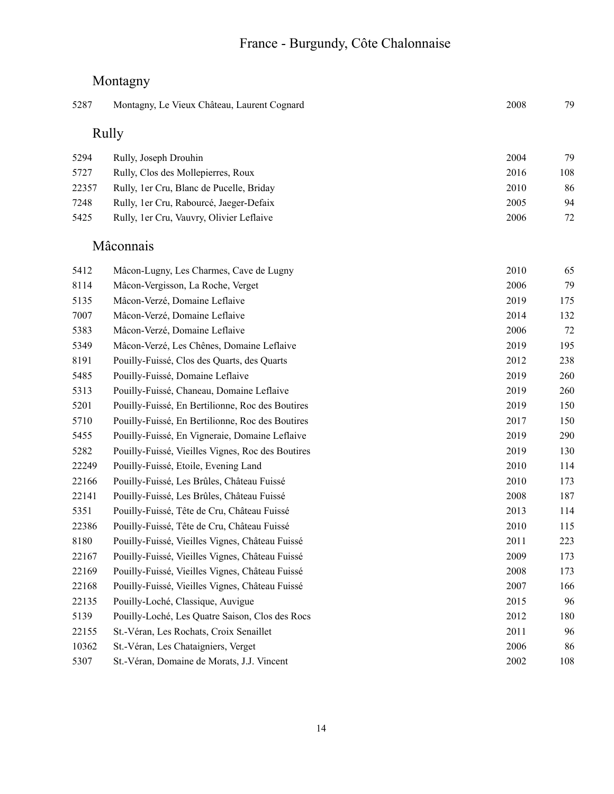## Montagny

| 5287  | Montagny, Le Vieux Château, Laurent Cognard       | 2008 | 79  |
|-------|---------------------------------------------------|------|-----|
| Rully |                                                   |      |     |
| 5294  | Rully, Joseph Drouhin                             | 2004 | 79  |
| 5727  | Rully, Clos des Mollepierres, Roux                | 2016 | 108 |
| 22357 | Rully, 1er Cru, Blanc de Pucelle, Briday          | 2010 | 86  |
| 7248  | Rully, 1er Cru, Rabourcé, Jaeger-Defaix           | 2005 | 94  |
| 5425  | Rully, 1er Cru, Vauvry, Olivier Leflaive          | 2006 | 72  |
|       | Mâconnais                                         |      |     |
| 5412  | Mâcon-Lugny, Les Charmes, Cave de Lugny           | 2010 | 65  |
| 8114  | Mâcon-Vergisson, La Roche, Verget                 | 2006 | 79  |
| 5135  | Mâcon-Verzé, Domaine Leflaive                     | 2019 | 175 |
| 7007  | Mâcon-Verzé, Domaine Leflaive                     | 2014 | 132 |
| 5383  | Mâcon-Verzé, Domaine Leflaive                     | 2006 | 72  |
| 5349  | Mâcon-Verzé, Les Chênes, Domaine Leflaive         | 2019 | 195 |
| 8191  | Pouilly-Fuissé, Clos des Quarts, des Quarts       | 2012 | 238 |
| 5485  | Pouilly-Fuissé, Domaine Leflaive                  | 2019 | 260 |
| 5313  | Pouilly-Fuissé, Chaneau, Domaine Leflaive         | 2019 | 260 |
| 5201  | Pouilly-Fuissé, En Bertilionne, Roc des Boutires  | 2019 | 150 |
| 5710  | Pouilly-Fuissé, En Bertilionne, Roc des Boutires  | 2017 | 150 |
| 5455  | Pouilly-Fuissé, En Vigneraie, Domaine Leflaive    | 2019 | 290 |
| 5282  | Pouilly-Fuissé, Vieilles Vignes, Roc des Boutires | 2019 | 130 |
| 22249 | Pouilly-Fuissé, Etoile, Evening Land              | 2010 | 114 |
| 22166 | Pouilly-Fuissé, Les Brûles, Château Fuissé        | 2010 | 173 |
| 22141 | Pouilly-Fuissé, Les Brûles, Château Fuissé        | 2008 | 187 |
| 5351  | Pouilly-Fuissé, Tête de Cru, Château Fuissé       | 2013 | 114 |
| 22386 | Pouilly-Fuissé, Tête de Cru, Château Fuissé       | 2010 | 115 |
| 8180  | Pouilly-Fuissé, Vieilles Vignes, Château Fuissé   | 2011 | 223 |
| 22167 | Pouilly-Fuissé, Vieilles Vignes, Château Fuissé   | 2009 | 173 |
| 22169 | Pouilly-Fuissé, Vieilles Vignes, Château Fuissé   | 2008 | 173 |
| 22168 | Pouilly-Fuissé, Vieilles Vignes, Château Fuissé   | 2007 | 166 |
| 22135 | Pouilly-Loché, Classique, Auvigue                 | 2015 | 96  |
| 5139  | Pouilly-Loché, Les Quatre Saison, Clos des Rocs   | 2012 | 180 |
| 22155 | St.-Véran, Les Rochats, Croix Senaillet           | 2011 | 96  |
| 10362 | St.-Véran, Les Chataigniers, Verget               | 2006 | 86  |
| 5307  | St.-Véran, Domaine de Morats, J.J. Vincent        | 2002 | 108 |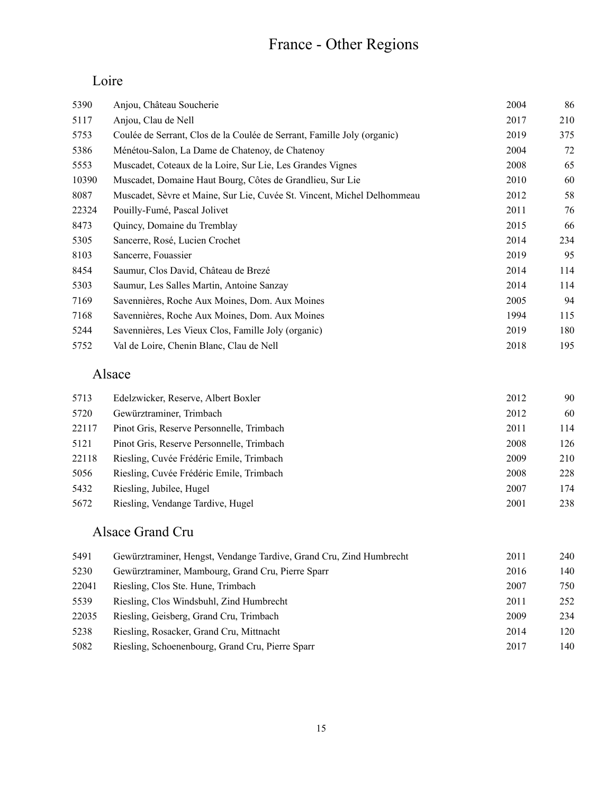# France - Other Regions

## Loire

| 5390  | Anjou, Château Soucherie                                                | 2004 | 86  |
|-------|-------------------------------------------------------------------------|------|-----|
| 5117  | Anjou, Clau de Nell                                                     | 2017 | 210 |
| 5753  | Coulée de Serrant, Clos de la Coulée de Serrant, Famille Joly (organic) | 2019 | 375 |
| 5386  | Ménétou-Salon, La Dame de Chatenoy, de Chatenoy                         | 2004 | 72  |
| 5553  | Muscadet, Coteaux de la Loire, Sur Lie, Les Grandes Vignes              | 2008 | 65  |
| 10390 | Muscadet, Domaine Haut Bourg, Côtes de Grandlieu, Sur Lie               | 2010 | 60  |
| 8087  | Muscadet, Sèvre et Maine, Sur Lie, Cuvée St. Vincent, Michel Delhommeau | 2012 | 58  |
| 22324 | Pouilly-Fumé, Pascal Jolivet                                            | 2011 | 76  |
| 8473  | Quincy, Domaine du Tremblay                                             | 2015 | 66  |
| 5305  | Sancerre, Rosé, Lucien Crochet                                          | 2014 | 234 |
| 8103  | Sancerre, Fouassier                                                     | 2019 | 95  |
| 8454  | Saumur, Clos David, Château de Brezé                                    | 2014 | 114 |
| 5303  | Saumur, Les Salles Martin, Antoine Sanzay                               | 2014 | 114 |
| 7169  | Savennières, Roche Aux Moines, Dom. Aux Moines                          | 2005 | 94  |
| 7168  | Savennières, Roche Aux Moines, Dom. Aux Moines                          | 1994 | 115 |
| 5244  | Savennières, Les Vieux Clos, Famille Joly (organic)                     | 2019 | 180 |
| 5752  | Val de Loire, Chenin Blanc, Clau de Nell                                | 2018 | 195 |

#### Alsace

| 5713  | Edelzwicker, Reserve, Albert Boxler       | 2012 | 90  |
|-------|-------------------------------------------|------|-----|
| 5720  | Gewürztraminer, Trimbach                  | 2012 | 60  |
| 22117 | Pinot Gris, Reserve Personnelle, Trimbach | 2011 | 114 |
| 5121  | Pinot Gris, Reserve Personnelle, Trimbach | 2008 | 126 |
| 22118 | Riesling, Cuvée Frédéric Emile, Trimbach  | 2009 | 210 |
| 5056  | Riesling, Cuvée Frédéric Emile, Trimbach  | 2008 | 228 |
| 5432  | Riesling, Jubilee, Hugel                  | 2007 | 174 |
| 5672  | Riesling, Vendange Tardive, Hugel         | 2001 | 238 |

## Alsace Grand Cru

| 5491  | Gewürztraminer, Hengst, Vendange Tardive, Grand Cru, Zind Humbrecht | 2011 | 240 |
|-------|---------------------------------------------------------------------|------|-----|
| 5230  | Gewürztraminer, Mambourg, Grand Cru, Pierre Sparr                   | 2016 | 140 |
| 22041 | Riesling, Clos Ste. Hune, Trimbach                                  | 2007 | 750 |
| 5539  | Riesling, Clos Windsbuhl, Zind Humbrecht                            | 2011 | 252 |
| 22035 | Riesling, Geisberg, Grand Cru, Trimbach                             | 2009 | 234 |
| 5238  | Riesling, Rosacker, Grand Cru, Mittnacht                            | 2014 | 120 |
| 5082  | Riesling, Schoenenbourg, Grand Cru, Pierre Sparr                    | 2017 | 140 |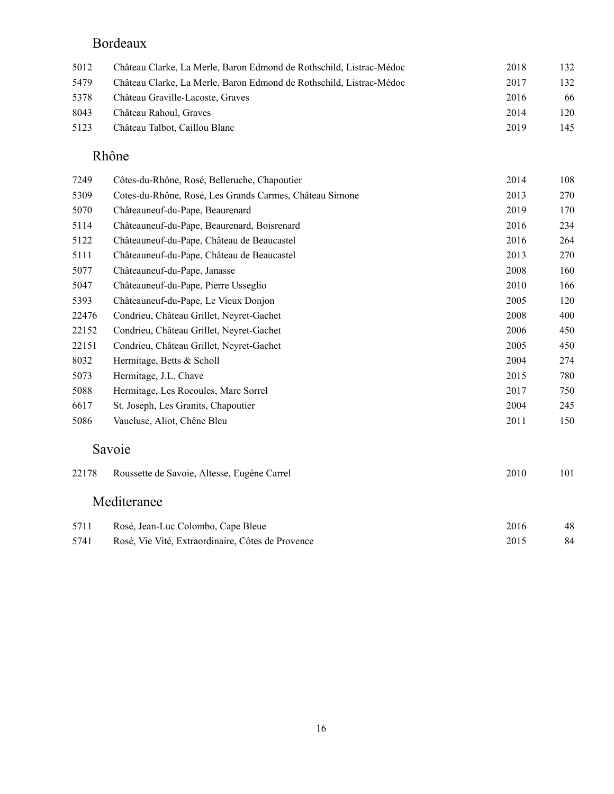#### Bordeaux

| 5012 | Château Clarke, La Merle, Baron Edmond de Rothschild, Listrac-Médoc | 2018 | 132 |
|------|---------------------------------------------------------------------|------|-----|
| 5479 | Château Clarke, La Merle, Baron Edmond de Rothschild, Listrac-Médoc | 2017 | 132 |
| 5378 | Château Graville-Lacoste, Graves                                    | 2016 | 66  |
| 8043 | Château Rahoul, Graves                                              | 2014 | 120 |
| 5123 | Château Talbot, Caillou Blanc                                       | 2019 | 145 |

#### Rhône

| 7249  | Côtes-du-Rhône, Rosé, Belleruche, Chapoutier            | 2014 | 108                                     |
|-------|---------------------------------------------------------|------|-----------------------------------------|
| 5309  | Cotes-du-Rhône, Rosé, Les Grands Carmes, Château Simone | 2013 | 270                                     |
| 5070  | Châteauneuf-du-Pape, Beaurenard                         | 2019 | 170                                     |
| 5114  | Châteauneuf-du-Pape, Beaurenard, Boisrenard             | 2016 | 234                                     |
| 5122  | Châteauneuf-du-Pape, Château de Beaucastel              | 2016 | 264                                     |
| 5111  | Châteauneuf-du-Pape, Château de Beaucastel              | 2013 | 270                                     |
| 5077  | Châteauneuf-du-Pape, Janasse                            | 2008 | 160                                     |
| 5047  | Châteauneuf-du-Pape, Pierre Usseglio                    | 2010 | 166                                     |
| 5393  | Châteauneuf-du-Pape, Le Vieux Donjon                    | 2005 | 120                                     |
| 22476 | Condrieu, Château Grillet, Neyret-Gachet                | 2008 | 400                                     |
| 22152 | Condrieu, Château Grillet, Neyret-Gachet                | 2006 | 450                                     |
| 22151 | Condrieu, Château Grillet, Neyret-Gachet                | 2005 | 450                                     |
| 8032  | Hermitage, Betts & Scholl                               | 2004 | 274                                     |
| 5073  | Hermitage, J.L. Chave                                   | 2015 | 780                                     |
| 5088  | Hermitage, Les Rocoules, Marc Sorrel                    | 2017 | 750                                     |
| 6617  | St. Joseph, Les Granits, Chapoutier                     | 2004 | 245                                     |
| 5086  | Vaucluse, Aliot, Chêne Bleu                             | 2011 | 150                                     |
|       | Savoie                                                  |      |                                         |
| 22178 | Roussette de Savoie, Altesse, Eugène Carrel             | 2010 | 101                                     |
|       | Mediteranee                                             |      |                                         |
| 5711  | Rosé Jean-Luc Colombo Cane Bleue                        | 2016 | $\Delta$ <sup><math>\alpha</math></sup> |

| 2/11 | Rose, Jean-Luc Colombo, Cape Bieue                | ∠∪⊺o |    |
|------|---------------------------------------------------|------|----|
| 5741 | Rosé, Vie Vité, Extraordinaire, Côtes de Provence | 2015 | 84 |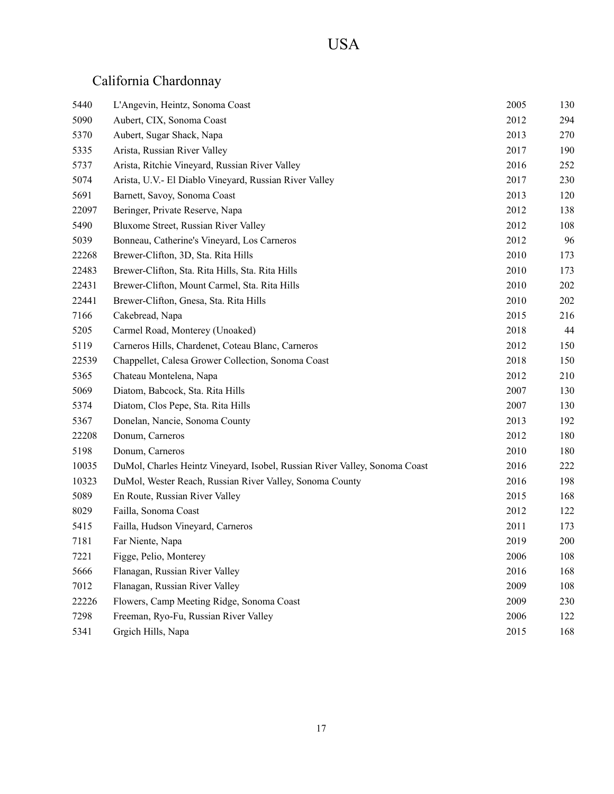| 5440  | L'Angevin, Heintz, Sonoma Coast                                            | 2005 | 130 |
|-------|----------------------------------------------------------------------------|------|-----|
| 5090  | Aubert, CIX, Sonoma Coast                                                  | 2012 | 294 |
| 5370  | Aubert, Sugar Shack, Napa                                                  | 2013 | 270 |
| 5335  | Arista, Russian River Valley                                               | 2017 | 190 |
| 5737  | Arista, Ritchie Vineyard, Russian River Valley                             | 2016 | 252 |
| 5074  | Arista, U.V.- El Diablo Vineyard, Russian River Valley                     | 2017 | 230 |
| 5691  | Barnett, Savoy, Sonoma Coast                                               | 2013 | 120 |
| 22097 | Beringer, Private Reserve, Napa                                            | 2012 | 138 |
| 5490  | Bluxome Street, Russian River Valley                                       | 2012 | 108 |
| 5039  | Bonneau, Catherine's Vineyard, Los Carneros                                | 2012 | 96  |
| 22268 | Brewer-Clifton, 3D, Sta. Rita Hills                                        | 2010 | 173 |
| 22483 | Brewer-Clifton, Sta. Rita Hills, Sta. Rita Hills                           | 2010 | 173 |
| 22431 | Brewer-Clifton, Mount Carmel, Sta. Rita Hills                              | 2010 | 202 |
| 22441 | Brewer-Clifton, Gnesa, Sta. Rita Hills                                     | 2010 | 202 |
| 7166  | Cakebread, Napa                                                            | 2015 | 216 |
| 5205  | Carmel Road, Monterey (Unoaked)                                            | 2018 | 44  |
| 5119  | Carneros Hills, Chardenet, Coteau Blanc, Carneros                          | 2012 | 150 |
| 22539 | Chappellet, Calesa Grower Collection, Sonoma Coast                         | 2018 | 150 |
| 5365  | Chateau Montelena, Napa                                                    | 2012 | 210 |
| 5069  | Diatom, Babcock, Sta. Rita Hills                                           | 2007 | 130 |
| 5374  | Diatom, Clos Pepe, Sta. Rita Hills                                         | 2007 | 130 |
| 5367  | Donelan, Nancie, Sonoma County                                             | 2013 | 192 |
| 22208 | Donum, Carneros                                                            | 2012 | 180 |
| 5198  | Donum, Carneros                                                            | 2010 | 180 |
| 10035 | DuMol, Charles Heintz Vineyard, Isobel, Russian River Valley, Sonoma Coast | 2016 | 222 |
| 10323 | DuMol, Wester Reach, Russian River Valley, Sonoma County                   | 2016 | 198 |
| 5089  | En Route, Russian River Valley                                             | 2015 | 168 |
| 8029  | Failla, Sonoma Coast                                                       | 2012 | 122 |
| 5415  | Failla, Hudson Vineyard, Carneros                                          | 2011 | 173 |
| 7181  | Far Niente, Napa                                                           | 2019 | 200 |
| 7221  | Figge, Pelio, Monterey                                                     | 2006 | 108 |
| 5666  | Flanagan, Russian River Valley                                             | 2016 | 168 |
| 7012  | Flanagan, Russian River Valley                                             | 2009 | 108 |
| 22226 | Flowers, Camp Meeting Ridge, Sonoma Coast                                  | 2009 | 230 |
| 7298  | Freeman, Ryo-Fu, Russian River Valley                                      | 2006 | 122 |
| 5341  | Grgich Hills, Napa                                                         | 2015 | 168 |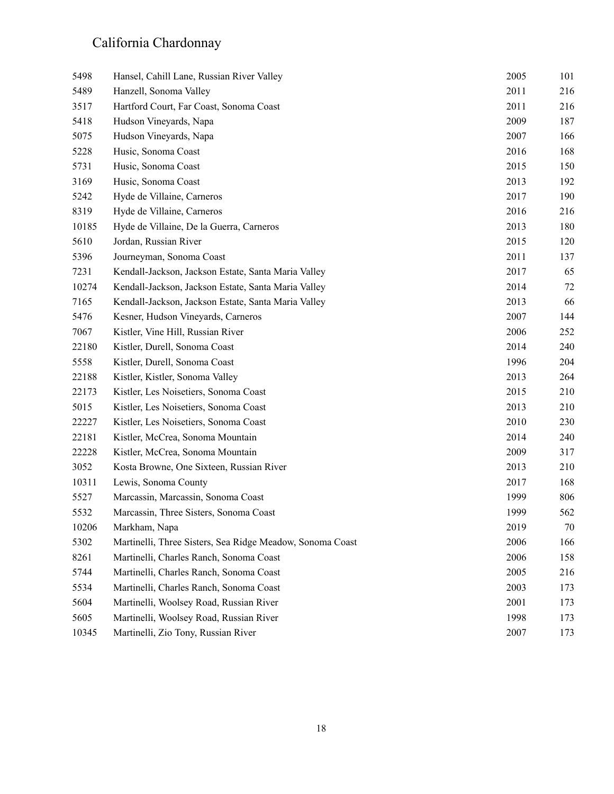| 5498  | Hansel, Cahill Lane, Russian River Valley                 | 2005 | 101 |
|-------|-----------------------------------------------------------|------|-----|
| 5489  | Hanzell, Sonoma Valley                                    | 2011 | 216 |
| 3517  | Hartford Court, Far Coast, Sonoma Coast                   | 2011 | 216 |
| 5418  | Hudson Vineyards, Napa                                    | 2009 | 187 |
| 5075  | Hudson Vineyards, Napa                                    | 2007 | 166 |
| 5228  | Husic, Sonoma Coast                                       | 2016 | 168 |
| 5731  | Husic, Sonoma Coast                                       | 2015 | 150 |
| 3169  | Husic, Sonoma Coast                                       | 2013 | 192 |
| 5242  | Hyde de Villaine, Carneros                                | 2017 | 190 |
| 8319  | Hyde de Villaine, Carneros                                | 2016 | 216 |
| 10185 | Hyde de Villaine, De la Guerra, Carneros                  | 2013 | 180 |
| 5610  | Jordan, Russian River                                     | 2015 | 120 |
| 5396  | Journeyman, Sonoma Coast                                  | 2011 | 137 |
| 7231  | Kendall-Jackson, Jackson Estate, Santa Maria Valley       | 2017 | 65  |
| 10274 | Kendall-Jackson, Jackson Estate, Santa Maria Valley       | 2014 | 72  |
| 7165  | Kendall-Jackson, Jackson Estate, Santa Maria Valley       | 2013 | 66  |
| 5476  | Kesner, Hudson Vineyards, Carneros                        | 2007 | 144 |
| 7067  | Kistler, Vine Hill, Russian River                         | 2006 | 252 |
| 22180 | Kistler, Durell, Sonoma Coast                             | 2014 | 240 |
| 5558  | Kistler, Durell, Sonoma Coast                             | 1996 | 204 |
| 22188 | Kistler, Kistler, Sonoma Valley                           | 2013 | 264 |
| 22173 | Kistler, Les Noisetiers, Sonoma Coast                     | 2015 | 210 |
| 5015  | Kistler, Les Noisetiers, Sonoma Coast                     | 2013 | 210 |
| 22227 | Kistler, Les Noisetiers, Sonoma Coast                     | 2010 | 230 |
| 22181 | Kistler, McCrea, Sonoma Mountain                          | 2014 | 240 |
| 22228 | Kistler, McCrea, Sonoma Mountain                          | 2009 | 317 |
| 3052  | Kosta Browne, One Sixteen, Russian River                  | 2013 | 210 |
| 10311 | Lewis, Sonoma County                                      | 2017 | 168 |
| 5527  | Marcassin, Marcassin, Sonoma Coast                        | 1999 | 806 |
| 5532  | Marcassin, Three Sisters, Sonoma Coast                    | 1999 | 562 |
| 10206 | Markham, Napa                                             | 2019 | 70  |
| 5302  | Martinelli, Three Sisters, Sea Ridge Meadow, Sonoma Coast | 2006 | 166 |
| 8261  | Martinelli, Charles Ranch, Sonoma Coast                   | 2006 | 158 |
| 5744  | Martinelli, Charles Ranch, Sonoma Coast                   | 2005 | 216 |
| 5534  | Martinelli, Charles Ranch, Sonoma Coast                   | 2003 | 173 |
| 5604  | Martinelli, Woolsey Road, Russian River                   | 2001 | 173 |
| 5605  | Martinelli, Woolsey Road, Russian River                   | 1998 | 173 |
| 10345 | Martinelli, Zio Tony, Russian River                       | 2007 | 173 |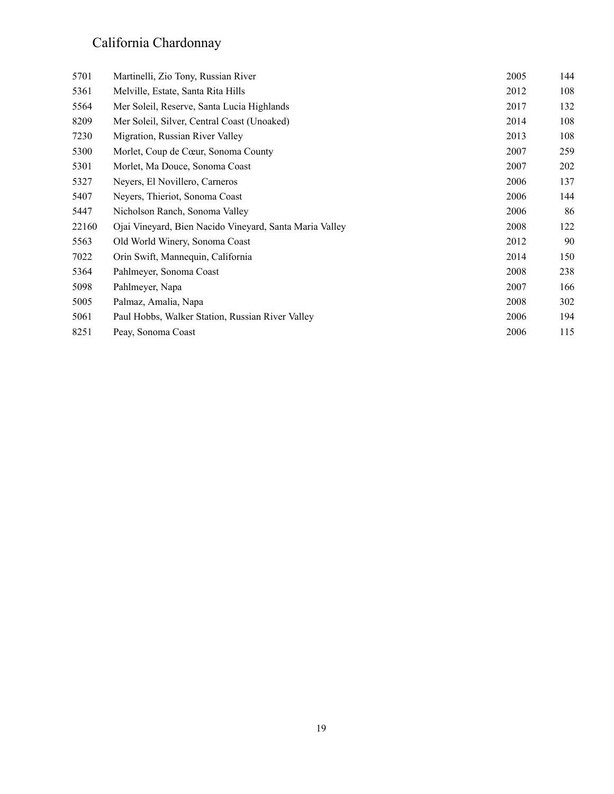| 5701  | Martinelli, Zio Tony, Russian River                     | 2005 | 144 |
|-------|---------------------------------------------------------|------|-----|
| 5361  | Melville, Estate, Santa Rita Hills                      | 2012 | 108 |
| 5564  | Mer Soleil, Reserve, Santa Lucia Highlands              | 2017 | 132 |
| 8209  | Mer Soleil, Silver, Central Coast (Unoaked)             | 2014 | 108 |
| 7230  | Migration, Russian River Valley                         | 2013 | 108 |
| 5300  | Morlet, Coup de Cœur, Sonoma County                     | 2007 | 259 |
| 5301  | Morlet, Ma Douce, Sonoma Coast                          | 2007 | 202 |
| 5327  | Neyers, El Novillero, Carneros                          | 2006 | 137 |
| 5407  | Neyers, Thieriot, Sonoma Coast                          | 2006 | 144 |
| 5447  | Nicholson Ranch, Sonoma Valley                          | 2006 | 86  |
| 22160 | Ojai Vineyard, Bien Nacido Vineyard, Santa Maria Valley | 2008 | 122 |
| 5563  | Old World Winery, Sonoma Coast                          | 2012 | 90  |
| 7022  | Orin Swift, Mannequin, California                       | 2014 | 150 |
| 5364  | Pahlmeyer, Sonoma Coast                                 | 2008 | 238 |
| 5098  | Pahlmeyer, Napa                                         | 2007 | 166 |
| 5005  | Palmaz, Amalia, Napa                                    | 2008 | 302 |
| 5061  | Paul Hobbs, Walker Station, Russian River Valley        | 2006 | 194 |
| 8251  | Peay, Sonoma Coast                                      | 2006 | 115 |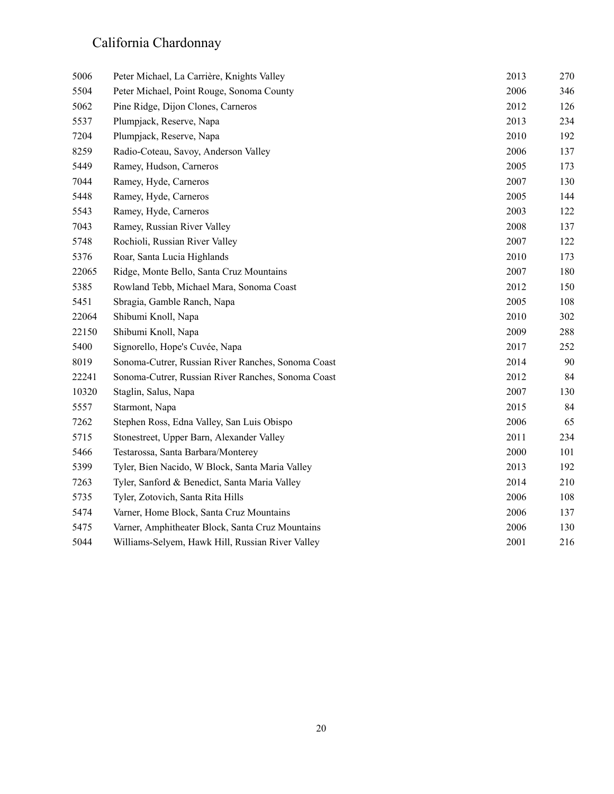| 5006  | Peter Michael, La Carrière, Knights Valley         | 2013 | 270 |
|-------|----------------------------------------------------|------|-----|
| 5504  | Peter Michael, Point Rouge, Sonoma County          | 2006 | 346 |
| 5062  | Pine Ridge, Dijon Clones, Carneros                 | 2012 | 126 |
| 5537  | Plumpjack, Reserve, Napa                           | 2013 | 234 |
| 7204  | Plumpjack, Reserve, Napa                           | 2010 | 192 |
| 8259  | Radio-Coteau, Savoy, Anderson Valley               | 2006 | 137 |
| 5449  | Ramey, Hudson, Carneros                            | 2005 | 173 |
| 7044  | Ramey, Hyde, Carneros                              | 2007 | 130 |
| 5448  | Ramey, Hyde, Carneros                              | 2005 | 144 |
| 5543  | Ramey, Hyde, Carneros                              | 2003 | 122 |
| 7043  | Ramey, Russian River Valley                        | 2008 | 137 |
| 5748  | Rochioli, Russian River Valley                     | 2007 | 122 |
| 5376  | Roar, Santa Lucia Highlands                        | 2010 | 173 |
| 22065 | Ridge, Monte Bello, Santa Cruz Mountains           | 2007 | 180 |
| 5385  | Rowland Tebb, Michael Mara, Sonoma Coast           | 2012 | 150 |
| 5451  | Sbragia, Gamble Ranch, Napa                        | 2005 | 108 |
| 22064 | Shibumi Knoll, Napa                                | 2010 | 302 |
| 22150 | Shibumi Knoll, Napa                                | 2009 | 288 |
| 5400  | Signorello, Hope's Cuvée, Napa                     | 2017 | 252 |
| 8019  | Sonoma-Cutrer, Russian River Ranches, Sonoma Coast | 2014 | 90  |
| 22241 | Sonoma-Cutrer, Russian River Ranches, Sonoma Coast | 2012 | 84  |
| 10320 | Staglin, Salus, Napa                               | 2007 | 130 |
| 5557  | Starmont, Napa                                     | 2015 | 84  |
| 7262  | Stephen Ross, Edna Valley, San Luis Obispo         | 2006 | 65  |
| 5715  | Stonestreet, Upper Barn, Alexander Valley          | 2011 | 234 |
| 5466  | Testarossa, Santa Barbara/Monterey                 | 2000 | 101 |
| 5399  | Tyler, Bien Nacido, W Block, Santa Maria Valley    | 2013 | 192 |
| 7263  | Tyler, Sanford & Benedict, Santa Maria Valley      | 2014 | 210 |
| 5735  | Tyler, Zotovich, Santa Rita Hills                  | 2006 | 108 |
| 5474  | Varner, Home Block, Santa Cruz Mountains           | 2006 | 137 |
| 5475  | Varner, Amphitheater Block, Santa Cruz Mountains   | 2006 | 130 |
| 5044  | Williams-Selyem, Hawk Hill, Russian River Valley   | 2001 | 216 |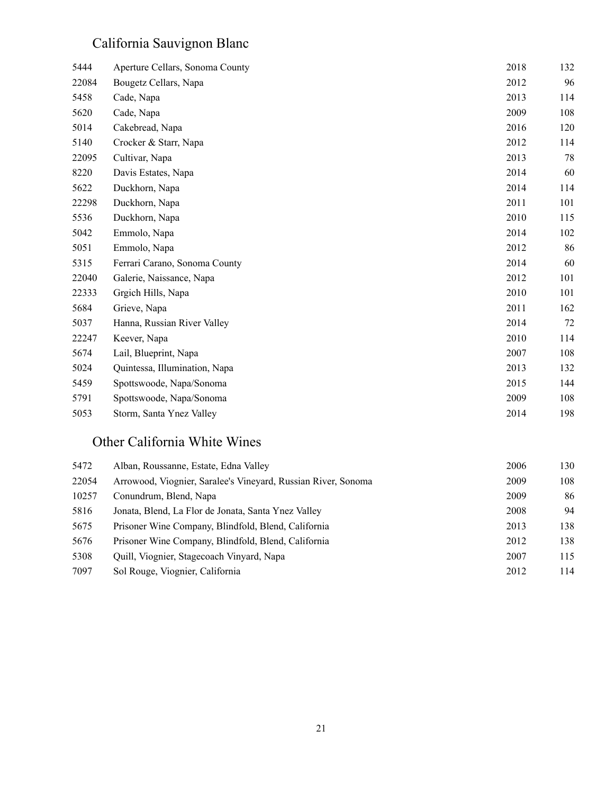# California Sauvignon Blanc

| 5444  | Aperture Cellars, Sonoma County | 2018 | 132 |
|-------|---------------------------------|------|-----|
| 22084 | Bougetz Cellars, Napa           | 2012 | 96  |
| 5458  | Cade, Napa                      | 2013 | 114 |
| 5620  | Cade, Napa                      | 2009 | 108 |
| 5014  | Cakebread, Napa                 | 2016 | 120 |
| 5140  | Crocker & Starr, Napa           | 2012 | 114 |
| 22095 | Cultivar, Napa                  | 2013 | 78  |
| 8220  | Davis Estates, Napa             | 2014 | 60  |
| 5622  | Duckhorn, Napa                  | 2014 | 114 |
| 22298 | Duckhorn, Napa                  | 2011 | 101 |
| 5536  | Duckhorn, Napa                  | 2010 | 115 |
| 5042  | Emmolo, Napa                    | 2014 | 102 |
| 5051  | Emmolo, Napa                    | 2012 | 86  |
| 5315  | Ferrari Carano, Sonoma County   | 2014 | 60  |
| 22040 | Galerie, Naissance, Napa        | 2012 | 101 |
| 22333 | Grgich Hills, Napa              | 2010 | 101 |
| 5684  | Grieve, Napa                    | 2011 | 162 |
| 5037  | Hanna, Russian River Valley     | 2014 | 72  |
| 22247 | Keever, Napa                    | 2010 | 114 |
| 5674  | Lail, Blueprint, Napa           | 2007 | 108 |
| 5024  | Quintessa, Illumination, Napa   | 2013 | 132 |
| 5459  | Spottswoode, Napa/Sonoma        | 2015 | 144 |
| 5791  | Spottswoode, Napa/Sonoma        | 2009 | 108 |
| 5053  | Storm, Santa Ynez Valley        | 2014 | 198 |

#### Other California White Wines

| 5472  | Alban, Roussanne, Estate, Edna Valley                         | 2006 | 130 |
|-------|---------------------------------------------------------------|------|-----|
| 22054 | Arrowood, Viognier, Saralee's Vineyard, Russian River, Sonoma | 2009 | 108 |
| 10257 | Conundrum, Blend, Napa                                        | 2009 | 86  |
| 5816  | Jonata, Blend, La Flor de Jonata, Santa Ynez Valley           | 2008 | 94  |
| 5675  | Prisoner Wine Company, Blindfold, Blend, California           | 2013 | 138 |
| 5676  | Prisoner Wine Company, Blindfold, Blend, California           | 2012 | 138 |
| 5308  | Quill, Viognier, Stagecoach Vinyard, Napa                     | 2007 | 115 |
| 7097  | Sol Rouge, Viognier, California                               | 2012 | 114 |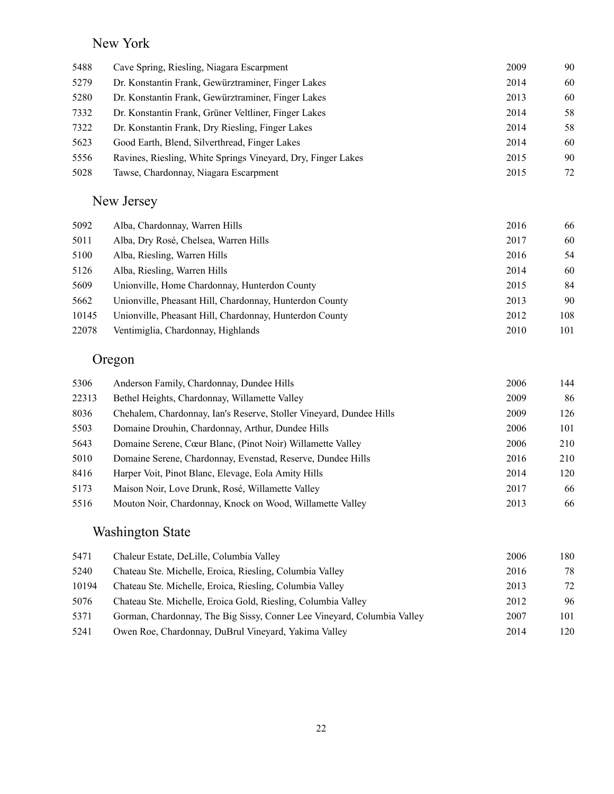## New York

| 5488 | Cave Spring, Riesling, Niagara Escarpment                    | 2009 | 90 |
|------|--------------------------------------------------------------|------|----|
| 5279 | Dr. Konstantin Frank, Gewürztraminer, Finger Lakes           | 2014 | 60 |
| 5280 | Dr. Konstantin Frank, Gewürztraminer, Finger Lakes           | 2013 | 60 |
| 7332 | Dr. Konstantin Frank, Grüner Veltliner, Finger Lakes         | 2014 | 58 |
| 7322 | Dr. Konstantin Frank, Dry Riesling, Finger Lakes             | 2014 | 58 |
| 5623 | Good Earth, Blend, Silverthread, Finger Lakes                | 2014 | 60 |
| 5556 | Ravines, Riesling, White Springs Vineyard, Dry, Finger Lakes | 2015 | 90 |
| 5028 | Tawse, Chardonnay, Niagara Escarpment                        | 2015 | 72 |

# New Jersey

| Alba, Chardonnay, Warren Hills                          | 2016 | 66  |
|---------------------------------------------------------|------|-----|
| Alba, Dry Rosé, Chelsea, Warren Hills                   | 2017 | 60  |
| Alba, Riesling, Warren Hills                            | 2016 | 54  |
| Alba, Riesling, Warren Hills                            | 2014 | 60  |
| Unionville, Home Chardonnay, Hunterdon County           | 2015 | 84  |
| Unionville, Pheasant Hill, Chardonnay, Hunterdon County | 2013 | 90  |
| Unionville, Pheasant Hill, Chardonnay, Hunterdon County | 2012 | 108 |
| Ventimiglia, Chardonnay, Highlands                      | 2010 | 101 |
|                                                         |      |     |

## Oregon

| 5306  | Anderson Family, Chardonnay, Dundee Hills                           | 2006 | 144 |
|-------|---------------------------------------------------------------------|------|-----|
| 22313 | Bethel Heights, Chardonnay, Willamette Valley                       | 2009 | 86  |
| 8036  | Chehalem, Chardonnay, Ian's Reserve, Stoller Vineyard, Dundee Hills | 2009 | 126 |
| 5503  | Domaine Drouhin, Chardonnay, Arthur, Dundee Hills                   | 2006 | 101 |
| 5643  | Domaine Serene, Cœur Blanc, (Pinot Noir) Willamette Valley          | 2006 | 210 |
| 5010  | Domaine Serene, Chardonnay, Evenstad, Reserve, Dundee Hills         | 2016 | 210 |
| 8416  | Harper Voit, Pinot Blanc, Elevage, Eola Amity Hills                 | 2014 | 120 |
| 5173  | Maison Noir, Love Drunk, Rosé, Willamette Valley                    | 2017 | 66  |
| 5516  | Mouton Noir, Chardonnay, Knock on Wood, Willamette Valley           | 2013 | 66  |

#### Washington State

| 5471  | Chaleur Estate, DeLille, Columbia Valley                                | 2006 | 180 |
|-------|-------------------------------------------------------------------------|------|-----|
| 5240  | Chateau Ste. Michelle, Eroica, Riesling, Columbia Valley                | 2016 | 78  |
| 10194 | Chateau Ste. Michelle, Eroica, Riesling, Columbia Valley                | 2013 | 72  |
| 5076  | Chateau Ste. Michelle, Eroica Gold, Riesling, Columbia Valley           | 2012 | 96  |
| 5371  | Gorman, Chardonnay, The Big Sissy, Conner Lee Vineyard, Columbia Valley | 2007 | 101 |
| 5241  | Owen Roe, Chardonnay, DuBrul Vineyard, Yakima Valley                    | 2014 | 120 |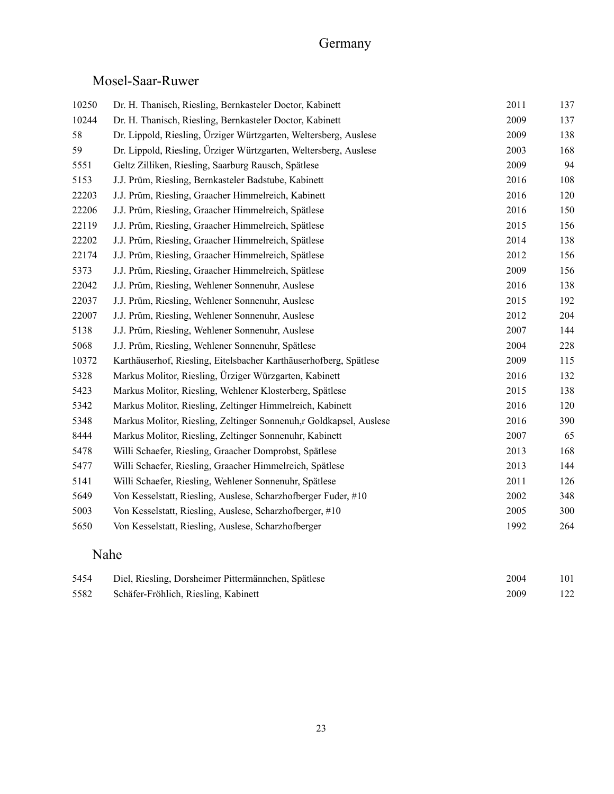## Germany

#### Mosel-Saar-Ruwer

| 10250 | Dr. H. Thanisch, Riesling, Bernkasteler Doctor, Kabinett           | 2011 | 137 |
|-------|--------------------------------------------------------------------|------|-----|
| 10244 | Dr. H. Thanisch, Riesling, Bernkasteler Doctor, Kabinett           | 2009 | 137 |
| 58    | Dr. Lippold, Riesling, Ürziger Würtzgarten, Weltersberg, Auslese   | 2009 | 138 |
| 59    | Dr. Lippold, Riesling, Ürziger Würtzgarten, Weltersberg, Auslese   | 2003 | 168 |
| 5551  | Geltz Zilliken, Riesling, Saarburg Rausch, Spätlese                | 2009 | 94  |
| 5153  | J.J. Prüm, Riesling, Bernkasteler Badstube, Kabinett               | 2016 | 108 |
| 22203 | J.J. Prüm, Riesling, Graacher Himmelreich, Kabinett                | 2016 | 120 |
| 22206 | J.J. Prüm, Riesling, Graacher Himmelreich, Spätlese                | 2016 | 150 |
| 22119 | J.J. Prüm, Riesling, Graacher Himmelreich, Spätlese                | 2015 | 156 |
| 22202 | J.J. Prüm, Riesling, Graacher Himmelreich, Spätlese                | 2014 | 138 |
| 22174 | J.J. Prüm, Riesling, Graacher Himmelreich, Spätlese                | 2012 | 156 |
| 5373  | J.J. Prüm, Riesling, Graacher Himmelreich, Spätlese                | 2009 | 156 |
| 22042 | J.J. Prüm, Riesling, Wehlener Sonnenuhr, Auslese                   | 2016 | 138 |
| 22037 | J.J. Prüm, Riesling, Wehlener Sonnenuhr, Auslese                   | 2015 | 192 |
| 22007 | J.J. Prüm, Riesling, Wehlener Sonnenuhr, Auslese                   | 2012 | 204 |
| 5138  | J.J. Prüm, Riesling, Wehlener Sonnenuhr, Auslese                   | 2007 | 144 |
| 5068  | J.J. Prüm, Riesling, Wehlener Sonnenuhr, Spätlese                  | 2004 | 228 |
| 10372 | Karthäuserhof, Riesling, Eitelsbacher Karthäuserhofberg, Spätlese  | 2009 | 115 |
| 5328  | Markus Molitor, Riesling, Ürziger Würzgarten, Kabinett             | 2016 | 132 |
| 5423  | Markus Molitor, Riesling, Wehlener Klosterberg, Spätlese           | 2015 | 138 |
| 5342  | Markus Molitor, Riesling, Zeltinger Himmelreich, Kabinett          | 2016 | 120 |
| 5348  | Markus Molitor, Riesling, Zeltinger Sonnenuh,r Goldkapsel, Auslese | 2016 | 390 |
| 8444  | Markus Molitor, Riesling, Zeltinger Sonnenuhr, Kabinett            | 2007 | 65  |
| 5478  | Willi Schaefer, Riesling, Graacher Domprobst, Spätlese             | 2013 | 168 |
| 5477  | Willi Schaefer, Riesling, Graacher Himmelreich, Spätlese           | 2013 | 144 |
| 5141  | Willi Schaefer, Riesling, Wehlener Sonnenuhr, Spätlese             | 2011 | 126 |
| 5649  | Von Kesselstatt, Riesling, Auslese, Scharzhofberger Fuder, #10     | 2002 | 348 |
| 5003  | Von Kesselstatt, Riesling, Auslese, Scharzhofberger, #10           | 2005 | 300 |
| 5650  | Von Kesselstatt, Riesling, Auslese, Scharzhofberger                | 1992 | 264 |
|       |                                                                    |      |     |

#### Nahe

| 5454 | Diel, Riesling, Dorsheimer Pittermännchen, Spätlese | 2004 | 101 |
|------|-----------------------------------------------------|------|-----|
| 5582 | Schäfer-Fröhlich, Riesling, Kabinett                | 2009 | 122 |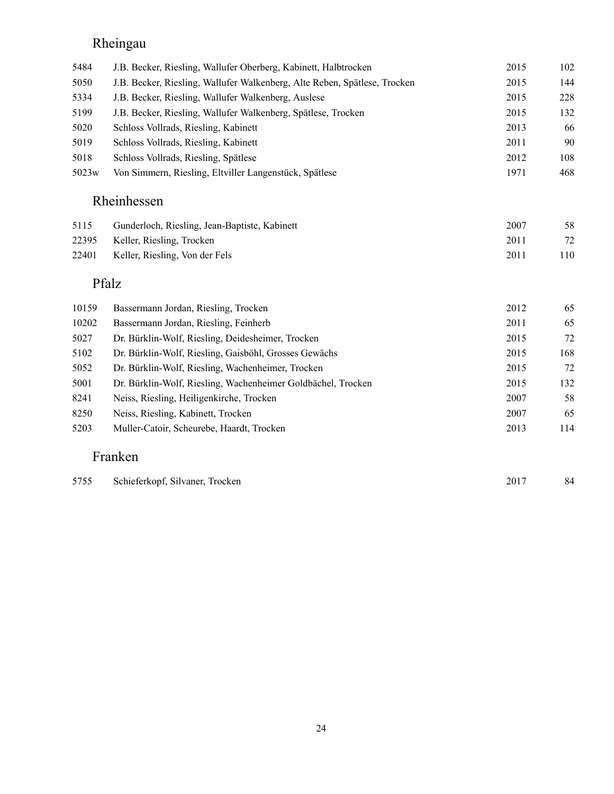## Rheingau

| 5484              | J.B. Becker, Riesling, Wallufer Oberberg, Kabinett, Halbtrocken           | 2015 | 102 |
|-------------------|---------------------------------------------------------------------------|------|-----|
| 5050              | J.B. Becker, Riesling, Wallufer Walkenberg, Alte Reben, Spätlese, Trocken | 2015 | 144 |
| 5334              | J.B. Becker, Riesling, Wallufer Walkenberg, Auslese                       | 2015 | 228 |
| 5199              | J.B. Becker, Riesling, Wallufer Walkenberg, Spätlese, Trocken             | 2015 | 132 |
| 5020              | Schloss Vollrads, Riesling, Kabinett                                      | 2013 | 66  |
| 5019              | Schloss Vollrads, Riesling, Kabinett                                      | 2011 | 90  |
| 5018              | Schloss Vollrads, Riesling, Spätlese                                      | 2012 | 108 |
| 5023 <sub>w</sub> | Von Simmern, Riesling, Eltviller Langenstück, Spätlese                    | 1971 | 468 |
|                   |                                                                           |      |     |

## Rheinhessen

| 5115 | Gunderloch, Riesling, Jean-Baptiste, Kabinett | 2007 |    |
|------|-----------------------------------------------|------|----|
|      | 22395 Keller, Riesling, Trocken               | 2011 |    |
|      | 22401 Keller, Riesling, Von der Fels          | 2011 | 10 |

#### Pfalz

| 10159 | Bassermann Jordan, Riesling, Trocken                         | 2012 | 65  |
|-------|--------------------------------------------------------------|------|-----|
| 10202 | Bassermann Jordan, Riesling, Feinherb                        | 2011 | 65  |
| 5027  | Dr. Bürklin-Wolf, Riesling, Deidesheimer, Trocken            | 2015 | 72  |
| 5102  | Dr. Bürklin-Wolf, Riesling, Gaisböhl, Grosses Gewächs        | 2015 | 168 |
| 5052  | Dr. Bürklin-Wolf, Riesling, Wachenheimer, Trocken            | 2015 | 72  |
| 5001  | Dr. Bürklin-Wolf, Riesling, Wachenheimer Goldbächel, Trocken | 2015 | 132 |
| 8241  | Neiss, Riesling, Heiligenkirche, Trocken                     | 2007 | 58  |
| 8250  | Neiss, Riesling, Kabinett, Trocken                           | 2007 | 65  |
| 5203  | Muller-Catoir, Scheurebe, Haardt, Trocken                    | 2013 | 114 |

#### Franken

| 5755 | Schieferkopf, Silvaner, Trocken | 2017 | 84 |
|------|---------------------------------|------|----|
|------|---------------------------------|------|----|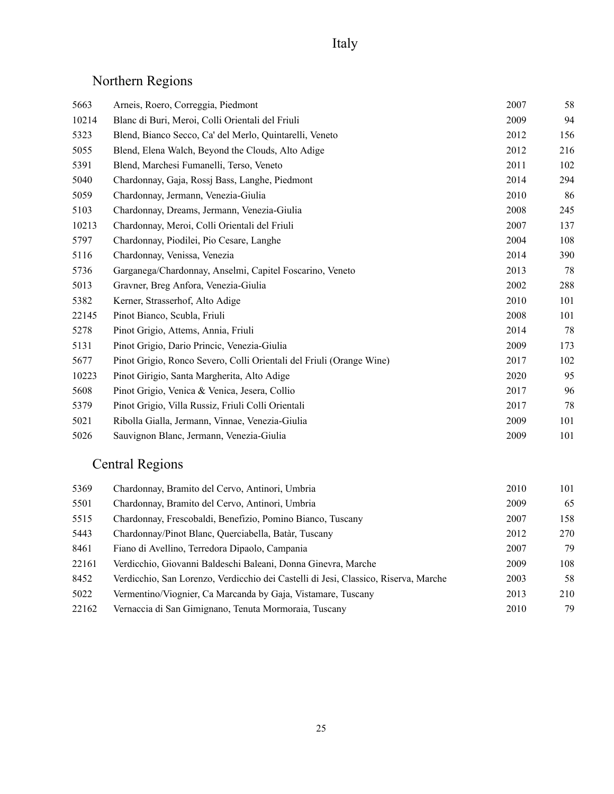# Northern Regions

| 5663  | Arneis, Roero, Correggia, Piedmont                                   | 2007 | 58  |
|-------|----------------------------------------------------------------------|------|-----|
| 10214 | Blanc di Buri, Meroi, Colli Orientali del Friuli                     | 2009 | 94  |
| 5323  | Blend, Bianco Secco, Ca' del Merlo, Quintarelli, Veneto              | 2012 | 156 |
| 5055  | Blend, Elena Walch, Beyond the Clouds, Alto Adige                    | 2012 | 216 |
| 5391  | Blend, Marchesi Fumanelli, Terso, Veneto                             | 2011 | 102 |
| 5040  | Chardonnay, Gaja, Rossj Bass, Langhe, Piedmont                       | 2014 | 294 |
| 5059  | Chardonnay, Jermann, Venezia-Giulia                                  | 2010 | 86  |
| 5103  | Chardonnay, Dreams, Jermann, Venezia-Giulia                          | 2008 | 245 |
| 10213 | Chardonnay, Meroi, Colli Orientali del Friuli                        | 2007 | 137 |
| 5797  | Chardonnay, Piodilei, Pio Cesare, Langhe                             | 2004 | 108 |
| 5116  | Chardonnay, Venissa, Venezia                                         | 2014 | 390 |
| 5736  | Garganega/Chardonnay, Anselmi, Capitel Foscarino, Veneto             | 2013 | 78  |
| 5013  | Gravner, Breg Anfora, Venezia-Giulia                                 | 2002 | 288 |
| 5382  | Kerner, Strasserhof, Alto Adige                                      | 2010 | 101 |
| 22145 | Pinot Bianco, Scubla, Friuli                                         | 2008 | 101 |
| 5278  | Pinot Grigio, Attems, Annia, Friuli                                  | 2014 | 78  |
| 5131  | Pinot Grigio, Dario Princic, Venezia-Giulia                          | 2009 | 173 |
| 5677  | Pinot Grigio, Ronco Severo, Colli Orientali del Friuli (Orange Wine) | 2017 | 102 |
| 10223 | Pinot Girigio, Santa Margherita, Alto Adige                          | 2020 | 95  |
| 5608  | Pinot Grigio, Venica & Venica, Jesera, Collio                        | 2017 | 96  |
| 5379  | Pinot Grigio, Villa Russiz, Friuli Colli Orientali                   | 2017 | 78  |
| 5021  | Ribolla Gialla, Jermann, Vinnae, Venezia-Giulia                      | 2009 | 101 |
| 5026  | Sauvignon Blanc, Jermann, Venezia-Giulia                             | 2009 | 101 |

# Central Regions

| 5369  | Chardonnay, Bramito del Cervo, Antinori, Umbria                                     | 2010 | 101 |
|-------|-------------------------------------------------------------------------------------|------|-----|
| 5501  | Chardonnay, Bramito del Cervo, Antinori, Umbria                                     | 2009 | 65  |
| 5515  | Chardonnay, Frescobaldi, Benefizio, Pomino Bianco, Tuscany                          | 2007 | 158 |
| 5443  | Chardonnay/Pinot Blanc, Querciabella, Batàr, Tuscany                                | 2012 | 270 |
| 8461  | Fiano di Avellino, Terredora Dipaolo, Campania                                      | 2007 | 79  |
| 22161 | Verdicchio, Giovanni Baldeschi Baleani, Donna Ginevra, Marche                       | 2009 | 108 |
| 8452  | Verdicchio, San Lorenzo, Verdicchio dei Castelli di Jesi, Classico, Riserva, Marche | 2003 | 58  |
| 5022  | Vermentino/Viognier, Ca Marcanda by Gaja, Vistamare, Tuscany                        | 2013 | 210 |
| 22162 | Vernaccia di San Gimignano, Tenuta Mormoraia, Tuscany                               | 2010 | 79  |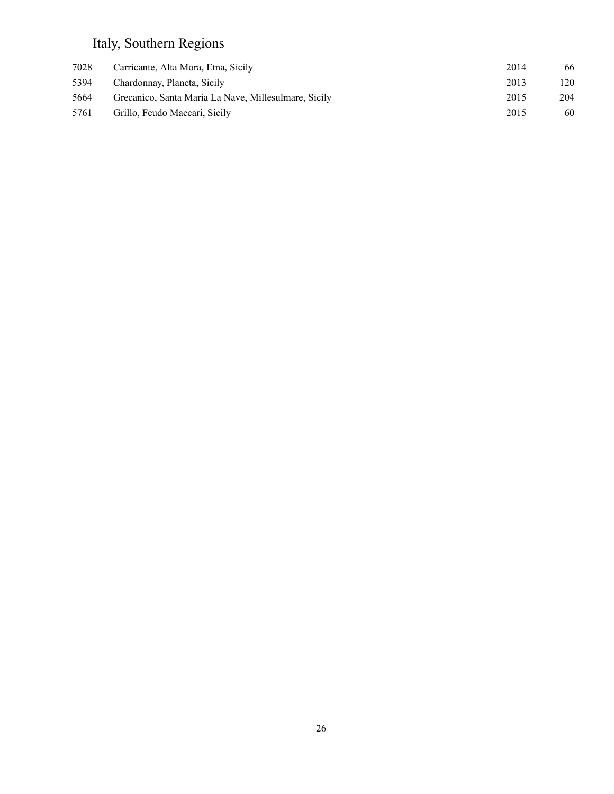# Italy, Southern Regions

| 7028 | Carricante, Alta Mora, Etna, Sicily                  | 2014 | 66  |
|------|------------------------------------------------------|------|-----|
| 5394 | Chardonnay, Planeta, Sicily                          | 2013 | 120 |
| 5664 | Grecanico, Santa Maria La Nave, Millesulmare, Sicily | 2015 | 204 |
| 5761 | Grillo, Feudo Maccari, Sicily                        | 2015 | 60  |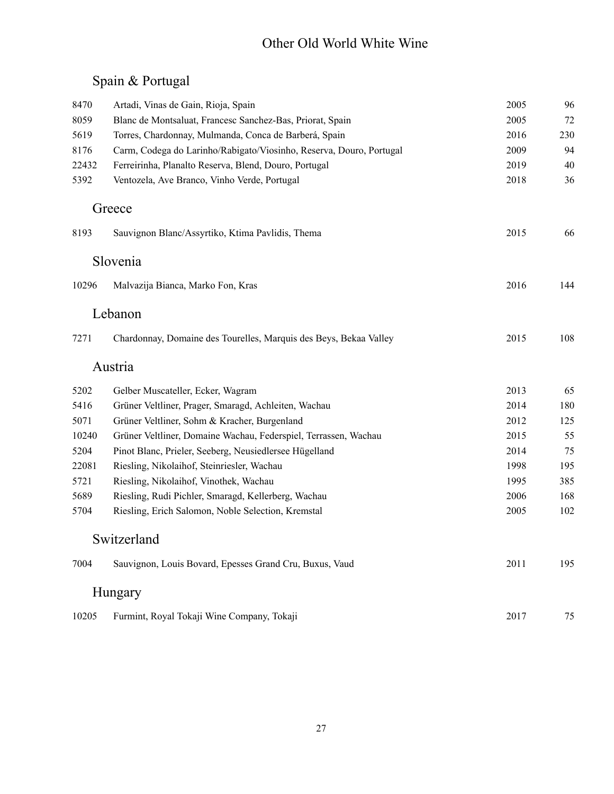#### Other Old World White Wine

## Spain & Portugal

| 8470  | Artadi, Vinas de Gain, Rioja, Spain                                 | 2005 | 96  |
|-------|---------------------------------------------------------------------|------|-----|
| 8059  | Blanc de Montsaluat, Francesc Sanchez-Bas, Priorat, Spain           | 2005 | 72  |
| 5619  | Torres, Chardonnay, Mulmanda, Conca de Barberá, Spain               | 2016 | 230 |
| 8176  | Carm, Codega do Larinho/Rabigato/Viosinho, Reserva, Douro, Portugal | 2009 | 94  |
| 22432 | Ferreirinha, Planalto Reserva, Blend, Douro, Portugal               | 2019 | 40  |
| 5392  | Ventozela, Ave Branco, Vinho Verde, Portugal                        | 2018 | 36  |
|       | Greece                                                              |      |     |
| 8193  | Sauvignon Blanc/Assyrtiko, Ktima Pavlidis, Thema                    | 2015 | 66  |
|       | Slovenia                                                            |      |     |
| 10296 | Malvazija Bianca, Marko Fon, Kras                                   | 2016 | 144 |
|       | Lebanon                                                             |      |     |
| 7271  | Chardonnay, Domaine des Tourelles, Marquis des Beys, Bekaa Valley   | 2015 | 108 |
|       | Austria                                                             |      |     |
| 5202  | Gelber Muscateller, Ecker, Wagram                                   | 2013 | 65  |
| 5416  | Grüner Veltliner, Prager, Smaragd, Achleiten, Wachau                | 2014 | 180 |
| 5071  | Grüner Veltliner, Sohm & Kracher, Burgenland                        | 2012 | 125 |
| 10240 | Grüner Veltliner, Domaine Wachau, Federspiel, Terrassen, Wachau     | 2015 | 55  |
| 5204  | Pinot Blanc, Prieler, Seeberg, Neusiedlersee Hügelland              | 2014 | 75  |
| 22081 | Riesling, Nikolaihof, Steinriesler, Wachau                          | 1998 | 195 |
| 5721  | Riesling, Nikolaihof, Vinothek, Wachau                              | 1995 | 385 |
| 5689  | Riesling, Rudi Pichler, Smaragd, Kellerberg, Wachau                 | 2006 | 168 |
| 5704  | Riesling, Erich Salomon, Noble Selection, Kremstal                  | 2005 | 102 |
|       | Switzerland                                                         |      |     |
| 7004  | Sauvignon, Louis Bovard, Epesses Grand Cru, Buxus, Vaud             | 2011 | 195 |
|       | Hungary                                                             |      |     |
| 10205 | Furmint, Royal Tokaji Wine Company, Tokaji                          | 2017 | 75  |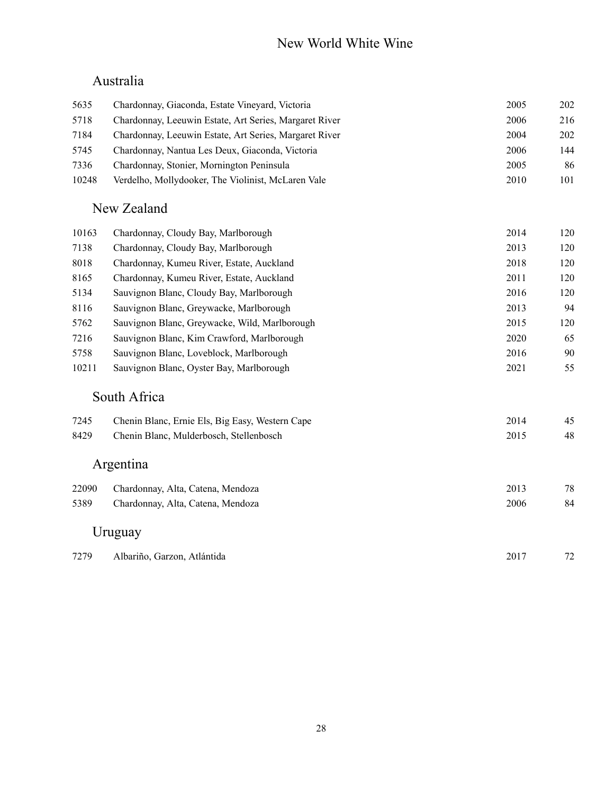#### New World White Wine

#### Australia

| 5635  | Chardonnay, Giaconda, Estate Vineyard, Victoria                | 2005 | 202 |  |
|-------|----------------------------------------------------------------|------|-----|--|
| 5718  | Chardonnay, Leeuwin Estate, Art Series, Margaret River<br>2006 |      |     |  |
| 7184  | Chardonnay, Leeuwin Estate, Art Series, Margaret River         | 2004 | 202 |  |
| 5745  | Chardonnay, Nantua Les Deux, Giaconda, Victoria                | 2006 | 144 |  |
| 7336  | Chardonnay, Stonier, Mornington Peninsula                      | 2005 | 86  |  |
| 10248 | Verdelho, Mollydooker, The Violinist, McLaren Vale             | 2010 | 101 |  |
|       | New Zealand                                                    |      |     |  |
| 10163 | Chardonnay, Cloudy Bay, Marlborough                            | 2014 | 120 |  |
| 7138  | Chardonnay, Cloudy Bay, Marlborough                            | 2013 | 120 |  |
| 8018  | Chardonnay, Kumeu River, Estate, Auckland                      | 2018 | 120 |  |
| 8165  | Chardonnay, Kumeu River, Estate, Auckland                      | 2011 | 120 |  |
| 5134  | Sauvignon Blanc, Cloudy Bay, Marlborough                       | 2016 | 120 |  |
| 8116  | Sauvignon Blanc, Greywacke, Marlborough                        | 2013 | 94  |  |
| 5762  | Sauvignon Blanc, Greywacke, Wild, Marlborough                  | 2015 | 120 |  |
| 7216  | Sauvignon Blanc, Kim Crawford, Marlborough                     | 2020 | 65  |  |
| 5758  | Sauvignon Blanc, Loveblock, Marlborough                        | 2016 | 90  |  |
| 10211 | Sauvignon Blanc, Oyster Bay, Marlborough                       | 2021 | 55  |  |
|       | South Africa                                                   |      |     |  |
| 7245  | Chenin Blanc, Ernie Els, Big Easy, Western Cape                | 2014 | 45  |  |
| 8429  | Chenin Blanc, Mulderbosch, Stellenbosch                        | 2015 | 48  |  |
|       | Argentina                                                      |      |     |  |
| 22090 | Chardonnay, Alta, Catena, Mendoza                              | 2013 | 78  |  |
| 5389  | Chardonnay, Alta, Catena, Mendoza                              | 2006 | 84  |  |
|       | Uruguay                                                        |      |     |  |

| 7279 | Albariño, Garzon, Atlántida | 2017 | $\mathbf{a}$ |
|------|-----------------------------|------|--------------|
|------|-----------------------------|------|--------------|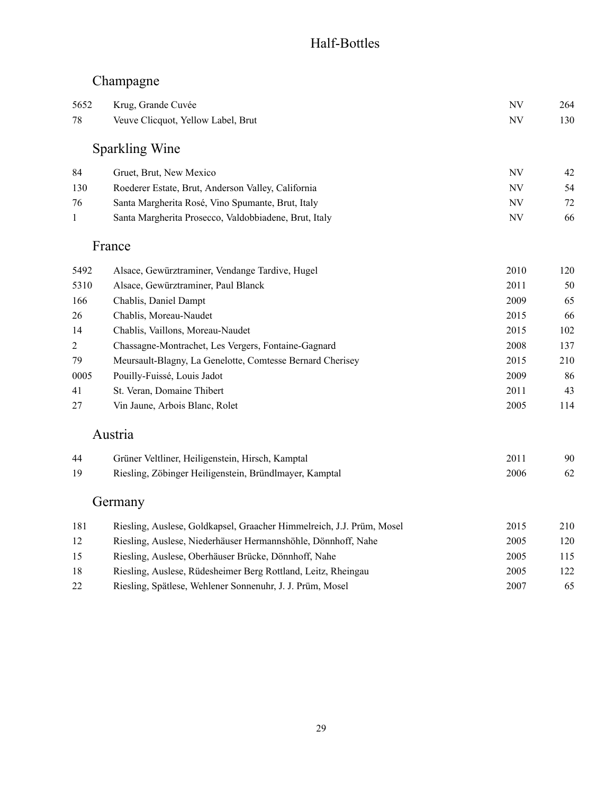#### Half-Bottles

## Champagne

| 5652<br>78     | Krug, Grande Cuvée<br>NV<br>Veuve Clicquot, Yellow Label, Brut<br><b>NV</b> |           |     |  |
|----------------|-----------------------------------------------------------------------------|-----------|-----|--|
|                |                                                                             |           | 130 |  |
|                | <b>Sparkling Wine</b>                                                       |           |     |  |
| 84             | Gruet, Brut, New Mexico                                                     | NV        | 42  |  |
| 130            | Roederer Estate, Brut, Anderson Valley, California                          | <b>NV</b> | 54  |  |
| 76             | Santa Margherita Rosé, Vino Spumante, Brut, Italy                           | <b>NV</b> | 72  |  |
| $\mathbf{1}$   | Santa Margherita Prosecco, Valdobbiadene, Brut, Italy                       | <b>NV</b> | 66  |  |
|                | France                                                                      |           |     |  |
| 5492           | Alsace, Gewürztraminer, Vendange Tardive, Hugel                             | 2010      | 120 |  |
| 5310           | Alsace, Gewürztraminer, Paul Blanck                                         | 2011      | 50  |  |
| 166            | Chablis, Daniel Dampt                                                       | 2009      | 65  |  |
| 26             | Chablis, Moreau-Naudet                                                      | 2015      | 66  |  |
| 14             | Chablis, Vaillons, Moreau-Naudet                                            | 2015      | 102 |  |
| $\overline{2}$ | Chassagne-Montrachet, Les Vergers, Fontaine-Gagnard                         | 2008      | 137 |  |
| 79             | Meursault-Blagny, La Genelotte, Comtesse Bernard Cherisey                   | 2015      | 210 |  |
| 0005           | Pouilly-Fuissé, Louis Jadot                                                 | 2009      | 86  |  |
| 41             | St. Veran, Domaine Thibert                                                  | 2011      | 43  |  |
| 27             | Vin Jaune, Arbois Blanc, Rolet                                              | 2005      | 114 |  |
|                | Austria                                                                     |           |     |  |
| 44             | Grüner Veltliner, Heiligenstein, Hirsch, Kamptal                            | 2011      | 90  |  |
| 19             | Riesling, Zöbinger Heiligenstein, Bründlmayer, Kamptal                      | 2006      | 62  |  |
|                | Germany                                                                     |           |     |  |
| 181            | Riesling, Auslese, Goldkapsel, Graacher Himmelreich, J.J. Prüm, Mosel       | 2015      | 210 |  |
| 12             | Riesling, Auslese, Niederhäuser Hermannshöhle, Dönnhoff, Nahe               | 2005      | 120 |  |
| 15             | Riesling, Auslese, Oberhäuser Brücke, Dönnhoff, Nahe                        | 2005      | 115 |  |
| 18             | Riesling, Auslese, Rüdesheimer Berg Rottland, Leitz, Rheingau               | 2005      | 122 |  |
| 22             | Riesling, Spätlese, Wehlener Sonnenuhr, J. J. Prüm, Mosel                   | 2007      | 65  |  |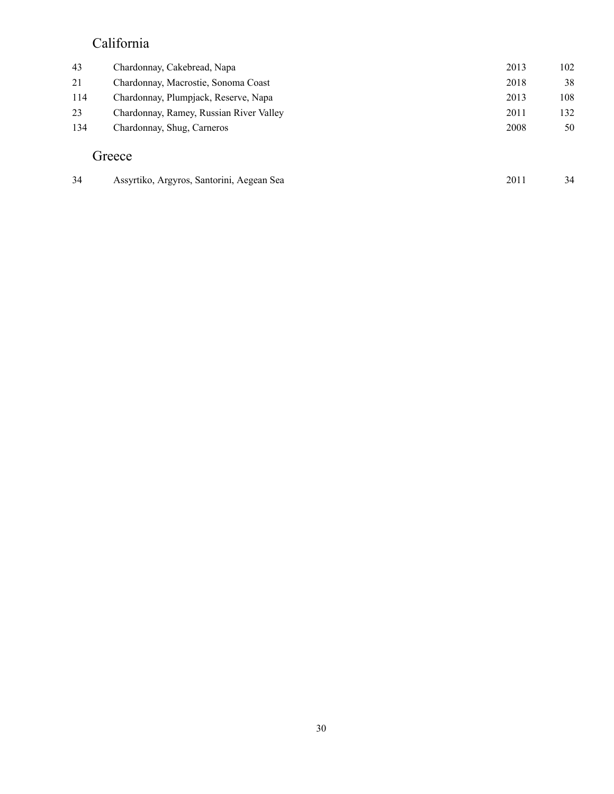#### California

| 43  | Chardonnay, Cakebread, Napa               | 2013 | 102 |
|-----|-------------------------------------------|------|-----|
| 21  | Chardonnay, Macrostie, Sonoma Coast       | 2018 | 38  |
| 114 | Chardonnay, Plumpjack, Reserve, Napa      | 2013 | 108 |
| 23  | Chardonnay, Ramey, Russian River Valley   | 2011 | 132 |
| 134 | Chardonnay, Shug, Carneros                | 2008 | 50  |
|     | Greece                                    |      |     |
| 34  | Assyrtiko, Argyros, Santorini, Aegean Sea | 2011 | 34  |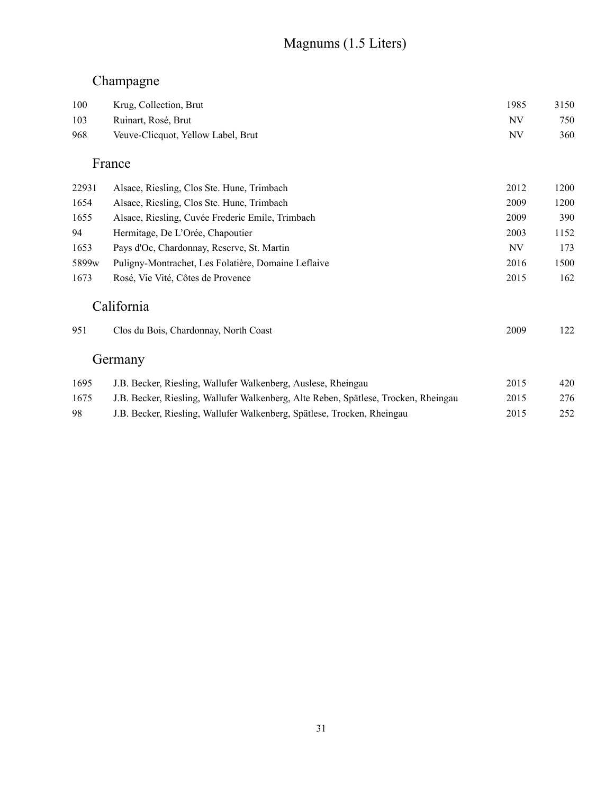#### Magnums (1.5 Liters)

#### Champagne

| 100               | Krug, Collection, Brut                                                              | 1985      | 3150 |
|-------------------|-------------------------------------------------------------------------------------|-----------|------|
| 103               | Ruinart, Rosé, Brut                                                                 | NV        | 750  |
| 968               | Veuve-Clicquot, Yellow Label, Brut                                                  | <b>NV</b> | 360  |
|                   | France                                                                              |           |      |
| 22931             | Alsace, Riesling, Clos Ste. Hune, Trimbach                                          | 2012      | 1200 |
| 1654              | Alsace, Riesling, Clos Ste. Hune, Trimbach                                          | 2009      | 1200 |
| 1655              | Alsace, Riesling, Cuvée Frederic Emile, Trimbach                                    | 2009      | 390  |
| 94                | Hermitage, De L'Orée, Chapoutier                                                    | 2003      | 1152 |
| 1653              | Pays d'Oc, Chardonnay, Reserve, St. Martin                                          | NV        | 173  |
| 5899 <sub>w</sub> | Puligny-Montrachet, Les Folatière, Domaine Leflaive                                 | 2016      | 1500 |
| 1673              | Rosé, Vie Vité, Côtes de Provence                                                   | 2015      | 162  |
|                   | California                                                                          |           |      |
| 951               | Clos du Bois, Chardonnay, North Coast                                               | 2009      | 122  |
|                   | Germany                                                                             |           |      |
| 1695              | J.B. Becker, Riesling, Wallufer Walkenberg, Auslese, Rheingau                       | 2015      | 420  |
| 1675              | J.B. Becker, Riesling, Wallufer Walkenberg, Alte Reben, Spätlese, Trocken, Rheingau | 2015      | 276  |

98 J.B. Becker, Riesling, Wallufer Walkenberg, Spätlese, Trocken, Rheingau 2015 252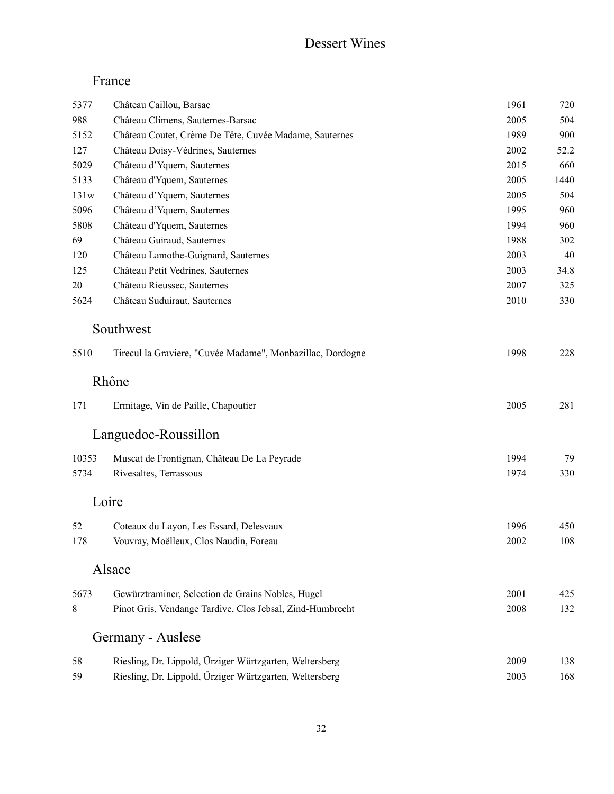#### Dessert Wines

#### France

| 5377  | Château Caillou, Barsac                                    | 1961 | 720  |  |  |  |
|-------|------------------------------------------------------------|------|------|--|--|--|
| 988   | Château Climens, Sauternes-Barsac<br>2005                  |      |      |  |  |  |
| 5152  | Château Coutet, Crème De Tête, Cuvée Madame, Sauternes     | 1989 |      |  |  |  |
| 127   | Château Doisy-Védrines, Sauternes                          | 2002 |      |  |  |  |
| 5029  | Château d'Yquem, Sauternes                                 | 2015 | 660  |  |  |  |
| 5133  | Château d'Yquem, Sauternes                                 | 2005 | 1440 |  |  |  |
| 131w  | Château d'Yquem, Sauternes                                 | 2005 | 504  |  |  |  |
| 5096  | Château d'Yquem, Sauternes                                 | 1995 | 960  |  |  |  |
| 5808  | Château d'Yquem, Sauternes                                 | 1994 | 960  |  |  |  |
| 69    | Château Guiraud, Sauternes                                 | 1988 | 302  |  |  |  |
| 120   | Château Lamothe-Guignard, Sauternes                        | 2003 | 40   |  |  |  |
| 125   | Château Petit Vedrines, Sauternes                          | 2003 | 34.8 |  |  |  |
| 20    | Château Rieussec, Sauternes                                | 2007 | 325  |  |  |  |
| 5624  | Château Suduiraut, Sauternes                               | 2010 | 330  |  |  |  |
|       | Southwest                                                  |      |      |  |  |  |
| 5510  | Tirecul la Graviere, "Cuvée Madame", Monbazillac, Dordogne |      |      |  |  |  |
|       | Rhône                                                      |      |      |  |  |  |
| 171   | Ermitage, Vin de Paille, Chapoutier                        | 2005 | 281  |  |  |  |
|       | Languedoc-Roussillon                                       |      |      |  |  |  |
| 10353 | Muscat de Frontignan, Château De La Peyrade                | 1994 | 79   |  |  |  |
| 5734  | Rivesaltes, Terrassous                                     | 1974 | 330  |  |  |  |
| Loire |                                                            |      |      |  |  |  |
| 52    | Coteaux du Layon, Les Essard, Delesvaux                    | 1996 | 450  |  |  |  |
| 178   | Vouvray, Moëlleux, Clos Naudin, Foreau                     | 2002 | 108  |  |  |  |
|       | Alsace                                                     |      |      |  |  |  |
| 5673  | Gewürztraminer, Selection de Grains Nobles, Hugel          | 2001 | 425  |  |  |  |
| 8     | Pinot Gris, Vendange Tardive, Clos Jebsal, Zind-Humbrecht  | 2008 | 132  |  |  |  |
|       | Germany - Auslese                                          |      |      |  |  |  |
| 58    | Riesling, Dr. Lippold, Ürziger Würtzgarten, Weltersberg    | 2009 | 138  |  |  |  |
| 59    | Riesling, Dr. Lippold, Ürziger Würtzgarten, Weltersberg    | 2003 | 168  |  |  |  |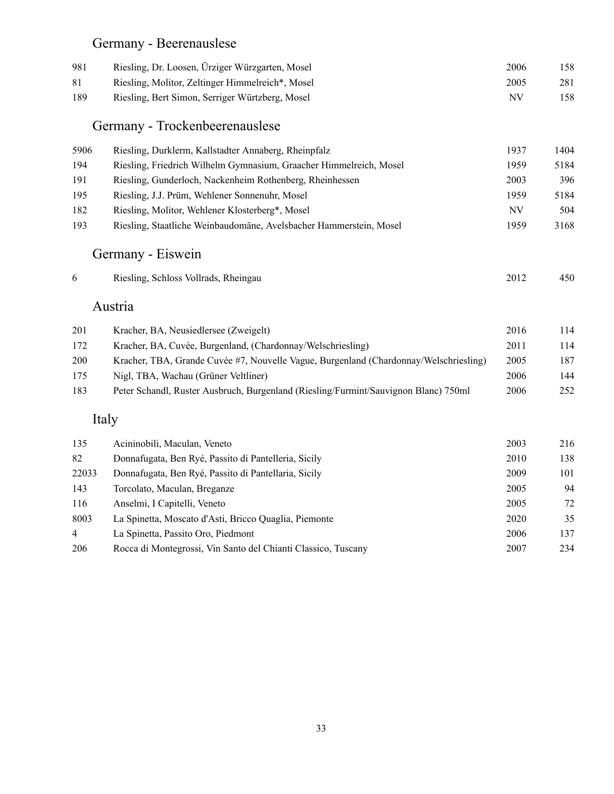#### Germany - Beerenauslese

| 981 | Riesling, Dr. Loosen, Ürziger Würzgarten, Mosel  | 2006 | 158 |
|-----|--------------------------------------------------|------|-----|
| 81  | Riesling, Molitor, Zeltinger Himmelreich*, Mosel | 2005 | 281 |
| 189 | Riesling, Bert Simon, Serriger Würtzberg, Mosel  | NV   | 158 |

#### Germany - Trockenbeerenauslese

| 5906 | Riesling, Durklerm, Kallstadter Annaberg, Rheinpfalz               | 1937 | 1404 |
|------|--------------------------------------------------------------------|------|------|
| 194  | Riesling, Friedrich Wilhelm Gymnasium, Graacher Himmelreich, Mosel | 1959 | 5184 |
| 191  | Riesling, Gunderloch, Nackenheim Rothenberg, Rheinhessen           | 2003 | 396  |
| 195  | Riesling, J.J. Prüm, Wehlener Sonnenuhr, Mosel                     | 1959 | 5184 |
| 182  | Riesling, Molitor, Wehlener Klosterberg*, Mosel                    | NV   | 504  |
| 193  | Riesling, Staatliche Weinbaudomäne, Avelsbacher Hammerstein, Mosel | 1959 | 3168 |

# Germany - Eiswein

|  | Riesling, Schloss Vollrads, Rheingau |  | 2012 | 450 |
|--|--------------------------------------|--|------|-----|
|--|--------------------------------------|--|------|-----|

#### Austria

| 201 | Kracher, BA, Neusiedlersee (Zweigelt)                                                 | 2016 | 114  |
|-----|---------------------------------------------------------------------------------------|------|------|
| 172 | Kracher, BA, Cuvée, Burgenland, (Chardonnay/Welschriesling)                           | 2011 | 114  |
| 200 | Kracher, TBA, Grande Cuvée #7, Nouvelle Vague, Burgenland (Chardonnay/Welschriesling) | 2005 | 187  |
| 175 | Nigl, TBA, Wachau (Grüner Veltliner)                                                  | 2006 | 144  |
| 183 | Peter Schandl, Ruster Ausbruch, Burgenland (Riesling/Furmint/Sauvignon Blanc) 750ml   | 2006 | 252. |

#### Italy

| 135            | Acininobili, Maculan, Veneto                                  | 2003 | 216 |
|----------------|---------------------------------------------------------------|------|-----|
| 82             | Donnafugata, Ben Ryé, Passito di Pantelleria, Sicily          | 2010 | 138 |
| 22033          | Donnafugata, Ben Ryé, Passito di Pantellaria, Sicily          | 2009 | 101 |
| 143            | Torcolato, Maculan, Breganze                                  | 2005 | 94  |
| 116            | Anselmi, I Capitelli, Veneto                                  | 2005 | 72  |
| 8003           | La Spinetta, Moscato d'Asti, Bricco Quaglia, Piemonte         | 2020 | 35  |
| $\overline{4}$ | La Spinetta, Passito Oro, Piedmont                            | 2006 | 137 |
| 206            | Rocca di Montegrossi, Vin Santo del Chianti Classico, Tuscany | 2007 | 234 |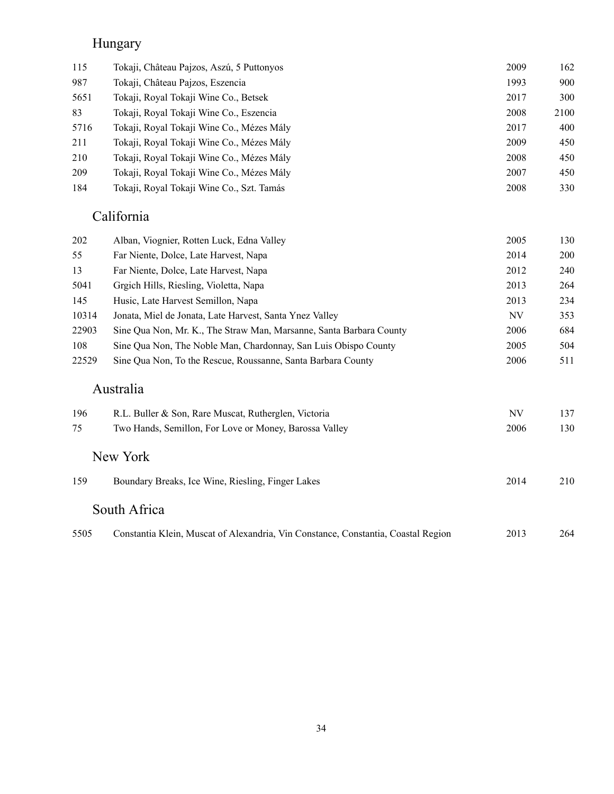#### Hungary

| 115  | Tokaji, Château Pajzos, Aszú, 5 Puttonyos | 2009 | 162  |
|------|-------------------------------------------|------|------|
| 987  | Tokaji, Château Pajzos, Eszencia          | 1993 | 900  |
| 5651 | Tokaji, Royal Tokaji Wine Co., Betsek     | 2017 | 300  |
| 83   | Tokaji, Royal Tokaji Wine Co., Eszencia   | 2008 | 2100 |
| 5716 | Tokaji, Royal Tokaji Wine Co., Mézes Mály | 2017 | 400  |
| 211  | Tokaji, Royal Tokaji Wine Co., Mézes Mály | 2009 | 450  |
| 210  | Tokaji, Royal Tokaji Wine Co., Mézes Mály | 2008 | 450  |
| 209  | Tokaji, Roval Tokaji Wine Co., Mézes Mály | 2007 | 450  |
| 184  | Tokaji, Royal Tokaji Wine Co., Szt. Tamás | 2008 | 330  |
|      |                                           |      |      |

#### California

| 202   | Alban, Viognier, Rotten Luck, Edna Valley                           | 2005 | 130        |
|-------|---------------------------------------------------------------------|------|------------|
| 55    | Far Niente, Dolce, Late Harvest, Napa                               | 2014 | <b>200</b> |
| 13    | Far Niente, Dolce, Late Harvest, Napa                               | 2012 | 240        |
| 5041  | Grgich Hills, Riesling, Violetta, Napa                              | 2013 | 264        |
| 145   | Husic, Late Harvest Semillon, Napa                                  | 2013 | 234        |
| 10314 | Jonata, Miel de Jonata, Late Harvest, Santa Ynez Valley             | NV   | 353        |
| 22903 | Sine Qua Non, Mr. K., The Straw Man, Marsanne, Santa Barbara County | 2006 | 684        |
| 108   | Sine Qua Non, The Noble Man, Chardonnay, San Luis Obispo County     | 2005 | 504        |
| 22529 | Sine Qua Non, To the Rescue, Roussanne, Santa Barbara County        | 2006 | 511        |
|       |                                                                     |      |            |

#### Australia

| 196  | R.L. Buller & Son, Rare Muscat, Rutherglen, Victoria                              | NV   | 137 |
|------|-----------------------------------------------------------------------------------|------|-----|
| 75   | Two Hands, Semillon, For Love or Money, Barossa Valley                            | 2006 | 130 |
|      | New York                                                                          |      |     |
| 159  | Boundary Breaks, Ice Wine, Riesling, Finger Lakes                                 | 2014 | 210 |
|      | South Africa                                                                      |      |     |
| 5505 | Constantia Klein, Muscat of Alexandria, Vin Constance, Constantia, Coastal Region | 2013 | 264 |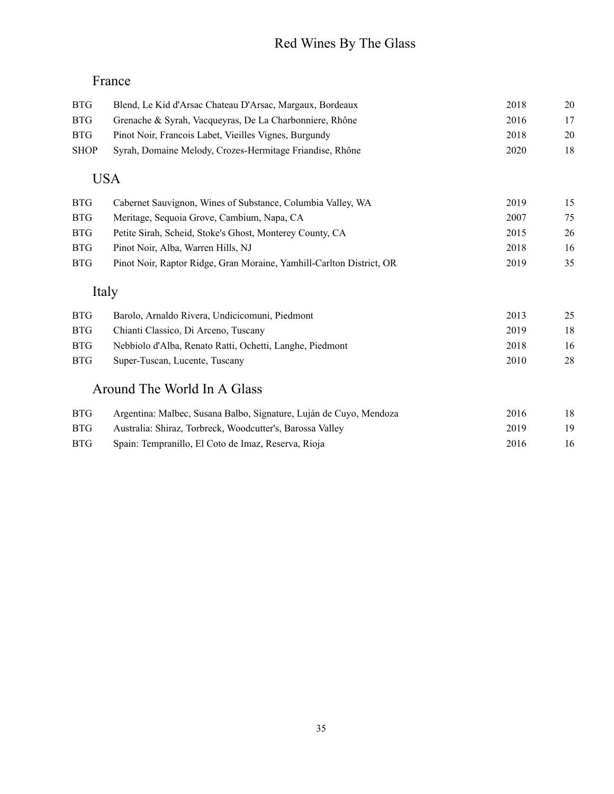# Red Wines By The Glass

## France

| <b>BTG</b>  | Blend, Le Kid d'Arsac Chateau D'Arsac, Margaux, Bordeaux | 2018 | 20 |
|-------------|----------------------------------------------------------|------|----|
| <b>BTG</b>  | Grenache & Syrah, Vacqueyras, De La Charbonniere, Rhône  | 2016 | 17 |
| BTG         | Pinot Noir, François Labet, Vieilles Vignes, Burgundy    | 2018 | 20 |
| <b>SHOP</b> | Syrah, Domaine Melody, Crozes-Hermitage Friandise, Rhône | 2020 | 18 |
|             |                                                          |      |    |

## USA

| <b>BTG</b> | Cabernet Sauvignon, Wines of Substance, Columbia Valley, WA          | 2019 | 15 |
|------------|----------------------------------------------------------------------|------|----|
| BTG        | Meritage, Sequoia Grove, Cambium, Napa, CA                           | 2007 | 75 |
| BTG        | Petite Sirah, Scheid, Stoke's Ghost, Monterey County, CA             | 2015 | 26 |
| <b>BTG</b> | Pinot Noir, Alba, Warren Hills, NJ                                   | 2018 | 16 |
| BTG        | Pinot Noir, Raptor Ridge, Gran Moraine, Yamhill-Carlton District, OR | 2019 | 35 |
|            |                                                                      |      |    |

## Italy

| BTG | Barolo, Arnaldo Rivera, Undicicomuni, Piedmont           | 2013 | 25 |
|-----|----------------------------------------------------------|------|----|
| BTG | Chianti Classico, Di Arceno, Tuscany                     | 2019 | 18 |
| BTG | Nebbiolo d'Alba, Renato Ratti, Ochetti, Langhe, Piedmont | 2018 | 16 |
| BTG | Super-Tuscan, Lucente, Tuscany                           | 2010 | 28 |
|     |                                                          |      |    |

#### Around The World In A Glass

| BTG- | Argentina: Malbec, Susana Balbo, Signature, Luján de Cuyo, Mendoza | 2016 |    |
|------|--------------------------------------------------------------------|------|----|
| BTG- | Australia: Shiraz, Torbreck, Woodcutter's, Barossa Valley          | 2019 |    |
| BTG. | Spain: Tempranillo, El Coto de Imaz, Reserva, Rioja                | 2016 | 16 |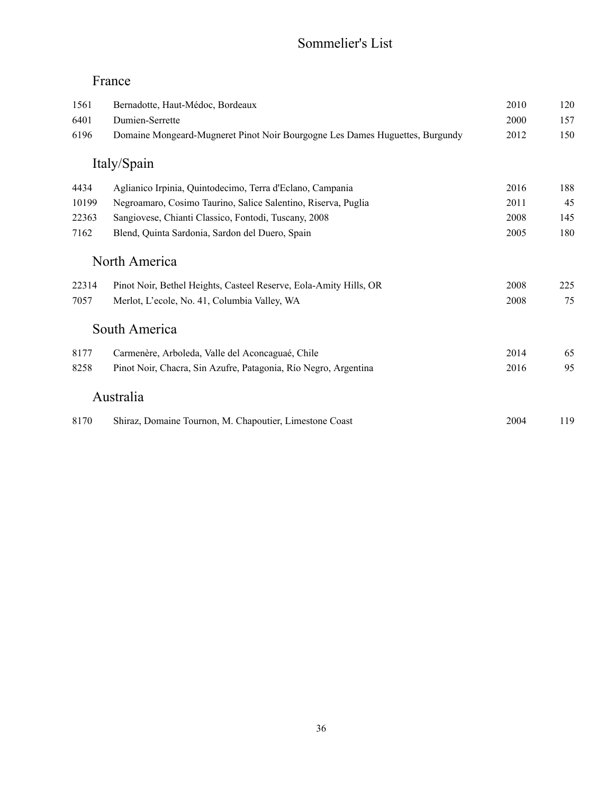#### Sommelier's List

#### France

| 1561  | Bernadotte, Haut-Médoc, Bordeaux                                             | 2010 | 120 |
|-------|------------------------------------------------------------------------------|------|-----|
| 6401  | Dumien-Serrette                                                              | 2000 | 157 |
| 6196  | Domaine Mongeard-Mugneret Pinot Noir Bourgogne Les Dames Huguettes, Burgundy | 2012 | 150 |
|       | Italy/Spain                                                                  |      |     |
| 4434  | Aglianico Irpinia, Quintodecimo, Terra d'Eclano, Campania                    | 2016 | 188 |
| 10199 | Negroamaro, Cosimo Taurino, Salice Salentino, Riserva, Puglia                | 2011 | 45  |
| 22363 | Sangiovese, Chianti Classico, Fontodi, Tuscany, 2008                         | 2008 | 145 |
| 7162  | Blend, Quinta Sardonia, Sardon del Duero, Spain                              | 2005 | 180 |
|       | North America                                                                |      |     |
| 22314 | Pinot Noir, Bethel Heights, Casteel Reserve, Eola-Amity Hills, OR            | 2008 | 225 |
| 7057  | Merlot, L'ecole, No. 41, Columbia Valley, WA                                 | 2008 | 75  |
|       | South America                                                                |      |     |
| 8177  | Carmenère, Arboleda, Valle del Aconcaguaé, Chile                             | 2014 | 65  |
| 8258  | Pinot Noir, Chacra, Sin Azufre, Patagonia, Río Negro, Argentina              | 2016 | 95  |
|       | Australia                                                                    |      |     |
| 8170  | Shiraz, Domaine Tournon, M. Chapoutier, Limestone Coast                      | 2004 | 119 |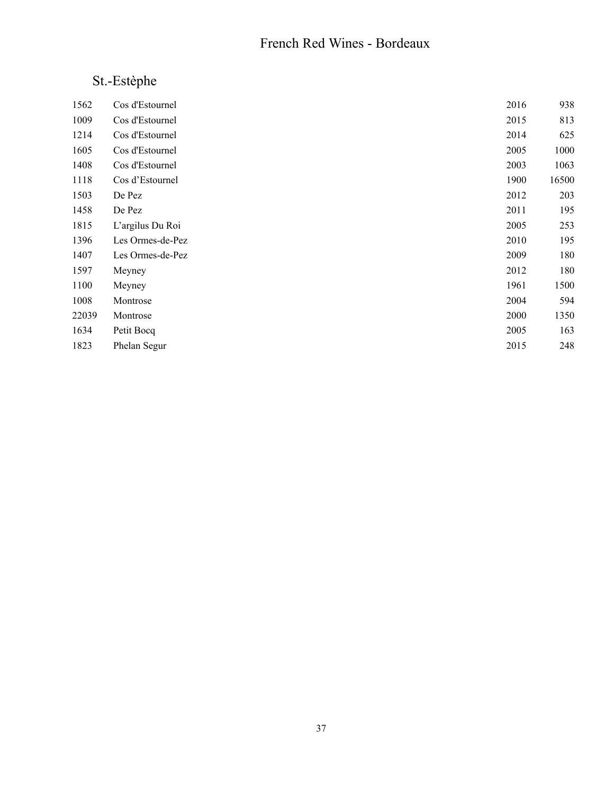#### French Red Wines - Bordeaux

# St.-Estèphe

| 1562  | Cos d'Estournel  | 2016 | 938   |
|-------|------------------|------|-------|
| 1009  | Cos d'Estournel  | 2015 | 813   |
| 1214  | Cos d'Estournel  | 2014 | 625   |
| 1605  | Cos d'Estournel  | 2005 | 1000  |
| 1408  | Cos d'Estournel  | 2003 | 1063  |
| 1118  | Cos d'Estournel  | 1900 | 16500 |
| 1503  | De Pez           | 2012 | 203   |
| 1458  | De Pez           | 2011 | 195   |
| 1815  | L'argilus Du Roi | 2005 | 253   |
| 1396  | Les Ormes-de-Pez | 2010 | 195   |
| 1407  | Les Ormes-de-Pez | 2009 | 180   |
| 1597  | Meyney           | 2012 | 180   |
| 1100  | Meyney           | 1961 | 1500  |
| 1008  | Montrose         | 2004 | 594   |
| 22039 | Montrose         | 2000 | 1350  |
| 1634  | Petit Bocq       | 2005 | 163   |
| 1823  | Phelan Segur     | 2015 | 248   |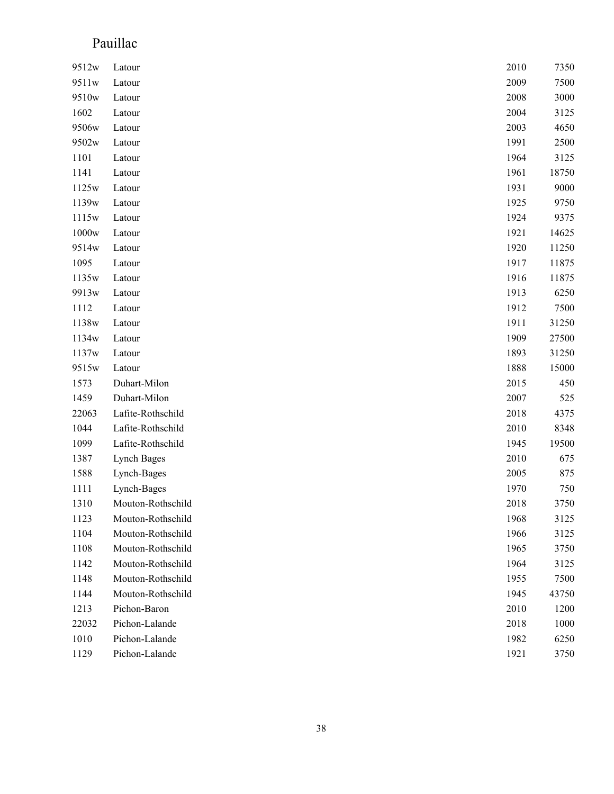### Pauillac

| 9512w             | Latour            | 2010 | 7350  |
|-------------------|-------------------|------|-------|
| 9511w             | Latour            | 2009 | 7500  |
| 9510 <sub>w</sub> | Latour            | 2008 | 3000  |
| 1602              | Latour            | 2004 | 3125  |
| 9506w             | Latour            | 2003 | 4650  |
| 9502w             | Latour            | 1991 | 2500  |
| 1101              | Latour            | 1964 | 3125  |
| 1141              | Latour            | 1961 | 18750 |
| 1125w             | Latour            | 1931 | 9000  |
| 1139w             | Latour            | 1925 | 9750  |
| 1115 <sub>w</sub> | Latour            | 1924 | 9375  |
| 1000 <sub>w</sub> | Latour            | 1921 | 14625 |
| 9514w             | Latour            | 1920 | 11250 |
| 1095              | Latour            | 1917 | 11875 |
| 1135w             | Latour            | 1916 | 11875 |
| 9913w             | Latour            | 1913 | 6250  |
| 1112              | Latour            | 1912 | 7500  |
| 1138w             | Latour            | 1911 | 31250 |
| 1134w             | Latour            | 1909 | 27500 |
| 1137w             | Latour            | 1893 | 31250 |
| 9515w             | Latour            | 1888 | 15000 |
| 1573              | Duhart-Milon      | 2015 | 450   |
| 1459              | Duhart-Milon      | 2007 | 525   |
| 22063             | Lafite-Rothschild | 2018 | 4375  |
| 1044              | Lafite-Rothschild | 2010 | 8348  |
| 1099              | Lafite-Rothschild | 1945 | 19500 |
| 1387              | Lynch Bages       | 2010 | 675   |
| 1588              | Lynch-Bages       | 2005 | 875   |
| 1111              | Lynch-Bages       | 1970 | 750   |
| 1310              | Mouton-Rothschild | 2018 | 3750  |
| 1123              | Mouton-Rothschild | 1968 | 3125  |
| 1104              | Mouton-Rothschild | 1966 | 3125  |
| 1108              | Mouton-Rothschild | 1965 | 3750  |
| 1142              | Mouton-Rothschild | 1964 | 3125  |
| 1148              | Mouton-Rothschild | 1955 | 7500  |
| 1144              | Mouton-Rothschild | 1945 | 43750 |
| 1213              | Pichon-Baron      | 2010 | 1200  |
| 22032             | Pichon-Lalande    | 2018 | 1000  |
| 1010              | Pichon-Lalande    | 1982 | 6250  |
| 1129              | Pichon-Lalande    | 1921 | 3750  |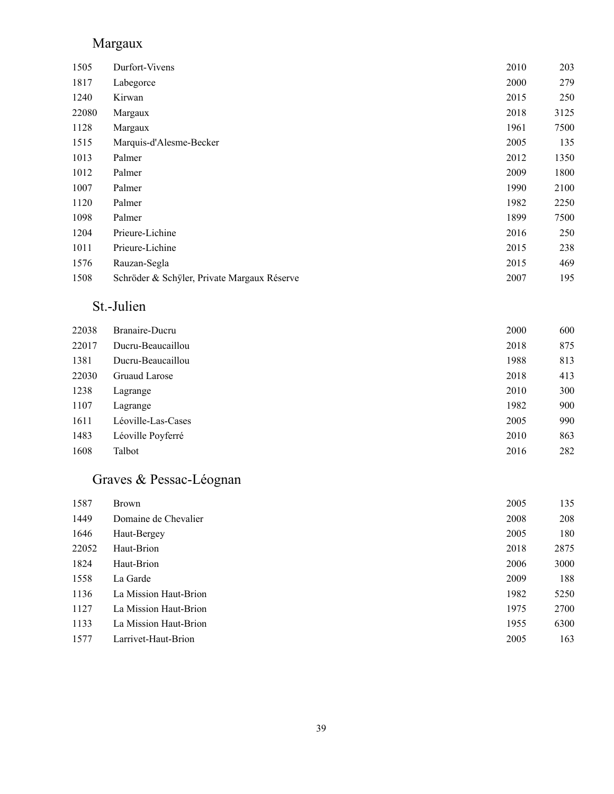### Margaux

| Durfort-Vivens                              | 2010 | 203  |
|---------------------------------------------|------|------|
| Labegorce                                   | 2000 | 279  |
| Kirwan                                      | 2015 | 250  |
| Margaux                                     | 2018 | 3125 |
| Margaux                                     | 1961 | 7500 |
| Marquis-d'Alesme-Becker                     | 2005 | 135  |
| Palmer                                      | 2012 | 1350 |
| Palmer                                      | 2009 | 1800 |
| Palmer                                      | 1990 | 2100 |
| Palmer                                      | 1982 | 2250 |
| Palmer                                      | 1899 | 7500 |
| Prieure-Lichine                             | 2016 | 250  |
| Prieure-Lichine                             | 2015 | 238  |
| Rauzan-Segla                                | 2015 | 469  |
| Schröder & Schyler, Private Margaux Réserve | 2007 | 195  |
|                                             |      |      |

### St.-Julien

| 22038 | Branaire-Ducru     | 2000 | 600 |
|-------|--------------------|------|-----|
| 22017 | Ducru-Beaucaillou  | 2018 | 875 |
| 1381  | Ducru-Beaucaillou  | 1988 | 813 |
| 22030 | Gruaud Larose      | 2018 | 413 |
| 1238  | Lagrange           | 2010 | 300 |
| 1107  | Lagrange           | 1982 | 900 |
| 1611  | Léoville-Las-Cases | 2005 | 990 |
| 1483  | Léoville Poyferré  | 2010 | 863 |
| 1608  | Talbot             | 2016 | 282 |

# Graves & Pessac-Léognan

| 1587  | <b>Brown</b>          | 2005 | 135  |
|-------|-----------------------|------|------|
| 1449  | Domaine de Chevalier  | 2008 | 208  |
| 1646  | Haut-Bergey           | 2005 | 180  |
| 22052 | Haut-Brion            | 2018 | 2875 |
| 1824  | Haut-Brion            | 2006 | 3000 |
| 1558  | La Garde              | 2009 | 188  |
| 1136  | La Mission Haut-Brion | 1982 | 5250 |
| 1127  | La Mission Haut-Brion | 1975 | 2700 |
| 1133  | La Mission Haut-Brion | 1955 | 6300 |
| 1577  | Larrivet-Haut-Brion   | 2005 | 163  |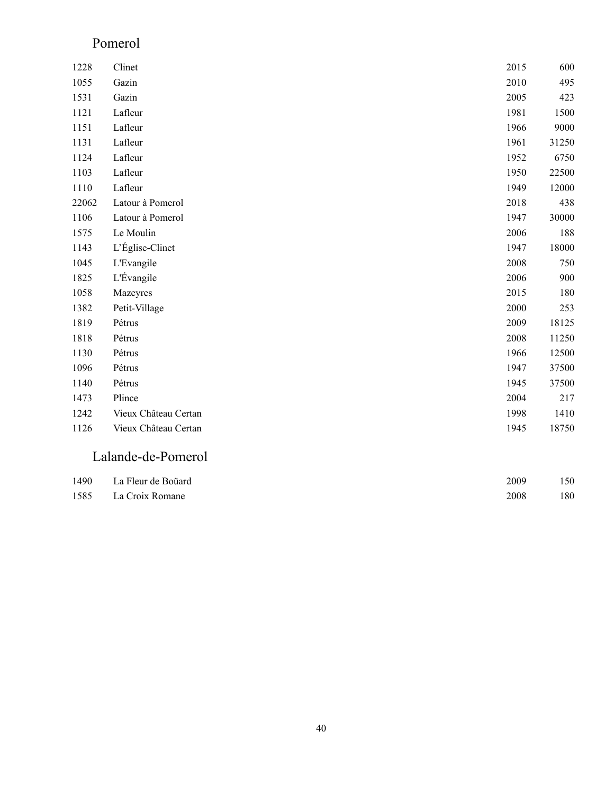#### Pomerol

| 1228  | Clinet               | 2015 | 600   |
|-------|----------------------|------|-------|
| 1055  | Gazin                | 2010 | 495   |
| 1531  | Gazin                | 2005 | 423   |
| 1121  | Lafleur              | 1981 | 1500  |
| 1151  | Lafleur              | 1966 | 9000  |
| 1131  | Lafleur              | 1961 | 31250 |
| 1124  | Lafleur              | 1952 | 6750  |
| 1103  | Lafleur              | 1950 | 22500 |
| 1110  | Lafleur              | 1949 | 12000 |
| 22062 | Latour à Pomerol     | 2018 | 438   |
| 1106  | Latour à Pomerol     | 1947 | 30000 |
| 1575  | Le Moulin            | 2006 | 188   |
| 1143  | L'Église-Clinet      | 1947 | 18000 |
| 1045  | L'Evangile           | 2008 | 750   |
| 1825  | L'Évangile           | 2006 | 900   |
| 1058  | Mazeyres             | 2015 | 180   |
| 1382  | Petit-Village        | 2000 | 253   |
| 1819  | Pétrus               | 2009 | 18125 |
| 1818  | Pétrus               | 2008 | 11250 |
| 1130  | Pétrus               | 1966 | 12500 |
| 1096  | Pétrus               | 1947 | 37500 |
| 1140  | Pétrus               | 1945 | 37500 |
| 1473  | Plince               | 2004 | 217   |
| 1242  | Vieux Château Certan | 1998 | 1410  |
| 1126  | Vieux Château Certan | 1945 | 18750 |

#### Lalande-de-Pomerol

| 1490 La Fleur de Boüard | 2009 | 150 |
|-------------------------|------|-----|
| 1585 La Croix Romane    | 2008 | 180 |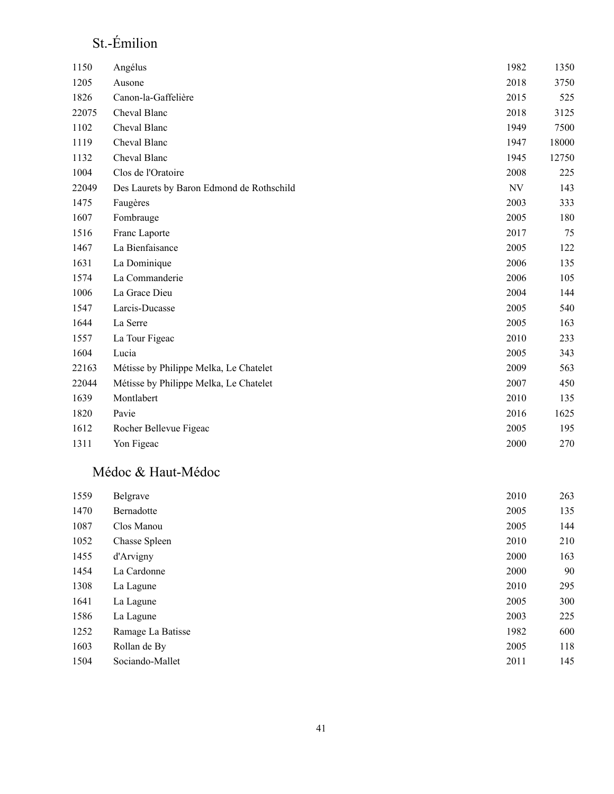### St.-Émilion

| 1150  | Angélus                                   | 1982 | 1350  |
|-------|-------------------------------------------|------|-------|
| 1205  | Ausone                                    | 2018 | 3750  |
| 1826  | Canon-la-Gaffelière                       | 2015 | 525   |
| 22075 | Cheval Blanc                              | 2018 | 3125  |
| 1102  | Cheval Blanc                              | 1949 | 7500  |
| 1119  | Cheval Blanc                              | 1947 | 18000 |
| 1132  | Cheval Blanc                              | 1945 | 12750 |
| 1004  | Clos de l'Oratoire                        | 2008 | 225   |
| 22049 | Des Laurets by Baron Edmond de Rothschild | NV   | 143   |
| 1475  | Faugères                                  | 2003 | 333   |
| 1607  | Fombrauge                                 | 2005 | 180   |
| 1516  | Franc Laporte                             | 2017 | 75    |
| 1467  | La Bienfaisance                           | 2005 | 122   |
| 1631  | La Dominique                              | 2006 | 135   |
| 1574  | La Commanderie                            | 2006 | 105   |
| 1006  | La Grace Dieu                             | 2004 | 144   |
| 1547  | Larcis-Ducasse                            | 2005 | 540   |
| 1644  | La Serre                                  | 2005 | 163   |
| 1557  | La Tour Figeac                            | 2010 | 233   |
| 1604  | Lucia                                     | 2005 | 343   |
| 22163 | Métisse by Philippe Melka, Le Chatelet    | 2009 | 563   |
| 22044 | Métisse by Philippe Melka, Le Chatelet    | 2007 | 450   |
| 1639  | Montlabert                                | 2010 | 135   |
| 1820  | Pavie                                     | 2016 | 1625  |
| 1612  | Rocher Bellevue Figeac                    | 2005 | 195   |
| 1311  | Yon Figeac                                | 2000 | 270   |

#### Médoc & Haut-Médoc

| 1559 | Belgrave          | 2010 | 263 |
|------|-------------------|------|-----|
| 1470 | Bernadotte        | 2005 | 135 |
| 1087 | Clos Manou        | 2005 | 144 |
| 1052 | Chasse Spleen     | 2010 | 210 |
| 1455 | d'Arvigny         | 2000 | 163 |
| 1454 | La Cardonne       | 2000 | 90  |
| 1308 | La Lagune         | 2010 | 295 |
| 1641 | La Lagune         | 2005 | 300 |
| 1586 | La Lagune         | 2003 | 225 |
| 1252 | Ramage La Batisse | 1982 | 600 |
| 1603 | Rollan de By      | 2005 | 118 |
| 1504 | Sociando-Mallet   | 2011 | 145 |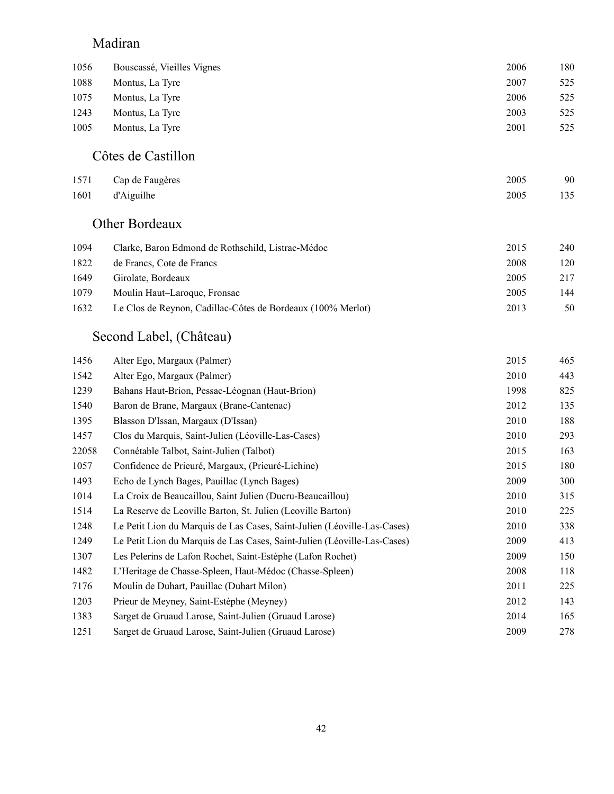### Madiran

| 1056 | Bouscassé, Vieilles Vignes | 2006 | 180 |
|------|----------------------------|------|-----|
| 1088 | Montus, La Tyre            | 2007 | 525 |
| 1075 | Montus, La Tyre            | 2006 | 525 |
| 1243 | Montus, La Tyre            | 2003 | 525 |
| 1005 | Montus, La Tyre            | 2001 | 525 |
|      |                            |      |     |

#### Côtes de Castillon

| 1571 Cap de Faugères | 2005 | 90  |
|----------------------|------|-----|
| 1601 d'Aiguilhe      | 2005 | 135 |

#### Other Bordeaux

| 1094 | Clarke, Baron Edmond de Rothschild, Listrac-Médoc           | 2015 | 240 |
|------|-------------------------------------------------------------|------|-----|
| 1822 | de Francs, Cote de Francs                                   | 2008 | 120 |
| 1649 | Girolate, Bordeaux                                          | 2005 | 217 |
| 1079 | Moulin Haut–Laroque, Fronsac                                | 2005 | 144 |
| 1632 | Le Clos de Reynon, Cadillac-Côtes de Bordeaux (100% Merlot) | 2013 | 50  |

### Second Label, (Château)

| 1456  | Alter Ego, Margaux (Palmer)                                              | 2015 | 465 |
|-------|--------------------------------------------------------------------------|------|-----|
| 1542  | Alter Ego, Margaux (Palmer)                                              | 2010 | 443 |
| 1239  | Bahans Haut-Brion, Pessac-Léognan (Haut-Brion)                           | 1998 | 825 |
| 1540  | Baron de Brane, Margaux (Brane-Cantenac)                                 | 2012 | 135 |
| 1395  | Blasson D'Issan, Margaux (D'Issan)                                       | 2010 | 188 |
| 1457  | Clos du Marquis, Saint-Julien (Léoville-Las-Cases)                       | 2010 | 293 |
| 22058 | Connétable Talbot, Saint-Julien (Talbot)                                 | 2015 | 163 |
| 1057  | Confidence de Prieuré, Margaux, (Prieuré-Lichine)                        | 2015 | 180 |
| 1493  | Echo de Lynch Bages, Pauillac (Lynch Bages)                              | 2009 | 300 |
| 1014  | La Croix de Beaucaillou, Saint Julien (Ducru-Beaucaillou)                | 2010 | 315 |
| 1514  | La Reserve de Leoville Barton, St. Julien (Leoville Barton)              | 2010 | 225 |
| 1248  | Le Petit Lion du Marquis de Las Cases, Saint-Julien (Léoville-Las-Cases) | 2010 | 338 |
| 1249  | Le Petit Lion du Marquis de Las Cases, Saint-Julien (Léoville-Las-Cases) | 2009 | 413 |
| 1307  | Les Pelerins de Lafon Rochet, Saint-Estèphe (Lafon Rochet)               | 2009 | 150 |
| 1482  | L'Heritage de Chasse-Spleen, Haut-Médoc (Chasse-Spleen)                  | 2008 | 118 |
| 7176  | Moulin de Duhart, Pauillac (Duhart Milon)                                | 2011 | 225 |
| 1203  | Prieur de Meyney, Saint-Estèphe (Meyney)                                 | 2012 | 143 |
| 1383  | Sarget de Gruaud Larose, Saint-Julien (Gruaud Larose)                    | 2014 | 165 |
| 1251  | Sarget de Gruaud Larose, Saint-Julien (Gruaud Larose)                    | 2009 | 278 |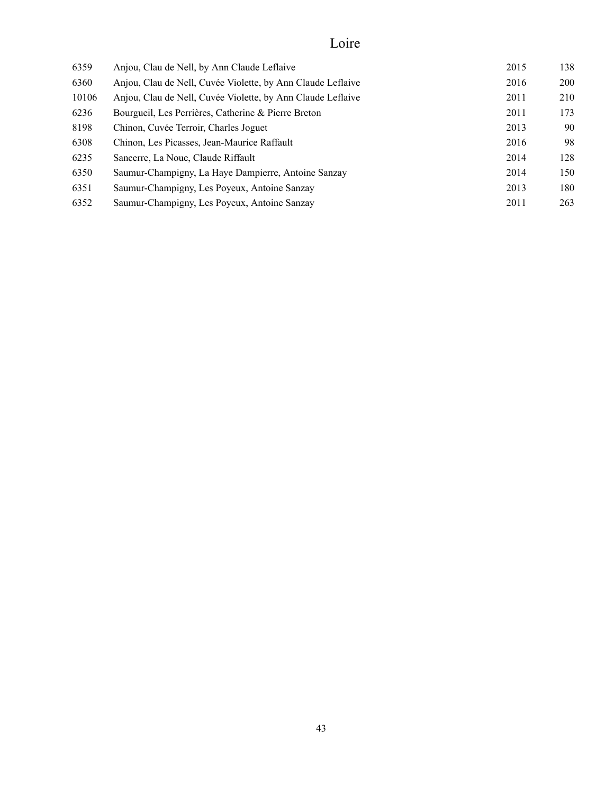# Loire

| 6359  | Anjou, Clau de Nell, by Ann Claude Leflaive                 | 2015 | 138        |
|-------|-------------------------------------------------------------|------|------------|
| 6360  | Anjou, Clau de Nell, Cuvée Violette, by Ann Claude Leflaive | 2016 | <b>200</b> |
| 10106 | Anjou, Clau de Nell, Cuvée Violette, by Ann Claude Leflaive | 2011 | 210        |
| 6236  | Bourgueil, Les Perrières, Catherine & Pierre Breton         | 2011 | 173        |
| 8198  | Chinon, Cuvée Terroir, Charles Joguet                       | 2013 | 90         |
| 6308  | Chinon, Les Picasses, Jean-Maurice Raffault                 | 2016 | 98         |
| 6235  | Sancerre, La Noue, Claude Riffault                          | 2014 | 128        |
| 6350  | Saumur-Champigny, La Haye Dampierre, Antoine Sanzay         | 2014 | 150        |
| 6351  | Saumur-Champigny, Les Poyeux, Antoine Sanzay                | 2013 | 180        |
| 6352  | Saumur-Champigny, Les Poyeux, Antoine Sanzay                | 2011 | 263        |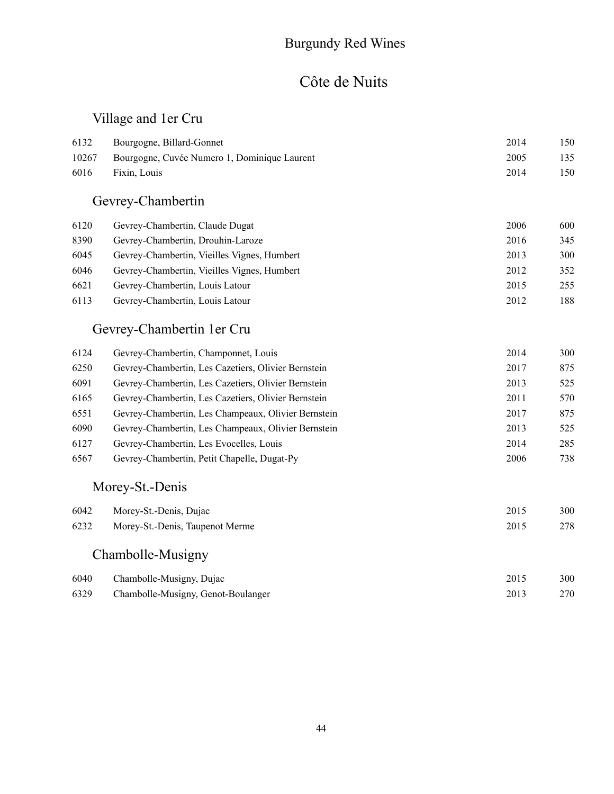#### Burgundy Red Wines

#### Côte de Nuits

#### Village and 1er Cru

| 6132<br>10267<br>6016 | Bourgogne, Billard-Gonnet<br>Bourgogne, Cuvée Numero 1, Dominique Laurent<br>Fixin, Louis | 2014<br>2005<br>2014 | 150<br>135<br>150 |
|-----------------------|-------------------------------------------------------------------------------------------|----------------------|-------------------|
|                       | Gevrey-Chambertin                                                                         |                      |                   |
| 6120                  | Gevrey-Chambertin, Claude Dugat                                                           | 2006                 | 600               |
| 8390                  | Gevrey-Chambertin, Drouhin-Laroze                                                         | 2016                 | 345               |
| 6045                  | Gevrey-Chambertin, Vieilles Vignes, Humbert                                               | 2013                 | 300               |

| 6046 | Gevrey-Chambertin, Vieilles Vignes, Humbert | 2012 | 352 |
|------|---------------------------------------------|------|-----|
|      | 6621 Gevrey-Chambertin, Louis Latour        | 2015 | 255 |
|      | 6113 Gevrey-Chambertin, Louis Latour        | 2012 | 188 |

#### Gevrey-Chambertin 1er Cru

| 6124 | Gevrey-Chambertin, Champonnet, Louis                | 2014 | 300 |
|------|-----------------------------------------------------|------|-----|
| 6250 | Gevrey-Chambertin, Les Cazetiers, Olivier Bernstein | 2017 | 875 |
| 6091 | Gevrey-Chambertin, Les Cazetiers, Olivier Bernstein | 2013 | 525 |
| 6165 | Gevrey-Chambertin, Les Cazetiers, Olivier Bernstein | 2011 | 570 |
| 6551 | Gevrey-Chambertin, Les Champeaux, Olivier Bernstein | 2017 | 875 |
| 6090 | Gevrey-Chambertin, Les Champeaux, Olivier Bernstein | 2013 | 525 |
| 6127 | Gevrey-Chambertin, Les Evocelles, Louis             | 2014 | 285 |
| 6567 | Gevrey-Chambertin, Petit Chapelle, Dugat-Py         | 2006 | 738 |

#### Morey-St.-Denis

| 6042 | Morey-St.-Denis, Dujac          | 2015 | 300 |
|------|---------------------------------|------|-----|
| 6232 | Morey-St.-Denis, Taupenot Merme | 2015 | 278 |
|      | Chambolle-Musigny               |      |     |

#### Chambolle-Musigny, Dujac 2015 300 Chambolle-Musigny, Genot-Boulanger 2013 270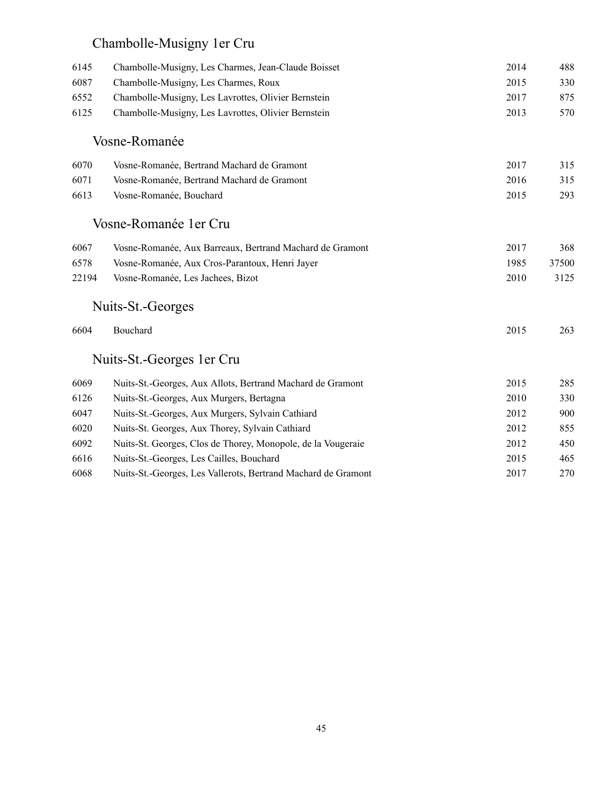# Chambolle-Musigny 1er Cru

| 6145  | Chambolle-Musigny, Les Charmes, Jean-Claude Boisset           | 2014 | 488   |
|-------|---------------------------------------------------------------|------|-------|
| 6087  | Chambolle-Musigny, Les Charmes, Roux                          | 2015 | 330   |
| 6552  | Chambolle-Musigny, Les Lavrottes, Olivier Bernstein           | 2017 | 875   |
| 6125  | Chambolle-Musigny, Les Lavrottes, Olivier Bernstein           | 2013 | 570   |
|       | Vosne-Romanée                                                 |      |       |
| 6070  | Vosne-Romanée, Bertrand Machard de Gramont                    | 2017 | 315   |
| 6071  | Vosne-Romanée, Bertrand Machard de Gramont                    | 2016 | 315   |
| 6613  | Vosne-Romanée, Bouchard                                       | 2015 | 293   |
|       | Vosne-Romanée 1 er Cru                                        |      |       |
| 6067  | Vosne-Romanée, Aux Barreaux, Bertrand Machard de Gramont      | 2017 | 368   |
| 6578  | Vosne-Romanée, Aux Cros-Parantoux, Henri Jayer                | 1985 | 37500 |
| 22194 | Vosne-Romanée, Les Jachees, Bizot                             | 2010 | 3125  |
|       | Nuits-St.-Georges                                             |      |       |
| 6604  | Bouchard                                                      | 2015 | 263   |
|       | Nuits-St.-Georges 1 er Cru                                    |      |       |
| 6069  | Nuits-St.-Georges, Aux Allots, Bertrand Machard de Gramont    | 2015 | 285   |
| 6126  | Nuits-St.-Georges, Aux Murgers, Bertagna                      | 2010 | 330   |
| 6047  | Nuits-St.-Georges, Aux Murgers, Sylvain Cathiard              | 2012 | 900   |
| 6020  | Nuits-St. Georges, Aux Thorey, Sylvain Cathiard               | 2012 | 855   |
| 6092  | Nuits-St. Georges, Clos de Thorey, Monopole, de la Vougeraie  | 2012 | 450   |
| 6616  | Nuits-St.-Georges, Les Cailles, Bouchard                      | 2015 | 465   |
| 6068  | Nuits-St.-Georges, Les Vallerots, Bertrand Machard de Gramont | 2017 | 270   |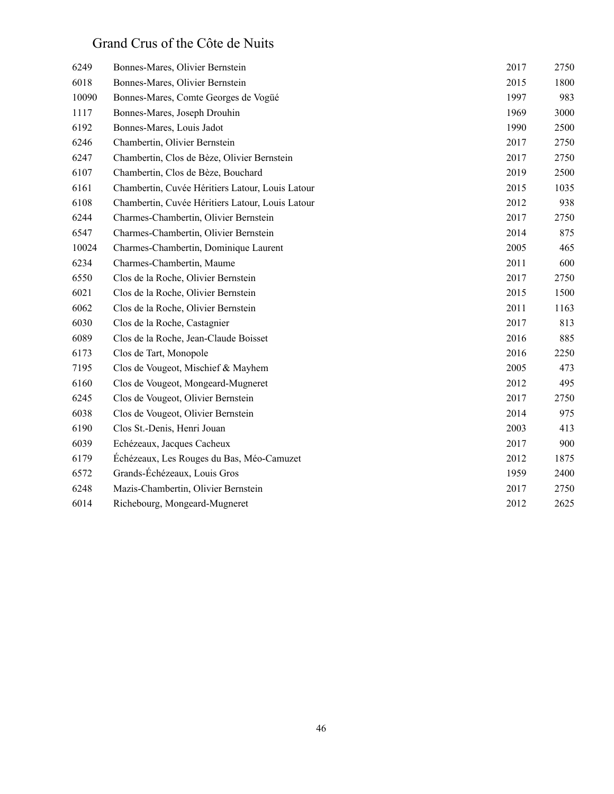#### Grand Crus of the Côte de Nuits

| 6249  | Bonnes-Mares, Olivier Bernstein                  | 2017 | 2750 |
|-------|--------------------------------------------------|------|------|
| 6018  | Bonnes-Mares, Olivier Bernstein                  | 2015 | 1800 |
| 10090 | Bonnes-Mares, Comte Georges de Vogüé             | 1997 | 983  |
| 1117  | Bonnes-Mares, Joseph Drouhin                     | 1969 | 3000 |
| 6192  | Bonnes-Mares, Louis Jadot                        | 1990 | 2500 |
| 6246  | Chambertin, Olivier Bernstein                    | 2017 | 2750 |
| 6247  | Chambertin, Clos de Bèze, Olivier Bernstein      | 2017 | 2750 |
| 6107  | Chambertin, Clos de Bèze, Bouchard               | 2019 | 2500 |
| 6161  | Chambertin, Cuvée Héritiers Latour, Louis Latour | 2015 | 1035 |
| 6108  | Chambertin, Cuvée Héritiers Latour, Louis Latour | 2012 | 938  |
| 6244  | Charmes-Chambertin, Olivier Bernstein            | 2017 | 2750 |
| 6547  | Charmes-Chambertin, Olivier Bernstein            | 2014 | 875  |
| 10024 | Charmes-Chambertin, Dominique Laurent            | 2005 | 465  |
| 6234  | Charmes-Chambertin, Maume                        | 2011 | 600  |
| 6550  | Clos de la Roche, Olivier Bernstein              | 2017 | 2750 |
| 6021  | Clos de la Roche, Olivier Bernstein              | 2015 | 1500 |
| 6062  | Clos de la Roche, Olivier Bernstein              | 2011 | 1163 |
| 6030  | Clos de la Roche, Castagnier                     | 2017 | 813  |
| 6089  | Clos de la Roche, Jean-Claude Boisset            | 2016 | 885  |
| 6173  | Clos de Tart, Monopole                           | 2016 | 2250 |
| 7195  | Clos de Vougeot, Mischief & Mayhem               | 2005 | 473  |
| 6160  | Clos de Vougeot, Mongeard-Mugneret               | 2012 | 495  |
| 6245  | Clos de Vougeot, Olivier Bernstein               | 2017 | 2750 |
| 6038  | Clos de Vougeot, Olivier Bernstein               | 2014 | 975  |
| 6190  | Clos St.-Denis, Henri Jouan                      | 2003 | 413  |
| 6039  | Echézeaux, Jacques Cacheux                       | 2017 | 900  |
| 6179  | Échézeaux, Les Rouges du Bas, Méo-Camuzet        | 2012 | 1875 |
| 6572  | Grands-Échézeaux, Louis Gros                     | 1959 | 2400 |
| 6248  | Mazis-Chambertin, Olivier Bernstein              | 2017 | 2750 |
| 6014  | Richebourg, Mongeard-Mugneret                    | 2012 | 2625 |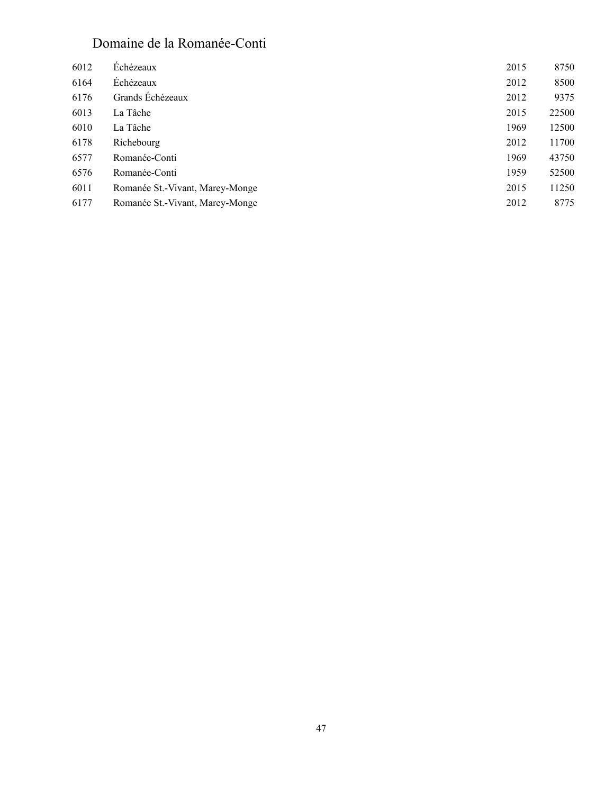#### Domaine de la Romanée-Conti

| Échézeaux                       | 2015 | 8750  |
|---------------------------------|------|-------|
| Échézeaux                       | 2012 | 8500  |
| Grands Échézeaux                | 2012 | 9375  |
| La Tâche                        | 2015 | 22500 |
| La Tâche                        | 1969 | 12500 |
| Richebourg                      | 2012 | 11700 |
| Romanée-Conti                   | 1969 | 43750 |
| Romanée-Conti                   | 1959 | 52500 |
| Romanée St.-Vivant, Marey-Monge | 2015 | 11250 |
| Romanée St.-Vivant, Marey-Monge | 2012 | 8775  |
|                                 |      |       |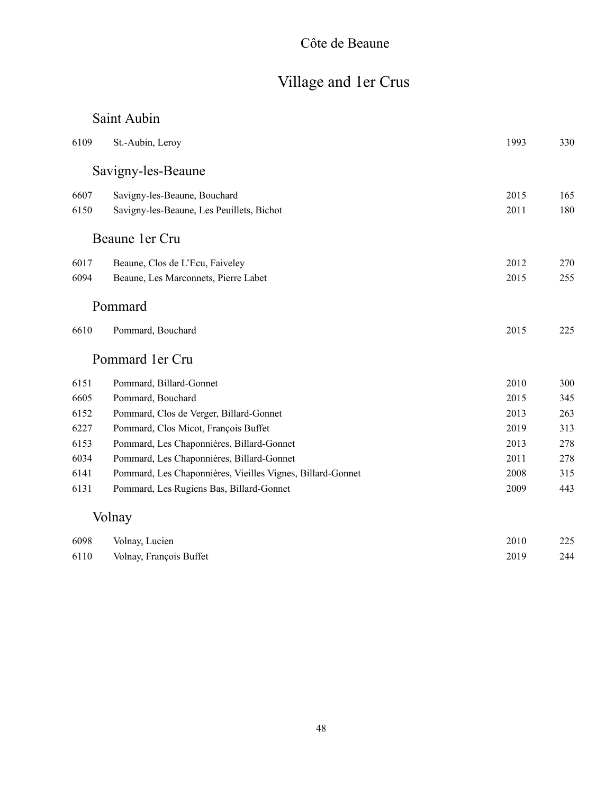### Côte de Beaune

# Village and 1er Crus

#### Saint Aubin

| 6109 | St.-Aubin, Leroy                                           | 1993 | 330 |
|------|------------------------------------------------------------|------|-----|
|      | Savigny-les-Beaune                                         |      |     |
| 6607 | Savigny-les-Beaune, Bouchard                               | 2015 | 165 |
| 6150 | Savigny-les-Beaune, Les Peuillets, Bichot                  | 2011 | 180 |
|      | Beaune 1er Cru                                             |      |     |
| 6017 | Beaune, Clos de L'Ecu, Faiveley                            | 2012 | 270 |
| 6094 | Beaune, Les Marconnets, Pierre Labet                       | 2015 | 255 |
|      | Pommard                                                    |      |     |
| 6610 | Pommard, Bouchard                                          | 2015 | 225 |
|      | Pommard 1 er Cru                                           |      |     |
| 6151 | Pommard, Billard-Gonnet                                    | 2010 | 300 |
| 6605 | Pommard, Bouchard                                          | 2015 | 345 |
| 6152 | Pommard, Clos de Verger, Billard-Gonnet                    | 2013 | 263 |
| 6227 | Pommard, Clos Micot, François Buffet                       | 2019 | 313 |
| 6153 | Pommard, Les Chaponnières, Billard-Gonnet                  | 2013 | 278 |
| 6034 | Pommard, Les Chaponnières, Billard-Gonnet                  | 2011 | 278 |
| 6141 | Pommard, Les Chaponnières, Vieilles Vignes, Billard-Gonnet | 2008 | 315 |
| 6131 | Pommard, Les Rugiens Bas, Billard-Gonnet                   | 2009 | 443 |
|      | Volnay                                                     |      |     |
| 6098 | Volnay, Lucien                                             | 2010 | 225 |
| 6110 | Volnay, François Buffet                                    | 2019 | 244 |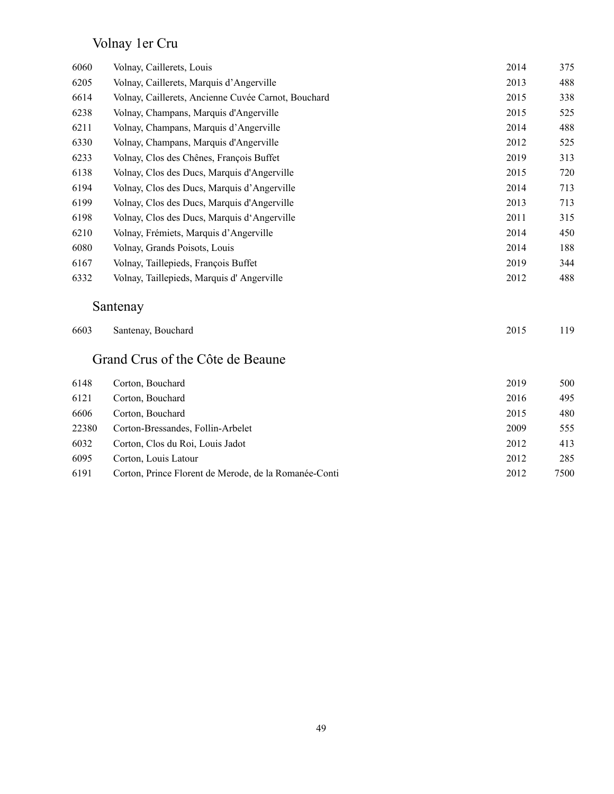### Volnay 1er Cru

| 6060 | Volnay, Caillerets, Louis                           | 2014 | 375 |
|------|-----------------------------------------------------|------|-----|
| 6205 | Volnay, Caillerets, Marquis d'Angerville            | 2013 | 488 |
| 6614 | Volnay, Caillerets, Ancienne Cuvée Carnot, Bouchard | 2015 | 338 |
| 6238 | Volnay, Champans, Marquis d'Angerville              | 2015 | 525 |
| 6211 | Volnay, Champans, Marquis d'Angerville              | 2014 | 488 |
| 6330 | Volnay, Champans, Marquis d'Angerville              | 2012 | 525 |
| 6233 | Volnay, Clos des Chênes, François Buffet            | 2019 | 313 |
| 6138 | Volnay, Clos des Ducs, Marquis d'Angerville         | 2015 | 720 |
| 6194 | Volnay, Clos des Ducs, Marquis d'Angerville         | 2014 | 713 |
| 6199 | Volnay, Clos des Ducs, Marquis d'Angerville         | 2013 | 713 |
| 6198 | Volnay, Clos des Ducs, Marquis d'Angerville         | 2011 | 315 |
| 6210 | Volnay, Frémiets, Marquis d'Angerville              | 2014 | 450 |
| 6080 | Volnay, Grands Poisots, Louis                       | 2014 | 188 |
| 6167 | Volnay, Taillepieds, François Buffet                | 2019 | 344 |
| 6332 | Volnay, Taillepieds, Marquis d'Angerville           | 2012 | 488 |
|      | Santenay                                            |      |     |
| 6603 | Santenay, Bouchard                                  | 2015 | 119 |
|      | Grand Crus of the Côte de Beaune                    |      |     |

| 6148  | Corton, Bouchard                                      | 2019 | 500  |
|-------|-------------------------------------------------------|------|------|
| 6121  | Corton, Bouchard                                      | 2016 | 495  |
| 6606  | Corton, Bouchard                                      | 2015 | 480  |
| 22380 | Corton-Bressandes, Follin-Arbelet                     | 2009 | 555  |
| 6032  | Corton, Clos du Roi, Louis Jadot                      | 2012 | 413  |
| 6095  | Corton, Louis Latour                                  | 2012 | 285  |
| 6191  | Corton, Prince Florent de Merode, de la Romanée-Conti | 2012 | 7500 |
|       |                                                       |      |      |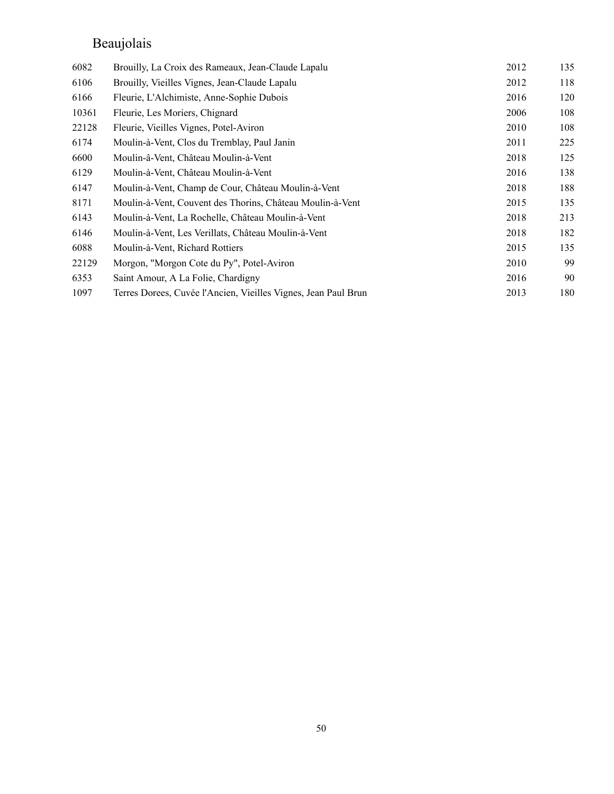# Beaujolais

| 6082  | Brouilly, La Croix des Rameaux, Jean-Claude Lapalu             | 2012 | 135 |
|-------|----------------------------------------------------------------|------|-----|
| 6106  | Brouilly, Vieilles Vignes, Jean-Claude Lapalu                  | 2012 | 118 |
| 6166  | Fleurie, L'Alchimiste, Anne-Sophie Dubois                      | 2016 | 120 |
| 10361 | Fleurie, Les Moriers, Chignard                                 | 2006 | 108 |
| 22128 | Fleurie, Vieilles Vignes, Potel-Aviron                         | 2010 | 108 |
| 6174  | Moulin-à-Vent, Clos du Tremblay, Paul Janin                    | 2011 | 225 |
| 6600  | Moulin-â-Vent, Château Moulin-à-Vent                           | 2018 | 125 |
| 6129  | Moulin-à-Vent, Château Moulin-à-Vent                           | 2016 | 138 |
| 6147  | Moulin-à-Vent, Champ de Cour, Château Moulin-à-Vent            | 2018 | 188 |
| 8171  | Moulin-à-Vent, Couvent des Thorins, Château Moulin-à-Vent      | 2015 | 135 |
| 6143  | Moulin-à-Vent, La Rochelle, Château Moulin-à-Vent              | 2018 | 213 |
| 6146  | Moulin-à-Vent, Les Verillats, Château Moulin-à-Vent            | 2018 | 182 |
| 6088  | Moulin-à-Vent, Richard Rottiers                                | 2015 | 135 |
| 22129 | Morgon, "Morgon Cote du Py", Potel-Aviron                      | 2010 | 99  |
| 6353  | Saint Amour, A La Folie, Chardigny                             | 2016 | 90  |
| 1097  | Terres Dorees, Cuvée l'Ancien, Vieilles Vignes, Jean Paul Brun | 2013 | 180 |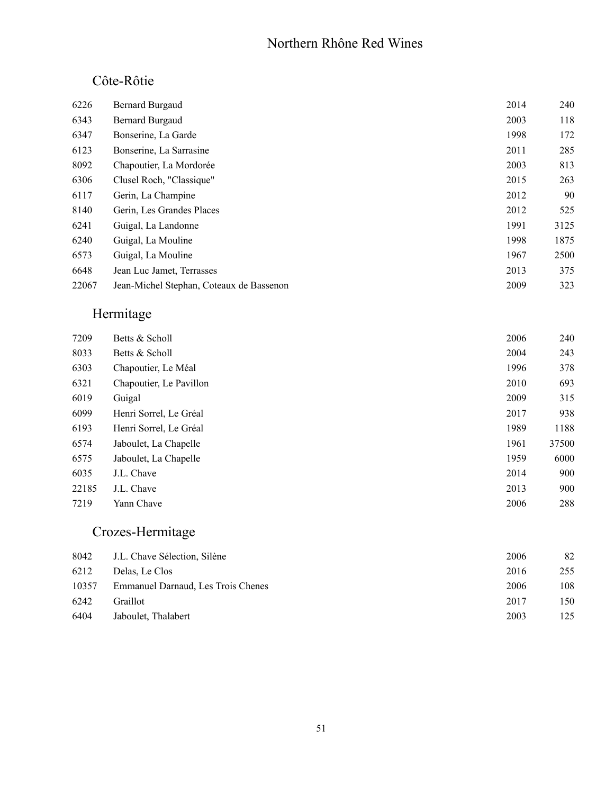#### Northern Rhône Red Wines

#### Côte-Rôtie

| 6226  | <b>Bernard Burgaud</b>                   | 2014 | 240  |
|-------|------------------------------------------|------|------|
| 6343  | <b>Bernard Burgaud</b>                   | 2003 | 118  |
| 6347  | Bonserine, La Garde                      | 1998 | 172  |
| 6123  | Bonserine, La Sarrasine                  | 2011 | 285  |
| 8092  | Chapoutier, La Mordorée                  | 2003 | 813  |
| 6306  | Clusel Roch, "Classique"                 | 2015 | 263  |
| 6117  | Gerin, La Champine                       | 2012 | 90   |
| 8140  | Gerin, Les Grandes Places                | 2012 | 525  |
| 6241  | Guigal, La Landonne                      | 1991 | 3125 |
| 6240  | Guigal, La Mouline                       | 1998 | 1875 |
| 6573  | Guigal, La Mouline                       | 1967 | 2500 |
| 6648  | Jean Luc Jamet, Terrasses                | 2013 | 375  |
| 22067 | Jean-Michel Stephan, Coteaux de Bassenon | 2009 | 323  |
|       |                                          |      |      |

# Hermitage

| 7209  | Betts & Scholl          | 2006 | 240   |
|-------|-------------------------|------|-------|
| 8033  | Betts & Scholl          | 2004 | 243   |
| 6303  | Chapoutier, Le Méal     | 1996 | 378   |
| 6321  | Chapoutier, Le Pavillon | 2010 | 693   |
| 6019  | Guigal                  | 2009 | 315   |
| 6099  | Henri Sorrel, Le Gréal  | 2017 | 938   |
| 6193  | Henri Sorrel, Le Gréal  | 1989 | 1188  |
| 6574  | Jaboulet, La Chapelle   | 1961 | 37500 |
| 6575  | Jaboulet, La Chapelle   | 1959 | 6000  |
| 6035  | J.L. Chave              | 2014 | 900   |
| 22185 | J.L. Chave              | 2013 | 900   |
| 7219  | Yann Chave              | 2006 | 288   |

#### Crozes-Hermitage

| 8042  | J.L. Chave Sélection, Silène       | 2006 | 82  |
|-------|------------------------------------|------|-----|
| 6212  | Delas. Le Clos                     | 2016 | 255 |
| 10357 | Emmanuel Darnaud, Les Trois Chenes | 2006 | 108 |
| 6242  | <b>Graillot</b>                    | 2017 | 150 |
| 6404  | Jaboulet, Thalabert                | 2003 | 125 |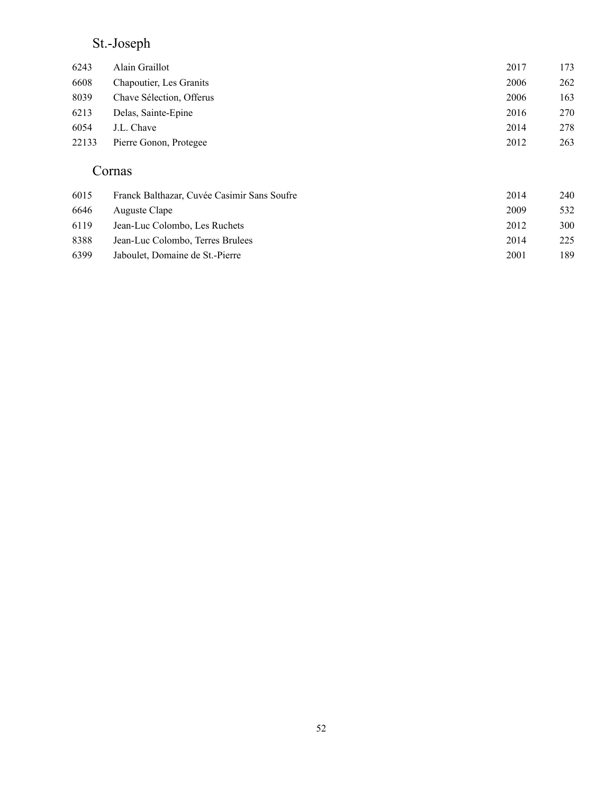### St.-Joseph

| 6243  | Alain Graillot                  | 2017 | 173 |
|-------|---------------------------------|------|-----|
| 6608  | <b>Chapoutier</b> , Les Granits | 2006 | 262 |
| 8039  | Chave Sélection, Offerus        | 2006 | 163 |
| 6213  | Delas, Sainte-Epine             | 2016 | 270 |
| 6054  | J.L. Chave                      | 2014 | 278 |
| 22133 | Pierre Gonon, Protegee          | 2012 | 263 |
|       |                                 |      |     |

#### Cornas

| 6015 | Franck Balthazar, Cuvée Casimir Sans Soufre | 2014 | 240 |
|------|---------------------------------------------|------|-----|
| 6646 | Auguste Clape                               | 2009 | 532 |
| 6119 | Jean-Luc Colombo, Les Ruchets               | 2012 | 300 |
| 8388 | Jean-Luc Colombo, Terres Brulees            | 2014 | 225 |
| 6399 | Jaboulet, Domaine de St.-Pierre             | 2001 | 189 |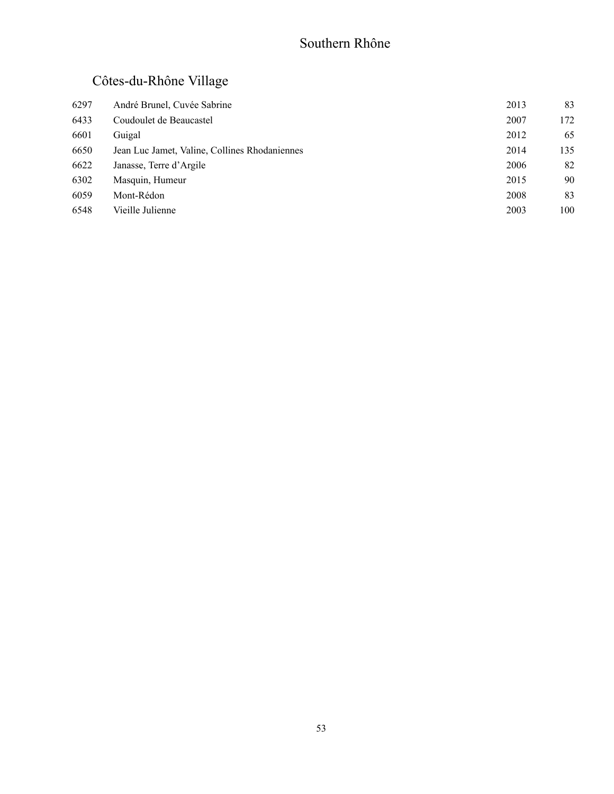### Southern Rhône

# Côtes-du-Rhône Village

| 6297 | André Brunel, Cuvée Sabrine                   | 2013 | 83  |
|------|-----------------------------------------------|------|-----|
| 6433 | Coudoulet de Beaucastel                       | 2007 | 172 |
| 6601 | Guigal                                        | 2012 | 65  |
| 6650 | Jean Luc Jamet, Valine, Collines Rhodaniennes | 2014 | 135 |
| 6622 | Janasse, Terre d'Argile                       | 2006 | 82  |
| 6302 | Masquin, Humeur                               | 2015 | 90  |
| 6059 | Mont-Rédon                                    | 2008 | 83  |
| 6548 | Vieille Julienne                              | 2003 | 100 |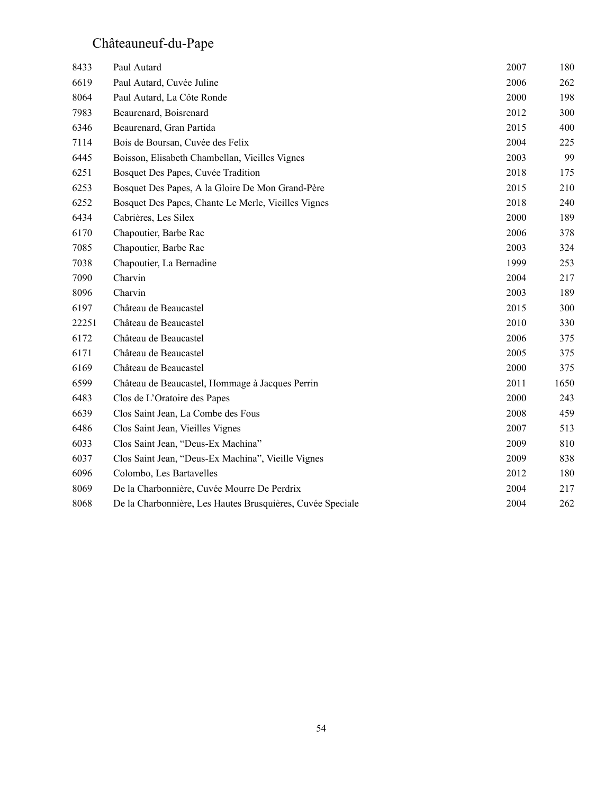# Châteauneuf-du-Pape

| 8433  | Paul Autard                                                | 2007 | 180  |
|-------|------------------------------------------------------------|------|------|
| 6619  | Paul Autard, Cuvée Juline                                  | 2006 | 262  |
| 8064  | Paul Autard, La Côte Ronde                                 | 2000 | 198  |
| 7983  | Beaurenard, Boisrenard                                     | 2012 | 300  |
| 6346  | Beaurenard, Gran Partida                                   | 2015 | 400  |
| 7114  | Bois de Boursan, Cuvée des Felix                           | 2004 | 225  |
| 6445  | Boisson, Elisabeth Chambellan, Vieilles Vignes             | 2003 | 99   |
| 6251  | Bosquet Des Papes, Cuvée Tradition                         | 2018 | 175  |
| 6253  | Bosquet Des Papes, A la Gloire De Mon Grand-Père           | 2015 | 210  |
| 6252  | Bosquet Des Papes, Chante Le Merle, Vieilles Vignes        | 2018 | 240  |
|       |                                                            | 2000 | 189  |
| 6434  | Cabrières, Les Silex                                       |      |      |
| 6170  | Chapoutier, Barbe Rac                                      | 2006 | 378  |
| 7085  | Chapoutier, Barbe Rac                                      | 2003 | 324  |
| 7038  | Chapoutier, La Bernadine                                   | 1999 | 253  |
| 7090  | Charvin                                                    | 2004 | 217  |
| 8096  | Charvin                                                    | 2003 | 189  |
| 6197  | Château de Beaucastel                                      | 2015 | 300  |
| 22251 | Château de Beaucastel                                      | 2010 | 330  |
| 6172  | Château de Beaucastel                                      | 2006 | 375  |
| 6171  | Château de Beaucastel                                      | 2005 | 375  |
| 6169  | Château de Beaucastel                                      | 2000 | 375  |
| 6599  | Château de Beaucastel, Hommage à Jacques Perrin            | 2011 | 1650 |
| 6483  | Clos de L'Oratoire des Papes                               | 2000 | 243  |
| 6639  | Clos Saint Jean, La Combe des Fous                         | 2008 | 459  |
| 6486  | Clos Saint Jean, Vieilles Vignes                           | 2007 | 513  |
| 6033  | Clos Saint Jean, "Deus-Ex Machina"                         | 2009 | 810  |
| 6037  | Clos Saint Jean, "Deus-Ex Machina", Vieille Vignes         | 2009 | 838  |
| 6096  | Colombo, Les Bartavelles                                   | 2012 | 180  |
| 8069  | De la Charbonnière, Cuvée Mourre De Perdrix                | 2004 | 217  |
| 8068  | De la Charbonnière, Les Hautes Brusquières, Cuvée Speciale | 2004 | 262  |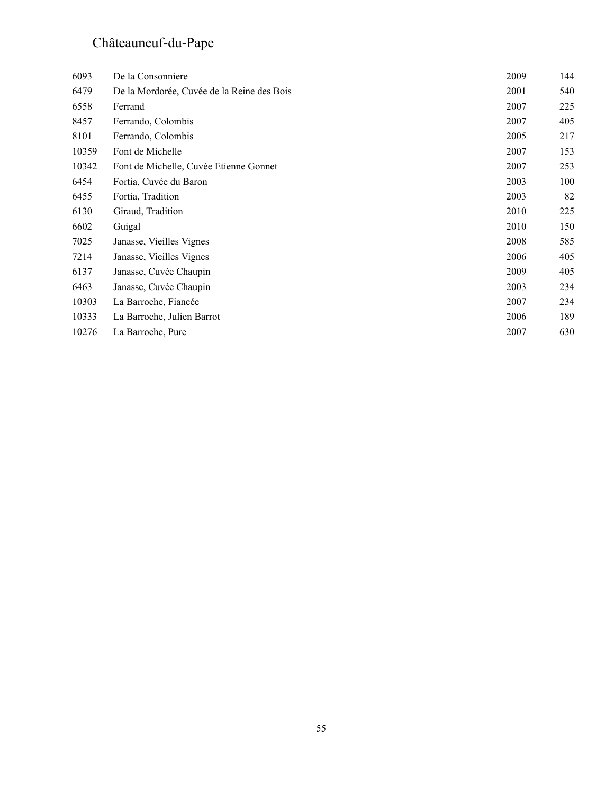# Châteauneuf-du-Pape

| 6093  | De la Consonniere                          | 2009 | 144 |
|-------|--------------------------------------------|------|-----|
| 6479  | De la Mordorée, Cuvée de la Reine des Bois | 2001 | 540 |
| 6558  | Ferrand                                    | 2007 | 225 |
| 8457  | Ferrando, Colombis                         | 2007 | 405 |
| 8101  | Ferrando, Colombis                         | 2005 | 217 |
| 10359 | Font de Michelle                           | 2007 | 153 |
| 10342 | Font de Michelle, Cuvée Etienne Gonnet     | 2007 | 253 |
| 6454  | Fortia, Cuvée du Baron                     | 2003 | 100 |
| 6455  | Fortia, Tradition                          | 2003 | 82  |
| 6130  | Giraud, Tradition                          | 2010 | 225 |
| 6602  | Guigal                                     | 2010 | 150 |
| 7025  | Janasse, Vieilles Vignes                   | 2008 | 585 |
| 7214  | Janasse, Vieilles Vignes                   | 2006 | 405 |
| 6137  | Janasse, Cuvée Chaupin                     | 2009 | 405 |
| 6463  | Janasse, Cuvée Chaupin                     | 2003 | 234 |
| 10303 | La Barroche, Fiancée                       | 2007 | 234 |
| 10333 | La Barroche, Julien Barrot                 | 2006 | 189 |
| 10276 | La Barroche, Pure                          | 2007 | 630 |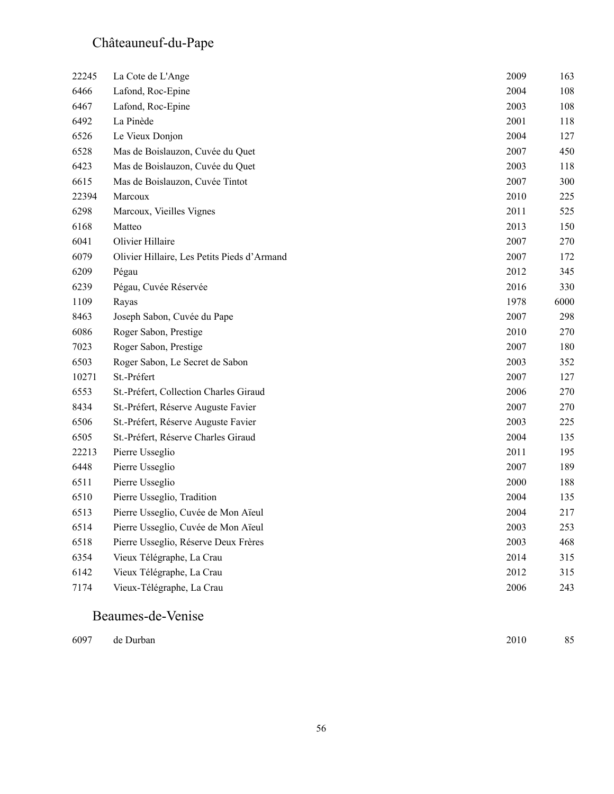# Châteauneuf-du-Pape

| 22245 | La Cote de L'Ange                           | 2009 | 163  |
|-------|---------------------------------------------|------|------|
| 6466  | Lafond, Roc-Epine                           | 2004 | 108  |
| 6467  | Lafond, Roc-Epine                           | 2003 | 108  |
| 6492  | La Pinède                                   | 2001 | 118  |
| 6526  | Le Vieux Donjon                             | 2004 | 127  |
| 6528  | Mas de Boislauzon, Cuvée du Quet            | 2007 | 450  |
| 6423  | Mas de Boislauzon, Cuvée du Quet            | 2003 | 118  |
| 6615  | Mas de Boislauzon, Cuvée Tintot             | 2007 | 300  |
| 22394 | Marcoux                                     | 2010 | 225  |
| 6298  | Marcoux, Vieilles Vignes                    | 2011 | 525  |
| 6168  | Matteo                                      | 2013 | 150  |
| 6041  | Olivier Hillaire                            | 2007 | 270  |
| 6079  | Olivier Hillaire, Les Petits Pieds d'Armand | 2007 | 172  |
| 6209  | Pégau                                       | 2012 | 345  |
| 6239  | Pégau, Cuvée Réservée                       | 2016 | 330  |
| 1109  | Rayas                                       | 1978 | 6000 |
| 8463  | Joseph Sabon, Cuvée du Pape                 | 2007 | 298  |
| 6086  | Roger Sabon, Prestige                       | 2010 | 270  |
| 7023  | Roger Sabon, Prestige                       | 2007 | 180  |
| 6503  | Roger Sabon, Le Secret de Sabon             | 2003 | 352  |
| 10271 | St.-Préfert                                 | 2007 | 127  |
| 6553  | St.-Préfert, Collection Charles Giraud      | 2006 | 270  |
| 8434  | St.-Préfert, Réserve Auguste Favier         | 2007 | 270  |
| 6506  | St.-Préfert, Réserve Auguste Favier         | 2003 | 225  |
| 6505  | St.-Préfert, Réserve Charles Giraud         | 2004 | 135  |
| 22213 | Pierre Usseglio                             | 2011 | 195  |
| 6448  | Pierre Usseglio                             | 2007 | 189  |
| 6511  | Pierre Usseglio                             | 2000 | 188  |
| 6510  | Pierre Usseglio, Tradition                  | 2004 | 135  |
| 6513  | Pierre Usseglio, Cuvée de Mon Aïeul         | 2004 | 217  |
| 6514  | Pierre Usseglio, Cuvée de Mon Aïeul         | 2003 | 253  |
| 6518  | Pierre Usseglio, Réserve Deux Frères        | 2003 | 468  |
| 6354  | Vieux Télégraphe, La Crau                   | 2014 | 315  |
| 6142  | Vieux Télégraphe, La Crau                   | 2012 | 315  |
| 7174  | Vieux-Télégraphe, La Crau                   | 2006 | 243  |
|       |                                             |      |      |

#### Beaumes-de-Venise

| 6097 de Durban | 2010 | 85 |
|----------------|------|----|
|                |      |    |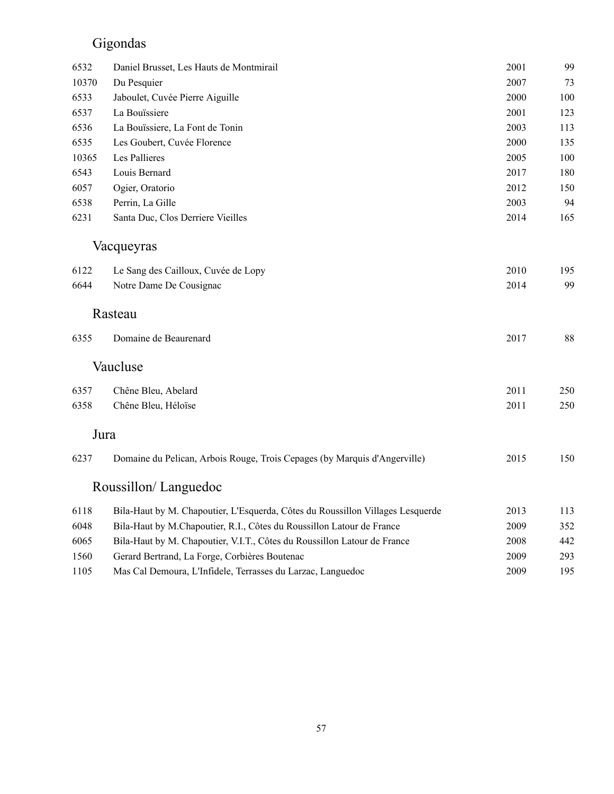# Gigondas

| 6532  | Daniel Brusset, Les Hauts de Montmirail                                        | 2001 | 99  |
|-------|--------------------------------------------------------------------------------|------|-----|
| 10370 | Du Pesquier                                                                    | 2007 | 73  |
| 6533  | Jaboulet, Cuvée Pierre Aiguille                                                | 2000 | 100 |
| 6537  | La Bouïssiere                                                                  | 2001 | 123 |
| 6536  | La Bouïssiere, La Font de Tonin                                                | 2003 | 113 |
| 6535  | Les Goubert, Cuvée Florence                                                    | 2000 | 135 |
| 10365 | Les Pallieres                                                                  | 2005 | 100 |
| 6543  | Louis Bernard                                                                  | 2017 | 180 |
| 6057  | Ogier, Oratorio                                                                | 2012 | 150 |
| 6538  | Perrin, La Gille                                                               | 2003 | 94  |
| 6231  | Santa Duc, Clos Derriere Vieilles                                              | 2014 | 165 |
|       | Vacqueyras                                                                     |      |     |
| 6122  | Le Sang des Cailloux, Cuvée de Lopy                                            | 2010 | 195 |
| 6644  | Notre Dame De Cousignac                                                        | 2014 | 99  |
|       |                                                                                |      |     |
|       | Rasteau                                                                        |      |     |
| 6355  | Domaine de Beaurenard                                                          | 2017 | 88  |
|       | Vaucluse                                                                       |      |     |
| 6357  | Chêne Bleu, Abelard                                                            | 2011 | 250 |
| 6358  | Chêne Bleu, Héloïse                                                            | 2011 | 250 |
| Jura  |                                                                                |      |     |
|       |                                                                                |      |     |
| 6237  | Domaine du Pelican, Arbois Rouge, Trois Cepages (by Marquis d'Angerville)      | 2015 | 150 |
|       | Roussillon/Languedoc                                                           |      |     |
| 6118  | Bila-Haut by M. Chapoutier, L'Esquerda, Côtes du Roussillon Villages Lesquerde | 2013 | 113 |
| 6048  | Bila-Haut by M.Chapoutier, R.I., Côtes du Roussillon Latour de France          | 2009 | 352 |
| 6065  | Bila-Haut by M. Chapoutier, V.I.T., Côtes du Roussillon Latour de France       | 2008 | 442 |
| 1560  | Gerard Bertrand, La Forge, Corbières Boutenac                                  | 2009 | 293 |
| 1105  | Mas Cal Demoura, L'Infidele, Terrasses du Larzac, Languedoc                    | 2009 | 195 |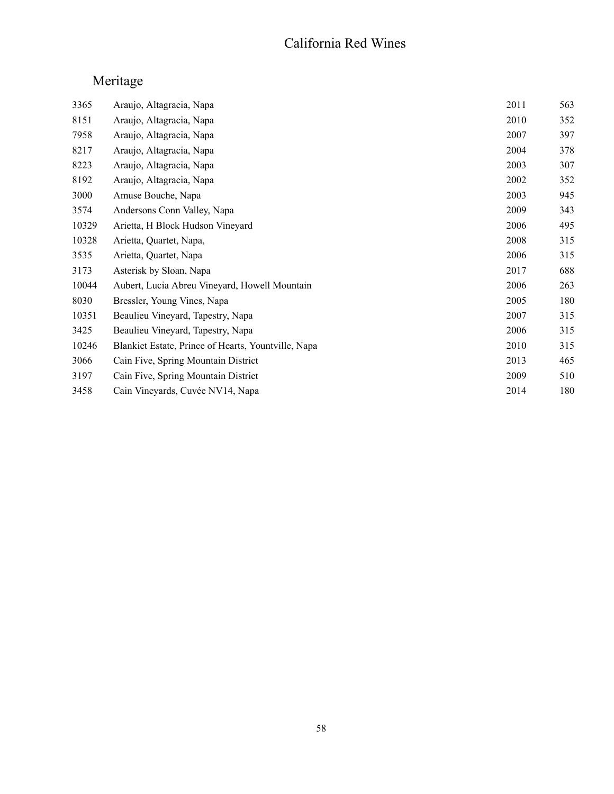#### California Red Wines

| 3365  | Araujo, Altagracia, Napa                            | 2011 | 563 |
|-------|-----------------------------------------------------|------|-----|
| 8151  | Araujo, Altagracia, Napa                            | 2010 | 352 |
| 7958  | Araujo, Altagracia, Napa                            | 2007 | 397 |
| 8217  | Araujo, Altagracia, Napa                            | 2004 | 378 |
| 8223  | Araujo, Altagracia, Napa                            | 2003 | 307 |
| 8192  | Araujo, Altagracia, Napa                            | 2002 | 352 |
| 3000  | Amuse Bouche, Napa                                  | 2003 | 945 |
| 3574  | Andersons Conn Valley, Napa                         | 2009 | 343 |
| 10329 | Arietta, H Block Hudson Vineyard                    | 2006 | 495 |
| 10328 | Arietta, Quartet, Napa,                             | 2008 | 315 |
| 3535  | Arietta, Quartet, Napa                              | 2006 | 315 |
| 3173  | Asterisk by Sloan, Napa                             | 2017 | 688 |
| 10044 | Aubert, Lucia Abreu Vineyard, Howell Mountain       | 2006 | 263 |
| 8030  | Bressler, Young Vines, Napa                         | 2005 | 180 |
| 10351 | Beaulieu Vineyard, Tapestry, Napa                   | 2007 | 315 |
| 3425  | Beaulieu Vineyard, Tapestry, Napa                   | 2006 | 315 |
| 10246 | Blankiet Estate, Prince of Hearts, Yountville, Napa | 2010 | 315 |
| 3066  | Cain Five, Spring Mountain District                 | 2013 | 465 |
| 3197  | Cain Five, Spring Mountain District                 | 2009 | 510 |
| 3458  | Cain Vineyards, Cuvée NV14, Napa                    | 2014 | 180 |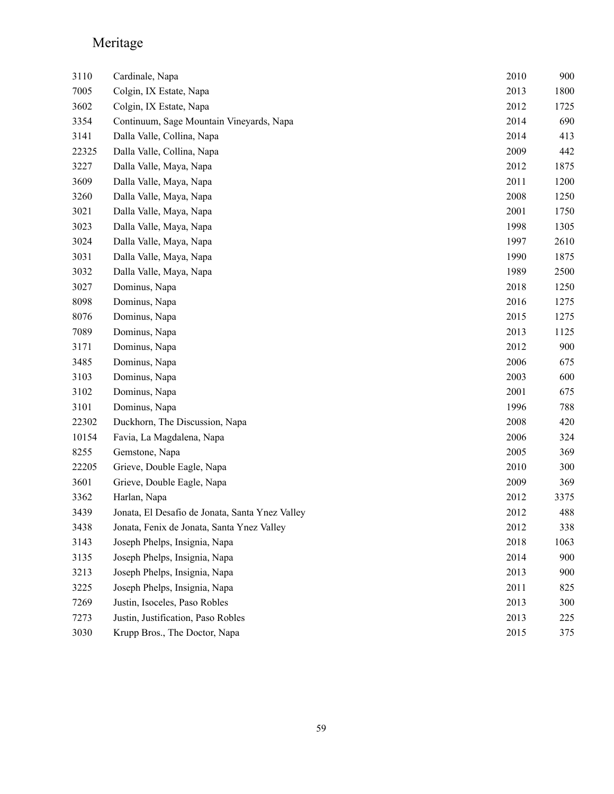| 3110  | Cardinale, Napa                                 | 2010 | 900  |
|-------|-------------------------------------------------|------|------|
| 7005  | Colgin, IX Estate, Napa                         | 2013 | 1800 |
| 3602  | Colgin, IX Estate, Napa                         | 2012 | 1725 |
| 3354  | Continuum, Sage Mountain Vineyards, Napa        | 2014 | 690  |
| 3141  | Dalla Valle, Collina, Napa                      | 2014 | 413  |
| 22325 | Dalla Valle, Collina, Napa                      | 2009 | 442  |
| 3227  | Dalla Valle, Maya, Napa                         | 2012 | 1875 |
| 3609  | Dalla Valle, Maya, Napa                         | 2011 | 1200 |
| 3260  | Dalla Valle, Maya, Napa                         | 2008 | 1250 |
| 3021  | Dalla Valle, Maya, Napa                         | 2001 | 1750 |
| 3023  | Dalla Valle, Maya, Napa                         | 1998 | 1305 |
| 3024  | Dalla Valle, Maya, Napa                         | 1997 | 2610 |
| 3031  | Dalla Valle, Maya, Napa                         | 1990 | 1875 |
| 3032  | Dalla Valle, Maya, Napa                         | 1989 | 2500 |
| 3027  | Dominus, Napa                                   | 2018 | 1250 |
| 8098  | Dominus, Napa                                   | 2016 | 1275 |
| 8076  | Dominus, Napa                                   | 2015 | 1275 |
| 7089  | Dominus, Napa                                   | 2013 | 1125 |
| 3171  | Dominus, Napa                                   | 2012 | 900  |
| 3485  | Dominus, Napa                                   | 2006 | 675  |
| 3103  | Dominus, Napa                                   | 2003 | 600  |
| 3102  | Dominus, Napa                                   | 2001 | 675  |
| 3101  | Dominus, Napa                                   | 1996 | 788  |
| 22302 | Duckhorn, The Discussion, Napa                  | 2008 | 420  |
| 10154 | Favia, La Magdalena, Napa                       | 2006 | 324  |
| 8255  | Gemstone, Napa                                  | 2005 | 369  |
| 22205 | Grieve, Double Eagle, Napa                      | 2010 | 300  |
| 3601  | Grieve, Double Eagle, Napa                      | 2009 | 369  |
| 3362  | Harlan, Napa                                    | 2012 | 3375 |
| 3439  | Jonata, El Desafio de Jonata, Santa Ynez Valley | 2012 | 488  |
| 3438  | Jonata, Fenix de Jonata, Santa Ynez Valley      | 2012 | 338  |
| 3143  | Joseph Phelps, Insignia, Napa                   | 2018 | 1063 |
| 3135  | Joseph Phelps, Insignia, Napa                   | 2014 | 900  |
| 3213  | Joseph Phelps, Insignia, Napa                   | 2013 | 900  |
| 3225  | Joseph Phelps, Insignia, Napa                   | 2011 | 825  |
| 7269  | Justin, Isoceles, Paso Robles                   | 2013 | 300  |
| 7273  | Justin, Justification, Paso Robles              | 2013 | 225  |
| 3030  | Krupp Bros., The Doctor, Napa                   | 2015 | 375  |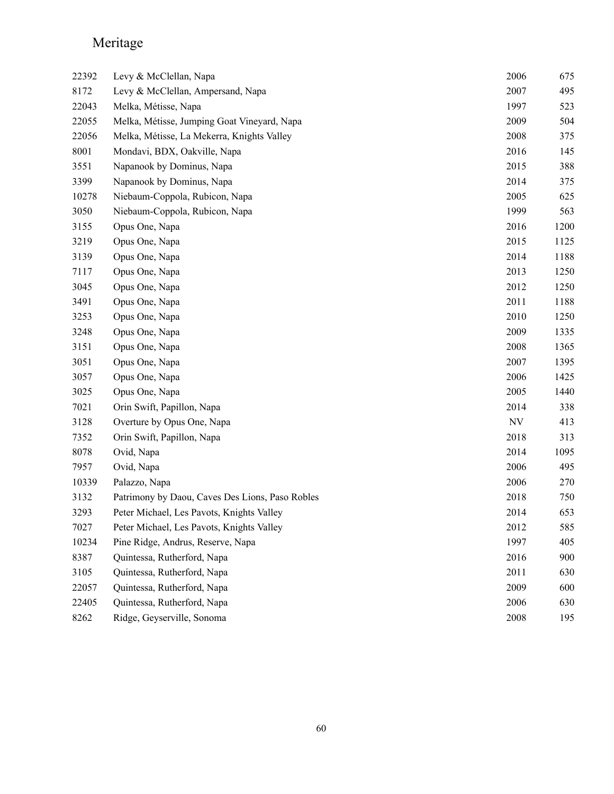| 22392 | Levy & McClellan, Napa                          | 2006 | 675  |
|-------|-------------------------------------------------|------|------|
| 8172  | Levy & McClellan, Ampersand, Napa               | 2007 | 495  |
| 22043 | Melka, Métisse, Napa                            | 1997 | 523  |
| 22055 | Melka, Métisse, Jumping Goat Vineyard, Napa     | 2009 | 504  |
| 22056 | Melka, Métisse, La Mekerra, Knights Valley      | 2008 | 375  |
| 8001  | Mondavi, BDX, Oakville, Napa                    | 2016 | 145  |
| 3551  | Napanook by Dominus, Napa                       | 2015 | 388  |
| 3399  | Napanook by Dominus, Napa                       | 2014 | 375  |
| 10278 | Niebaum-Coppola, Rubicon, Napa                  | 2005 | 625  |
| 3050  | Niebaum-Coppola, Rubicon, Napa                  | 1999 | 563  |
| 3155  | Opus One, Napa                                  | 2016 | 1200 |
| 3219  | Opus One, Napa                                  | 2015 | 1125 |
| 3139  | Opus One, Napa                                  | 2014 | 1188 |
| 7117  | Opus One, Napa                                  | 2013 | 1250 |
| 3045  | Opus One, Napa                                  | 2012 | 1250 |
| 3491  | Opus One, Napa                                  | 2011 | 1188 |
| 3253  | Opus One, Napa                                  | 2010 | 1250 |
| 3248  | Opus One, Napa                                  | 2009 | 1335 |
| 3151  | Opus One, Napa                                  | 2008 | 1365 |
| 3051  | Opus One, Napa                                  | 2007 | 1395 |
| 3057  | Opus One, Napa                                  | 2006 | 1425 |
| 3025  | Opus One, Napa                                  | 2005 | 1440 |
| 7021  | Orin Swift, Papillon, Napa                      | 2014 | 338  |
| 3128  | Overture by Opus One, Napa                      | NV   | 413  |
| 7352  | Orin Swift, Papillon, Napa                      | 2018 | 313  |
| 8078  | Ovid, Napa                                      | 2014 | 1095 |
| 7957  | Ovid, Napa                                      | 2006 | 495  |
| 10339 | Palazzo, Napa                                   | 2006 | 270  |
| 3132  | Patrimony by Daou, Caves Des Lions, Paso Robles | 2018 | 750  |
| 3293  | Peter Michael, Les Pavots, Knights Valley       | 2014 | 653  |
| 7027  | Peter Michael, Les Pavots, Knights Valley       | 2012 | 585  |
| 10234 | Pine Ridge, Andrus, Reserve, Napa               | 1997 | 405  |
| 8387  | Quintessa, Rutherford, Napa                     | 2016 | 900  |
| 3105  | Quintessa, Rutherford, Napa                     | 2011 | 630  |
| 22057 | Quintessa, Rutherford, Napa                     | 2009 | 600  |
| 22405 | Quintessa, Rutherford, Napa                     | 2006 | 630  |
| 8262  | Ridge, Geyserville, Sonoma                      | 2008 | 195  |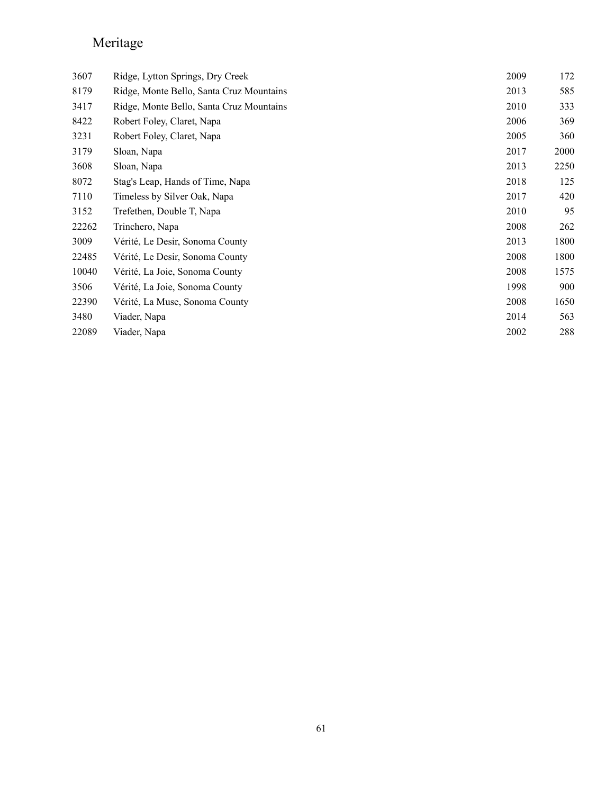| 3607  | Ridge, Lytton Springs, Dry Creek         | 2009 | 172  |
|-------|------------------------------------------|------|------|
| 8179  | Ridge, Monte Bello, Santa Cruz Mountains | 2013 | 585  |
| 3417  | Ridge, Monte Bello, Santa Cruz Mountains | 2010 | 333  |
| 8422  | Robert Foley, Claret, Napa               | 2006 | 369  |
| 3231  | Robert Foley, Claret, Napa               | 2005 | 360  |
| 3179  | Sloan, Napa                              | 2017 | 2000 |
| 3608  | Sloan, Napa                              | 2013 | 2250 |
| 8072  | Stag's Leap, Hands of Time, Napa         | 2018 | 125  |
| 7110  | Timeless by Silver Oak, Napa             | 2017 | 420  |
| 3152  | Trefethen, Double T, Napa                | 2010 | 95   |
| 22262 | Trinchero, Napa                          | 2008 | 262  |
| 3009  | Vérité, Le Desir, Sonoma County          | 2013 | 1800 |
| 22485 | Vérité, Le Desir, Sonoma County          | 2008 | 1800 |
| 10040 | Vérité, La Joie, Sonoma County           | 2008 | 1575 |
| 3506  | Vérité, La Joie, Sonoma County           | 1998 | 900  |
| 22390 | Vérité, La Muse, Sonoma County           | 2008 | 1650 |
| 3480  | Viader, Napa                             | 2014 | 563  |
| 22089 | Viader, Napa                             | 2002 | 288  |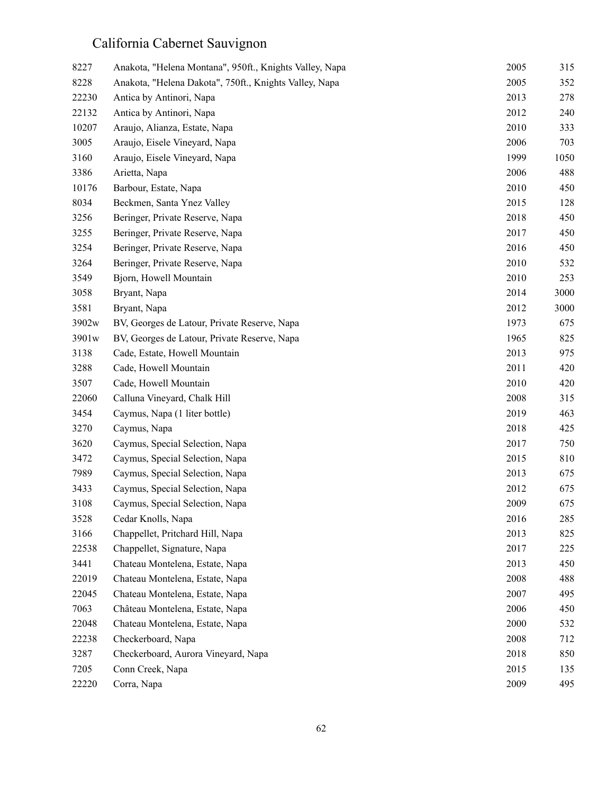| 8227  | Anakota, "Helena Montana", 950ft., Knights Valley, Napa | 2005 | 315  |
|-------|---------------------------------------------------------|------|------|
| 8228  | Anakota, "Helena Dakota", 750ft., Knights Valley, Napa  | 2005 | 352  |
| 22230 | Antica by Antinori, Napa                                | 2013 | 278  |
| 22132 | Antica by Antinori, Napa                                | 2012 | 240  |
| 10207 | Araujo, Alianza, Estate, Napa                           | 2010 | 333  |
| 3005  | Araujo, Eisele Vineyard, Napa                           | 2006 | 703  |
| 3160  | Araujo, Eisele Vineyard, Napa                           | 1999 | 1050 |
| 3386  | Arietta, Napa                                           | 2006 | 488  |
| 10176 | Barbour, Estate, Napa                                   | 2010 | 450  |
| 8034  | Beckmen, Santa Ynez Valley                              | 2015 | 128  |
| 3256  | Beringer, Private Reserve, Napa                         | 2018 | 450  |
| 3255  | Beringer, Private Reserve, Napa                         | 2017 | 450  |
| 3254  | Beringer, Private Reserve, Napa                         | 2016 | 450  |
| 3264  | Beringer, Private Reserve, Napa                         | 2010 | 532  |
| 3549  | Bjorn, Howell Mountain                                  | 2010 | 253  |
| 3058  | Bryant, Napa                                            | 2014 | 3000 |
| 3581  | Bryant, Napa                                            | 2012 | 3000 |
| 3902w | BV, Georges de Latour, Private Reserve, Napa            | 1973 | 675  |
| 3901w | BV, Georges de Latour, Private Reserve, Napa            | 1965 | 825  |
| 3138  | Cade, Estate, Howell Mountain                           | 2013 | 975  |
| 3288  | Cade, Howell Mountain                                   | 2011 | 420  |
| 3507  | Cade, Howell Mountain                                   | 2010 | 420  |
| 22060 | Calluna Vineyard, Chalk Hill                            | 2008 | 315  |
| 3454  | Caymus, Napa (1 liter bottle)                           | 2019 | 463  |
| 3270  | Caymus, Napa                                            | 2018 | 425  |
| 3620  | Caymus, Special Selection, Napa                         | 2017 | 750  |
| 3472  | Caymus, Special Selection, Napa                         | 2015 | 810  |
| 7989  | Caymus, Special Selection, Napa                         | 2013 | 675  |
| 3433  | Caymus, Special Selection, Napa                         | 2012 | 675  |
| 3108  | Caymus, Special Selection, Napa                         | 2009 | 675  |
| 3528  | Cedar Knolls, Napa                                      | 2016 | 285  |
| 3166  | Chappellet, Pritchard Hill, Napa                        | 2013 | 825  |
| 22538 | Chappellet, Signature, Napa                             | 2017 | 225  |
| 3441  | Chateau Montelena, Estate, Napa                         | 2013 | 450  |
| 22019 | Chateau Montelena, Estate, Napa                         | 2008 | 488  |
| 22045 | Chateau Montelena, Estate, Napa                         | 2007 | 495  |
| 7063  | Château Montelena, Estate, Napa                         | 2006 | 450  |
| 22048 | Chateau Montelena, Estate, Napa                         | 2000 | 532  |
| 22238 | Checkerboard, Napa                                      | 2008 | 712  |
| 3287  | Checkerboard, Aurora Vineyard, Napa                     | 2018 | 850  |
| 7205  | Conn Creek, Napa                                        | 2015 | 135  |
| 22220 | Corra, Napa                                             | 2009 | 495  |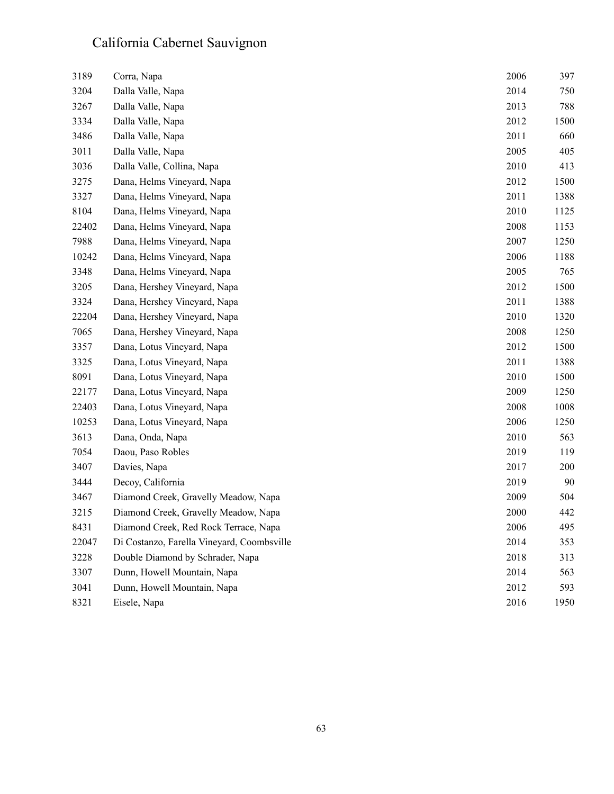| 3189  | Corra, Napa                                | 2006 | 397  |
|-------|--------------------------------------------|------|------|
| 3204  | Dalla Valle, Napa                          | 2014 | 750  |
| 3267  | Dalla Valle, Napa                          | 2013 | 788  |
| 3334  | Dalla Valle, Napa                          | 2012 | 1500 |
| 3486  | Dalla Valle, Napa                          | 2011 | 660  |
| 3011  | Dalla Valle, Napa                          | 2005 | 405  |
| 3036  | Dalla Valle, Collina, Napa                 | 2010 | 413  |
| 3275  | Dana, Helms Vineyard, Napa                 | 2012 | 1500 |
| 3327  | Dana, Helms Vineyard, Napa                 | 2011 | 1388 |
| 8104  | Dana, Helms Vineyard, Napa                 | 2010 | 1125 |
| 22402 | Dana, Helms Vineyard, Napa                 | 2008 | 1153 |
| 7988  | Dana, Helms Vineyard, Napa                 | 2007 | 1250 |
| 10242 | Dana, Helms Vineyard, Napa                 | 2006 | 1188 |
| 3348  | Dana, Helms Vineyard, Napa                 | 2005 | 765  |
| 3205  | Dana, Hershey Vineyard, Napa               | 2012 | 1500 |
| 3324  | Dana, Hershey Vineyard, Napa               | 2011 | 1388 |
| 22204 | Dana, Hershey Vineyard, Napa               | 2010 | 1320 |
| 7065  | Dana, Hershey Vineyard, Napa               | 2008 | 1250 |
| 3357  | Dana, Lotus Vineyard, Napa                 | 2012 | 1500 |
| 3325  | Dana, Lotus Vineyard, Napa                 | 2011 | 1388 |
| 8091  | Dana, Lotus Vineyard, Napa                 | 2010 | 1500 |
| 22177 | Dana, Lotus Vineyard, Napa                 | 2009 | 1250 |
| 22403 | Dana, Lotus Vineyard, Napa                 | 2008 | 1008 |
| 10253 | Dana, Lotus Vineyard, Napa                 | 2006 | 1250 |
| 3613  | Dana, Onda, Napa                           | 2010 | 563  |
| 7054  | Daou, Paso Robles                          | 2019 | 119  |
| 3407  | Davies, Napa                               | 2017 | 200  |
| 3444  | Decoy, California                          | 2019 | 90   |
| 3467  | Diamond Creek, Gravelly Meadow, Napa       | 2009 | 504  |
| 3215  | Diamond Creek, Gravelly Meadow, Napa       | 2000 | 442  |
| 8431  | Diamond Creek, Red Rock Terrace, Napa      | 2006 | 495  |
| 22047 | Di Costanzo, Farella Vineyard, Coombsville | 2014 | 353  |
| 3228  | Double Diamond by Schrader, Napa           | 2018 | 313  |
| 3307  | Dunn, Howell Mountain, Napa                | 2014 | 563  |
| 3041  | Dunn, Howell Mountain, Napa                | 2012 | 593  |
| 8321  | Eisele, Napa                               | 2016 | 1950 |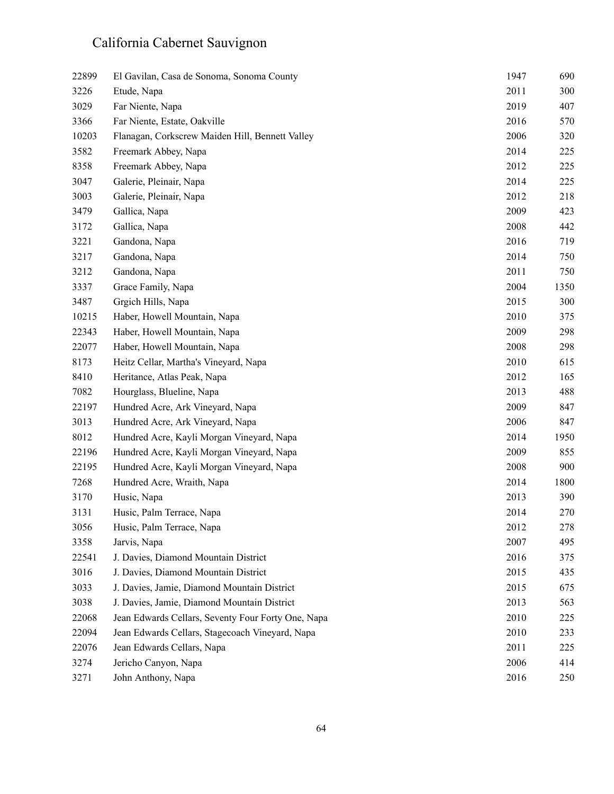| 22899 | El Gavilan, Casa de Sonoma, Sonoma County          | 1947 | 690  |
|-------|----------------------------------------------------|------|------|
| 3226  | Etude, Napa                                        | 2011 | 300  |
| 3029  | Far Niente, Napa                                   | 2019 | 407  |
| 3366  | Far Niente, Estate, Oakville                       | 2016 | 570  |
| 10203 | Flanagan, Corkscrew Maiden Hill, Bennett Valley    | 2006 | 320  |
| 3582  | Freemark Abbey, Napa                               | 2014 | 225  |
| 8358  | Freemark Abbey, Napa                               | 2012 | 225  |
| 3047  | Galerie, Pleinair, Napa                            | 2014 | 225  |
| 3003  | Galerie, Pleinair, Napa                            | 2012 | 218  |
| 3479  | Gallica, Napa                                      | 2009 | 423  |
| 3172  | Gallica, Napa                                      | 2008 | 442  |
| 3221  | Gandona, Napa                                      | 2016 | 719  |
| 3217  | Gandona, Napa                                      | 2014 | 750  |
| 3212  | Gandona, Napa                                      | 2011 | 750  |
| 3337  | Grace Family, Napa                                 | 2004 | 1350 |
| 3487  | Grgich Hills, Napa                                 | 2015 | 300  |
| 10215 | Haber, Howell Mountain, Napa                       | 2010 | 375  |
| 22343 | Haber, Howell Mountain, Napa                       | 2009 | 298  |
| 22077 | Haber, Howell Mountain, Napa                       | 2008 | 298  |
| 8173  | Heitz Cellar, Martha's Vineyard, Napa              | 2010 | 615  |
| 8410  | Heritance, Atlas Peak, Napa                        | 2012 | 165  |
| 7082  | Hourglass, Blueline, Napa                          | 2013 | 488  |
| 22197 | Hundred Acre, Ark Vineyard, Napa                   | 2009 | 847  |
| 3013  | Hundred Acre, Ark Vineyard, Napa                   | 2006 | 847  |
| 8012  | Hundred Acre, Kayli Morgan Vineyard, Napa          | 2014 | 1950 |
| 22196 | Hundred Acre, Kayli Morgan Vineyard, Napa          | 2009 | 855  |
| 22195 | Hundred Acre, Kayli Morgan Vineyard, Napa          | 2008 | 900  |
| 7268  | Hundred Acre, Wraith, Napa                         | 2014 | 1800 |
| 3170  | Husic, Napa                                        | 2013 | 390  |
| 3131  | Husic, Palm Terrace, Napa                          | 2014 | 270  |
| 3056  | Husic, Palm Terrace, Napa                          | 2012 | 278  |
| 3358  | Jarvis, Napa                                       | 2007 | 495  |
| 22541 | J. Davies, Diamond Mountain District               | 2016 | 375  |
| 3016  | J. Davies, Diamond Mountain District               | 2015 | 435  |
| 3033  | J. Davies, Jamie, Diamond Mountain District        | 2015 | 675  |
| 3038  | J. Davies, Jamie, Diamond Mountain District        | 2013 | 563  |
| 22068 | Jean Edwards Cellars, Seventy Four Forty One, Napa | 2010 | 225  |
| 22094 | Jean Edwards Cellars, Stagecoach Vineyard, Napa    | 2010 | 233  |
| 22076 | Jean Edwards Cellars, Napa                         | 2011 | 225  |
| 3274  | Jericho Canyon, Napa                               | 2006 | 414  |
| 3271  | John Anthony, Napa                                 | 2016 | 250  |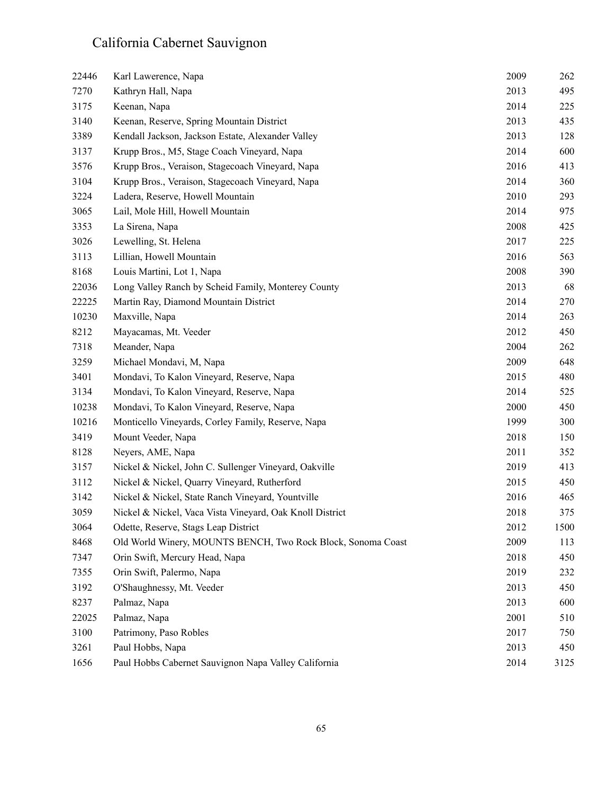| 22446 | Karl Lawerence, Napa                                         | 2009 | 262  |
|-------|--------------------------------------------------------------|------|------|
| 7270  | Kathryn Hall, Napa                                           | 2013 | 495  |
| 3175  | Keenan, Napa                                                 | 2014 | 225  |
| 3140  | Keenan, Reserve, Spring Mountain District                    | 2013 | 435  |
| 3389  | Kendall Jackson, Jackson Estate, Alexander Valley            | 2013 | 128  |
| 3137  | Krupp Bros., M5, Stage Coach Vineyard, Napa                  | 2014 | 600  |
| 3576  | Krupp Bros., Veraison, Stagecoach Vineyard, Napa             | 2016 | 413  |
| 3104  | Krupp Bros., Veraison, Stagecoach Vineyard, Napa             | 2014 | 360  |
| 3224  | Ladera, Reserve, Howell Mountain                             | 2010 | 293  |
| 3065  | Lail, Mole Hill, Howell Mountain                             | 2014 | 975  |
| 3353  | La Sirena, Napa                                              | 2008 | 425  |
| 3026  | Lewelling, St. Helena                                        | 2017 | 225  |
| 3113  | Lillian, Howell Mountain                                     | 2016 | 563  |
| 8168  | Louis Martini, Lot 1, Napa                                   | 2008 | 390  |
| 22036 | Long Valley Ranch by Scheid Family, Monterey County          | 2013 | 68   |
| 22225 | Martin Ray, Diamond Mountain District                        | 2014 | 270  |
| 10230 | Maxville, Napa                                               | 2014 | 263  |
| 8212  | Mayacamas, Mt. Veeder                                        | 2012 | 450  |
| 7318  | Meander, Napa                                                | 2004 | 262  |
| 3259  | Michael Mondavi, M, Napa                                     | 2009 | 648  |
| 3401  | Mondavi, To Kalon Vineyard, Reserve, Napa                    | 2015 | 480  |
| 3134  | Mondavi, To Kalon Vineyard, Reserve, Napa                    | 2014 | 525  |
| 10238 | Mondavi, To Kalon Vineyard, Reserve, Napa                    | 2000 | 450  |
| 10216 | Monticello Vineyards, Corley Family, Reserve, Napa           | 1999 | 300  |
| 3419  | Mount Veeder, Napa                                           | 2018 | 150  |
| 8128  | Neyers, AME, Napa                                            | 2011 | 352  |
| 3157  | Nickel & Nickel, John C. Sullenger Vineyard, Oakville        | 2019 | 413  |
| 3112  | Nickel & Nickel, Quarry Vineyard, Rutherford                 | 2015 | 450  |
| 3142  | Nickel & Nickel, State Ranch Vineyard, Yountville            | 2016 | 465  |
| 3059  | Nickel & Nickel, Vaca Vista Vineyard, Oak Knoll District     | 2018 | 375  |
| 3064  | Odette, Reserve, Stags Leap District                         | 2012 | 1500 |
| 8468  | Old World Winery, MOUNTS BENCH, Two Rock Block, Sonoma Coast | 2009 | 113  |
| 7347  | Orin Swift, Mercury Head, Napa                               | 2018 | 450  |
| 7355  | Orin Swift, Palermo, Napa                                    | 2019 | 232  |
| 3192  | O'Shaughnessy, Mt. Veeder                                    | 2013 | 450  |
| 8237  | Palmaz, Napa                                                 | 2013 | 600  |
| 22025 | Palmaz, Napa                                                 | 2001 | 510  |
| 3100  | Patrimony, Paso Robles                                       | 2017 | 750  |
| 3261  | Paul Hobbs, Napa                                             | 2013 | 450  |
| 1656  | Paul Hobbs Cabernet Sauvignon Napa Valley California         | 2014 | 3125 |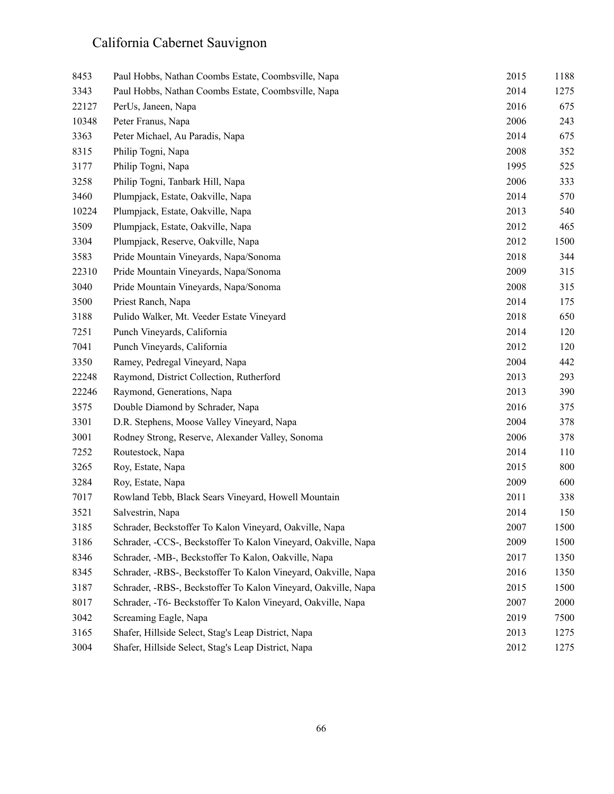| 8453  | Paul Hobbs, Nathan Coombs Estate, Coombsville, Napa            | 2015 | 1188 |
|-------|----------------------------------------------------------------|------|------|
| 3343  | Paul Hobbs, Nathan Coombs Estate, Coombsville, Napa            | 2014 | 1275 |
| 22127 | PerUs, Janeen, Napa                                            | 2016 | 675  |
| 10348 | Peter Franus, Napa                                             | 2006 | 243  |
| 3363  | Peter Michael, Au Paradis, Napa                                | 2014 | 675  |
| 8315  | Philip Togni, Napa                                             | 2008 | 352  |
| 3177  | Philip Togni, Napa                                             | 1995 | 525  |
| 3258  | Philip Togni, Tanbark Hill, Napa                               | 2006 | 333  |
| 3460  | Plumpjack, Estate, Oakville, Napa                              | 2014 | 570  |
| 10224 | Plumpjack, Estate, Oakville, Napa                              | 2013 | 540  |
| 3509  | Plumpjack, Estate, Oakville, Napa                              | 2012 | 465  |
| 3304  | Plumpjack, Reserve, Oakville, Napa                             | 2012 | 1500 |
| 3583  | Pride Mountain Vineyards, Napa/Sonoma                          | 2018 | 344  |
| 22310 | Pride Mountain Vineyards, Napa/Sonoma                          | 2009 | 315  |
| 3040  | Pride Mountain Vineyards, Napa/Sonoma                          | 2008 | 315  |
| 3500  | Priest Ranch, Napa                                             | 2014 | 175  |
| 3188  | Pulido Walker, Mt. Veeder Estate Vineyard                      | 2018 | 650  |
| 7251  | Punch Vineyards, California                                    | 2014 | 120  |
| 7041  | Punch Vineyards, California                                    | 2012 | 120  |
| 3350  | Ramey, Pedregal Vineyard, Napa                                 | 2004 | 442  |
| 22248 | Raymond, District Collection, Rutherford                       | 2013 | 293  |
| 22246 | Raymond, Generations, Napa                                     | 2013 | 390  |
| 3575  | Double Diamond by Schrader, Napa                               | 2016 | 375  |
| 3301  | D.R. Stephens, Moose Valley Vineyard, Napa                     | 2004 | 378  |
| 3001  | Rodney Strong, Reserve, Alexander Valley, Sonoma               | 2006 | 378  |
| 7252  | Routestock, Napa                                               | 2014 | 110  |
| 3265  | Roy, Estate, Napa                                              | 2015 | 800  |
| 3284  | Roy, Estate, Napa                                              | 2009 | 600  |
| 7017  | Rowland Tebb, Black Sears Vineyard, Howell Mountain            | 2011 | 338  |
| 3521  | Salvestrin, Napa                                               | 2014 | 150  |
| 3185  | Schrader, Beckstoffer To Kalon Vineyard, Oakville, Napa        | 2007 | 1500 |
| 3186  | Schrader, -CCS-, Beckstoffer To Kalon Vineyard, Oakville, Napa | 2009 | 1500 |
| 8346  | Schrader, -MB-, Beckstoffer To Kalon, Oakville, Napa           | 2017 | 1350 |
| 8345  | Schrader, -RBS-, Beckstoffer To Kalon Vineyard, Oakville, Napa | 2016 | 1350 |
| 3187  | Schrader, -RBS-, Beckstoffer To Kalon Vineyard, Oakville, Napa | 2015 | 1500 |
| 8017  | Schrader, -T6- Beckstoffer To Kalon Vineyard, Oakville, Napa   | 2007 | 2000 |
| 3042  | Screaming Eagle, Napa                                          | 2019 | 7500 |
| 3165  | Shafer, Hillside Select, Stag's Leap District, Napa            | 2013 | 1275 |
| 3004  | Shafer, Hillside Select, Stag's Leap District, Napa            | 2012 | 1275 |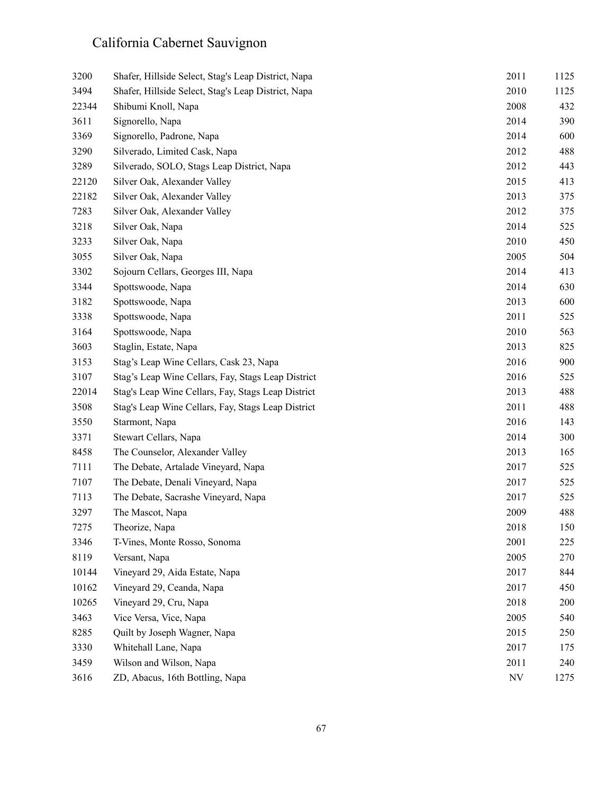| 3200  | Shafer, Hillside Select, Stag's Leap District, Napa | 2011                     | 1125 |
|-------|-----------------------------------------------------|--------------------------|------|
| 3494  | Shafer, Hillside Select, Stag's Leap District, Napa | 2010                     | 1125 |
| 22344 | Shibumi Knoll, Napa                                 | 2008                     | 432  |
| 3611  | Signorello, Napa                                    | 2014                     | 390  |
| 3369  | Signorello, Padrone, Napa                           | 2014                     | 600  |
| 3290  | Silverado, Limited Cask, Napa                       | 2012                     | 488  |
| 3289  | Silverado, SOLO, Stags Leap District, Napa          | 2012                     | 443  |
| 22120 | Silver Oak, Alexander Valley                        | 2015                     | 413  |
| 22182 | Silver Oak, Alexander Valley                        | 2013                     | 375  |
| 7283  | Silver Oak, Alexander Valley                        | 2012                     | 375  |
| 3218  | Silver Oak, Napa                                    | 2014                     | 525  |
| 3233  | Silver Oak, Napa                                    | 2010                     | 450  |
| 3055  | Silver Oak, Napa                                    | 2005                     | 504  |
| 3302  | Sojourn Cellars, Georges III, Napa                  | 2014                     | 413  |
| 3344  | Spottswoode, Napa                                   | 2014                     | 630  |
| 3182  | Spottswoode, Napa                                   | 2013                     | 600  |
| 3338  | Spottswoode, Napa                                   | 2011                     | 525  |
| 3164  | Spottswoode, Napa                                   | 2010                     | 563  |
| 3603  | Staglin, Estate, Napa                               | 2013                     | 825  |
| 3153  | Stag's Leap Wine Cellars, Cask 23, Napa             | 2016                     | 900  |
| 3107  | Stag's Leap Wine Cellars, Fay, Stags Leap District  | 2016                     | 525  |
| 22014 | Stag's Leap Wine Cellars, Fay, Stags Leap District  | 2013                     | 488  |
| 3508  | Stag's Leap Wine Cellars, Fay, Stags Leap District  | 2011                     | 488  |
| 3550  | Starmont, Napa                                      | 2016                     | 143  |
| 3371  | Stewart Cellars, Napa                               | 2014                     | 300  |
| 8458  | The Counselor, Alexander Valley                     | 2013                     | 165  |
| 7111  | The Debate, Artalade Vineyard, Napa                 | 2017                     | 525  |
| 7107  | The Debate, Denali Vineyard, Napa                   | 2017                     | 525  |
| 7113  | The Debate, Sacrashe Vineyard, Napa                 | 2017                     | 525  |
| 3297  | The Mascot, Napa                                    | 2009                     | 488  |
| 7275  | Theorize, Napa                                      | 2018                     | 150  |
| 3346  | T-Vines, Monte Rosso, Sonoma                        | 2001                     | 225  |
| 8119  | Versant, Napa                                       | 2005                     | 270  |
| 10144 | Vineyard 29, Aida Estate, Napa                      | 2017                     | 844  |
| 10162 | Vineyard 29, Ceanda, Napa                           | 2017                     | 450  |
| 10265 | Vineyard 29, Cru, Napa                              | 2018                     | 200  |
| 3463  | Vice Versa, Vice, Napa                              | 2005                     | 540  |
| 8285  | Quilt by Joseph Wagner, Napa                        | 2015                     | 250  |
| 3330  | Whitehall Lane, Napa                                | 2017                     | 175  |
| 3459  | Wilson and Wilson, Napa                             | 2011                     | 240  |
| 3616  | ZD, Abacus, 16th Bottling, Napa                     | $\ensuremath{\text{NV}}$ | 1275 |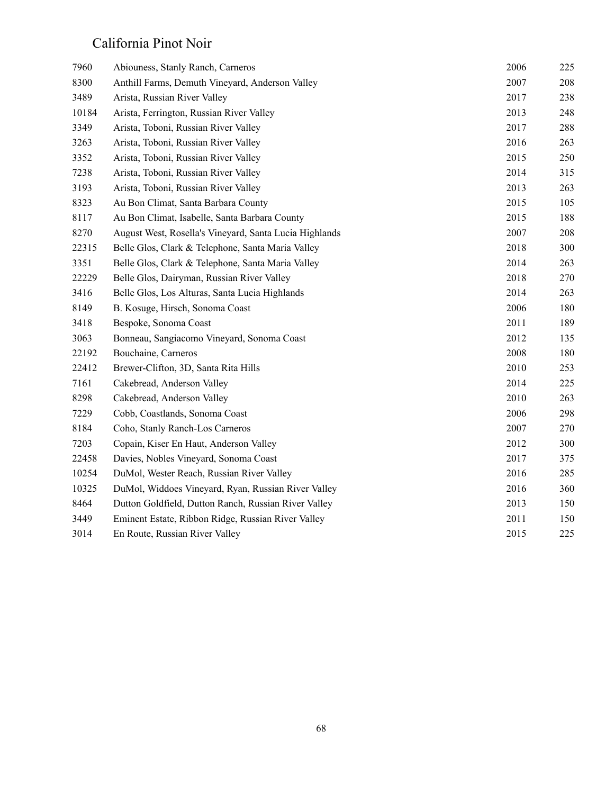#### California Pinot Noir

| 7960  | Abiouness, Stanly Ranch, Carneros                      | 2006 | 225 |
|-------|--------------------------------------------------------|------|-----|
| 8300  | Anthill Farms, Demuth Vineyard, Anderson Valley        | 2007 | 208 |
| 3489  | Arista, Russian River Valley                           | 2017 | 238 |
| 10184 | Arista, Ferrington, Russian River Valley               | 2013 | 248 |
| 3349  | Arista, Toboni, Russian River Valley                   | 2017 | 288 |
| 3263  | Arista, Toboni, Russian River Valley                   | 2016 | 263 |
| 3352  | Arista, Toboni, Russian River Valley                   | 2015 | 250 |
| 7238  | Arista, Toboni, Russian River Valley                   | 2014 | 315 |
| 3193  | Arista, Toboni, Russian River Valley                   | 2013 | 263 |
| 8323  | Au Bon Climat, Santa Barbara County                    | 2015 | 105 |
| 8117  | Au Bon Climat, Isabelle, Santa Barbara County          | 2015 | 188 |
| 8270  | August West, Rosella's Vineyard, Santa Lucia Highlands | 2007 | 208 |
| 22315 | Belle Glos, Clark & Telephone, Santa Maria Valley      | 2018 | 300 |
| 3351  | Belle Glos, Clark & Telephone, Santa Maria Valley      | 2014 | 263 |
| 22229 | Belle Glos, Dairyman, Russian River Valley             | 2018 | 270 |
| 3416  | Belle Glos, Los Alturas, Santa Lucia Highlands         | 2014 | 263 |
| 8149  | B. Kosuge, Hirsch, Sonoma Coast                        | 2006 | 180 |
| 3418  | Bespoke, Sonoma Coast                                  | 2011 | 189 |
| 3063  | Bonneau, Sangiacomo Vineyard, Sonoma Coast             | 2012 | 135 |
| 22192 | Bouchaine, Carneros                                    | 2008 | 180 |
| 22412 | Brewer-Clifton, 3D, Santa Rita Hills                   | 2010 | 253 |
| 7161  | Cakebread, Anderson Valley                             | 2014 | 225 |
| 8298  | Cakebread, Anderson Valley                             | 2010 | 263 |
| 7229  | Cobb, Coastlands, Sonoma Coast                         | 2006 | 298 |
| 8184  | Coho, Stanly Ranch-Los Carneros                        | 2007 | 270 |
| 7203  | Copain, Kiser En Haut, Anderson Valley                 | 2012 | 300 |
| 22458 | Davies, Nobles Vineyard, Sonoma Coast                  | 2017 | 375 |
| 10254 | DuMol, Wester Reach, Russian River Valley              | 2016 | 285 |
| 10325 | DuMol, Widdoes Vineyard, Ryan, Russian River Valley    | 2016 | 360 |
| 8464  | Dutton Goldfield, Dutton Ranch, Russian River Valley   | 2013 | 150 |
| 3449  | Eminent Estate, Ribbon Ridge, Russian River Valley     | 2011 | 150 |
| 3014  | En Route, Russian River Valley                         | 2015 | 225 |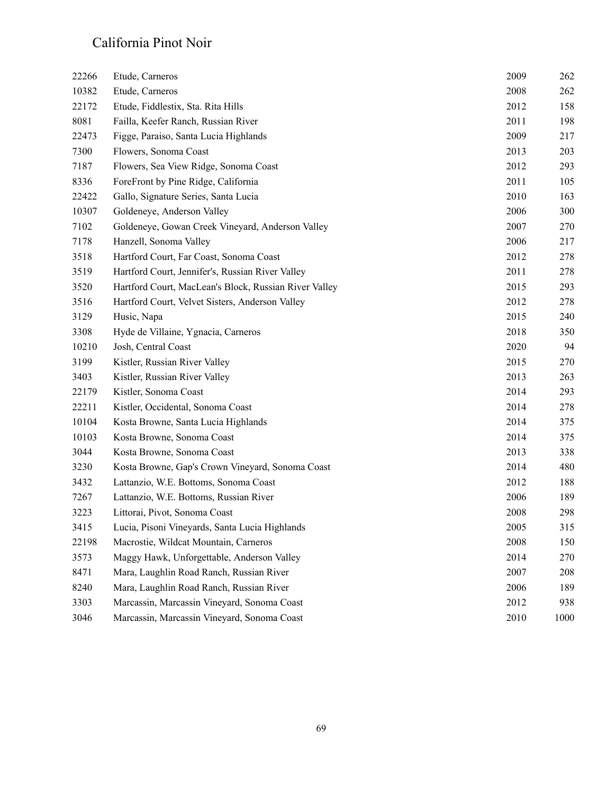#### California Pinot Noir

| 22266 | Etude, Carneros                                       | 2009 | 262  |
|-------|-------------------------------------------------------|------|------|
| 10382 | Etude, Carneros                                       | 2008 | 262  |
| 22172 | Etude, Fiddlestix, Sta. Rita Hills                    | 2012 | 158  |
| 8081  | Failla, Keefer Ranch, Russian River                   | 2011 | 198  |
| 22473 | Figge, Paraiso, Santa Lucia Highlands                 | 2009 | 217  |
| 7300  | Flowers, Sonoma Coast                                 | 2013 | 203  |
| 7187  | Flowers, Sea View Ridge, Sonoma Coast                 | 2012 | 293  |
| 8336  | ForeFront by Pine Ridge, California                   | 2011 | 105  |
| 22422 | Gallo, Signature Series, Santa Lucia                  | 2010 | 163  |
| 10307 | Goldeneye, Anderson Valley                            | 2006 | 300  |
| 7102  | Goldeneye, Gowan Creek Vineyard, Anderson Valley      | 2007 | 270  |
| 7178  | Hanzell, Sonoma Valley                                | 2006 | 217  |
| 3518  | Hartford Court, Far Coast, Sonoma Coast               | 2012 | 278  |
| 3519  | Hartford Court, Jennifer's, Russian River Valley      | 2011 | 278  |
| 3520  | Hartford Court, MacLean's Block, Russian River Valley | 2015 | 293  |
| 3516  | Hartford Court, Velvet Sisters, Anderson Valley       | 2012 | 278  |
| 3129  | Husic, Napa                                           | 2015 | 240  |
| 3308  | Hyde de Villaine, Ygnacia, Carneros                   | 2018 | 350  |
| 10210 | Josh, Central Coast                                   | 2020 | 94   |
| 3199  | Kistler, Russian River Valley                         | 2015 | 270  |
| 3403  | Kistler, Russian River Valley                         | 2013 | 263  |
| 22179 | Kistler, Sonoma Coast                                 | 2014 | 293  |
| 22211 | Kistler, Occidental, Sonoma Coast                     | 2014 | 278  |
| 10104 | Kosta Browne, Santa Lucia Highlands                   | 2014 | 375  |
| 10103 | Kosta Browne, Sonoma Coast                            | 2014 | 375  |
| 3044  | Kosta Browne, Sonoma Coast                            | 2013 | 338  |
| 3230  | Kosta Browne, Gap's Crown Vineyard, Sonoma Coast      | 2014 | 480  |
| 3432  | Lattanzio, W.E. Bottoms, Sonoma Coast                 | 2012 | 188  |
| 7267  | Lattanzio, W.E. Bottoms, Russian River                | 2006 | 189  |
| 3223  | Littorai, Pivot, Sonoma Coast                         | 2008 | 298  |
| 3415  | Lucia, Pisoni Vineyards, Santa Lucia Highlands        | 2005 | 315  |
| 22198 | Macrostie, Wildcat Mountain, Carneros                 | 2008 | 150  |
| 3573  | Maggy Hawk, Unforgettable, Anderson Valley            | 2014 | 270  |
| 8471  | Mara, Laughlin Road Ranch, Russian River              | 2007 | 208  |
| 8240  | Mara, Laughlin Road Ranch, Russian River              | 2006 | 189  |
| 3303  | Marcassin, Marcassin Vineyard, Sonoma Coast           | 2012 | 938  |
| 3046  | Marcassin, Marcassin Vineyard, Sonoma Coast           | 2010 | 1000 |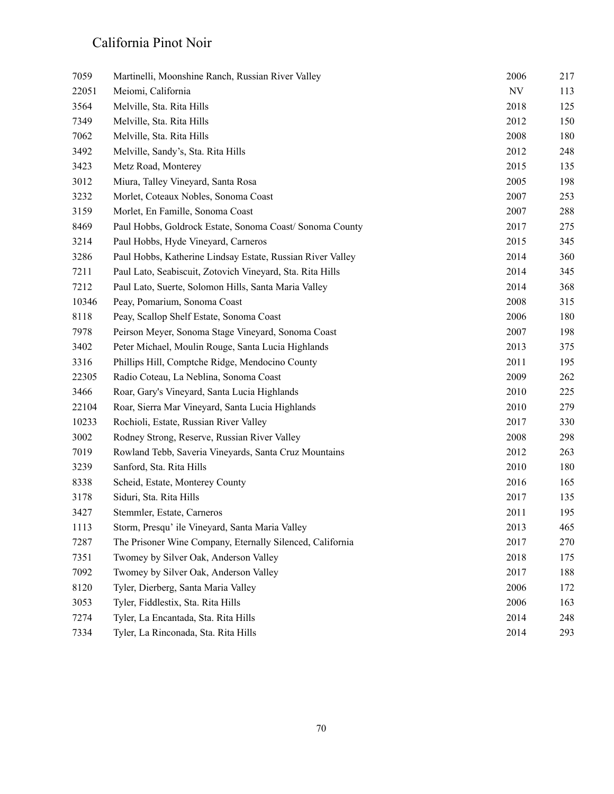#### California Pinot Noir

| 7059  | Martinelli, Moonshine Ranch, Russian River Valley          | 2006                     | 217 |
|-------|------------------------------------------------------------|--------------------------|-----|
| 22051 | Meiomi, California                                         | $\ensuremath{\text{NV}}$ | 113 |
| 3564  | Melville, Sta. Rita Hills                                  | 2018                     | 125 |
| 7349  | Melville, Sta. Rita Hills                                  | 2012                     | 150 |
| 7062  | Melville, Sta. Rita Hills                                  | 2008                     | 180 |
| 3492  | Melville, Sandy's, Sta. Rita Hills                         | 2012                     | 248 |
| 3423  | Metz Road, Monterey                                        | 2015                     | 135 |
| 3012  | Miura, Talley Vineyard, Santa Rosa                         | 2005                     | 198 |
| 3232  | Morlet, Coteaux Nobles, Sonoma Coast                       | 2007                     | 253 |
| 3159  | Morlet, En Famille, Sonoma Coast                           | 2007                     | 288 |
| 8469  | Paul Hobbs, Goldrock Estate, Sonoma Coast/ Sonoma County   | 2017                     | 275 |
| 3214  | Paul Hobbs, Hyde Vineyard, Carneros                        | 2015                     | 345 |
| 3286  | Paul Hobbs, Katherine Lindsay Estate, Russian River Valley | 2014                     | 360 |
| 7211  | Paul Lato, Seabiscuit, Zotovich Vineyard, Sta. Rita Hills  | 2014                     | 345 |
| 7212  | Paul Lato, Suerte, Solomon Hills, Santa Maria Valley       | 2014                     | 368 |
| 10346 | Peay, Pomarium, Sonoma Coast                               | 2008                     | 315 |
| 8118  | Peay, Scallop Shelf Estate, Sonoma Coast                   | 2006                     | 180 |
| 7978  | Peirson Meyer, Sonoma Stage Vineyard, Sonoma Coast         | 2007                     | 198 |
| 3402  | Peter Michael, Moulin Rouge, Santa Lucia Highlands         | 2013                     | 375 |
| 3316  | Phillips Hill, Comptche Ridge, Mendocino County            | 2011                     | 195 |
| 22305 | Radio Coteau, La Neblina, Sonoma Coast                     | 2009                     | 262 |
| 3466  | Roar, Gary's Vineyard, Santa Lucia Highlands               | 2010                     | 225 |
| 22104 | Roar, Sierra Mar Vineyard, Santa Lucia Highlands           | 2010                     | 279 |
| 10233 | Rochioli, Estate, Russian River Valley                     | 2017                     | 330 |
| 3002  | Rodney Strong, Reserve, Russian River Valley               | 2008                     | 298 |
| 7019  | Rowland Tebb, Saveria Vineyards, Santa Cruz Mountains      | 2012                     | 263 |
| 3239  | Sanford, Sta. Rita Hills                                   | 2010                     | 180 |
| 8338  | Scheid, Estate, Monterey County                            | 2016                     | 165 |
| 3178  | Siduri, Sta. Rita Hills                                    | 2017                     | 135 |
| 3427  | Stemmler, Estate, Carneros                                 | 2011                     | 195 |
| 1113  | Storm, Presqu'ile Vineyard, Santa Maria Valley             | 2013                     | 465 |
| 7287  | The Prisoner Wine Company, Eternally Silenced, California  | 2017                     | 270 |
| 7351  | Twomey by Silver Oak, Anderson Valley                      | 2018                     | 175 |
| 7092  | Twomey by Silver Oak, Anderson Valley                      | 2017                     | 188 |
| 8120  | Tyler, Dierberg, Santa Maria Valley                        | 2006                     | 172 |
| 3053  | Tyler, Fiddlestix, Sta. Rita Hills                         | 2006                     | 163 |
| 7274  | Tyler, La Encantada, Sta. Rita Hills                       | 2014                     | 248 |
| 7334  | Tyler, La Rinconada, Sta. Rita Hills                       | 2014                     | 293 |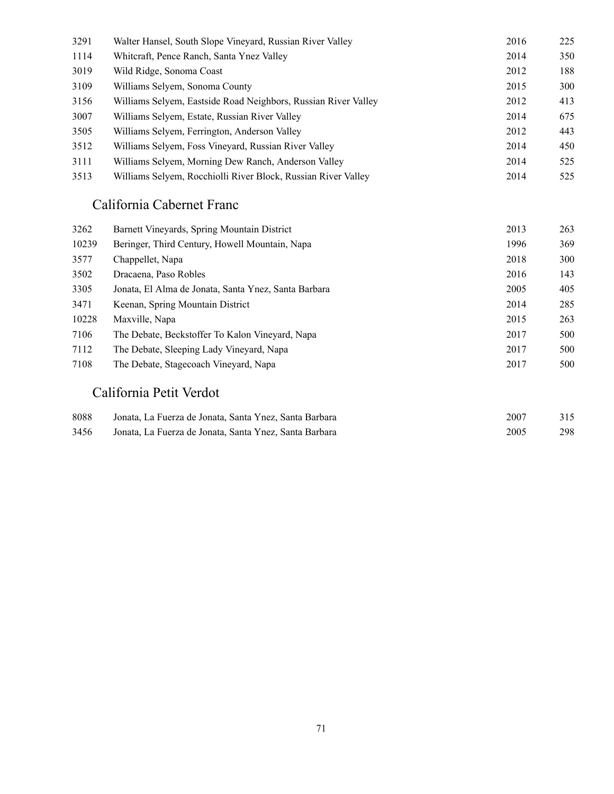| 3291 | Walter Hansel, South Slope Vineyard, Russian River Valley      | 2016 | 225 |
|------|----------------------------------------------------------------|------|-----|
| 1114 | Whiteraft, Pence Ranch, Santa Ynez Valley                      | 2014 | 350 |
| 3019 | Wild Ridge, Sonoma Coast                                       | 2012 | 188 |
| 3109 | Williams Selvem, Sonoma County                                 | 2015 | 300 |
| 3156 | Williams Selyem, Eastside Road Neighbors, Russian River Valley | 2012 | 413 |
| 3007 | Williams Selyem, Estate, Russian River Valley                  | 2014 | 675 |
| 3505 | Williams Selvem, Ferrington, Anderson Valley                   | 2012 | 443 |
| 3512 | Williams Selvem, Foss Vinevard, Russian River Valley           | 2014 | 450 |
| 3111 | Williams Selvem, Morning Dew Ranch, Anderson Valley            | 2014 | 525 |
| 3513 | Williams Selvem, Rocchiolli River Block, Russian River Valley  | 2014 | 525 |

#### California Cabernet Franc

| 3262  | Barnett Vineyards, Spring Mountain District          | 2013 | 263 |
|-------|------------------------------------------------------|------|-----|
| 10239 | Beringer, Third Century, Howell Mountain, Napa       | 1996 | 369 |
| 3577  | Chappellet, Napa                                     | 2018 | 300 |
| 3502  | Dracaena, Paso Robles                                | 2016 | 143 |
| 3305  | Jonata, El Alma de Jonata, Santa Ynez, Santa Barbara | 2005 | 405 |
| 3471  | Keenan, Spring Mountain District                     | 2014 | 285 |
| 10228 | Maxville, Napa                                       | 2015 | 263 |
| 7106  | The Debate, Beckstoffer To Kalon Vinevard, Napa      | 2017 | 500 |
| 7112  | The Debate, Sleeping Lady Vineyard, Napa             | 2017 | 500 |
| 7108  | The Debate, Stagecoach Vineyard, Napa                | 2017 | 500 |

#### California Petit Verdot

| 8088 | Jonata, La Fuerza de Jonata, Santa Ynez, Santa Barbara | 2007 | 315 |
|------|--------------------------------------------------------|------|-----|
| 3456 | Jonata, La Fuerza de Jonata, Santa Ynez, Santa Barbara | 2005 | 298 |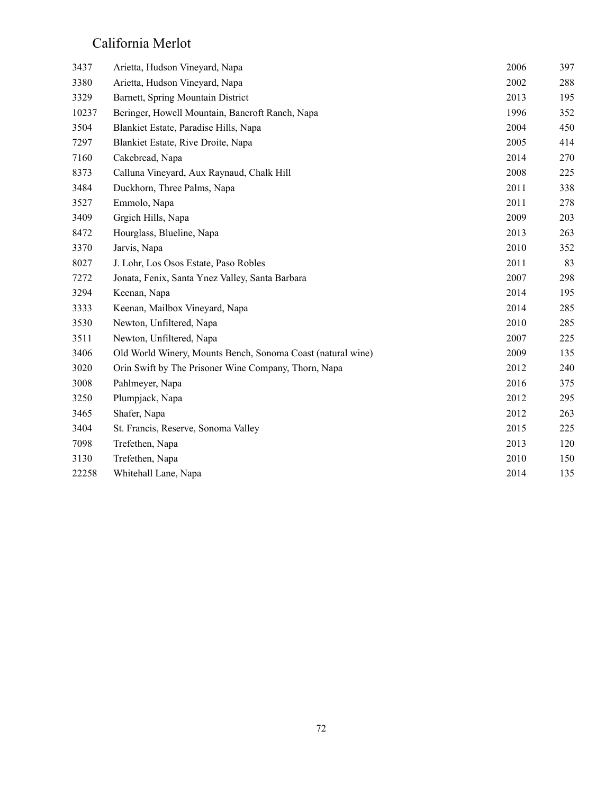#### California Merlot

| 3437  | Arietta, Hudson Vineyard, Napa                              | 2006 | 397 |
|-------|-------------------------------------------------------------|------|-----|
| 3380  | Arietta, Hudson Vineyard, Napa                              | 2002 | 288 |
| 3329  | Barnett, Spring Mountain District                           | 2013 | 195 |
| 10237 | Beringer, Howell Mountain, Bancroft Ranch, Napa             | 1996 | 352 |
| 3504  | Blankiet Estate, Paradise Hills, Napa                       | 2004 | 450 |
| 7297  | Blankiet Estate, Rive Droite, Napa                          | 2005 | 414 |
| 7160  | Cakebread, Napa                                             | 2014 | 270 |
| 8373  | Calluna Vineyard, Aux Raynaud, Chalk Hill                   | 2008 | 225 |
| 3484  | Duckhorn, Three Palms, Napa                                 | 2011 | 338 |
| 3527  | Emmolo, Napa                                                | 2011 | 278 |
| 3409  | Grgich Hills, Napa                                          | 2009 | 203 |
| 8472  | Hourglass, Blueline, Napa                                   | 2013 | 263 |
| 3370  | Jarvis, Napa                                                | 2010 | 352 |
| 8027  | J. Lohr, Los Osos Estate, Paso Robles                       | 2011 | 83  |
| 7272  | Jonata, Fenix, Santa Ynez Valley, Santa Barbara             | 2007 | 298 |
| 3294  | Keenan, Napa                                                | 2014 | 195 |
| 3333  | Keenan, Mailbox Vineyard, Napa                              | 2014 | 285 |
| 3530  | Newton, Unfiltered, Napa                                    | 2010 | 285 |
| 3511  | Newton, Unfiltered, Napa                                    | 2007 | 225 |
| 3406  | Old World Winery, Mounts Bench, Sonoma Coast (natural wine) | 2009 | 135 |
| 3020  | Orin Swift by The Prisoner Wine Company, Thorn, Napa        | 2012 | 240 |
| 3008  | Pahlmeyer, Napa                                             | 2016 | 375 |
| 3250  | Plumpjack, Napa                                             | 2012 | 295 |
| 3465  | Shafer, Napa                                                | 2012 | 263 |
| 3404  | St. Francis, Reserve, Sonoma Valley                         | 2015 | 225 |
| 7098  | Trefethen, Napa                                             | 2013 | 120 |
| 3130  | Trefethen, Napa                                             | 2010 | 150 |
| 22258 | Whitehall Lane, Napa                                        | 2014 | 135 |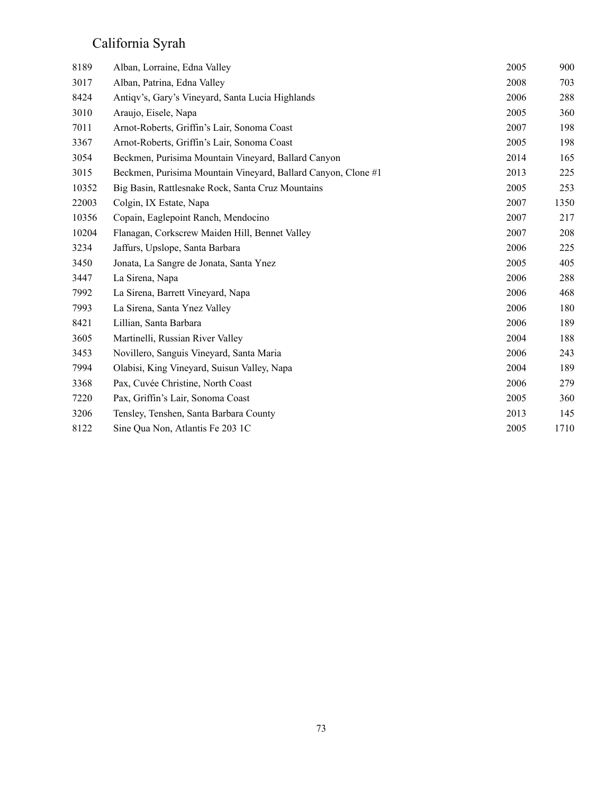## California Syrah

| 8189  | Alban, Lorraine, Edna Valley                                  | 2005 | 900  |
|-------|---------------------------------------------------------------|------|------|
| 3017  | Alban, Patrina, Edna Valley                                   | 2008 | 703  |
| 8424  | Antiqv's, Gary's Vineyard, Santa Lucia Highlands              | 2006 | 288  |
| 3010  | Araujo, Eisele, Napa                                          | 2005 | 360  |
| 7011  | Arnot-Roberts, Griffin's Lair, Sonoma Coast                   | 2007 | 198  |
| 3367  | Arnot-Roberts, Griffin's Lair, Sonoma Coast                   | 2005 | 198  |
| 3054  | Beckmen, Purisima Mountain Vineyard, Ballard Canyon           | 2014 | 165  |
| 3015  | Beckmen, Purisima Mountain Vineyard, Ballard Canyon, Clone #1 | 2013 | 225  |
| 10352 | Big Basin, Rattlesnake Rock, Santa Cruz Mountains             | 2005 | 253  |
| 22003 | Colgin, IX Estate, Napa                                       | 2007 | 1350 |
| 10356 | Copain, Eaglepoint Ranch, Mendocino                           | 2007 | 217  |
| 10204 | Flanagan, Corkscrew Maiden Hill, Bennet Valley                | 2007 | 208  |
| 3234  | Jaffurs, Upslope, Santa Barbara                               | 2006 | 225  |
| 3450  | Jonata, La Sangre de Jonata, Santa Ynez                       | 2005 | 405  |
| 3447  | La Sirena, Napa                                               | 2006 | 288  |
| 7992  | La Sirena, Barrett Vineyard, Napa                             | 2006 | 468  |
| 7993  | La Sirena, Santa Ynez Valley                                  | 2006 | 180  |
| 8421  | Lillian, Santa Barbara                                        | 2006 | 189  |
| 3605  | Martinelli, Russian River Valley                              | 2004 | 188  |
| 3453  | Novillero, Sanguis Vineyard, Santa Maria                      | 2006 | 243  |
| 7994  | Olabisi, King Vineyard, Suisun Valley, Napa                   | 2004 | 189  |
| 3368  | Pax, Cuvée Christine, North Coast                             | 2006 | 279  |
| 7220  | Pax, Griffin's Lair, Sonoma Coast                             | 2005 | 360  |
| 3206  | Tensley, Tenshen, Santa Barbara County                        | 2013 | 145  |
| 8122  | Sine Qua Non, Atlantis Fe 203 1C                              | 2005 | 1710 |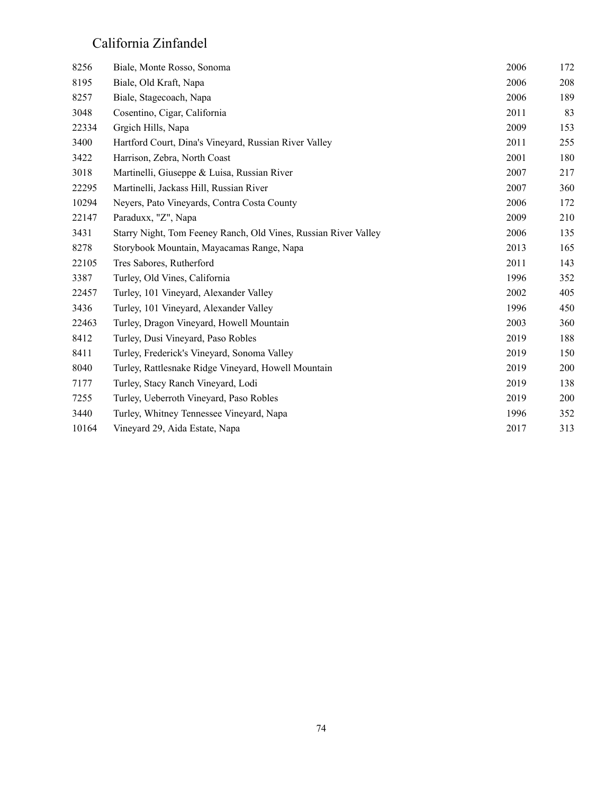### California Zinfandel

| 8256  | Biale, Monte Rosso, Sonoma                                      | 2006 | 172 |
|-------|-----------------------------------------------------------------|------|-----|
| 8195  | Biale, Old Kraft, Napa                                          | 2006 | 208 |
| 8257  | Biale, Stagecoach, Napa                                         | 2006 | 189 |
| 3048  | Cosentino, Cigar, California                                    | 2011 | 83  |
| 22334 | Grgich Hills, Napa                                              | 2009 | 153 |
| 3400  | Hartford Court, Dina's Vineyard, Russian River Valley           | 2011 | 255 |
| 3422  | Harrison, Zebra, North Coast                                    | 2001 | 180 |
| 3018  | Martinelli, Giuseppe & Luisa, Russian River                     | 2007 | 217 |
| 22295 | Martinelli, Jackass Hill, Russian River                         | 2007 | 360 |
| 10294 | Neyers, Pato Vineyards, Contra Costa County                     | 2006 | 172 |
| 22147 | Paraduxx, "Z", Napa                                             | 2009 | 210 |
| 3431  | Starry Night, Tom Feeney Ranch, Old Vines, Russian River Valley | 2006 | 135 |
| 8278  | Storybook Mountain, Mayacamas Range, Napa                       | 2013 | 165 |
| 22105 | Tres Sabores, Rutherford                                        | 2011 | 143 |
| 3387  | Turley, Old Vines, California                                   | 1996 | 352 |
| 22457 | Turley, 101 Vineyard, Alexander Valley                          | 2002 | 405 |
| 3436  | Turley, 101 Vineyard, Alexander Valley                          | 1996 | 450 |
| 22463 | Turley, Dragon Vineyard, Howell Mountain                        | 2003 | 360 |
| 8412  | Turley, Dusi Vineyard, Paso Robles                              | 2019 | 188 |
| 8411  | Turley, Frederick's Vineyard, Sonoma Valley                     | 2019 | 150 |
| 8040  | Turley, Rattlesnake Ridge Vineyard, Howell Mountain             | 2019 | 200 |
| 7177  | Turley, Stacy Ranch Vineyard, Lodi                              | 2019 | 138 |
| 7255  | Turley, Ueberroth Vineyard, Paso Robles                         | 2019 | 200 |
| 3440  | Turley, Whitney Tennessee Vineyard, Napa                        | 1996 | 352 |
| 10164 | Vineyard 29, Aida Estate, Napa                                  | 2017 | 313 |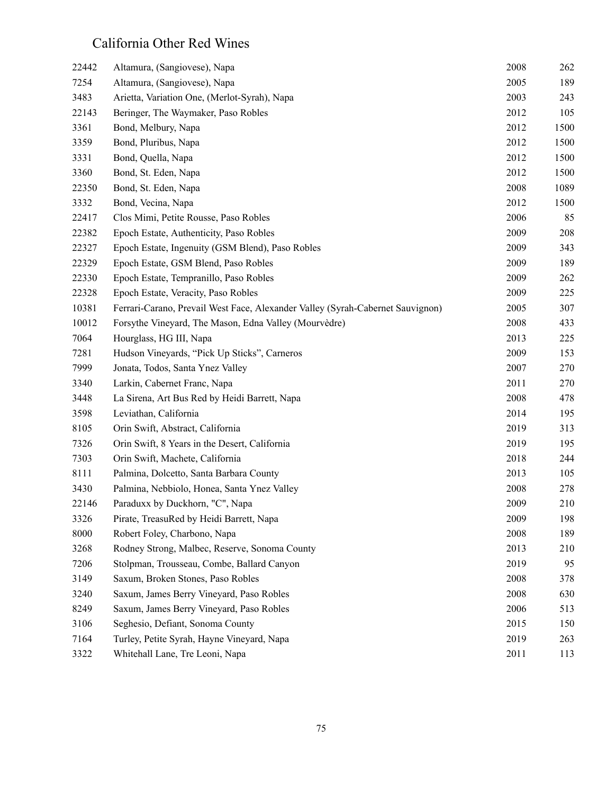## California Other Red Wines

| 22442 | Altamura, (Sangiovese), Napa                                                   | 2008 | 262  |
|-------|--------------------------------------------------------------------------------|------|------|
| 7254  | Altamura, (Sangiovese), Napa                                                   | 2005 | 189  |
| 3483  | Arietta, Variation One, (Merlot-Syrah), Napa                                   | 2003 | 243  |
| 22143 | Beringer, The Waymaker, Paso Robles                                            | 2012 | 105  |
| 3361  | Bond, Melbury, Napa                                                            | 2012 | 1500 |
| 3359  | Bond, Pluribus, Napa                                                           | 2012 | 1500 |
| 3331  | Bond, Quella, Napa                                                             | 2012 | 1500 |
| 3360  | Bond, St. Eden, Napa                                                           | 2012 | 1500 |
| 22350 | Bond, St. Eden, Napa                                                           | 2008 | 1089 |
| 3332  | Bond, Vecina, Napa                                                             | 2012 | 1500 |
| 22417 | Clos Mimi, Petite Rousse, Paso Robles                                          | 2006 | 85   |
| 22382 | Epoch Estate, Authenticity, Paso Robles                                        | 2009 | 208  |
| 22327 | Epoch Estate, Ingenuity (GSM Blend), Paso Robles                               | 2009 | 343  |
| 22329 | Epoch Estate, GSM Blend, Paso Robles                                           | 2009 | 189  |
| 22330 | Epoch Estate, Tempranillo, Paso Robles                                         | 2009 | 262  |
| 22328 | Epoch Estate, Veracity, Paso Robles                                            | 2009 | 225  |
| 10381 | Ferrari-Carano, Prevail West Face, Alexander Valley (Syrah-Cabernet Sauvignon) | 2005 | 307  |
| 10012 | Forsythe Vineyard, The Mason, Edna Valley (Mourvèdre)                          | 2008 | 433  |
| 7064  | Hourglass, HG III, Napa                                                        | 2013 | 225  |
| 7281  | Hudson Vineyards, "Pick Up Sticks", Carneros                                   | 2009 | 153  |
| 7999  | Jonata, Todos, Santa Ynez Valley                                               | 2007 | 270  |
| 3340  | Larkin, Cabernet Franc, Napa                                                   | 2011 | 270  |
| 3448  | La Sirena, Art Bus Red by Heidi Barrett, Napa                                  | 2008 | 478  |
| 3598  | Leviathan, California                                                          | 2014 | 195  |
| 8105  | Orin Swift, Abstract, California                                               | 2019 | 313  |
| 7326  | Orin Swift, 8 Years in the Desert, California                                  | 2019 | 195  |
| 7303  | Orin Swift, Machete, California                                                | 2018 | 244  |
| 8111  | Palmina, Dolcetto, Santa Barbara County                                        | 2013 | 105  |
| 3430  | Palmina, Nebbiolo, Honea, Santa Ynez Valley                                    | 2008 | 278  |
| 22146 | Paraduxx by Duckhorn, "C", Napa                                                | 2009 | 210  |
| 3326  | Pirate, TreasuRed by Heidi Barrett, Napa                                       | 2009 | 198  |
| 8000  | Robert Foley, Charbono, Napa                                                   | 2008 | 189  |
| 3268  | Rodney Strong, Malbec, Reserve, Sonoma County                                  | 2013 | 210  |
| 7206  | Stolpman, Trousseau, Combe, Ballard Canyon                                     | 2019 | 95   |
| 3149  | Saxum, Broken Stones, Paso Robles                                              | 2008 | 378  |
| 3240  | Saxum, James Berry Vineyard, Paso Robles                                       | 2008 | 630  |
| 8249  | Saxum, James Berry Vineyard, Paso Robles                                       | 2006 | 513  |
| 3106  | Seghesio, Defiant, Sonoma County                                               | 2015 | 150  |
| 7164  | Turley, Petite Syrah, Hayne Vineyard, Napa                                     | 2019 | 263  |
| 3322  | Whitehall Lane, Tre Leoni, Napa                                                | 2011 | 113  |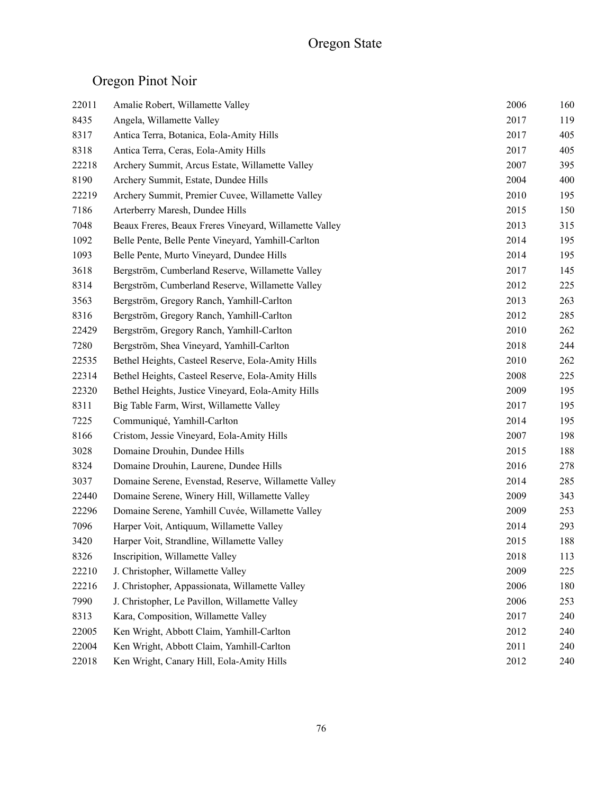# Oregon Pinot Noir

| 22011 | Amalie Robert, Willamette Valley                       | 2006 | 160 |
|-------|--------------------------------------------------------|------|-----|
| 8435  | Angela, Willamette Valley                              | 2017 | 119 |
| 8317  | Antica Terra, Botanica, Eola-Amity Hills               | 2017 | 405 |
| 8318  | Antica Terra, Ceras, Eola-Amity Hills                  | 2017 | 405 |
| 22218 | Archery Summit, Arcus Estate, Willamette Valley        | 2007 | 395 |
| 8190  | Archery Summit, Estate, Dundee Hills                   | 2004 | 400 |
| 22219 | Archery Summit, Premier Cuvee, Willamette Valley       | 2010 | 195 |
| 7186  | Arterberry Maresh, Dundee Hills                        | 2015 | 150 |
| 7048  | Beaux Freres, Beaux Freres Vineyard, Willamette Valley | 2013 | 315 |
| 1092  | Belle Pente, Belle Pente Vineyard, Yamhill-Carlton     | 2014 | 195 |
| 1093  | Belle Pente, Murto Vineyard, Dundee Hills              | 2014 | 195 |
| 3618  | Bergström, Cumberland Reserve, Willamette Valley       | 2017 | 145 |
| 8314  | Bergström, Cumberland Reserve, Willamette Valley       | 2012 | 225 |
| 3563  | Bergström, Gregory Ranch, Yamhill-Carlton              | 2013 | 263 |
| 8316  | Bergström, Gregory Ranch, Yamhill-Carlton              | 2012 | 285 |
| 22429 | Bergström, Gregory Ranch, Yamhill-Carlton              | 2010 | 262 |
| 7280  | Bergström, Shea Vineyard, Yamhill-Carlton              | 2018 | 244 |
| 22535 | Bethel Heights, Casteel Reserve, Eola-Amity Hills      | 2010 | 262 |
| 22314 | Bethel Heights, Casteel Reserve, Eola-Amity Hills      | 2008 | 225 |
| 22320 | Bethel Heights, Justice Vineyard, Eola-Amity Hills     | 2009 | 195 |
| 8311  | Big Table Farm, Wirst, Willamette Valley               | 2017 | 195 |
| 7225  | Communiqué, Yamhill-Carlton                            | 2014 | 195 |
| 8166  | Cristom, Jessie Vineyard, Eola-Amity Hills             | 2007 | 198 |
| 3028  | Domaine Drouhin, Dundee Hills                          | 2015 | 188 |
| 8324  | Domaine Drouhin, Laurene, Dundee Hills                 | 2016 | 278 |
| 3037  | Domaine Serene, Evenstad, Reserve, Willamette Valley   | 2014 | 285 |
| 22440 | Domaine Serene, Winery Hill, Willamette Valley         | 2009 | 343 |
| 22296 | Domaine Serene, Yamhill Cuvée, Willamette Valley       | 2009 | 253 |
| 7096  | Harper Voit, Antiquum, Willamette Valley               | 2014 | 293 |
| 3420  | Harper Voit, Strandline, Willamette Valley             | 2015 | 188 |
| 8326  | Inscripition, Willamette Valley                        | 2018 | 113 |
| 22210 | J. Christopher, Willamette Valley                      | 2009 | 225 |
| 22216 | J. Christopher, Appassionata, Willamette Valley        | 2006 | 180 |
| 7990  | J. Christopher, Le Pavillon, Willamette Valley         | 2006 | 253 |
| 8313  | Kara, Composition, Willamette Valley                   | 2017 | 240 |
| 22005 | Ken Wright, Abbott Claim, Yamhill-Carlton              | 2012 | 240 |
| 22004 | Ken Wright, Abbott Claim, Yamhill-Carlton              | 2011 | 240 |
| 22018 | Ken Wright, Canary Hill, Eola-Amity Hills              | 2012 | 240 |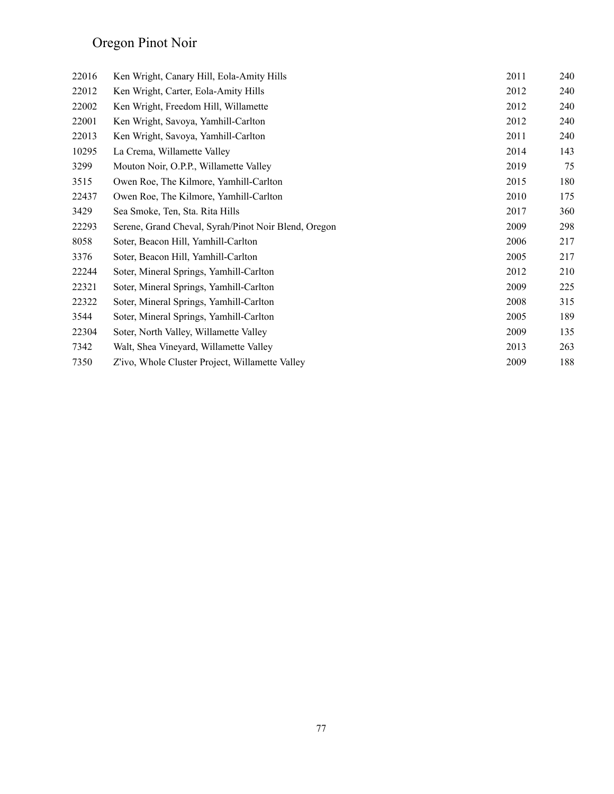# Oregon Pinot Noir

| 22016 | Ken Wright, Canary Hill, Eola-Amity Hills            | 2011 | 240 |
|-------|------------------------------------------------------|------|-----|
| 22012 | Ken Wright, Carter, Eola-Amity Hills                 | 2012 | 240 |
| 22002 | Ken Wright, Freedom Hill, Willamette                 | 2012 | 240 |
| 22001 | Ken Wright, Savoya, Yamhill-Carlton                  | 2012 | 240 |
| 22013 | Ken Wright, Savoya, Yamhill-Carlton                  | 2011 | 240 |
| 10295 | La Crema, Willamette Valley                          | 2014 | 143 |
| 3299  | Mouton Noir, O.P.P., Willamette Valley               | 2019 | 75  |
| 3515  | Owen Roe, The Kilmore, Yamhill-Carlton               | 2015 | 180 |
| 22437 | Owen Roe, The Kilmore, Yamhill-Carlton               | 2010 | 175 |
| 3429  | Sea Smoke, Ten, Sta. Rita Hills                      | 2017 | 360 |
| 22293 | Serene, Grand Cheval, Syrah/Pinot Noir Blend, Oregon | 2009 | 298 |
| 8058  | Soter, Beacon Hill, Yamhill-Carlton                  | 2006 | 217 |
| 3376  | Soter, Beacon Hill, Yamhill-Carlton                  | 2005 | 217 |
| 22244 | Soter, Mineral Springs, Yamhill-Carlton              | 2012 | 210 |
| 22321 | Soter, Mineral Springs, Yamhill-Carlton              | 2009 | 225 |
| 22322 | Soter, Mineral Springs, Yamhill-Carlton              | 2008 | 315 |
| 3544  | Soter, Mineral Springs, Yamhill-Carlton              | 2005 | 189 |
| 22304 | Soter, North Valley, Willamette Valley               | 2009 | 135 |
| 7342  | Walt, Shea Vineyard, Willamette Valley               | 2013 | 263 |
| 7350  | Z'ivo, Whole Cluster Project, Willamette Valley      | 2009 | 188 |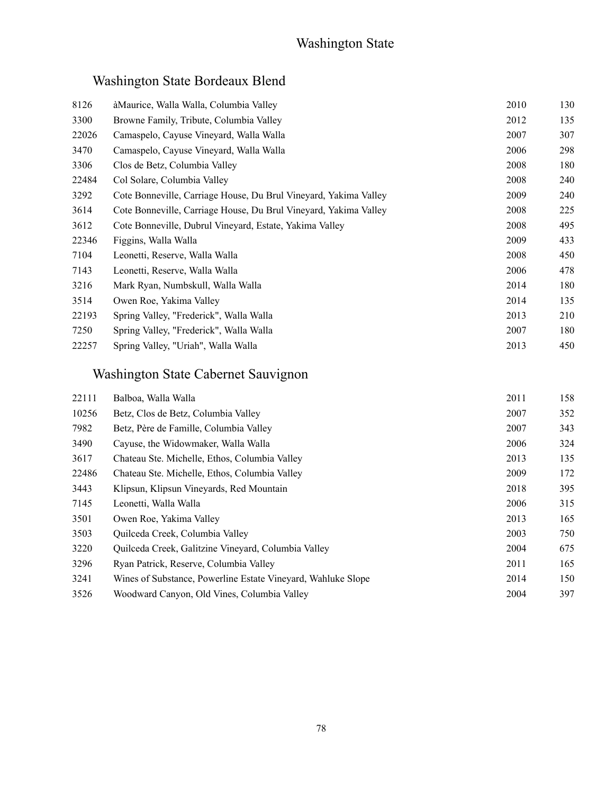## Washington State Bordeaux Blend

| 8126  | àMaurice, Walla Walla, Columbia Valley                           | 2010 | 130 |
|-------|------------------------------------------------------------------|------|-----|
| 3300  | Browne Family, Tribute, Columbia Valley                          | 2012 | 135 |
| 22026 | Camaspelo, Cayuse Vineyard, Walla Walla                          | 2007 | 307 |
| 3470  | Camaspelo, Cayuse Vineyard, Walla Walla                          | 2006 | 298 |
| 3306  | Clos de Betz, Columbia Valley                                    | 2008 | 180 |
| 22484 | Col Solare, Columbia Valley                                      | 2008 | 240 |
| 3292  | Cote Bonneville, Carriage House, Du Brul Vineyard, Yakima Valley | 2009 | 240 |
| 3614  | Cote Bonneville, Carriage House, Du Brul Vineyard, Yakima Valley | 2008 | 225 |
| 3612  | Cote Bonneville, Dubrul Vineyard, Estate, Yakima Valley          | 2008 | 495 |
| 22346 | Figgins, Walla Walla                                             | 2009 | 433 |
| 7104  | Leonetti, Reserve, Walla Walla                                   | 2008 | 450 |
| 7143  | Leonetti, Reserve, Walla Walla                                   | 2006 | 478 |
| 3216  | Mark Ryan, Numbskull, Walla Walla                                | 2014 | 180 |
| 3514  | Owen Roe, Yakima Valley                                          | 2014 | 135 |
| 22193 | Spring Valley, "Frederick", Walla Walla                          | 2013 | 210 |
| 7250  | Spring Valley, "Frederick", Walla Walla                          | 2007 | 180 |
| 22257 | Spring Valley, "Uriah", Walla Walla                              | 2013 | 450 |
|       |                                                                  |      |     |

## Washington State Cabernet Sauvignon

| 22111 | Balboa, Walla Walla                                          | 2011 | 158 |
|-------|--------------------------------------------------------------|------|-----|
| 10256 | Betz, Clos de Betz, Columbia Valley                          | 2007 | 352 |
| 7982  | Betz, Père de Famille, Columbia Valley                       | 2007 | 343 |
| 3490  | Cayuse, the Widowmaker, Walla Walla                          | 2006 | 324 |
| 3617  | Chateau Ste. Michelle, Ethos, Columbia Valley                | 2013 | 135 |
| 22486 | Chateau Ste. Michelle, Ethos, Columbia Valley                | 2009 | 172 |
| 3443  | Klipsun, Klipsun Vineyards, Red Mountain                     | 2018 | 395 |
| 7145  | Leonetti, Walla Walla                                        | 2006 | 315 |
| 3501  | Owen Roe, Yakima Valley                                      | 2013 | 165 |
| 3503  | Quilceda Creek, Columbia Valley                              | 2003 | 750 |
| 3220  | Quilceda Creek, Galitzine Vineyard, Columbia Valley          | 2004 | 675 |
| 3296  | Ryan Patrick, Reserve, Columbia Valley                       | 2011 | 165 |
| 3241  | Wines of Substance, Powerline Estate Vineyard, Wahluke Slope | 2014 | 150 |
| 3526  | Woodward Canyon, Old Vines, Columbia Valley                  | 2004 | 397 |
|       |                                                              |      |     |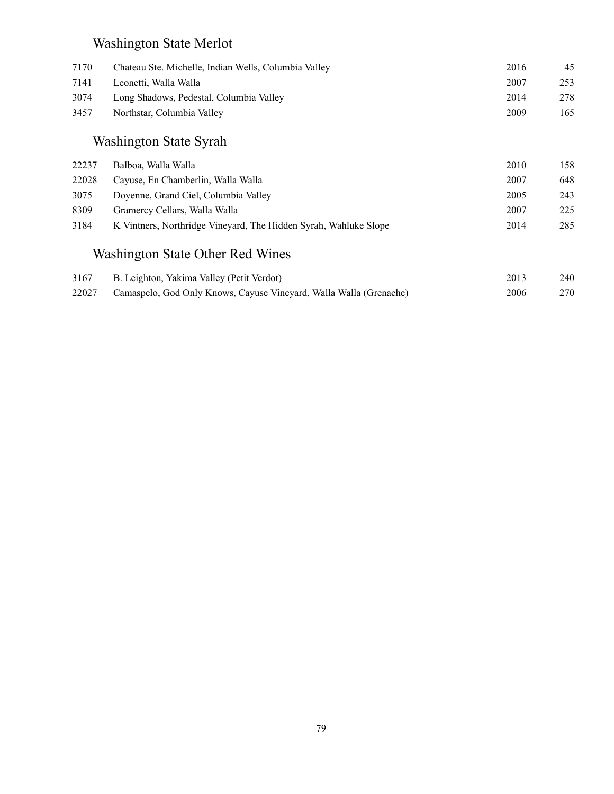## Washington State Merlot

| 7170  | Chateau Ste. Michelle, Indian Wells, Columbia Valley               | 2016 | 45  |
|-------|--------------------------------------------------------------------|------|-----|
| 7141  | Leonetti, Walla Walla                                              | 2007 | 253 |
| 3074  | Long Shadows, Pedestal, Columbia Valley                            | 2014 | 278 |
| 3457  | Northstar, Columbia Valley                                         | 2009 | 165 |
|       | Washington State Syrah                                             |      |     |
| 22237 | Balboa, Walla Walla                                                | 2010 | 158 |
| 22028 | Cayuse, En Chamberlin, Walla Walla                                 | 2007 | 648 |
| 3075  | Doyenne, Grand Ciel, Columbia Valley                               | 2005 | 243 |
| 8309  | Gramercy Cellars, Walla Walla                                      | 2007 | 225 |
| 3184  | K Vintners, Northridge Vineyard, The Hidden Syrah, Wahluke Slope   | 2014 | 285 |
|       | Washington State Other Red Wines                                   |      |     |
| 3167  | B. Leighton, Yakima Valley (Petit Verdot)                          | 2013 | 240 |
| 22027 | Camaspelo, God Only Knows, Cayuse Vineyard, Walla Walla (Grenache) | 2006 | 270 |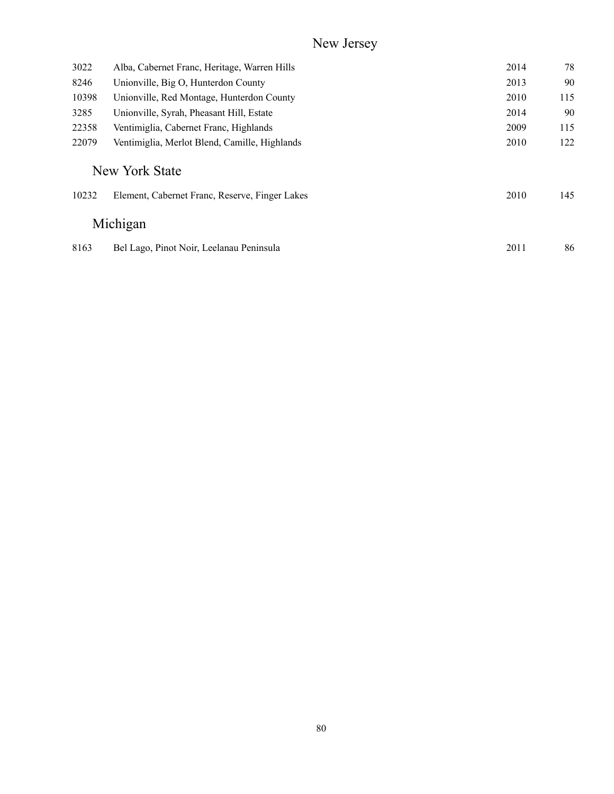## New Jersey

| 3022  | Alba, Cabernet Franc, Heritage, Warren Hills   | 2014 | 78  |
|-------|------------------------------------------------|------|-----|
| 8246  | Unionville, Big O, Hunterdon County            | 2013 | 90  |
| 10398 | Unionville, Red Montage, Hunterdon County      | 2010 | 115 |
| 3285  | Unionville, Syrah, Pheasant Hill, Estate       | 2014 | 90  |
| 22358 | Ventimiglia, Cabernet Franc, Highlands         | 2009 | 115 |
| 22079 | Ventimiglia, Merlot Blend, Camille, Highlands  | 2010 | 122 |
|       | New York State                                 |      |     |
| 10232 | Element, Cabernet Franc, Reserve, Finger Lakes | 2010 | 145 |
|       | Michigan                                       |      |     |
| 8163  | Bel Lago, Pinot Noir, Leelanau Peninsula       | 2011 | 86  |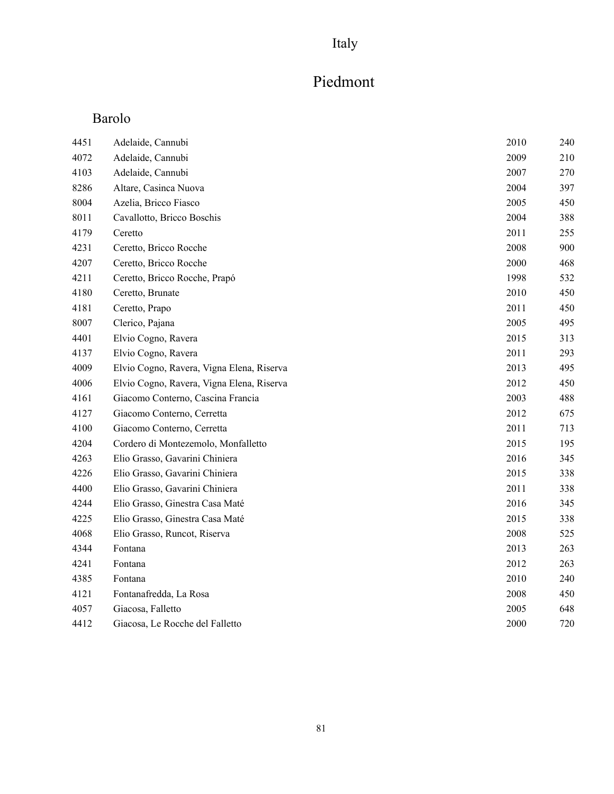## Italy

# Piedmont

## Barolo

| 4451 | Adelaide, Cannubi                         | 2010 | 240 |
|------|-------------------------------------------|------|-----|
| 4072 | Adelaide, Cannubi                         | 2009 | 210 |
| 4103 | Adelaide, Cannubi                         | 2007 | 270 |
| 8286 | Altare, Casinca Nuova                     | 2004 | 397 |
| 8004 | Azelia, Bricco Fiasco                     | 2005 | 450 |
| 8011 | Cavallotto, Bricco Boschis                | 2004 | 388 |
| 4179 | Ceretto                                   | 2011 | 255 |
| 4231 | Ceretto, Bricco Rocche                    | 2008 | 900 |
| 4207 | Ceretto, Bricco Rocche                    | 2000 | 468 |
| 4211 | Ceretto, Bricco Rocche, Prapó             | 1998 | 532 |
| 4180 | Ceretto, Brunate                          | 2010 | 450 |
| 4181 | Ceretto, Prapo                            | 2011 | 450 |
| 8007 | Clerico, Pajana                           | 2005 | 495 |
| 4401 | Elvio Cogno, Ravera                       | 2015 | 313 |
| 4137 | Elvio Cogno, Ravera                       | 2011 | 293 |
| 4009 | Elvio Cogno, Ravera, Vigna Elena, Riserva | 2013 | 495 |
| 4006 | Elvio Cogno, Ravera, Vigna Elena, Riserva | 2012 | 450 |
| 4161 | Giacomo Conterno, Cascina Francia         | 2003 | 488 |
| 4127 | Giacomo Conterno, Cerretta                | 2012 | 675 |
| 4100 | Giacomo Conterno, Cerretta                | 2011 | 713 |
| 4204 | Cordero di Montezemolo, Monfalletto       | 2015 | 195 |
| 4263 | Elio Grasso, Gavarini Chiniera            | 2016 | 345 |
| 4226 | Elio Grasso, Gavarini Chiniera            | 2015 | 338 |
| 4400 | Elio Grasso, Gavarini Chiniera            | 2011 | 338 |
| 4244 | Elio Grasso, Ginestra Casa Maté           | 2016 | 345 |
| 4225 | Elio Grasso, Ginestra Casa Maté           | 2015 | 338 |
| 4068 | Elio Grasso, Runcot, Riserva              | 2008 | 525 |
| 4344 | Fontana                                   | 2013 | 263 |
| 4241 | Fontana                                   | 2012 | 263 |
| 4385 | Fontana                                   | 2010 | 240 |
| 4121 | Fontanafredda, La Rosa                    | 2008 | 450 |
| 4057 | Giacosa, Falletto                         | 2005 | 648 |
| 4412 | Giacosa, Le Rocche del Falletto           | 2000 | 720 |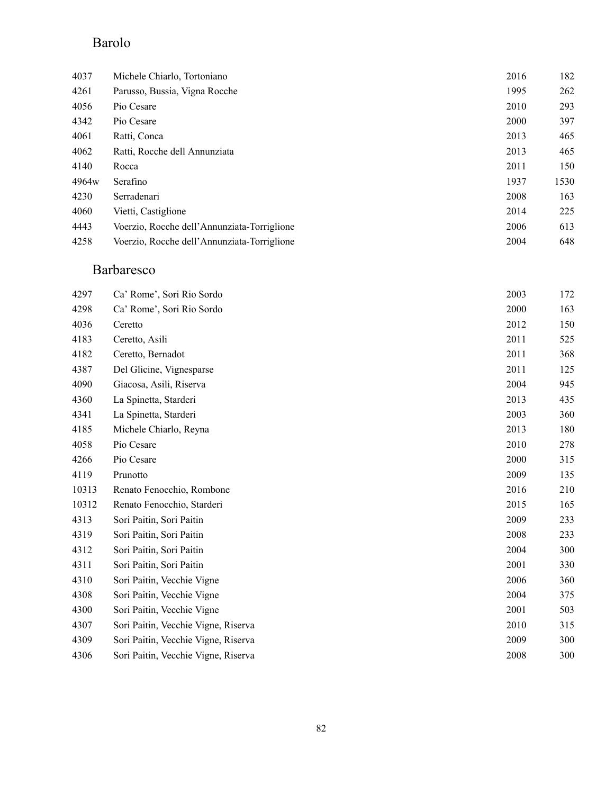### Barolo

| 4037              | Michele Chiarlo, Tortoniano                 | 2016 | 182  |
|-------------------|---------------------------------------------|------|------|
| 4261              | Parusso, Bussia, Vigna Rocche               | 1995 | 262  |
| 4056              | Pio Cesare                                  | 2010 | 293  |
| 4342              | Pio Cesare                                  | 2000 | 397  |
| 4061              | Ratti, Conca                                | 2013 | 465  |
| 4062              | Ratti, Rocche dell Annunziata               | 2013 | 465  |
| 4140              | Rocca                                       | 2011 | 150  |
| 4964 <sub>w</sub> | Serafino                                    | 1937 | 1530 |
| 4230              | Serradenari                                 | 2008 | 163  |
| 4060              | Vietti, Castiglione                         | 2014 | 225  |
| 4443              | Voerzio, Rocche dell'Annunziata-Torriglione | 2006 | 613  |
| 4258              | Voerzio, Rocche dell'Annunziata-Torriglione | 2004 | 648  |

### Barbaresco

| 4297  | Ca' Rome', Sori Rio Sordo           | 2003 | 172 |
|-------|-------------------------------------|------|-----|
| 4298  | Ca' Rome', Sori Rio Sordo           | 2000 | 163 |
| 4036  | Ceretto                             | 2012 | 150 |
| 4183  | Ceretto, Asili                      | 2011 | 525 |
| 4182  | Ceretto, Bernadot                   | 2011 | 368 |
| 4387  | Del Glicine, Vignesparse            | 2011 | 125 |
| 4090  | Giacosa, Asili, Riserva             | 2004 | 945 |
| 4360  | La Spinetta, Starderi               | 2013 | 435 |
| 4341  | La Spinetta, Starderi               | 2003 | 360 |
| 4185  | Michele Chiarlo, Reyna              | 2013 | 180 |
| 4058  | Pio Cesare                          | 2010 | 278 |
| 4266  | Pio Cesare                          | 2000 | 315 |
| 4119  | Prunotto                            | 2009 | 135 |
| 10313 | Renato Fenocchio, Rombone           | 2016 | 210 |
| 10312 | Renato Fenocchio, Starderi          | 2015 | 165 |
| 4313  | Sori Paitin, Sori Paitin            | 2009 | 233 |
| 4319  | Sori Paitin, Sori Paitin            | 2008 | 233 |
| 4312  | Sori Paitin, Sori Paitin            | 2004 | 300 |
| 4311  | Sori Paitin, Sori Paitin            | 2001 | 330 |
| 4310  | Sori Paitin, Vecchie Vigne          | 2006 | 360 |
| 4308  | Sori Paitin, Vecchie Vigne          | 2004 | 375 |
| 4300  | Sori Paitin, Vecchie Vigne          | 2001 | 503 |
| 4307  | Sori Paitin, Vecchie Vigne, Riserva | 2010 | 315 |
| 4309  | Sori Paitin, Vecchie Vigne, Riserva | 2009 | 300 |
| 4306  | Sori Paitin, Vecchie Vigne, Riserva | 2008 | 300 |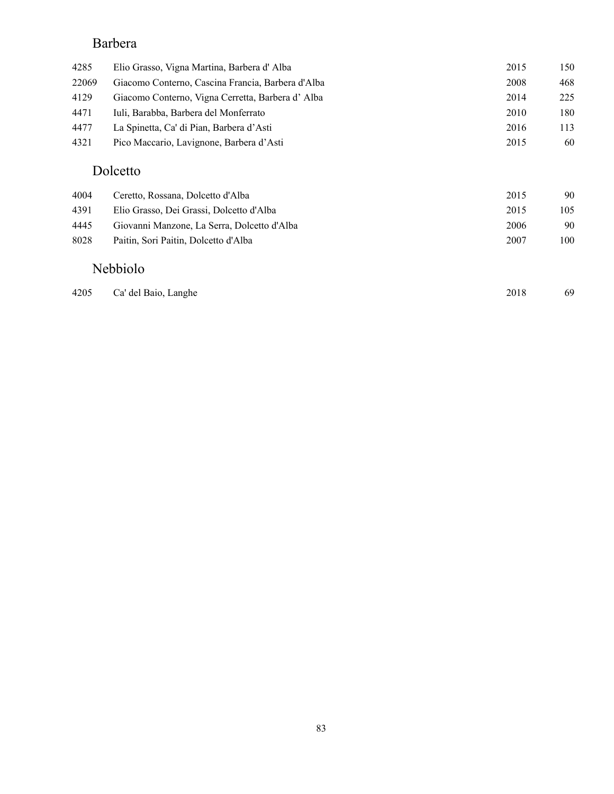### Barbera

| 4285  | Elio Grasso, Vigna Martina, Barbera d'Alba        | 2015 | 150 |
|-------|---------------------------------------------------|------|-----|
| 22069 | Giacomo Conterno, Cascina Francia, Barbera d'Alba | 2008 | 468 |
| 4129  | Giacomo Conterno, Vigna Cerretta, Barbera d'Alba  | 2014 | 225 |
| 4471  | Iuli, Barabba, Barbera del Monferrato             | 2010 | 180 |
| 4477  | La Spinetta, Ca' di Pian, Barbera d'Asti          | 2016 | 113 |
| 4321  | Pico Maccario, Lavignone, Barbera d'Asti          | 2015 | 60  |
|       | Dolcetto                                          |      |     |
| 4004  | Ceretto, Rossana, Dolcetto d'Alba                 | 2015 | 90  |
| 4391  | Elio Grasso, Dei Grassi, Dolcetto d'Alba          | 2015 | 105 |
| 4445  | Giovanni Manzone, La Serra, Dolcetto d'Alba       | 2006 | 90  |
| 8028  | Paitin, Sori Paitin, Dolcetto d'Alba              | 2007 | 100 |
|       | <b>Nebbiolo</b>                                   |      |     |

| 4205 Ca' del Baio, Langhe | 2018 | 69 |
|---------------------------|------|----|
|                           |      |    |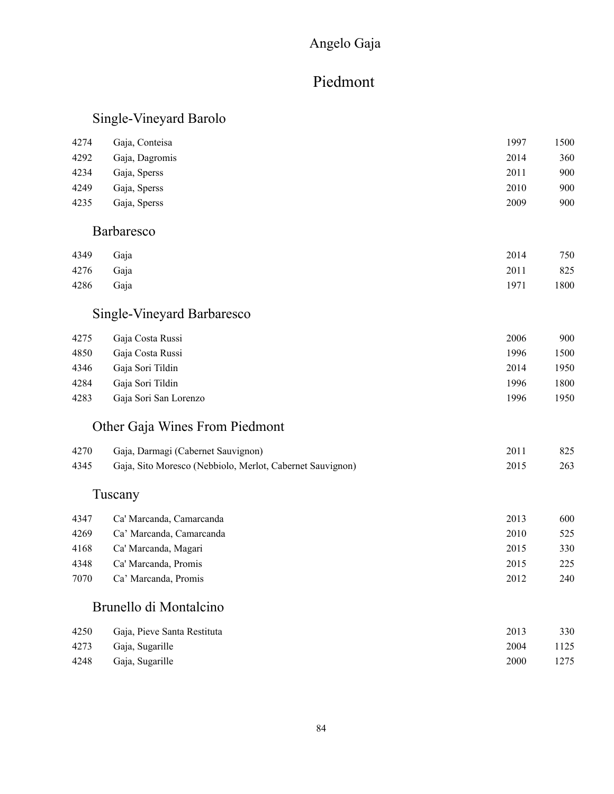### Angelo Gaja

## Piedmont

### Single-Vineyard Barolo

| 4274 | Gaja, Conteisa    | 1997 | 1500 |
|------|-------------------|------|------|
| 4292 | Gaja, Dagromis    | 2014 | 360  |
| 4234 | Gaja, Sperss      | 2011 | 900  |
| 4249 | Gaja, Sperss      | 2010 | 900  |
| 4235 | Gaja, Sperss      | 2009 | 900  |
|      | <b>Barbaresco</b> |      |      |
| 4349 | Gaja              | 2014 | 750  |

| 4276 Gaja |  | 2011 825  |
|-----------|--|-----------|
| 4286 Gaja |  | 1971 1800 |

### Single-Vineyard Barbaresco

| 4275 | Gaja Costa Russi      | 2006 | 900  |
|------|-----------------------|------|------|
| 4850 | Gaja Costa Russi      | 1996 | 1500 |
| 4346 | Gaja Sori Tildin      | 2014 | 1950 |
| 4284 | Gaja Sori Tildin      | 1996 | 1800 |
| 4283 | Gaja Sori San Lorenzo | 1996 | 1950 |
|      |                       |      |      |

### Other Gaja Wines From Piedmont

| 4270 | Gaja, Darmagi (Cabernet Sauvignon)                        | 2011 | 825 |
|------|-----------------------------------------------------------|------|-----|
| 4345 | Gaja, Sito Moresco (Nebbiolo, Merlot, Cabernet Sauvignon) | 2015 | 263 |

### Tuscany

| 4347 | Ca' Marcanda, Camarcanda | 2013 | 600 |
|------|--------------------------|------|-----|
| 4269 | Ca' Marcanda, Camarcanda | 2010 | 525 |
| 4168 | Ca' Marcanda, Magari     | 2015 | 330 |
| 4348 | Ca' Marcanda, Promis     | 2015 | 225 |
| 7070 | Ca' Marcanda, Promis     | 2012 | 240 |

#### Brunello di Montalcino

| 4250 | Gaja, Pieve Santa Restituta | 2013 | 330  |
|------|-----------------------------|------|------|
|      | 4273 Gaja, Sugarille        | 2004 | 1125 |
|      | 4248 Gaja, Sugarille        | 2000 | 1275 |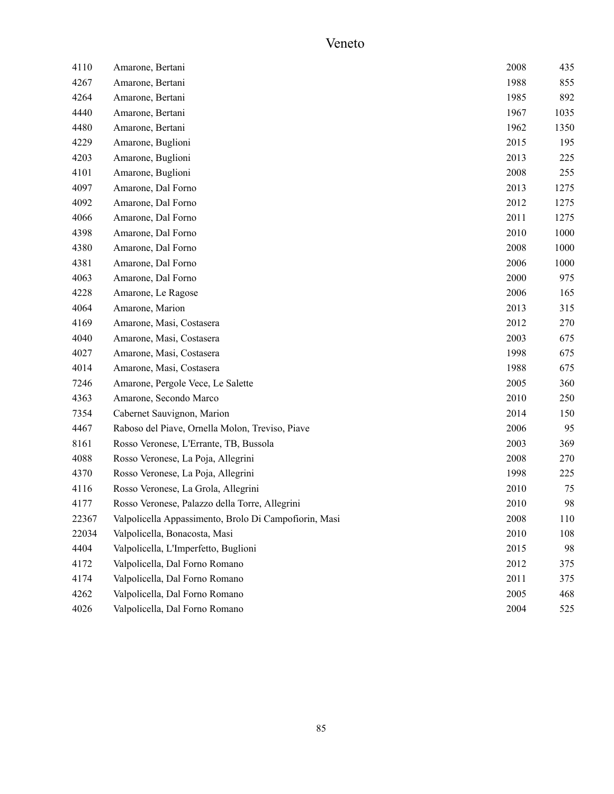### Veneto

| 4110  | Amarone, Bertani                                      | 2008 | 435  |
|-------|-------------------------------------------------------|------|------|
| 4267  | Amarone, Bertani                                      | 1988 | 855  |
| 4264  | Amarone, Bertani                                      | 1985 | 892  |
| 4440  | Amarone, Bertani                                      | 1967 | 1035 |
| 4480  | Amarone, Bertani                                      | 1962 | 1350 |
| 4229  | Amarone, Buglioni                                     | 2015 | 195  |
| 4203  | Amarone, Buglioni                                     | 2013 | 225  |
| 4101  | Amarone, Buglioni                                     | 2008 | 255  |
| 4097  | Amarone, Dal Forno                                    | 2013 | 1275 |
| 4092  | Amarone, Dal Forno                                    | 2012 | 1275 |
| 4066  | Amarone, Dal Forno                                    | 2011 | 1275 |
| 4398  | Amarone, Dal Forno                                    | 2010 | 1000 |
| 4380  | Amarone, Dal Forno                                    | 2008 | 1000 |
| 4381  | Amarone, Dal Forno                                    | 2006 | 1000 |
| 4063  | Amarone, Dal Forno                                    | 2000 | 975  |
| 4228  | Amarone, Le Ragose                                    | 2006 | 165  |
| 4064  | Amarone, Marion                                       | 2013 | 315  |
| 4169  | Amarone, Masi, Costasera                              | 2012 | 270  |
| 4040  | Amarone, Masi, Costasera                              | 2003 | 675  |
| 4027  | Amarone, Masi, Costasera                              | 1998 | 675  |
| 4014  | Amarone, Masi, Costasera                              | 1988 | 675  |
| 7246  | Amarone, Pergole Vece, Le Salette                     | 2005 | 360  |
| 4363  | Amarone, Secondo Marco                                | 2010 | 250  |
| 7354  | Cabernet Sauvignon, Marion                            | 2014 | 150  |
| 4467  | Raboso del Piave, Ornella Molon, Treviso, Piave       | 2006 | 95   |
| 8161  | Rosso Veronese, L'Errante, TB, Bussola                | 2003 | 369  |
| 4088  | Rosso Veronese, La Poja, Allegrini                    | 2008 | 270  |
| 4370  | Rosso Veronese, La Poja, Allegrini                    | 1998 | 225  |
| 4116  | Rosso Veronese, La Grola, Allegrini                   | 2010 | 75   |
| 4177  | Rosso Veronese, Palazzo della Torre, Allegrini        | 2010 | 98   |
| 22367 | Valpolicella Appassimento, Brolo Di Campofiorin, Masi | 2008 | 110  |
| 22034 | Valpolicella, Bonacosta, Masi                         | 2010 | 108  |
| 4404  | Valpolicella, L'Imperfetto, Buglioni                  | 2015 | 98   |
| 4172  | Valpolicella, Dal Forno Romano                        | 2012 | 375  |
| 4174  | Valpolicella, Dal Forno Romano                        | 2011 | 375  |
| 4262  | Valpolicella, Dal Forno Romano                        | 2005 | 468  |
| 4026  | Valpolicella, Dal Forno Romano                        | 2004 | 525  |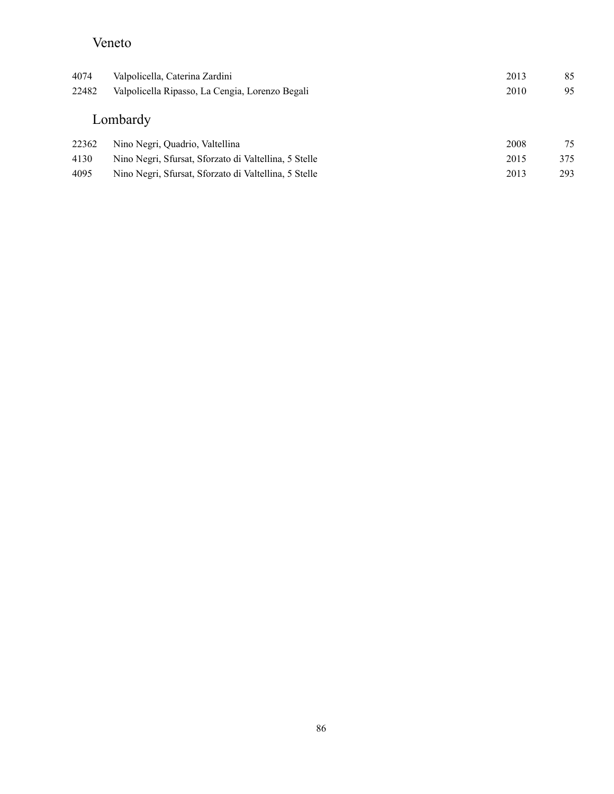### Veneto

| 4074<br>22482 | Valpolicella, Caterina Zardini<br>Valpolicella Ripasso, La Cengia, Lorenzo Begali | 2013<br>2010 | 85<br>95 |
|---------------|-----------------------------------------------------------------------------------|--------------|----------|
|               | Lombardy                                                                          |              |          |
| 22362         | Nino Negri, Quadrio, Valtellina                                                   | 2008         | 75       |
| 4130          | Nino Negri, Sfursat, Sforzato di Valtellina, 5 Stelle                             | 2015         | 375      |
| 4095          | Nino Negri, Sfursat, Sforzato di Valtellina, 5 Stelle                             | 2013         | 293      |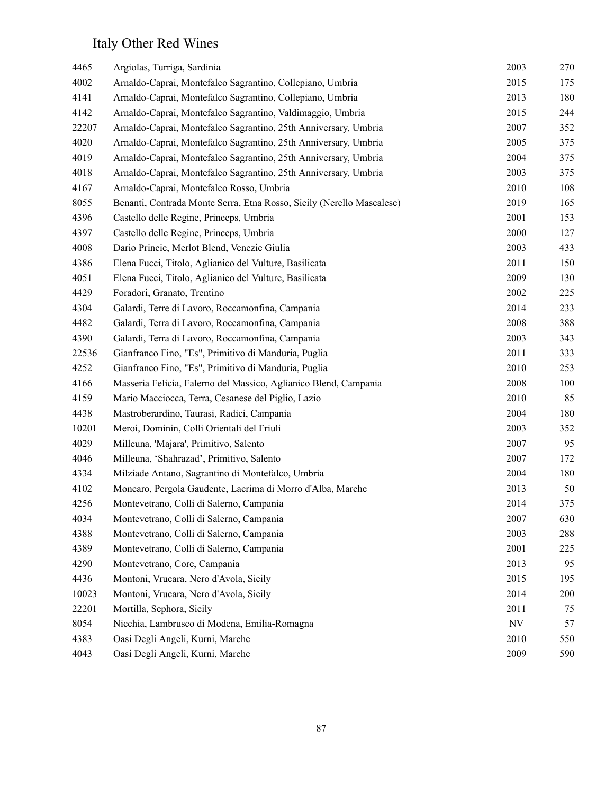## Italy Other Red Wines

| 4465  | Argiolas, Turriga, Sardinia                                           | 2003                     | 270 |
|-------|-----------------------------------------------------------------------|--------------------------|-----|
| 4002  | Arnaldo-Caprai, Montefalco Sagrantino, Collepiano, Umbria             | 2015                     | 175 |
| 4141  | Arnaldo-Caprai, Montefalco Sagrantino, Collepiano, Umbria             | 2013                     | 180 |
| 4142  | Arnaldo-Caprai, Montefalco Sagrantino, Valdimaggio, Umbria            | 2015                     | 244 |
| 22207 | Arnaldo-Caprai, Montefalco Sagrantino, 25th Anniversary, Umbria       | 2007                     | 352 |
| 4020  | Arnaldo-Caprai, Montefalco Sagrantino, 25th Anniversary, Umbria       | 2005                     | 375 |
| 4019  | Arnaldo-Caprai, Montefalco Sagrantino, 25th Anniversary, Umbria       | 2004                     | 375 |
| 4018  | Arnaldo-Caprai, Montefalco Sagrantino, 25th Anniversary, Umbria       | 2003                     | 375 |
| 4167  | Arnaldo-Caprai, Montefalco Rosso, Umbria                              | 2010                     | 108 |
| 8055  | Benanti, Contrada Monte Serra, Etna Rosso, Sicily (Nerello Mascalese) | 2019                     | 165 |
| 4396  | Castello delle Regine, Princeps, Umbria                               | 2001                     | 153 |
| 4397  | Castello delle Regine, Princeps, Umbria                               | 2000                     | 127 |
| 4008  | Dario Princic, Merlot Blend, Venezie Giulia                           | 2003                     | 433 |
| 4386  | Elena Fucci, Titolo, Aglianico del Vulture, Basilicata                | 2011                     | 150 |
| 4051  | Elena Fucci, Titolo, Aglianico del Vulture, Basilicata                | 2009                     | 130 |
| 4429  | Foradori, Granato, Trentino                                           | 2002                     | 225 |
| 4304  | Galardi, Terre di Lavoro, Roccamonfina, Campania                      | 2014                     | 233 |
| 4482  | Galardi, Terra di Lavoro, Roccamonfina, Campania                      | 2008                     | 388 |
| 4390  | Galardi, Terra di Lavoro, Roccamonfina, Campania                      | 2003                     | 343 |
| 22536 | Gianfranco Fino, "Es", Primitivo di Manduria, Puglia                  | 2011                     | 333 |
| 4252  | Gianfranco Fino, "Es", Primitivo di Manduria, Puglia                  | 2010                     | 253 |
| 4166  | Masseria Felicia, Falerno del Massico, Aglianico Blend, Campania      | 2008                     | 100 |
| 4159  | Mario Macciocca, Terra, Cesanese del Piglio, Lazio                    | 2010                     | 85  |
| 4438  | Mastroberardino, Taurasi, Radici, Campania                            | 2004                     | 180 |
| 10201 | Meroi, Dominin, Colli Orientali del Friuli                            | 2003                     | 352 |
| 4029  | Milleuna, 'Majara', Primitivo, Salento                                | 2007                     | 95  |
| 4046  | Milleuna, 'Shahrazad', Primitivo, Salento                             | 2007                     | 172 |
| 4334  | Milziade Antano, Sagrantino di Montefalco, Umbria                     | 2004                     | 180 |
| 4102  | Moncaro, Pergola Gaudente, Lacrima di Morro d'Alba, Marche            | 2013                     | 50  |
| 4256  | Montevetrano, Colli di Salerno, Campania                              | 2014                     | 375 |
| 4034  | Montevetrano, Colli di Salerno, Campania                              | 2007                     | 630 |
| 4388  | Montevetrano, Colli di Salerno, Campania                              | 2003                     | 288 |
| 4389  | Montevetrano, Colli di Salerno, Campania                              | 2001                     | 225 |
| 4290  | Montevetrano, Core, Campania                                          | 2013                     | 95  |
| 4436  | Montoni, Vrucara, Nero d'Avola, Sicily                                | 2015                     | 195 |
| 10023 | Montoni, Vrucara, Nero d'Avola, Sicily                                | 2014                     | 200 |
| 22201 | Mortilla, Sephora, Sicily                                             | 2011                     | 75  |
| 8054  | Nicchia, Lambrusco di Modena, Emilia-Romagna                          | $\ensuremath{\text{NV}}$ | 57  |
| 4383  | Oasi Degli Angeli, Kurni, Marche                                      | 2010                     | 550 |
| 4043  | Oasi Degli Angeli, Kurni, Marche                                      | 2009                     | 590 |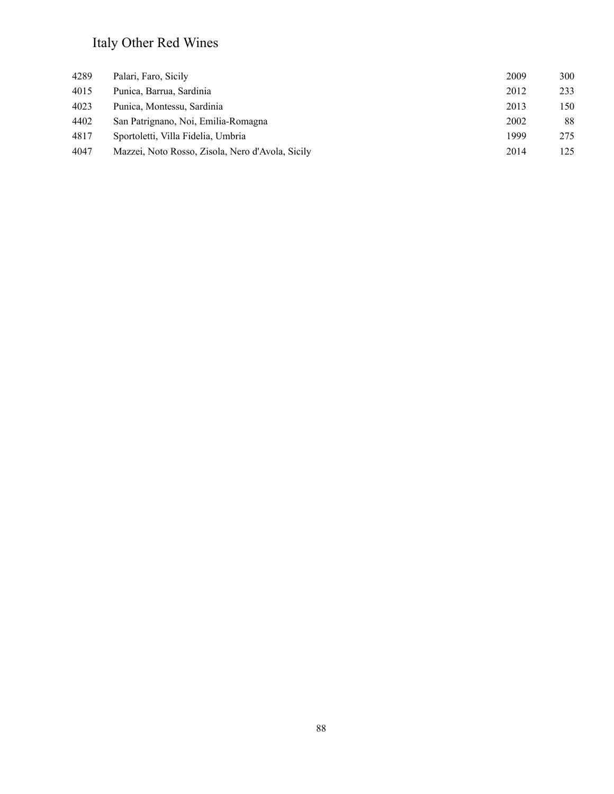## Italy Other Red Wines

| 4289 | Palari, Faro, Sicily                             | 2009 | 300 |
|------|--------------------------------------------------|------|-----|
| 4015 | Punica, Barrua, Sardinia                         | 2012 | 233 |
| 4023 | Punica, Montessu, Sardinia                       | 2013 | 150 |
| 4402 | San Patrignano, Noi, Emilia-Romagna              | 2002 | 88  |
| 4817 | Sportoletti, Villa Fidelia, Umbria               | 1999 | 275 |
| 4047 | Mazzei, Noto Rosso, Zisola, Nero d'Avola, Sicily | 2014 | 125 |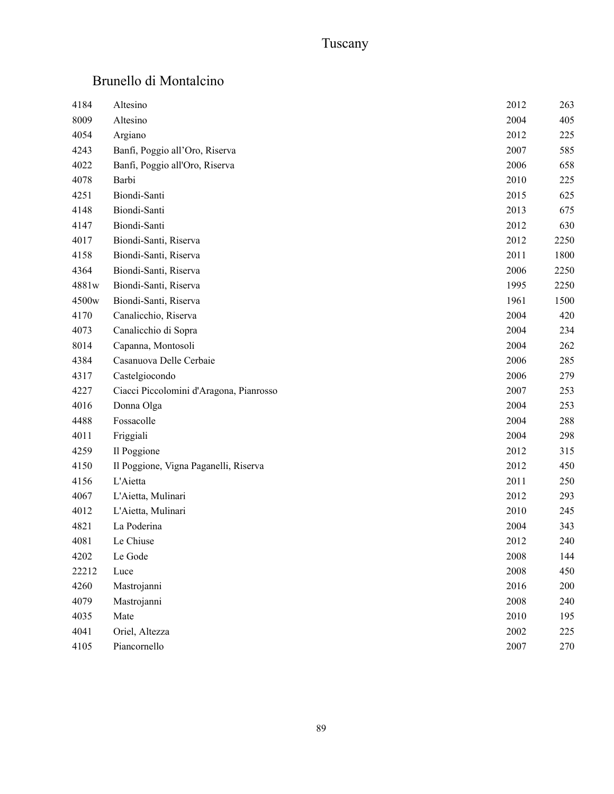## Tuscany

### Brunello di Montalcino

| 4184  | Altesino                                | 2012 | 263  |
|-------|-----------------------------------------|------|------|
| 8009  | Altesino                                | 2004 | 405  |
| 4054  | Argiano                                 | 2012 | 225  |
| 4243  | Banfi, Poggio all'Oro, Riserva          | 2007 | 585  |
| 4022  | Banfi, Poggio all'Oro, Riserva          | 2006 | 658  |
| 4078  | Barbi                                   | 2010 | 225  |
| 4251  | Biondi-Santi                            | 2015 | 625  |
| 4148  | Biondi-Santi                            | 2013 | 675  |
| 4147  | Biondi-Santi                            | 2012 | 630  |
| 4017  | Biondi-Santi, Riserva                   | 2012 | 2250 |
| 4158  | Biondi-Santi, Riserva                   | 2011 | 1800 |
| 4364  | Biondi-Santi, Riserva                   | 2006 | 2250 |
| 4881w | Biondi-Santi, Riserva                   | 1995 | 2250 |
| 4500w | Biondi-Santi, Riserva                   | 1961 | 1500 |
| 4170  | Canalicchio, Riserva                    | 2004 | 420  |
| 4073  | Canalicchio di Sopra                    | 2004 | 234  |
| 8014  | Capanna, Montosoli                      | 2004 | 262  |
| 4384  | Casanuova Delle Cerbaie                 | 2006 | 285  |
| 4317  | Castelgiocondo                          | 2006 | 279  |
| 4227  | Ciacci Piccolomini d'Aragona, Pianrosso | 2007 | 253  |
| 4016  | Donna Olga                              | 2004 | 253  |
| 4488  | Fossacolle                              | 2004 | 288  |
| 4011  | Friggiali                               | 2004 | 298  |
| 4259  | Il Poggione                             | 2012 | 315  |
| 4150  | Il Poggione, Vigna Paganelli, Riserva   | 2012 | 450  |
| 4156  | L'Aietta                                | 2011 | 250  |
| 4067  | L'Aietta, Mulinari                      | 2012 | 293  |
| 4012  | L'Aietta, Mulinari                      | 2010 | 245  |
| 4821  | La Poderina                             | 2004 | 343  |
| 4081  | Le Chiuse                               | 2012 | 240  |
| 4202  | Le Gode                                 | 2008 | 144  |
| 22212 | Luce                                    | 2008 | 450  |
| 4260  | Mastrojanni                             | 2016 | 200  |
| 4079  | Mastrojanni                             | 2008 | 240  |
| 4035  | Mate                                    | 2010 | 195  |
| 4041  | Oriel, Altezza                          | 2002 | 225  |
| 4105  | Piancornello                            | 2007 | 270  |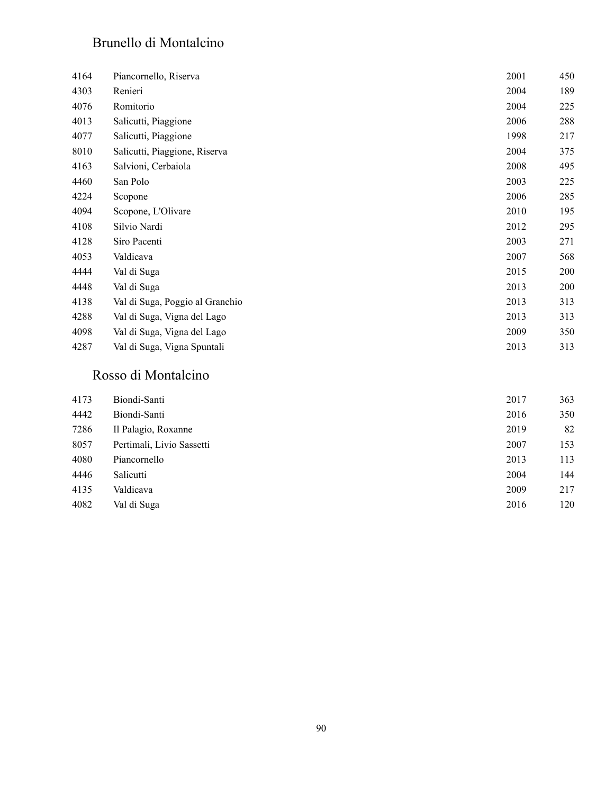### Brunello di Montalcino

| 4164 | Piancornello, Riserva           | 2001 | 450 |
|------|---------------------------------|------|-----|
| 4303 | Renieri                         | 2004 | 189 |
| 4076 | Romitorio                       | 2004 | 225 |
| 4013 | Salicutti, Piaggione            | 2006 | 288 |
| 4077 | Salicutti, Piaggione            | 1998 | 217 |
| 8010 | Salicutti, Piaggione, Riserva   | 2004 | 375 |
| 4163 | Salvioni, Cerbaiola             | 2008 | 495 |
| 4460 | San Polo                        | 2003 | 225 |
| 4224 | Scopone                         | 2006 | 285 |
| 4094 | Scopone, L'Olivare              | 2010 | 195 |
| 4108 | Silvio Nardi                    | 2012 | 295 |
| 4128 | Siro Pacenti                    | 2003 | 271 |
| 4053 | Valdicava                       | 2007 | 568 |
| 4444 | Val di Suga                     | 2015 | 200 |
| 4448 | Val di Suga                     | 2013 | 200 |
| 4138 | Val di Suga, Poggio al Granchio | 2013 | 313 |
| 4288 | Val di Suga, Vigna del Lago     | 2013 | 313 |
| 4098 | Val di Suga, Vigna del Lago     | 2009 | 350 |
| 4287 | Val di Suga, Vigna Spuntali     | 2013 | 313 |

#### Rosso di Montalcino

| 4173 | Biondi-Santi              | 2017 | 363 |
|------|---------------------------|------|-----|
| 4442 | Biondi-Santi              | 2016 | 350 |
| 7286 | Il Palagio, Roxanne       | 2019 | 82  |
| 8057 | Pertimali, Livio Sassetti | 2007 | 153 |
| 4080 | Piancornello              | 2013 | 113 |
| 4446 | Salicutti                 | 2004 | 144 |
| 4135 | Valdicava                 | 2009 | 217 |
| 4082 | Val di Suga               | 2016 | 120 |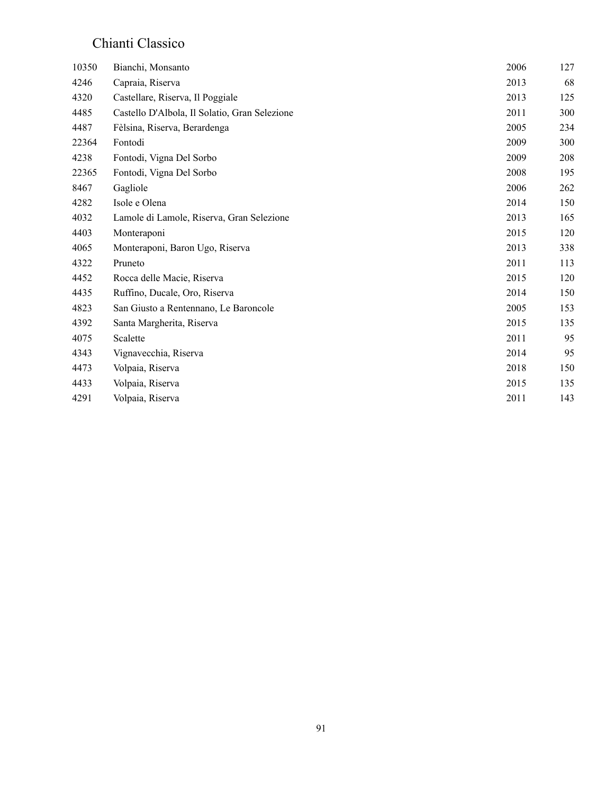### Chianti Classico

| 10350 | Bianchi, Monsanto                             | 2006 | 127 |
|-------|-----------------------------------------------|------|-----|
| 4246  | Capraia, Riserva                              | 2013 | 68  |
| 4320  | Castellare, Riserva, Il Poggiale              | 2013 | 125 |
| 4485  | Castello D'Albola, Il Solatio, Gran Selezione | 2011 | 300 |
| 4487  | Fèlsina, Riserva, Berardenga                  | 2005 | 234 |
| 22364 | Fontodi                                       | 2009 | 300 |
| 4238  | Fontodi, Vigna Del Sorbo                      | 2009 | 208 |
| 22365 | Fontodi, Vigna Del Sorbo                      | 2008 | 195 |
| 8467  | Gagliole                                      | 2006 | 262 |
| 4282  | Isole e Olena                                 | 2014 | 150 |
| 4032  | Lamole di Lamole, Riserva, Gran Selezione     | 2013 | 165 |
| 4403  | Monteraponi                                   | 2015 | 120 |
| 4065  | Monteraponi, Baron Ugo, Riserva               | 2013 | 338 |
| 4322  | Pruneto                                       | 2011 | 113 |
| 4452  | Rocca delle Macie, Riserva                    | 2015 | 120 |
| 4435  | Ruffino, Ducale, Oro, Riserva                 | 2014 | 150 |
| 4823  | San Giusto a Rentennano, Le Baroncole         | 2005 | 153 |
| 4392  | Santa Margherita, Riserva                     | 2015 | 135 |
| 4075  | Scalette                                      | 2011 | 95  |
| 4343  | Vignavecchia, Riserva                         | 2014 | 95  |
| 4473  | Volpaia, Riserva                              | 2018 | 150 |
| 4433  | Volpaia, Riserva                              | 2015 | 135 |
| 4291  | Volpaia, Riserva                              | 2011 | 143 |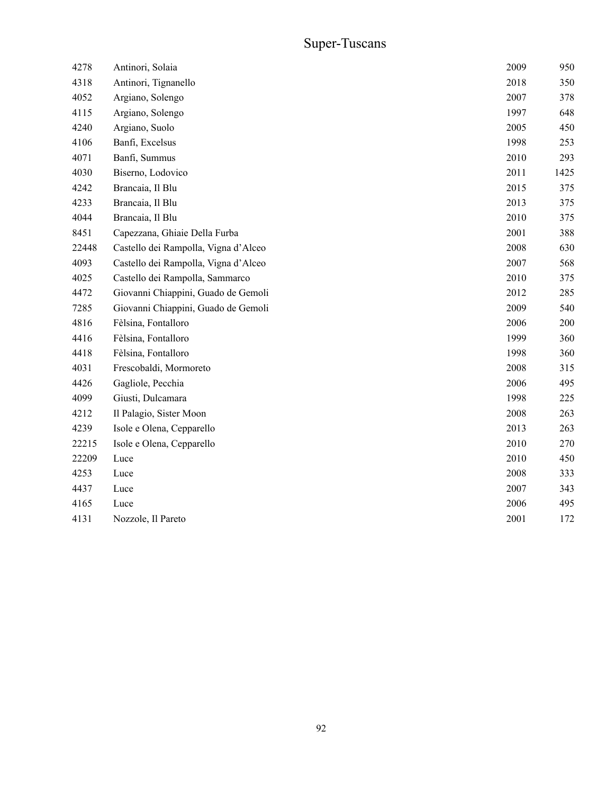## Super-Tuscans

| 4278  | Antinori, Solaia                     | 2009 | 950  |
|-------|--------------------------------------|------|------|
| 4318  | Antinori, Tignanello                 | 2018 | 350  |
| 4052  | Argiano, Solengo                     | 2007 | 378  |
| 4115  | Argiano, Solengo                     | 1997 | 648  |
| 4240  | Argiano, Suolo                       | 2005 | 450  |
| 4106  | Banfi, Excelsus                      | 1998 | 253  |
| 4071  | Banfi, Summus                        | 2010 | 293  |
| 4030  | Biserno, Lodovico                    | 2011 | 1425 |
| 4242  | Brancaia, Il Blu                     | 2015 | 375  |
| 4233  | Brancaia, Il Blu                     | 2013 | 375  |
| 4044  | Brancaia, Il Blu                     | 2010 | 375  |
| 8451  | Capezzana, Ghiaie Della Furba        | 2001 | 388  |
| 22448 | Castello dei Rampolla, Vigna d'Alceo | 2008 | 630  |
| 4093  | Castello dei Rampolla, Vigna d'Alceo | 2007 | 568  |
| 4025  | Castello dei Rampolla, Sammarco      | 2010 | 375  |
| 4472  | Giovanni Chiappini, Guado de Gemoli  | 2012 | 285  |
| 7285  | Giovanni Chiappini, Guado de Gemoli  | 2009 | 540  |
| 4816  | Fèlsina, Fontalloro                  | 2006 | 200  |
| 4416  | Fèlsina, Fontalloro                  | 1999 | 360  |
| 4418  | Fèlsina, Fontalloro                  | 1998 | 360  |
| 4031  | Frescobaldi, Mormoreto               | 2008 | 315  |
| 4426  | Gagliole, Pecchia                    | 2006 | 495  |
| 4099  | Giusti, Dulcamara                    | 1998 | 225  |
| 4212  | Il Palagio, Sister Moon              | 2008 | 263  |
| 4239  | Isole e Olena, Cepparello            | 2013 | 263  |
| 22215 | Isole e Olena, Cepparello            | 2010 | 270  |
| 22209 | Luce                                 | 2010 | 450  |
| 4253  | Luce                                 | 2008 | 333  |
| 4437  | Luce                                 | 2007 | 343  |
| 4165  | Luce                                 | 2006 | 495  |
| 4131  | Nozzole, Il Pareto                   | 2001 | 172  |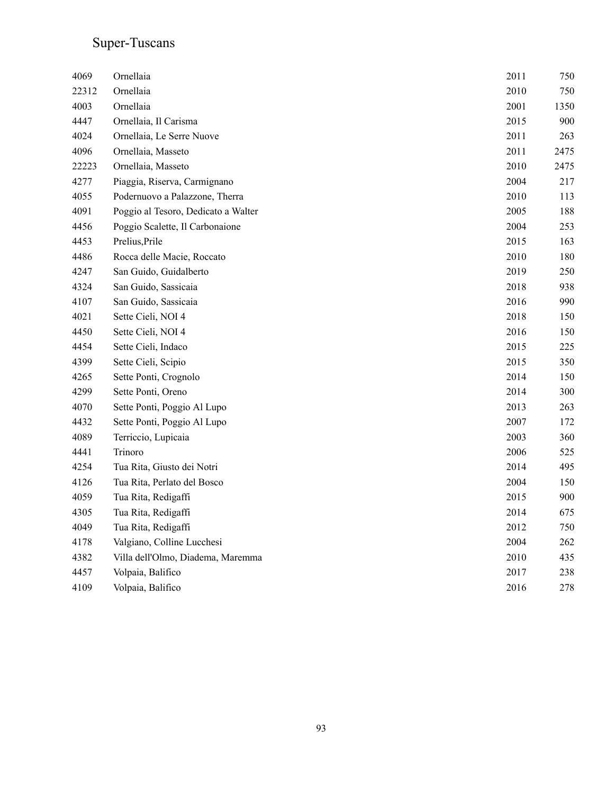#### Super-Tuscans

| 4069  | Ornellaia                           | 2011 | 750  |
|-------|-------------------------------------|------|------|
| 22312 | Ornellaia                           | 2010 | 750  |
| 4003  | Ornellaia                           | 2001 | 1350 |
| 4447  | Ornellaia, Il Carisma               | 2015 | 900  |
| 4024  | Ornellaia, Le Serre Nuove           | 2011 | 263  |
| 4096  | Ornellaia, Masseto                  | 2011 | 2475 |
| 22223 | Ornellaia, Masseto                  | 2010 | 2475 |
| 4277  | Piaggia, Riserva, Carmignano        | 2004 | 217  |
| 4055  | Podernuovo a Palazzone, Therra      | 2010 | 113  |
| 4091  | Poggio al Tesoro, Dedicato a Walter | 2005 | 188  |
| 4456  | Poggio Scalette, Il Carbonaione     | 2004 | 253  |
| 4453  | Prelius, Prile                      | 2015 | 163  |
| 4486  | Rocca delle Macie, Roccato          | 2010 | 180  |
| 4247  | San Guido, Guidalberto              | 2019 | 250  |
| 4324  | San Guido, Sassicaia                | 2018 | 938  |
| 4107  | San Guido, Sassicaia                | 2016 | 990  |
| 4021  | Sette Cieli, NOI 4                  | 2018 | 150  |
| 4450  | Sette Cieli, NOI 4                  | 2016 | 150  |
| 4454  | Sette Cieli, Indaco                 | 2015 | 225  |
| 4399  | Sette Cieli, Scipio                 | 2015 | 350  |
| 4265  | Sette Ponti, Crognolo               | 2014 | 150  |
| 4299  | Sette Ponti, Oreno                  | 2014 | 300  |
| 4070  | Sette Ponti, Poggio Al Lupo         | 2013 | 263  |
| 4432  | Sette Ponti, Poggio Al Lupo         | 2007 | 172  |
| 4089  | Terriccio, Lupicaia                 | 2003 | 360  |
| 4441  | Trinoro                             | 2006 | 525  |
| 4254  | Tua Rita, Giusto dei Notri          | 2014 | 495  |
| 4126  | Tua Rita, Perlato del Bosco         | 2004 | 150  |
| 4059  | Tua Rita, Redigaffi                 | 2015 | 900  |
| 4305  | Tua Rita, Redigaffi                 | 2014 | 675  |
| 4049  | Tua Rita, Redigaffi                 | 2012 | 750  |
| 4178  | Valgiano, Colline Lucchesi          | 2004 | 262  |
| 4382  | Villa dell'Olmo, Diadema, Maremma   | 2010 | 435  |
| 4457  | Volpaia, Balifico                   | 2017 | 238  |
| 4109  | Volpaia, Balifico                   | 2016 | 278  |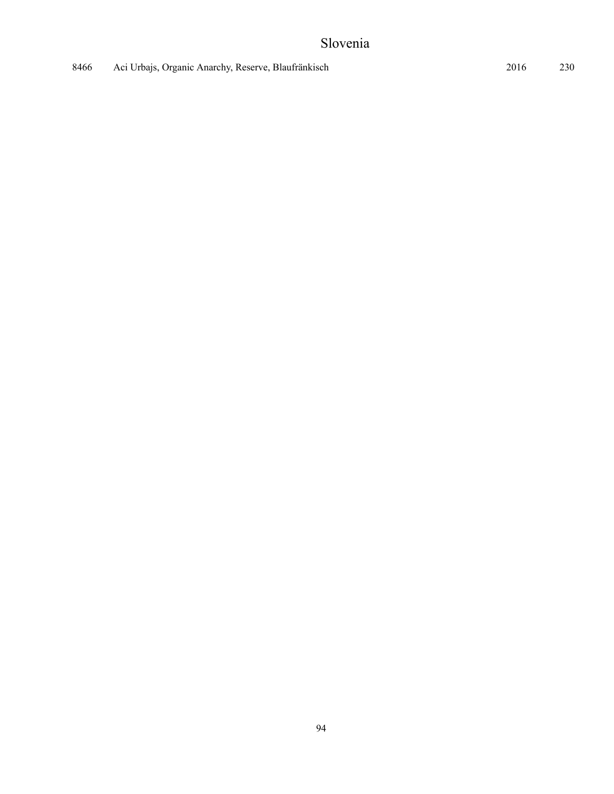### Slovenia

| 8466 | Aci Urbajs, Organic Anarchy, Reserve, Blaufränkisch | 230<br>2016 |
|------|-----------------------------------------------------|-------------|
|------|-----------------------------------------------------|-------------|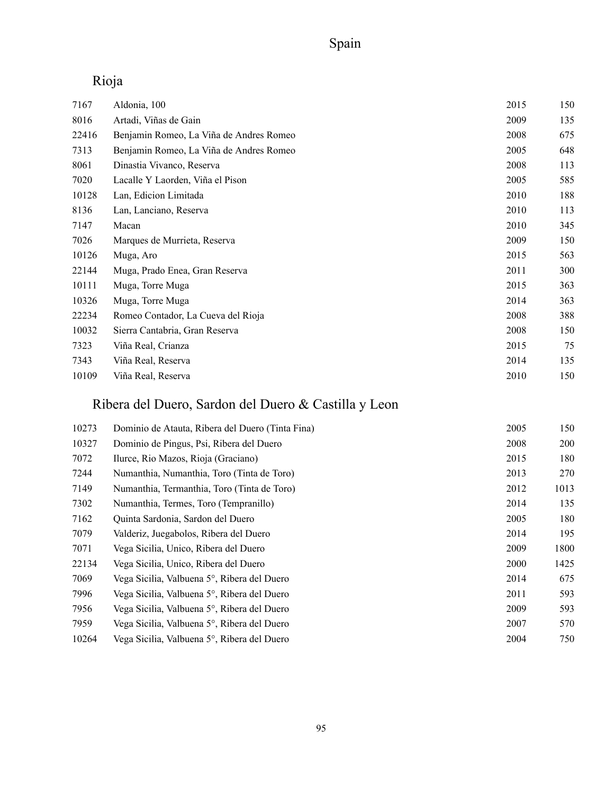## Rioja

| 7167  | Aldonia, 100                            | 2015 | 150 |
|-------|-----------------------------------------|------|-----|
| 8016  | Artadi, Viñas de Gain                   | 2009 | 135 |
| 22416 | Benjamin Romeo, La Viña de Andres Romeo | 2008 | 675 |
| 7313  | Benjamin Romeo, La Viña de Andres Romeo | 2005 | 648 |
| 8061  | Dinastia Vivanco, Reserva               | 2008 | 113 |
| 7020  | Lacalle Y Laorden, Viña el Pison        | 2005 | 585 |
| 10128 | Lan, Edicion Limitada                   | 2010 | 188 |
| 8136  | Lan, Lanciano, Reserva                  | 2010 | 113 |
| 7147  | Macan                                   | 2010 | 345 |
| 7026  | Marques de Murrieta, Reserva            | 2009 | 150 |
| 10126 | Muga, Aro                               | 2015 | 563 |
| 22144 | Muga, Prado Enea, Gran Reserva          | 2011 | 300 |
| 10111 | Muga, Torre Muga                        | 2015 | 363 |
| 10326 | Muga, Torre Muga                        | 2014 | 363 |
| 22234 | Romeo Contador, La Cueva del Rioja      | 2008 | 388 |
| 10032 | Sierra Cantabria, Gran Reserva          | 2008 | 150 |
| 7323  | Viña Real, Crianza                      | 2015 | 75  |
| 7343  | Viña Real, Reserva                      | 2014 | 135 |
| 10109 | Viña Real, Reserva                      | 2010 | 150 |

## Ribera del Duero, Sardon del Duero & Castilla y Leon

| 10273 | Dominio de Atauta, Ribera del Duero (Tinta Fina) | 2005 | 150        |
|-------|--------------------------------------------------|------|------------|
| 10327 | Dominio de Pingus, Psi, Ribera del Duero         | 2008 | <b>200</b> |
| 7072  | Ilurce, Rio Mazos, Rioja (Graciano)              | 2015 | 180        |
| 7244  | Numanthia, Numanthia, Toro (Tinta de Toro)       | 2013 | 270        |
| 7149  | Numanthia, Termanthia, Toro (Tinta de Toro)      | 2012 | 1013       |
| 7302  | Numanthia, Termes, Toro (Tempranillo)            | 2014 | 135        |
| 7162  | Quinta Sardonia, Sardon del Duero                | 2005 | 180        |
| 7079  | Valderiz, Juegabolos, Ribera del Duero           | 2014 | 195        |
| 7071  | Vega Sicilia, Unico, Ribera del Duero            | 2009 | 1800       |
| 22134 | Vega Sicilia, Unico, Ribera del Duero            | 2000 | 1425       |
| 7069  | Vega Sicilia, Valbuena 5°, Ribera del Duero      | 2014 | 675        |
| 7996  | Vega Sicilia, Valbuena 5°, Ribera del Duero      | 2011 | 593        |
| 7956  | Vega Sicilia, Valbuena 5°, Ribera del Duero      | 2009 | 593        |
| 7959  | Vega Sicilia, Valbuena 5°, Ribera del Duero      | 2007 | 570        |
| 10264 | Vega Sicilia, Valbuena 5°, Ribera del Duero      | 2004 | 750        |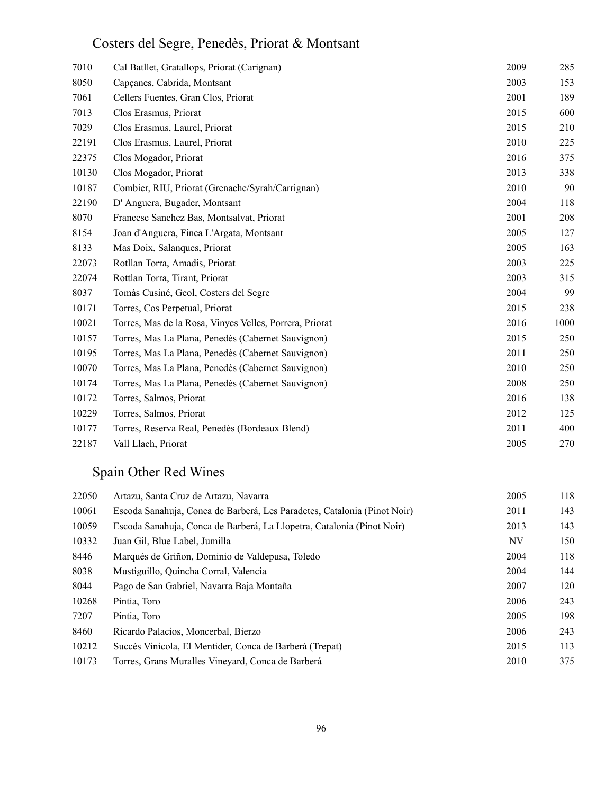## Costers del Segre, Penedès, Priorat & Montsant

| 7010  | Cal Batllet, Gratallops, Priorat (Carignan)             | 2009 | 285  |
|-------|---------------------------------------------------------|------|------|
| 8050  | Capçanes, Cabrida, Montsant                             | 2003 | 153  |
| 7061  | Cellers Fuentes, Gran Clos, Priorat                     | 2001 | 189  |
| 7013  | Clos Erasmus, Priorat                                   | 2015 | 600  |
| 7029  | Clos Erasmus, Laurel, Priorat                           | 2015 | 210  |
| 22191 | Clos Erasmus, Laurel, Priorat                           | 2010 | 225  |
| 22375 | Clos Mogador, Priorat                                   | 2016 | 375  |
| 10130 | Clos Mogador, Priorat                                   | 2013 | 338  |
| 10187 | Combier, RIU, Priorat (Grenache/Syrah/Carrignan)        | 2010 | 90   |
| 22190 | D' Anguera, Bugader, Montsant                           | 2004 | 118  |
| 8070  | Francesc Sanchez Bas, Montsalvat, Priorat               | 2001 | 208  |
| 8154  | Joan d'Anguera, Finca L'Argata, Montsant                | 2005 | 127  |
| 8133  | Mas Doix, Salanques, Priorat                            | 2005 | 163  |
| 22073 | Rotllan Torra, Amadis, Priorat                          | 2003 | 225  |
| 22074 | Rottlan Torra, Tirant, Priorat                          | 2003 | 315  |
| 8037  | Tomàs Cusiné, Geol, Costers del Segre                   | 2004 | 99   |
| 10171 | Torres, Cos Perpetual, Priorat                          | 2015 | 238  |
| 10021 | Torres, Mas de la Rosa, Vinyes Velles, Porrera, Priorat | 2016 | 1000 |
| 10157 | Torres, Mas La Plana, Penedès (Cabernet Sauvignon)      | 2015 | 250  |
| 10195 | Torres, Mas La Plana, Penedès (Cabernet Sauvignon)      | 2011 | 250  |
| 10070 | Torres, Mas La Plana, Penedès (Cabernet Sauvignon)      | 2010 | 250  |
| 10174 | Torres, Mas La Plana, Penedès (Cabernet Sauvignon)      | 2008 | 250  |
| 10172 | Torres, Salmos, Priorat                                 | 2016 | 138  |
| 10229 | Torres, Salmos, Priorat                                 | 2012 | 125  |
| 10177 | Torres, Reserva Real, Penedès (Bordeaux Blend)          | 2011 | 400  |
| 22187 | Vall Llach, Priorat                                     | 2005 | 270  |

## Spain Other Red Wines

| 22050 | Artazu, Santa Cruz de Artazu, Navarra                                    | 2005 | 118 |
|-------|--------------------------------------------------------------------------|------|-----|
| 10061 | Escoda Sanahuja, Conca de Barberá, Les Paradetes, Catalonia (Pinot Noir) | 2011 | 143 |
| 10059 | Escoda Sanahuja, Conca de Barberá, La Llopetra, Catalonia (Pinot Noir)   | 2013 | 143 |
| 10332 | Juan Gil, Blue Label, Jumilla                                            | NV   | 150 |
| 8446  | Marqués de Griñon, Dominio de Valdepusa, Toledo                          | 2004 | 118 |
| 8038  | Mustiguillo, Quincha Corral, Valencia                                    | 2004 | 144 |
| 8044  | Pago de San Gabriel, Navarra Baja Montaña                                | 2007 | 120 |
| 10268 | Pintia, Toro                                                             | 2006 | 243 |
| 7207  | Pintia, Toro                                                             | 2005 | 198 |
| 8460  | Ricardo Palacios, Moncerbal, Bierzo                                      | 2006 | 243 |
| 10212 | Succés Vinicola, El Mentider, Conca de Barberá (Trepat)                  | 2015 | 113 |
| 10173 | Torres, Grans Muralles Vineyard, Conca de Barberá                        | 2010 | 375 |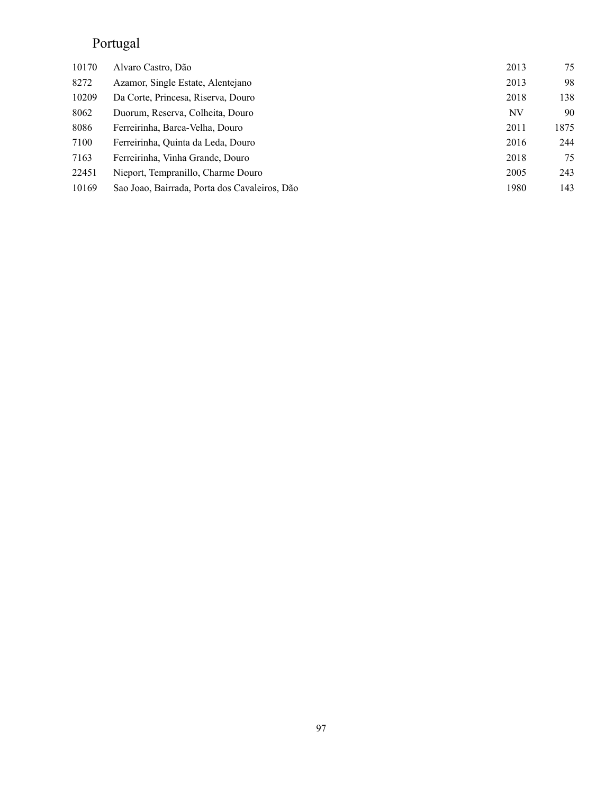## Portugal

| 10170 | Alvaro Castro, Dão                            | 2013 | 75   |
|-------|-----------------------------------------------|------|------|
| 8272  | Azamor, Single Estate, Alentejano             | 2013 | 98   |
| 10209 | Da Corte, Princesa, Riserva, Douro            | 2018 | 138  |
| 8062  | Duorum, Reserva, Colheita, Douro              | NV   | 90   |
| 8086  | Ferreirinha, Barca-Velha, Douro               | 2011 | 1875 |
| 7100  | Ferreirinha, Quinta da Leda, Douro            | 2016 | 244  |
| 7163  | Ferreirinha, Vinha Grande, Douro              | 2018 | 75   |
| 22451 | Nieport, Tempranillo, Charme Douro            | 2005 | 243  |
| 10169 | Sao Joao, Bairrada, Porta dos Cavaleiros, Dão | 1980 | 143  |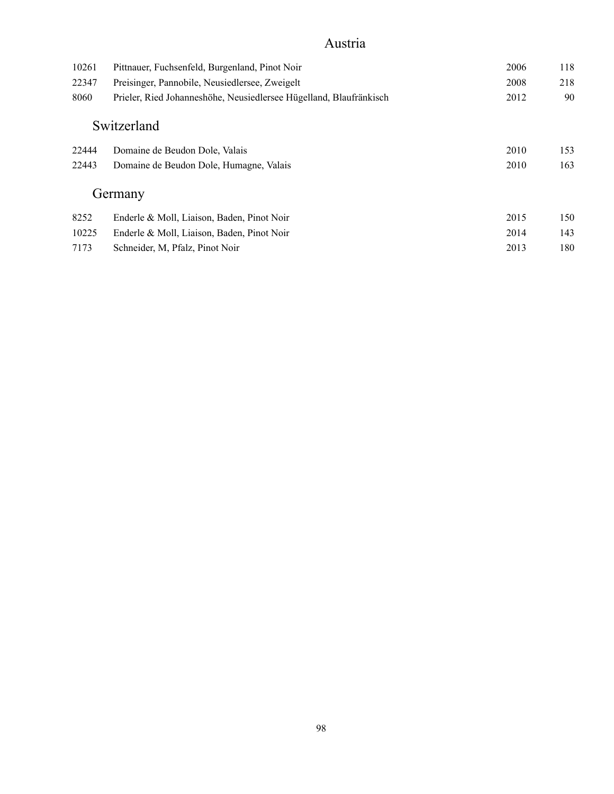### Austria

| 10261 | Pittnauer, Fuchsenfeld, Burgenland, Pinot Noir                     | 2006 | 118 |
|-------|--------------------------------------------------------------------|------|-----|
| 22347 | Preisinger, Pannobile, Neusiedlersee, Zweigelt                     | 2008 | 218 |
| 8060  | Prieler, Ried Johanneshöhe, Neusiedlersee Hügelland, Blaufränkisch | 2012 | 90  |
|       | Switzerland                                                        |      |     |
| 22444 | Domaine de Beudon Dole, Valais                                     | 2010 | 153 |
| 22443 | Domaine de Beudon Dole, Humagne, Valais                            | 2010 | 163 |
|       | Germany                                                            |      |     |
| 8252  | Enderle & Moll, Liaison, Baden, Pinot Noir                         | 2015 | 150 |
| 10225 | Enderle & Moll, Liaison, Baden, Pinot Noir                         | 2014 | 143 |
| 7173  | Schneider, M. Pfalz, Pinot Noir                                    | 2013 | 180 |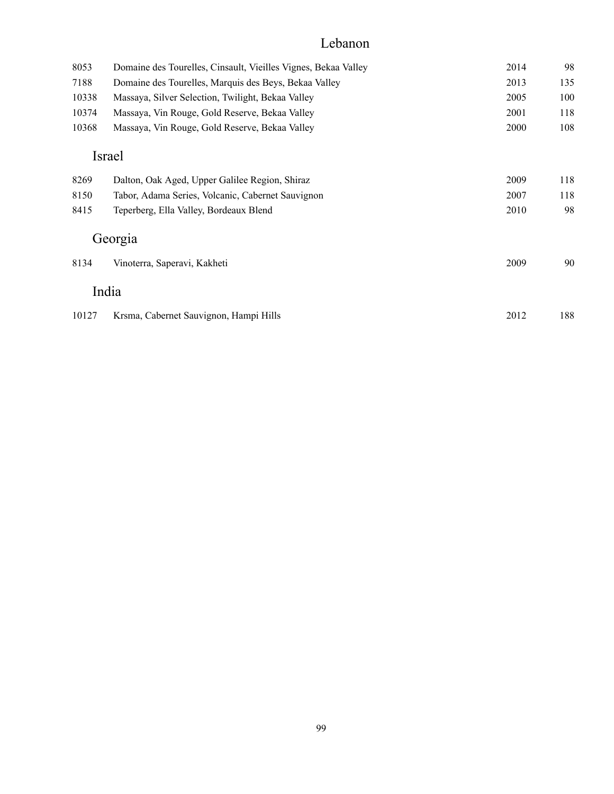### Lebanon

| 8053  | Domaine des Tourelles, Cinsault, Vieilles Vignes, Bekaa Valley | 2014 | 98  |
|-------|----------------------------------------------------------------|------|-----|
| 7188  | Domaine des Tourelles, Marquis des Beys, Bekaa Valley          | 2013 | 135 |
| 10338 | Massaya, Silver Selection, Twilight, Bekaa Valley              | 2005 | 100 |
| 10374 | Massaya, Vin Rouge, Gold Reserve, Bekaa Valley                 | 2001 | 118 |
| 10368 | Massaya, Vin Rouge, Gold Reserve, Bekaa Valley                 | 2000 | 108 |
|       | Israel                                                         |      |     |
| 8269  | Dalton, Oak Aged, Upper Galilee Region, Shiraz                 | 2009 | 118 |
| 8150  | Tabor, Adama Series, Volcanic, Cabernet Sauvignon              | 2007 | 118 |
| 8415  | Teperberg, Ella Valley, Bordeaux Blend                         | 2010 | 98  |
|       | Georgia                                                        |      |     |
| 8134  | Vinoterra, Saperavi, Kakheti                                   | 2009 | 90  |
|       | India                                                          |      |     |
| 10127 | Krsma, Cabernet Sauvignon, Hampi Hills                         | 2012 | 188 |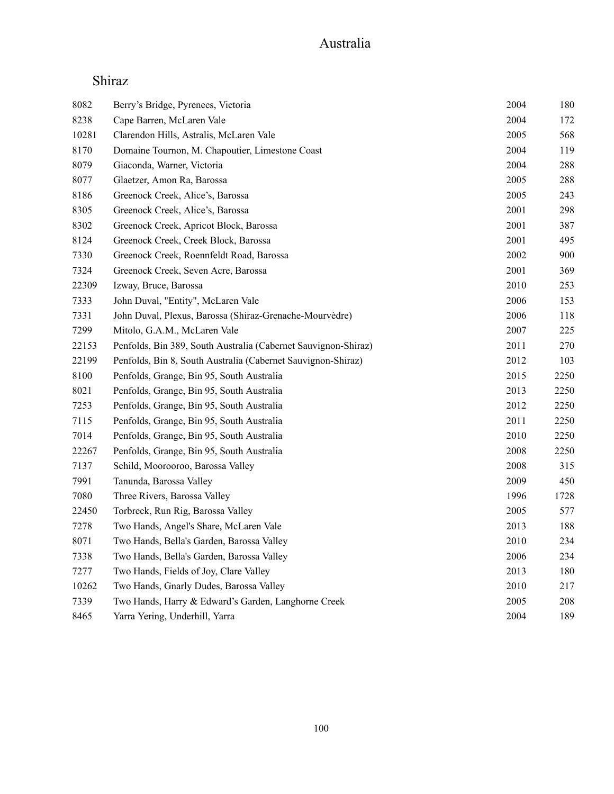### Shiraz

| 8082  | Berry's Bridge, Pyrenees, Victoria                             | 2004 | 180  |
|-------|----------------------------------------------------------------|------|------|
| 8238  | Cape Barren, McLaren Vale                                      | 2004 | 172  |
| 10281 | Clarendon Hills, Astralis, McLaren Vale                        | 2005 | 568  |
| 8170  | Domaine Tournon, M. Chapoutier, Limestone Coast                | 2004 | 119  |
| 8079  | Giaconda, Warner, Victoria                                     | 2004 | 288  |
| 8077  | Glaetzer, Amon Ra, Barossa                                     | 2005 | 288  |
| 8186  | Greenock Creek, Alice's, Barossa                               | 2005 | 243  |
| 8305  | Greenock Creek, Alice's, Barossa                               | 2001 | 298  |
| 8302  | Greenock Creek, Apricot Block, Barossa                         | 2001 | 387  |
| 8124  | Greenock Creek, Creek Block, Barossa                           | 2001 | 495  |
| 7330  | Greenock Creek, Roennfeldt Road, Barossa                       | 2002 | 900  |
| 7324  | Greenock Creek, Seven Acre, Barossa                            | 2001 | 369  |
| 22309 | Izway, Bruce, Barossa                                          | 2010 | 253  |
| 7333  | John Duval, "Entity", McLaren Vale                             | 2006 | 153  |
| 7331  | John Duval, Plexus, Barossa (Shiraz-Grenache-Mourvèdre)        | 2006 | 118  |
| 7299  | Mitolo, G.A.M., McLaren Vale                                   | 2007 | 225  |
| 22153 | Penfolds, Bin 389, South Australia (Cabernet Sauvignon-Shiraz) | 2011 | 270  |
| 22199 | Penfolds, Bin 8, South Australia (Cabernet Sauvignon-Shiraz)   | 2012 | 103  |
| 8100  | Penfolds, Grange, Bin 95, South Australia                      | 2015 | 2250 |
| 8021  | Penfolds, Grange, Bin 95, South Australia                      | 2013 | 2250 |
| 7253  | Penfolds, Grange, Bin 95, South Australia                      | 2012 | 2250 |
| 7115  | Penfolds, Grange, Bin 95, South Australia                      | 2011 | 2250 |
| 7014  | Penfolds, Grange, Bin 95, South Australia                      | 2010 | 2250 |
| 22267 | Penfolds, Grange, Bin 95, South Australia                      | 2008 | 2250 |
| 7137  | Schild, Moorooroo, Barossa Valley                              | 2008 | 315  |
| 7991  | Tanunda, Barossa Valley                                        | 2009 | 450  |
| 7080  | Three Rivers, Barossa Valley                                   | 1996 | 1728 |
| 22450 | Torbreck, Run Rig, Barossa Valley                              | 2005 | 577  |
| 7278  | Two Hands, Angel's Share, McLaren Vale                         | 2013 | 188  |
| 8071  | Two Hands, Bella's Garden, Barossa Valley                      | 2010 | 234  |
| 7338  | Two Hands, Bella's Garden, Barossa Valley                      | 2006 | 234  |
| 7277  | Two Hands, Fields of Joy, Clare Valley                         | 2013 | 180  |
| 10262 | Two Hands, Gnarly Dudes, Barossa Valley                        | 2010 | 217  |
| 7339  | Two Hands, Harry & Edward's Garden, Langhorne Creek            | 2005 | 208  |
| 8465  | Yarra Yering, Underhill, Yarra                                 | 2004 | 189  |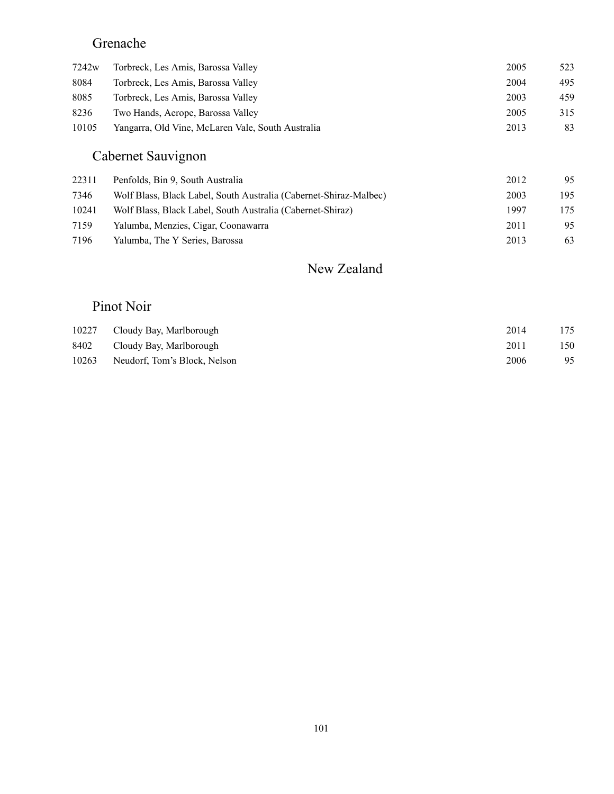## Grenache

| 7242w | Torbreck, Les Amis, Barossa Valley                | 2005 | 523 |
|-------|---------------------------------------------------|------|-----|
| 8084  | Torbreck, Les Amis, Barossa Valley                | 2004 | 495 |
| 8085  | Torbreck, Les Amis, Barossa Valley                | 2003 | 459 |
| 8236  | Two Hands, Aerope, Barossa Valley                 | 2005 | 315 |
| 10105 | Yangarra, Old Vine, McLaren Vale, South Australia | 2013 | 83  |

## Cabernet Sauvignon

| 22311 | Penfolds, Bin 9, South Australia                                  | 2012 | 95  |
|-------|-------------------------------------------------------------------|------|-----|
| 7346  | Wolf Blass, Black Label, South Australia (Cabernet-Shiraz-Malbec) | 2003 | 195 |
| 10241 | Wolf Blass, Black Label, South Australia (Cabernet-Shiraz)        | 1997 | 175 |
| 7159  | Yalumba, Menzies, Cigar, Coonawarra                               | 2011 | 95  |
| 7196  | Yalumba, The Y Series, Barossa                                    | 2013 | 63  |

### New Zealand

### Pinot Noir

|       | 10227 Cloudy Bay, Marlborough | 2014 | 175 |
|-------|-------------------------------|------|-----|
| 8402  | Cloudy Bay, Marlborough       | 2011 | 150 |
| 10263 | Neudorf, Tom's Block, Nelson  | 2006 | 95  |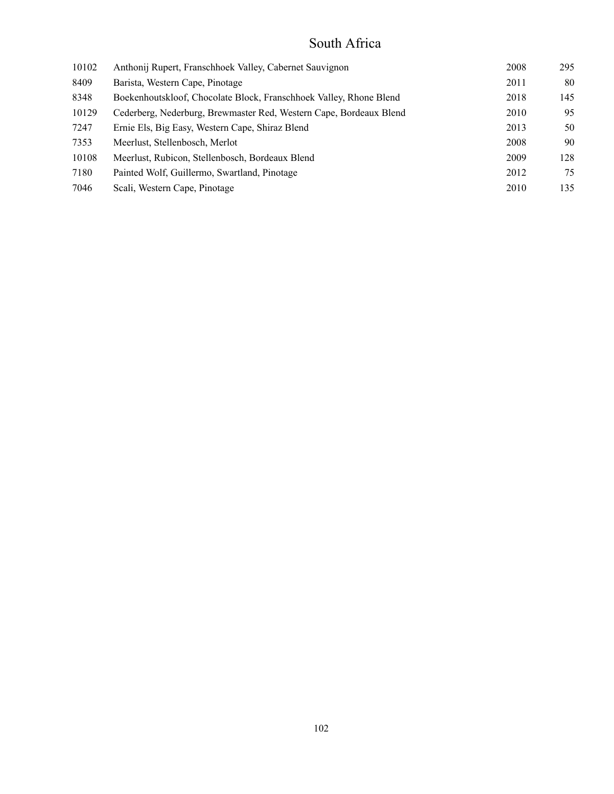### South Africa

| 10102 | Anthonij Rupert, Franschhoek Valley, Cabernet Sauvignon            | 2008 | 295 |
|-------|--------------------------------------------------------------------|------|-----|
| 8409  | Barista, Western Cape, Pinotage                                    | 2011 | 80  |
| 8348  | Boekenhoutskloof, Chocolate Block, Franschhoek Valley, Rhone Blend | 2018 | 145 |
| 10129 | Cederberg, Nederburg, Brewmaster Red, Western Cape, Bordeaux Blend | 2010 | 95  |
| 7247  | Ernie Els, Big Easy, Western Cape, Shiraz Blend                    | 2013 | 50  |
| 7353  | Meerlust, Stellenbosch, Merlot                                     | 2008 | 90  |
| 10108 | Meerlust, Rubicon, Stellenbosch, Bordeaux Blend                    | 2009 | 128 |
| 7180  | Painted Wolf, Guillermo, Swartland, Pinotage                       | 2012 | 75  |
| 7046  | Scali, Western Cape, Pinotage                                      | 2010 | 135 |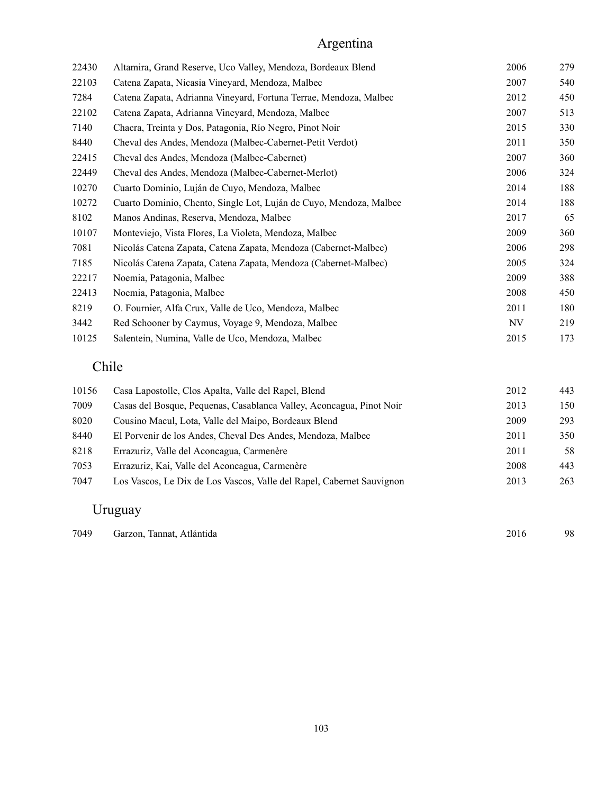## Argentina

| 22430 | Altamira, Grand Reserve, Uco Valley, Mendoza, Bordeaux Blend       | 2006 | 279 |
|-------|--------------------------------------------------------------------|------|-----|
| 22103 | Catena Zapata, Nicasia Vineyard, Mendoza, Malbec                   | 2007 | 540 |
| 7284  | Catena Zapata, Adrianna Vineyard, Fortuna Terrae, Mendoza, Malbec  | 2012 | 450 |
| 22102 | Catena Zapata, Adrianna Vineyard, Mendoza, Malbec                  | 2007 | 513 |
| 7140  | Chacra, Treinta y Dos, Patagonia, Río Negro, Pinot Noir            | 2015 | 330 |
| 8440  | Cheval des Andes, Mendoza (Malbec-Cabernet-Petit Verdot)           | 2011 | 350 |
| 22415 | Cheval des Andes, Mendoza (Malbec-Cabernet)                        | 2007 | 360 |
| 22449 | Cheval des Andes, Mendoza (Malbec-Cabernet-Merlot)                 | 2006 | 324 |
| 10270 | Cuarto Dominio, Luján de Cuyo, Mendoza, Malbec                     | 2014 | 188 |
| 10272 | Cuarto Dominio, Chento, Single Lot, Luján de Cuyo, Mendoza, Malbec | 2014 | 188 |
| 8102  | Manos Andinas, Reserva, Mendoza, Malbec                            | 2017 | 65  |
| 10107 | Monteviejo, Vista Flores, La Violeta, Mendoza, Malbec              | 2009 | 360 |
| 7081  | Nicolás Catena Zapata, Catena Zapata, Mendoza (Cabernet-Malbec)    | 2006 | 298 |
| 7185  | Nicolás Catena Zapata, Catena Zapata, Mendoza (Cabernet-Malbec)    | 2005 | 324 |
| 22217 | Noemia, Patagonia, Malbec                                          | 2009 | 388 |
| 22413 | Noemia, Patagonia, Malbec                                          | 2008 | 450 |
| 8219  | O. Fournier, Alfa Crux, Valle de Uco, Mendoza, Malbec              | 2011 | 180 |
| 3442  | Red Schooner by Caymus, Voyage 9, Mendoza, Malbec                  | NV   | 219 |
| 10125 | Salentein, Numina, Valle de Uco, Mendoza, Malbec                   | 2015 | 173 |

# Chile

| 10156 | Casa Lapostolle, Clos Apalta, Valle del Rapel, Blend                  | 2012 | 443 |
|-------|-----------------------------------------------------------------------|------|-----|
| 7009  | Casas del Bosque, Pequenas, Casablanca Valley, Aconcagua, Pinot Noir  | 2013 | 150 |
| 8020  | Cousino Macul, Lota, Valle del Maipo, Bordeaux Blend                  | 2009 | 293 |
| 8440  | El Porvenir de los Andes, Cheval Des Andes, Mendoza, Malbec           | 2011 | 350 |
| 8218  | Errazuriz, Valle del Aconcagua, Carmenère                             | 2011 | 58  |
| 7053  | Errazuriz, Kai, Valle del Aconcagua, Carmenère                        | 2008 | 443 |
| 7047  | Los Vascos, Le Dix de Los Vascos, Valle del Rapel, Cabernet Sauvignon | 2013 | 263 |
|       |                                                                       |      |     |

## Uruguay

| 7049 | Garzon, Tannat, Atlántida | 2016 | 98 |
|------|---------------------------|------|----|
|      |                           |      |    |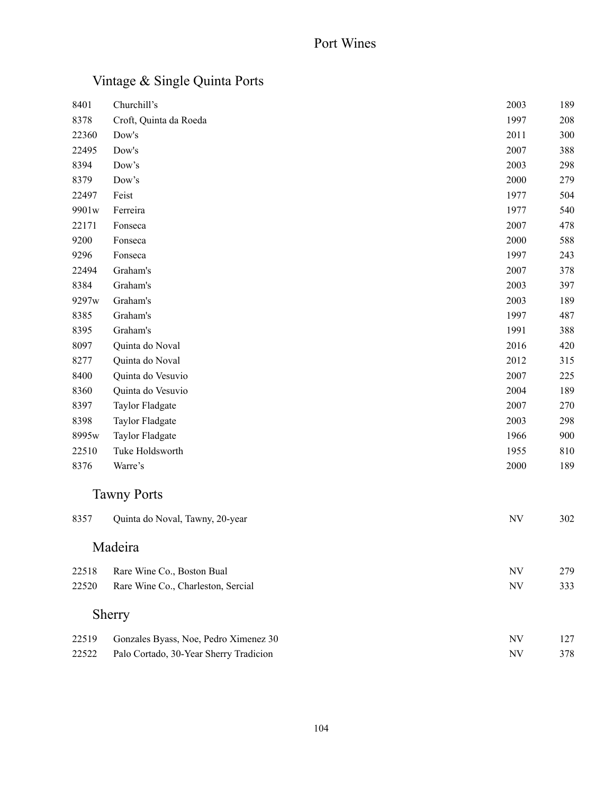## Vintage & Single Quinta Ports

| 8401  | Churchill's                            | 2003      | 189 |
|-------|----------------------------------------|-----------|-----|
| 8378  | Croft, Quinta da Roeda                 | 1997      | 208 |
| 22360 | Dow's                                  | 2011      | 300 |
| 22495 | Dow's                                  | 2007      | 388 |
| 8394  | Dow's                                  | 2003      | 298 |
| 8379  | Dow's                                  | 2000      | 279 |
| 22497 | Feist                                  | 1977      | 504 |
| 9901w | Ferreira                               | 1977      | 540 |
| 22171 | Fonseca                                | 2007      | 478 |
| 9200  | Fonseca                                | 2000      | 588 |
| 9296  | Fonseca                                | 1997      | 243 |
| 22494 | Graham's                               | 2007      | 378 |
| 8384  | Graham's                               | 2003      | 397 |
| 9297w | Graham's                               | 2003      | 189 |
| 8385  | Graham's                               | 1997      | 487 |
| 8395  | Graham's                               | 1991      | 388 |
| 8097  | Quinta do Noval                        | 2016      | 420 |
| 8277  | Quinta do Noval                        | 2012      | 315 |
| 8400  | Quinta do Vesuvio                      | 2007      | 225 |
| 8360  | Quinta do Vesuvio                      | 2004      | 189 |
| 8397  | Taylor Fladgate                        | 2007      | 270 |
| 8398  | Taylor Fladgate                        | 2003      | 298 |
| 8995w | Taylor Fladgate                        | 1966      | 900 |
| 22510 | Tuke Holdsworth                        | 1955      | 810 |
| 8376  | Warre's                                | 2000      | 189 |
|       | <b>Tawny Ports</b>                     |           |     |
| 8357  | Quinta do Noval, Tawny, 20-year        | <b>NV</b> | 302 |
|       | Madeira                                |           |     |
| 22518 | Rare Wine Co., Boston Bual             | <b>NV</b> | 279 |
| 22520 | Rare Wine Co., Charleston, Sercial     | <b>NV</b> | 333 |
|       | Sherry                                 |           |     |
| 22519 | Gonzales Byass, Noe, Pedro Ximenez 30  | <b>NV</b> | 127 |
| 22522 | Palo Cortado, 30-Year Sherry Tradicion | <b>NV</b> | 378 |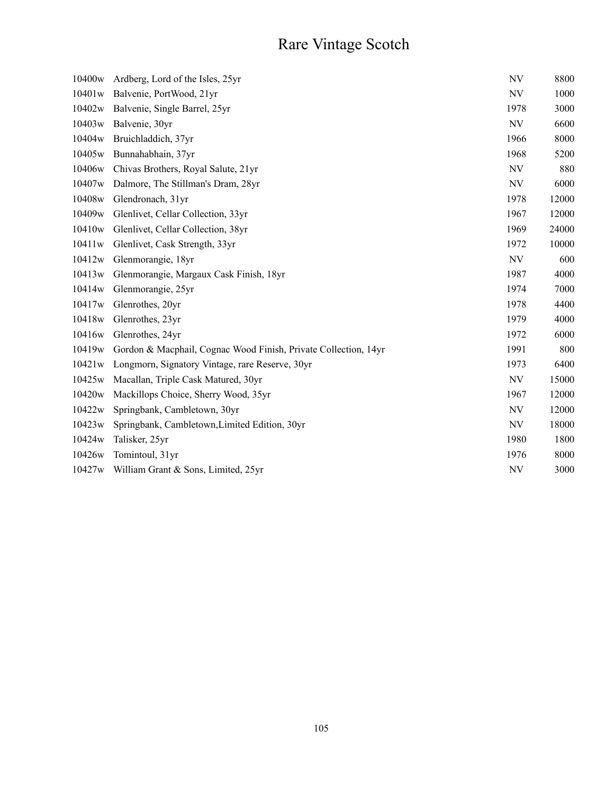# Rare Vintage Scotch

| 10400 <sub>w</sub> | Ardberg, Lord of the Isles, 25yr                                | <b>NV</b> | 8800  |
|--------------------|-----------------------------------------------------------------|-----------|-------|
| 10401w             | Balvenie, PortWood, 21yr                                        | NV        | 1000  |
| 10402w             | Balvenie, Single Barrel, 25yr                                   | 1978      | 3000  |
| 10403w             | Balvenie, 30yr                                                  | <b>NV</b> | 6600  |
| 10404w             | Bruichladdich, 37yr                                             | 1966      | 8000  |
| 10405w             | Bunnahabhain, 37yr                                              | 1968      | 5200  |
| 10406w             | Chivas Brothers, Royal Salute, 21yr                             | <b>NV</b> | 880   |
| 10407 <sub>w</sub> | Dalmore, The Stillman's Dram, 28yr                              | <b>NV</b> | 6000  |
| 10408w             | Glendronach, 31yr                                               | 1978      | 12000 |
| 10409w             | Glenlivet, Cellar Collection, 33yr                              | 1967      | 12000 |
| 10410 <sub>w</sub> | Glenlivet, Cellar Collection, 38yr                              | 1969      | 24000 |
| 10411w             | Glenlivet, Cask Strength, 33yr                                  | 1972      | 10000 |
| 10412w             | Glenmorangie, 18yr                                              | NV        | 600   |
| 10413w             | Glenmorangie, Margaux Cask Finish, 18yr                         | 1987      | 4000  |
| 10414w             | Glenmorangie, 25yr                                              | 1974      | 7000  |
| 10417 <sub>w</sub> | Glenrothes, 20yr                                                | 1978      | 4400  |
| 10418w             | Glenrothes, 23yr                                                | 1979      | 4000  |
| 10416w             | Glenrothes, 24yr                                                | 1972      | 6000  |
| 10419 <sub>w</sub> | Gordon & Macphail, Cognac Wood Finish, Private Collection, 14yr | 1991      | 800   |
| 10421w             | Longmorn, Signatory Vintage, rare Reserve, 30yr                 | 1973      | 6400  |
| 10425w             | Macallan, Triple Cask Matured, 30yr                             | NV        | 15000 |
| 10420w             | Mackillops Choice, Sherry Wood, 35yr                            | 1967      | 12000 |
| 10422w             | Springbank, Cambletown, 30yr                                    | NV        | 12000 |
| 10423w             | Springbank, Cambletown, Limited Edition, 30yr                   | NV        | 18000 |
| 10424w             | Talisker, 25yr                                                  | 1980      | 1800  |
| 10426w             | Tomintoul, 31yr                                                 | 1976      | 8000  |
| 10427w             | William Grant & Sons, Limited, 25yr                             | <b>NV</b> | 3000  |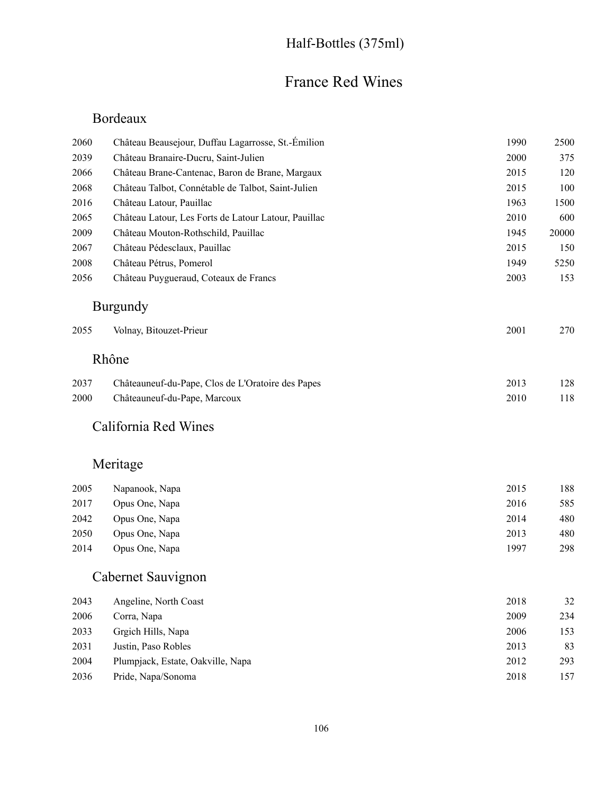## Half-Bottles (375ml)

## France Red Wines

### Bordeaux

| 2060 | Château Beausejour, Duffau Lagarrosse, St.-Émilion   | 1990 | 2500  |
|------|------------------------------------------------------|------|-------|
| 2039 | Château Branaire-Ducru, Saint-Julien                 | 2000 | 375   |
| 2066 | Château Brane-Cantenac, Baron de Brane, Margaux      | 2015 | 120   |
| 2068 | Château Talbot, Connétable de Talbot, Saint-Julien   | 2015 | 100   |
| 2016 | Château Latour, Pauillac                             | 1963 | 1500  |
| 2065 | Château Latour, Les Forts de Latour Latour, Pauillac | 2010 | 600   |
| 2009 | Château Mouton-Rothschild, Pauillac                  | 1945 | 20000 |
| 2067 | Château Pédesclaux, Pauillac                         | 2015 | 150   |
| 2008 | Château Pétrus, Pomerol                              | 1949 | 5250  |
| 2056 | Château Puygueraud, Coteaux de Francs                | 2003 | 153   |
|      | <b>Burgundy</b>                                      |      |       |
| 2055 | Volnay, Bitouzet-Prieur                              | 2001 | 270   |
|      | Rhône                                                |      |       |
| 2037 | Châteauneuf-du-Pape, Clos de L'Oratoire des Papes    | 2013 | 128   |
| 2000 | Châteauneuf-du-Pape, Marcoux                         | 2010 | 118   |
|      | California Red Wines                                 |      |       |
|      | Meritage                                             |      |       |
| 2005 | Napanook, Napa                                       | 2015 | 188   |
| 2017 | Opus One, Napa                                       | 2016 | 585   |
| 2042 | Opus One, Napa                                       | 2014 | 480   |
| 2050 | Opus One, Napa                                       | 2013 | 480   |
| 2014 | Opus One, Napa                                       | 1997 | 298   |
|      | Cabernet Sauvignon                                   |      |       |
| 2043 | Angeline, North Coast                                | 2018 | 32    |
| 2006 | Corra, Napa                                          | 2009 | 234   |
| 2033 | Grgich Hills, Napa                                   | 2006 | 153   |
| 2031 | Justin, Paso Robles                                  | 2013 | 83    |
| 2004 | Plumpjack, Estate, Oakville, Napa                    | 2012 | 293   |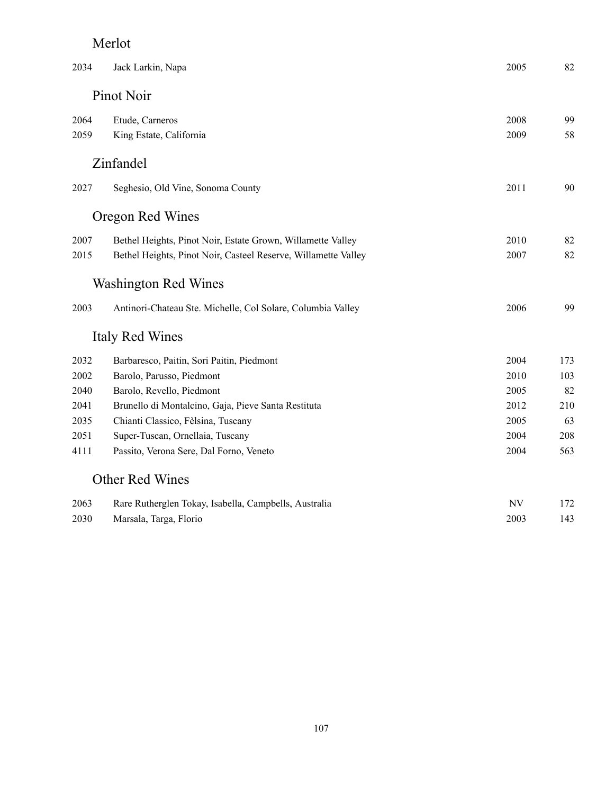### Merlot

| 2034 | Jack Larkin, Napa                                              | 2005 | 82  |
|------|----------------------------------------------------------------|------|-----|
|      | Pinot Noir                                                     |      |     |
| 2064 | Etude, Carneros                                                | 2008 | 99  |
| 2059 | King Estate, California                                        | 2009 | 58  |
|      | Zinfandel                                                      |      |     |
| 2027 | Seghesio, Old Vine, Sonoma County                              | 2011 | 90  |
|      | Oregon Red Wines                                               |      |     |
| 2007 | Bethel Heights, Pinot Noir, Estate Grown, Willamette Valley    | 2010 | 82  |
| 2015 | Bethel Heights, Pinot Noir, Casteel Reserve, Willamette Valley | 2007 | 82  |
|      | <b>Washington Red Wines</b>                                    |      |     |
| 2003 | Antinori-Chateau Ste. Michelle, Col Solare, Columbia Valley    | 2006 | 99  |
|      | Italy Red Wines                                                |      |     |
| 2032 | Barbaresco, Paitin, Sori Paitin, Piedmont                      | 2004 | 173 |
| 2002 | Barolo, Parusso, Piedmont                                      | 2010 | 103 |
| 2040 | Barolo, Revello, Piedmont                                      | 2005 | 82  |
| 2041 | Brunello di Montalcino, Gaja, Pieve Santa Restituta            | 2012 | 210 |
| 2035 | Chianti Classico, Fèlsina, Tuscany                             | 2005 | 63  |
| 2051 | Super-Tuscan, Ornellaia, Tuscany                               | 2004 | 208 |
| 4111 | Passito, Verona Sere, Dal Forno, Veneto                        | 2004 | 563 |
|      | Other Red Wines                                                |      |     |
| 2063 | Rare Rutherglen Tokay, Isabella, Campbells, Australia          | NV   | 172 |
| 2030 | Marsala, Targa, Florio                                         | 2003 | 143 |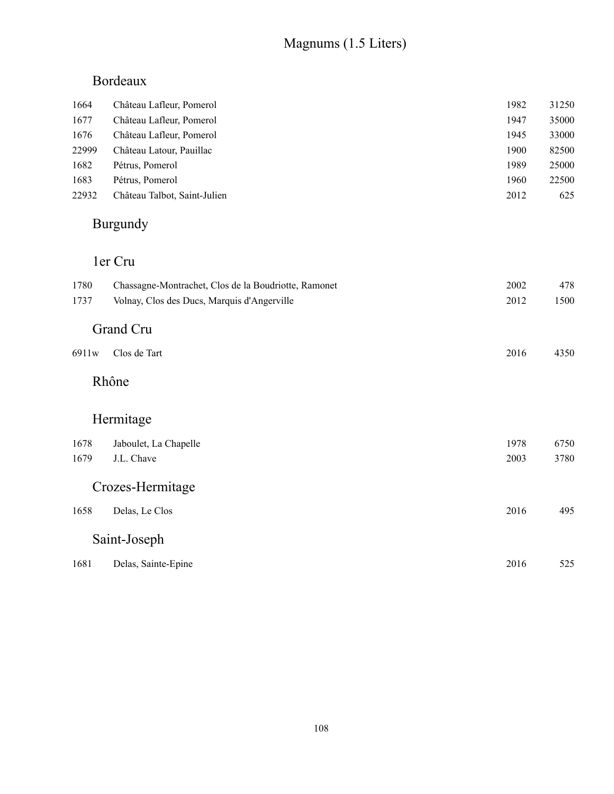# Magnums (1.5 Liters)

# Bordeaux

| Château Lafleur, Pomerol     | 1982 | 31250 |
|------------------------------|------|-------|
| Château Lafleur, Pomerol     | 1947 | 35000 |
| Château Lafleur, Pomerol     | 1945 | 33000 |
| Château Latour, Pauillac     | 1900 | 82500 |
| Pétrus, Pomerol              | 1989 | 25000 |
| Pétrus, Pomerol              | 1960 | 22500 |
| Château Talbot, Saint-Julien | 2012 | 625   |
|                              |      |       |

## Burgundy

## 1er Cru

| 1780  | Chassagne-Montrachet, Clos de la Boudriotte, Ramonet | 2002 | 478  |
|-------|------------------------------------------------------|------|------|
| 1737  | Volnay, Clos des Ducs, Marquis d'Angerville          | 2012 | 1500 |
|       | Grand Cru                                            |      |      |
| 6911w | Clos de Tart                                         | 2016 | 4350 |
|       | Rhône                                                |      |      |
|       | Hermitage                                            |      |      |
| 1678  | Jaboulet, La Chapelle                                | 1978 | 6750 |
| 1679  | J.L. Chave                                           | 2003 | 3780 |
|       | Crozes-Hermitage                                     |      |      |
| 1658  | Delas, Le Clos                                       | 2016 | 495  |
|       | Saint-Joseph                                         |      |      |
| 1681  | Delas, Sainte-Epine                                  | 2016 | 525  |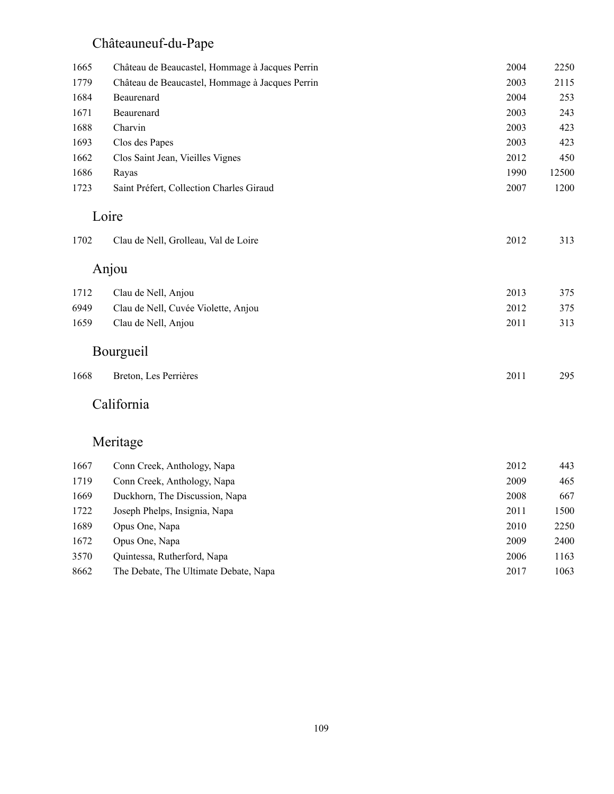# Châteauneuf-du-Pape

| 1665 | Château de Beaucastel, Hommage à Jacques Perrin | 2004 | 2250  |
|------|-------------------------------------------------|------|-------|
| 1779 | Château de Beaucastel, Hommage à Jacques Perrin | 2003 | 2115  |
| 1684 | Beaurenard                                      | 2004 | 253   |
| 1671 | Beaurenard                                      | 2003 | 243   |
| 1688 | Charvin                                         | 2003 | 423   |
| 1693 | Clos des Papes                                  | 2003 | 423   |
| 1662 | Clos Saint Jean, Vieilles Vignes                | 2012 | 450   |
| 1686 | Rayas                                           | 1990 | 12500 |
| 1723 | Saint Préfert, Collection Charles Giraud        | 2007 | 1200  |
|      | Loire                                           |      |       |
| 1702 | Clau de Nell, Grolleau, Val de Loire            | 2012 | 313   |
|      | Anjou                                           |      |       |
| 1712 | Clau de Nell, Anjou                             | 2013 | 375   |
| 6949 | Clau de Nell, Cuvée Violette, Anjou             | 2012 | 375   |
| 1659 | Clau de Nell, Anjou                             | 2011 | 313   |
|      | Bourgueil                                       |      |       |
| 1668 | Breton, Les Perrières                           | 2011 | 295   |
|      | California                                      |      |       |
|      | Meritage                                        |      |       |
| 1667 | Conn Creek, Anthology, Napa                     | 2012 | 443   |
| 1719 | Conn Creek, Anthology, Napa                     | 2009 | 465   |
| 1669 | Duckhorn, The Discussion, Napa                  | 2008 | 667   |
| 1722 | Joseph Phelps, Insignia, Napa                   | 2011 | 1500  |
| 1689 | Opus One, Napa                                  | 2010 | 2250  |
|      |                                                 |      |       |

| 1672 | Opus One, Napa                        | 2009 | 2400 |
|------|---------------------------------------|------|------|
| 3570 | Quintessa, Rutherford, Napa           | 2006 | 1163 |
| 8662 | The Debate, The Ultimate Debate, Napa | 2017 | 1063 |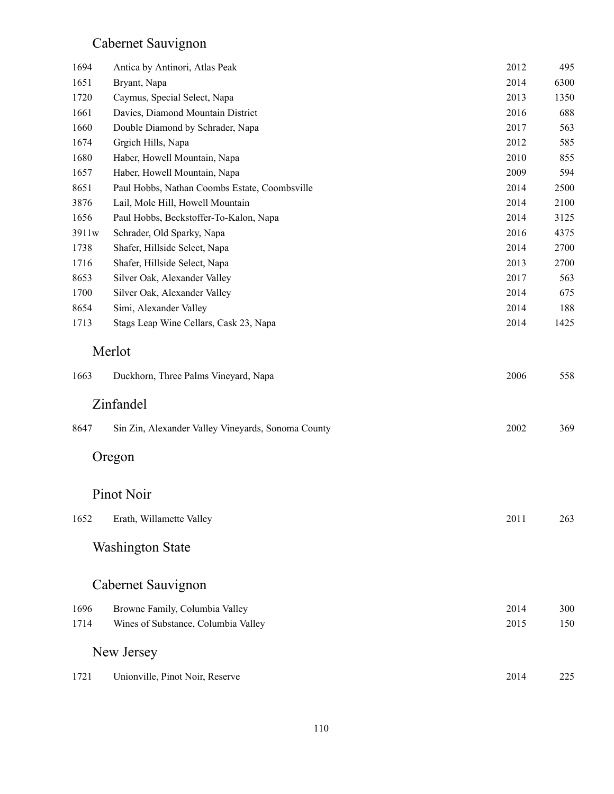# Cabernet Sauvignon

| 1694  | Antica by Antinori, Atlas Peak                     | 2012 | 495  |
|-------|----------------------------------------------------|------|------|
| 1651  | Bryant, Napa                                       | 2014 | 6300 |
| 1720  | Caymus, Special Select, Napa                       | 2013 | 1350 |
| 1661  | Davies, Diamond Mountain District                  | 2016 | 688  |
| 1660  | Double Diamond by Schrader, Napa                   | 2017 | 563  |
| 1674  | Grgich Hills, Napa                                 | 2012 | 585  |
| 1680  | Haber, Howell Mountain, Napa                       | 2010 | 855  |
| 1657  | Haber, Howell Mountain, Napa                       | 2009 | 594  |
| 8651  | Paul Hobbs, Nathan Coombs Estate, Coombsville      | 2014 | 2500 |
| 3876  | Lail, Mole Hill, Howell Mountain                   | 2014 | 2100 |
| 1656  | Paul Hobbs, Beckstoffer-To-Kalon, Napa             | 2014 | 3125 |
| 3911w | Schrader, Old Sparky, Napa                         | 2016 | 4375 |
| 1738  | Shafer, Hillside Select, Napa                      | 2014 | 2700 |
| 1716  | Shafer, Hillside Select, Napa                      | 2013 | 2700 |
| 8653  | Silver Oak, Alexander Valley                       | 2017 | 563  |
| 1700  | Silver Oak, Alexander Valley                       | 2014 | 675  |
| 8654  | Simi, Alexander Valley                             | 2014 | 188  |
| 1713  | Stags Leap Wine Cellars, Cask 23, Napa             | 2014 | 1425 |
| 1663  | Merlot<br>Duckhorn, Three Palms Vineyard, Napa     | 2006 | 558  |
|       | Zinfandel                                          |      |      |
| 8647  | Sin Zin, Alexander Valley Vineyards, Sonoma County | 2002 | 369  |
|       | Oregon                                             |      |      |
|       | Pinot Noir                                         |      |      |
| 1652  | Erath, Willamette Valley                           | 2011 | 263  |
|       | <b>Washington State</b>                            |      |      |
|       | Cabernet Sauvignon                                 |      |      |
| 1696  | Browne Family, Columbia Valley                     | 2014 | 300  |
| 1714  | Wines of Substance, Columbia Valley                | 2015 | 150  |
|       |                                                    |      |      |
|       | New Jersey                                         |      |      |
| 1721  | Unionville, Pinot Noir, Reserve                    | 2014 | 225  |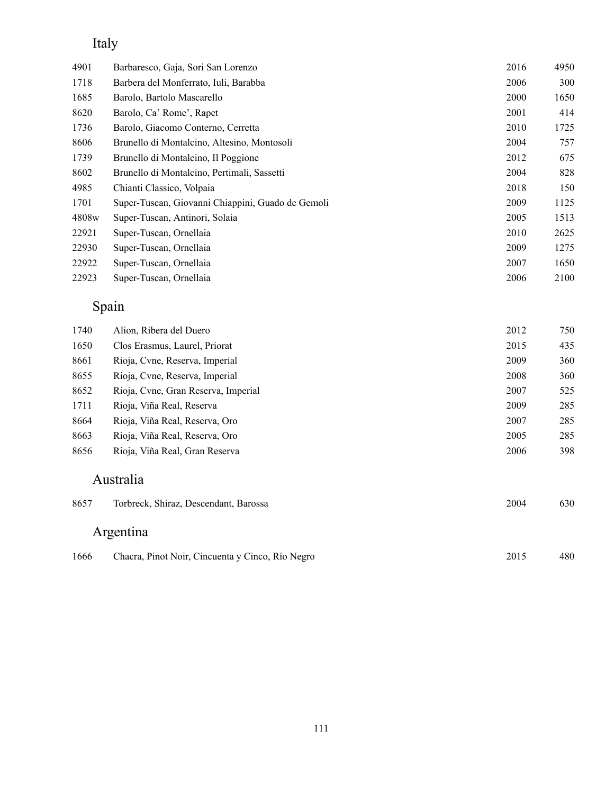## Italy

| 4901  | Barbaresco, Gaja, Sori San Lorenzo                | 2016 | 4950 |
|-------|---------------------------------------------------|------|------|
| 1718  | Barbera del Monferrato, Iuli, Barabba             | 2006 | 300  |
| 1685  | Barolo, Bartolo Mascarello                        | 2000 | 1650 |
| 8620  | Barolo, Ca' Rome', Rapet                          | 2001 | 414  |
| 1736  | Barolo, Giacomo Conterno, Cerretta                | 2010 | 1725 |
| 8606  | Brunello di Montalcino, Altesino, Montosoli       | 2004 | 757  |
| 1739  | Brunello di Montalcino, Il Poggione               | 2012 | 675  |
| 8602  | Brunello di Montalcino, Pertimali, Sassetti       | 2004 | 828  |
| 4985  | Chianti Classico, Volpaia                         | 2018 | 150  |
| 1701  | Super-Tuscan, Giovanni Chiappini, Guado de Gemoli | 2009 | 1125 |
| 4808w | Super-Tuscan, Antinori, Solaia                    | 2005 | 1513 |
| 22921 | Super-Tuscan, Ornellaia                           | 2010 | 2625 |
| 22930 | Super-Tuscan, Ornellaia                           | 2009 | 1275 |
| 22922 | Super-Tuscan, Ornellaia                           | 2007 | 1650 |
| 22923 | Super-Tuscan, Ornellaia                           | 2006 | 2100 |

## Spain

| 1740 | Alion, Ribera del Duero             | 2012 | 750 |
|------|-------------------------------------|------|-----|
| 1650 | Clos Erasmus, Laurel, Priorat       | 2015 | 435 |
| 8661 | Rioja, Cyne, Reserva, Imperial      | 2009 | 360 |
| 8655 | Rioja, Cyne, Reserva, Imperial      | 2008 | 360 |
| 8652 | Rioja, Cyne, Gran Reserva, Imperial | 2007 | 525 |
| 1711 | Rioja, Viña Real, Reserva           | 2009 | 285 |
| 8664 | Rioja, Viña Real, Reserva, Oro      | 2007 | 285 |
| 8663 | Rioja, Viña Real, Reserva, Oro      | 2005 | 285 |
| 8656 | Rioja, Viña Real, Gran Reserva      | 2006 | 398 |

#### Australia

| 8657 | Torbreck, Shiraz, Descendant, Barossa            | 2004 | 630 |
|------|--------------------------------------------------|------|-----|
|      | Argentina                                        |      |     |
| 1666 | Chacra, Pinot Noir, Cincuenta y Cinco, Río Negro | 2015 | 480 |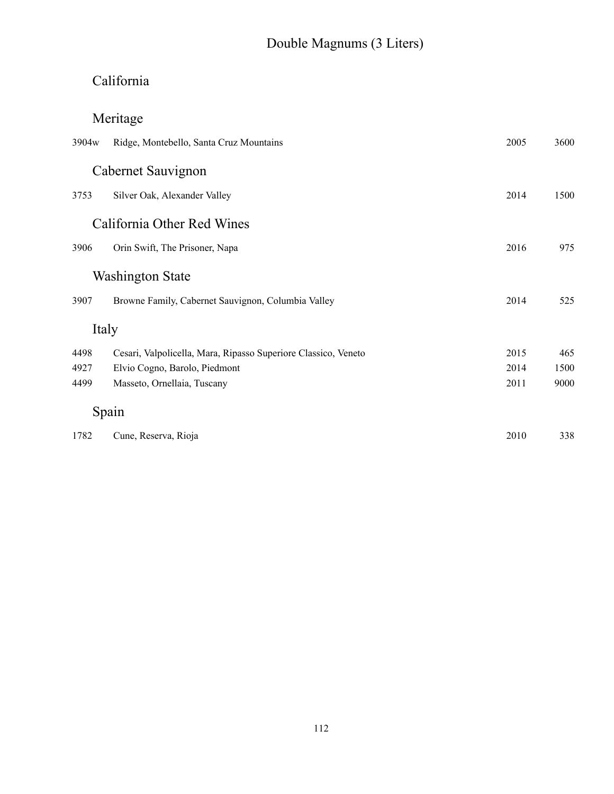# Double Magnums (3 Liters)

# California

# Meritage

| 3904 <sub>w</sub> | Ridge, Montebello, Santa Cruz Mountains                        | 2005 | 3600 |
|-------------------|----------------------------------------------------------------|------|------|
|                   | Cabernet Sauvignon                                             |      |      |
| 3753              | Silver Oak, Alexander Valley                                   | 2014 | 1500 |
|                   | California Other Red Wines                                     |      |      |
| 3906              | Orin Swift, The Prisoner, Napa                                 | 2016 | 975  |
|                   | <b>Washington State</b>                                        |      |      |
| 3907              | Browne Family, Cabernet Sauvignon, Columbia Valley             | 2014 | 525  |
| Italy             |                                                                |      |      |
| 4498              | Cesari, Valpolicella, Mara, Ripasso Superiore Classico, Veneto | 2015 | 465  |
| 4927              | Elvio Cogno, Barolo, Piedmont                                  | 2014 | 1500 |
| 4499              | Masseto, Ornellaia, Tuscany                                    | 2011 | 9000 |
|                   | Spain                                                          |      |      |
| 1782              | Cune, Reserva, Rioja                                           | 2010 | 338  |